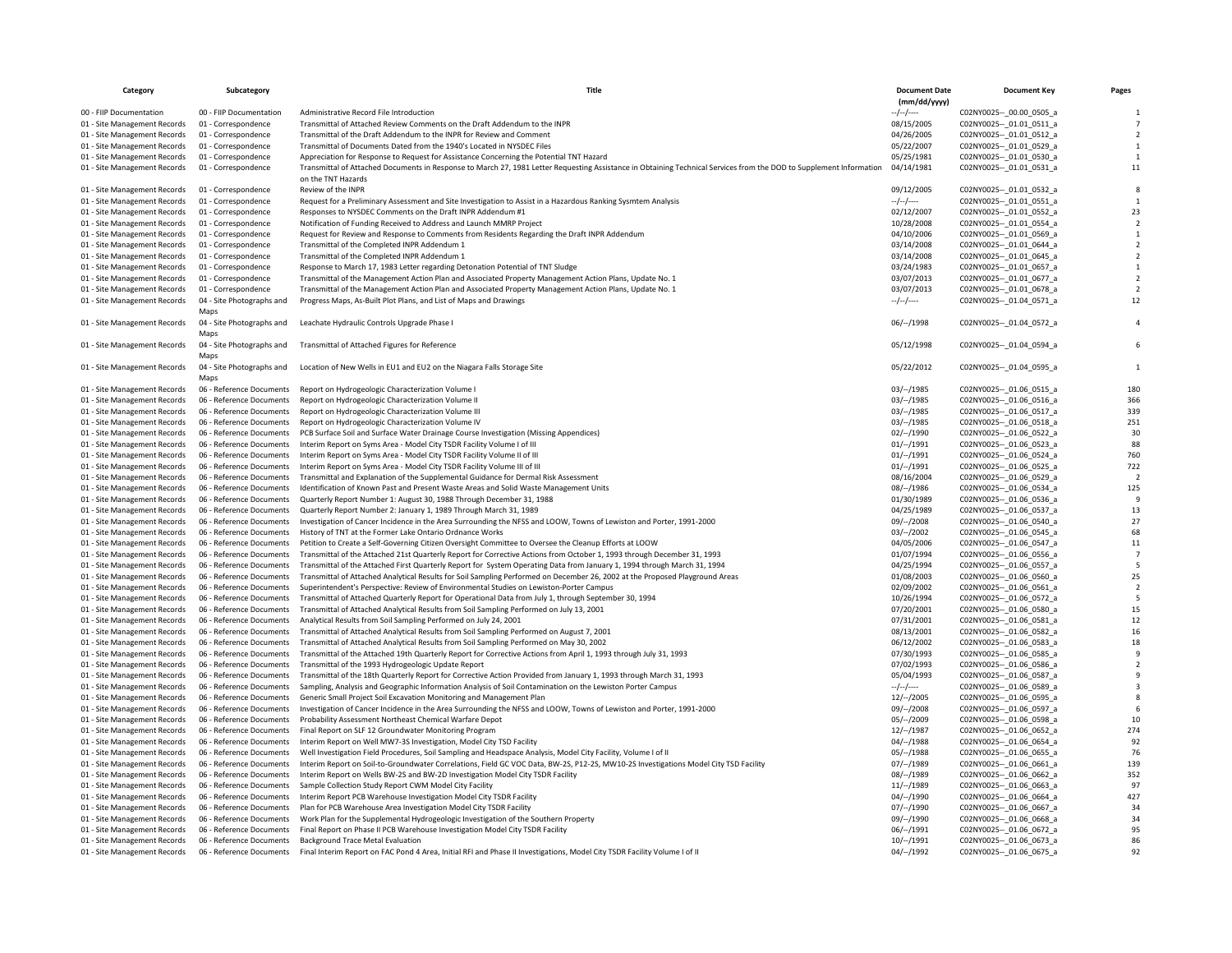| Category                                                     | Subcategory                                          | Title                                                                                                                                                                                     | <b>Document Date</b><br>(mm/dd/yyyy) | <b>Document Key</b>                                      | Pages          |
|--------------------------------------------------------------|------------------------------------------------------|-------------------------------------------------------------------------------------------------------------------------------------------------------------------------------------------|--------------------------------------|----------------------------------------------------------|----------------|
| 00 - FIIP Documentation                                      | 00 - FIIP Documentation                              | Administrative Record File Introduction                                                                                                                                                   | $-/-/-$                              | C02NY0025 -- 00.00 0505 a                                |                |
| 01 - Site Management Records                                 | 01 - Correspondence                                  | Transmittal of Attached Review Comments on the Draft Addendum to the INPR                                                                                                                 | 08/15/2005                           | C02NY0025 -- 01.01 0511 a                                |                |
| 01 - Site Management Records                                 | 01 - Correspondence                                  | Transmittal of the Draft Addendum to the INPR for Review and Comment                                                                                                                      | 04/26/2005                           | C02NY0025 -- _ 01.01_0512_a                              |                |
| 01 - Site Management Records                                 | 01 - Correspondence                                  | Transmittal of Documents Dated from the 1940's Located in NYSDEC Files                                                                                                                    | 05/22/2007                           | C02NY0025 -- _ 01.01_0529_a                              |                |
| 01 - Site Management Records                                 | 01 - Correspondence                                  | Appreciation for Response to Request for Assistance Concerning the Potential TNT Hazard                                                                                                   | 05/25/1981                           | C02NY0025 -- 01.01 0530 a                                |                |
| 01 - Site Management Records                                 | 01 - Correspondence                                  | Transmittal of Attached Documents in Response to March 27, 1981 Letter Requesting Assistance in Obtaining Technical Services from the DOD to Supplement Information<br>on the TNT Hazards | 04/14/1981                           | C02NY0025 -- _ 01.01_0531_a                              | 11             |
| 01 - Site Management Records                                 | 01 - Correspondence                                  | Review of the INPR                                                                                                                                                                        | 09/12/2005                           | C02NY0025 -- _ 01.01_0532_a                              |                |
| 01 - Site Management Records                                 | 01 - Correspondence                                  | Request for a Preliminary Assessment and Site Investigation to Assist in a Hazardous Ranking Sysmtem Analysis                                                                             | --/--/----                           | C02NY0025 -- 01.01 0551 a                                |                |
| 01 - Site Management Records                                 | 01 - Correspondence                                  | Responses to NYSDEC Comments on the Draft INPR Addendum #1                                                                                                                                | 02/12/2007                           | C02NY0025 -- 01.01 0552 a                                | 23             |
| 01 - Site Management Records                                 | 01 - Correspondence                                  | Notification of Funding Received to Address and Launch MMRP Project                                                                                                                       | 10/28/2008                           | C02NY0025 -- 01.01 0554 a                                |                |
| 01 - Site Management Records                                 | 01 - Correspondence                                  | Request for Review and Response to Comments from Residents Regarding the Draft INPR Addendum                                                                                              | 04/10/2006                           | C02NY0025 -- _ 01.01_0569_a                              |                |
| 01 - Site Management Records                                 | 01 - Correspondence                                  | Transmittal of the Completed INPR Addendum 1                                                                                                                                              | 03/14/2008                           | C02NY0025 -- _ 01.01_0644_a                              |                |
| 01 - Site Management Records                                 | 01 - Correspondence                                  | Transmittal of the Completed INPR Addendum 1                                                                                                                                              | 03/14/2008                           | C02NY0025 -- 01.01 0645 a                                |                |
| 01 - Site Management Records                                 | 01 - Correspondence                                  | Response to March 17, 1983 Letter regarding Detonation Potential of TNT Sludge                                                                                                            | 03/24/1983                           | C02NY0025 -- 01.01 0657 a                                |                |
| 01 - Site Management Records                                 | 01 - Correspondence                                  | Transmittal of the Management Action Plan and Associated Property Management Action Plans, Update No. 1                                                                                   | 03/07/2013                           | C02NY0025 -- 01.01 0677 a                                |                |
| 01 - Site Management Records                                 | 01 - Correspondence                                  | Transmittal of the Management Action Plan and Associated Property Management Action Plans, Update No. 1                                                                                   | 03/07/2013                           | C02NY0025 -- 01.01 0678 a                                |                |
| 01 - Site Management Records                                 | 04 - Site Photographs and<br>Maps                    | Progress Maps, As-Built Plot Plans, and List of Maps and Drawings                                                                                                                         | --/--/----                           | C02NY0025 -- 01.04 0571 a                                | 12             |
| 01 - Site Management Records                                 | 04 - Site Photographs and<br>Maps                    | Leachate Hydraulic Controls Upgrade Phase I                                                                                                                                               | 06/--/1998                           | C02NY0025 -- 01.04 0572 a                                |                |
| 01 - Site Management Records                                 | 04 - Site Photographs and<br>Maps                    | Transmittal of Attached Figures for Reference                                                                                                                                             | 05/12/1998                           | C02NY0025 -- 01.04 0594 a                                |                |
| 01 - Site Management Records                                 | 04 - Site Photographs and<br>Maps                    | Location of New Wells in EU1 and EU2 on the Niagara Falls Storage Site                                                                                                                    | 05/22/2012                           | C02NY0025 -- 01.04 0595 a                                |                |
| 01 - Site Management Records                                 | 06 - Reference Documents                             | Report on Hydrogeologic Characterization Volume I                                                                                                                                         | 03/–/1985                            | C02NY0025 -- 01.06 0515 a                                | 180            |
| 01 - Site Management Records                                 | 06 - Reference Documents                             | Report on Hydrogeologic Characterization Volume II                                                                                                                                        | 03/–/1985                            | C02NY0025 -- 01.06 0516 a                                | 366            |
| 01 - Site Management Records                                 | 06 - Reference Documents                             | Report on Hydrogeologic Characterization Volume III                                                                                                                                       | $03/--/1985$                         | C02NY0025 -- 01.06 0517 a                                | 339            |
| 01 - Site Management Records                                 | 06 - Reference Documents                             | Report on Hydrogeologic Characterization Volume IV                                                                                                                                        | 03/–/1985                            | C02NY0025 -- 01.06 0518 a                                | 251            |
| 01 - Site Management Records                                 | 06 - Reference Documents                             | PCB Surface Soil and Surface Water Drainage Course Investigation (Missing Appendices)                                                                                                     | $02/-/1990$                          | C02NY0025 -- 01.06 0522 a                                | 30             |
| 01 - Site Management Records                                 | 06 - Reference Documents                             | Interim Report on Syms Area - Model City TSDR Facility Volume I of III                                                                                                                    | 01/–/1991                            | C02NY0025 -- 01.06 0523 a                                | 88             |
| 01 - Site Management Records                                 | 06 - Reference Documents                             | Interim Report on Syms Area - Model City TSDR Facility Volume II of III                                                                                                                   | 01/–/1991                            | C02NY0025 -- _ 01.06_0524_a                              | 760            |
| 01 - Site Management Records                                 | 06 - Reference Documents                             | Interim Report on Syms Area - Model City TSDR Facility Volume III of III                                                                                                                  | 01/–/1991                            | C02NY0025 -- 01.06 0525 a                                | 722            |
| 01 - Site Management Records                                 | 06 - Reference Documents                             | Transmittal and Explanation of the Supplemental Guidance for Dermal Risk Assessment                                                                                                       | 08/16/2004                           | C02NY0025 -- _ 01.06_0529_a                              | $\overline{2}$ |
| 01 - Site Management Records                                 | 06 - Reference Documents                             | Identification of Known Past and Present Waste Areas and Solid Waste Management Units                                                                                                     | 08/--/1986                           | C02NY0025 -- 01.06 0534 a                                | 125            |
| 01 - Site Management Records                                 | 06 - Reference Documents                             | Quarterly Report Number 1: August 30, 1988 Through December 31, 1988                                                                                                                      | 01/30/1989                           | C02NY0025 -- 01.06 0536 a                                |                |
| 01 - Site Management Records                                 | 06 - Reference Documents                             | Quarterly Report Number 2: January 1, 1989 Through March 31, 1989                                                                                                                         | 04/25/1989                           | C02NY0025 -- 01.06 0537 a                                | 13             |
| 01 - Site Management Records                                 | 06 - Reference Documents                             | Investigation of Cancer Incidence in the Area Surrounding the NFSS and LOOW, Towns of Lewiston and Porter, 1991-2000                                                                      | 09/--/2008                           | C02NY0025 -- 01.06 0540 a                                | 27             |
| 01 - Site Management Records                                 | 06 - Reference Documents                             | History of TNT at the Former Lake Ontario Ordnance Works                                                                                                                                  | $03/-/2002$                          | C02NY0025 -- 01.06 0545 a                                | 68             |
| 01 - Site Management Records                                 | 06 - Reference Documents                             | Petition to Create a Self-Governing Citizen Oversight Committee to Oversee the Cleanup Efforts at LOOW                                                                                    | 04/05/2006                           | C02NY0025 -- 01.06 0547_a                                | 11             |
| 01 - Site Management Records                                 | 06 - Reference Documents                             | Transmittal of the Attached 21st Quarterly Report for Corrective Actions from October 1, 1993 through December 31, 1993                                                                   | 01/07/1994                           | C02NY0025 -- 01.06 0556 a                                |                |
| 01 - Site Management Records                                 | 06 - Reference Documents                             | Transmittal of the Attached First Quarterly Report for System Operating Data from January 1, 1994 through March 31, 1994                                                                  | 04/25/1994                           | C02NY0025 -- 01.06 0557 a                                | 5              |
| 01 - Site Management Records                                 | 06 - Reference Documents                             | Transmittal of Attached Analytical Results for Soil Sampling Performed on December 26, 2002 at the Proposed Playground Areas                                                              | 01/08/2003                           | C02NY0025 -- 01.06 0560 a                                | 25             |
| 01 - Site Management Records                                 | 06 - Reference Documents                             | Superintendent's Perspective: Review of Environmental Studies on Lewiston-Porter Campus                                                                                                   | 02/09/2002                           | C02NY0025 -- 01.06 0561 a                                | $\overline{2}$ |
| 01 - Site Management Records                                 | 06 - Reference Documents                             | Transmittal of Attached Quarterly Report for Operational Data from July 1, through September 30, 1994                                                                                     | 10/26/1994                           | C02NY0025 -- 01.06 0572 a                                | 5              |
| 01 - Site Management Records                                 | 06 - Reference Documents                             | Transmittal of Attached Analytical Results from Soil Sampling Performed on July 13, 2001                                                                                                  | 07/20/2001                           | C02NY0025 -- 01.06 0580 a                                | 15             |
| 01 - Site Management Records                                 | 06 - Reference Documents                             | Analytical Results from Soil Sampling Performed on July 24, 2001                                                                                                                          | 07/31/2001                           | C02NY0025 -- 01.06 0581 a                                | 12             |
| 01 - Site Management Records                                 | 06 - Reference Documents                             | Transmittal of Attached Analytical Results from Soil Sampling Performed on August 7, 2001                                                                                                 | 08/13/2001                           | C02NY0025 -- 01.06 0582 a                                | 16             |
| 01 - Site Management Records                                 | 06 - Reference Documents                             | Transmittal of Attached Analytical Results from Soil Sampling Performed on May 30, 2002                                                                                                   | 06/12/2002                           | C02NY0025 -- 01.06 0583 a                                | 18             |
| 01 - Site Management Records<br>01 - Site Management Records | 06 - Reference Documents<br>06 - Reference Documents | Transmittal of the Attached 19th Quarterly Report for Corrective Actions from April 1, 1993 through July 31, 1993<br>Transmittal of the 1993 Hydrogeologic Update Report                  | 07/30/1993<br>07/02/1993             | C02NY0025 -- 01.06 0585 a<br>C02NY0025 -- _ 01.06_0586_a |                |
| 01 - Site Management Records                                 | 06 - Reference Documents                             | Transmittal of the 18th Quarterly Report for Corrective Action Provided from January 1, 1993 through March 31, 1993                                                                       | 05/04/1993                           | C02NY0025 -- 01.06 0587 a                                |                |
| 01 - Site Management Records                                 | 06 - Reference Documents                             | Sampling, Analysis and Geographic Information Analysis of Soil Contamination on the Lewiston Porter Campus                                                                                | $-/-/-/$                             | C02NY0025 -- 01.06 0589 a                                |                |
| 01 - Site Management Records                                 | 06 - Reference Documents                             | Generic Small Project Soil Excavation Monitoring and Management Plan                                                                                                                      | 12/--/2005                           | C02NY0025 -- 01.06 0595 a                                |                |
| 01 - Site Management Records                                 | 06 - Reference Documents                             | Investigation of Cancer Incidence in the Area Surrounding the NFSS and LOOW, Towns of Lewiston and Porter, 1991-2000                                                                      | 09/--/2008                           | C02NY0025 -- 01.06 0597_a                                |                |
| 01 - Site Management Records                                 | 06 - Reference Documents                             | Probability Assessment Northeast Chemical Warfare Depot                                                                                                                                   | 05/--/2009                           | C02NY0025 -- 01.06 0598 a                                | 10             |
| 01 - Site Management Records                                 | 06 - Reference Documents                             | Final Report on SLF 12 Groundwater Monitoring Program                                                                                                                                     | $12/-/1987$                          | C02NY0025 -- 01.06 0652 a                                | 274            |
| 01 - Site Management Records                                 | 06 - Reference Documents                             | Interim Report on Well MW7-3S Investigation, Model City TSD Facility                                                                                                                      | $04/-/1988$                          | C02NY0025 -- 01.06 0654 a                                | 92             |
| 01 - Site Management Records                                 | 06 - Reference Documents                             | Well Investigation Field Procedures, Soil Sampling and Headspace Analysis, Model City Facility, Volume I of II                                                                            | $05/-/1988$                          | C02NY0025 -- _ 01.06_0655_a                              | 76             |
| 01 - Site Management Records                                 | 06 - Reference Documents                             | Interim Report on Soil-to-Groundwater Correlations, Field GC VOC Data, BW-2S, P12-2S, MW10-2S Investigations Model City TSD Facility                                                      | 07/–/1989                            | C02NY0025 -- 01.06 0661 a                                | 139            |
| 01 - Site Management Records                                 | 06 - Reference Documents                             | Interim Report on Wells BW-2S and BW-2D Investigation Model City TSDR Facility                                                                                                            | 08/--/1989                           | C02NY0025 -- 01.06 0662_a                                | 352            |
| 01 - Site Management Records                                 | 06 - Reference Documents                             | Sample Collection Study Report CWM Model City Facility                                                                                                                                    | $11/--/1989$                         | C02NY0025 -- 01.06 0663 a                                | 97             |
| 01 - Site Management Records                                 | 06 - Reference Documents                             | Interim Report PCB Warehouse Investigation Model City TSDR Facility                                                                                                                       | 04/--/1990                           | C02NY0025 -- 01.06 0664 a                                | 427            |
| 01 - Site Management Records                                 | 06 - Reference Documents                             | Plan for PCB Warehouse Area Investigation Model City TSDR Facility                                                                                                                        | 07/--/1990                           | C02NY0025 -- 01.06 0667_a                                | 34             |
| 01 - Site Management Records                                 | 06 - Reference Documents                             | Work Plan for the Supplemental Hydrogeologic Investigation of the Southern Property                                                                                                       | 09/--/1990                           | C02NY0025 -- 01.06 0668 a                                | 34             |
| 01 - Site Management Records                                 | 06 - Reference Documents                             | Final Report on Phase II PCB Warehouse Investigation Model City TSDR Facility                                                                                                             | $06/-/1991$                          | C02NY0025 -- 01.06 0672 a                                | 95             |
| 01 - Site Management Records                                 | 06 - Reference Documents                             | <b>Background Trace Metal Evaluation</b>                                                                                                                                                  | $10/-/1991$                          | C02NY0025 -- 01.06 0673 a                                | 86             |
| 01 - Site Management Records                                 | 06 - Reference Documents                             | Final Interim Report on FAC Pond 4 Area, Initial RFI and Phase II Investigations, Model City TSDR Facility Volume I of II                                                                 | $04/-/1992$                          | C02NY0025 -- 01.06 0675 a                                | 92             |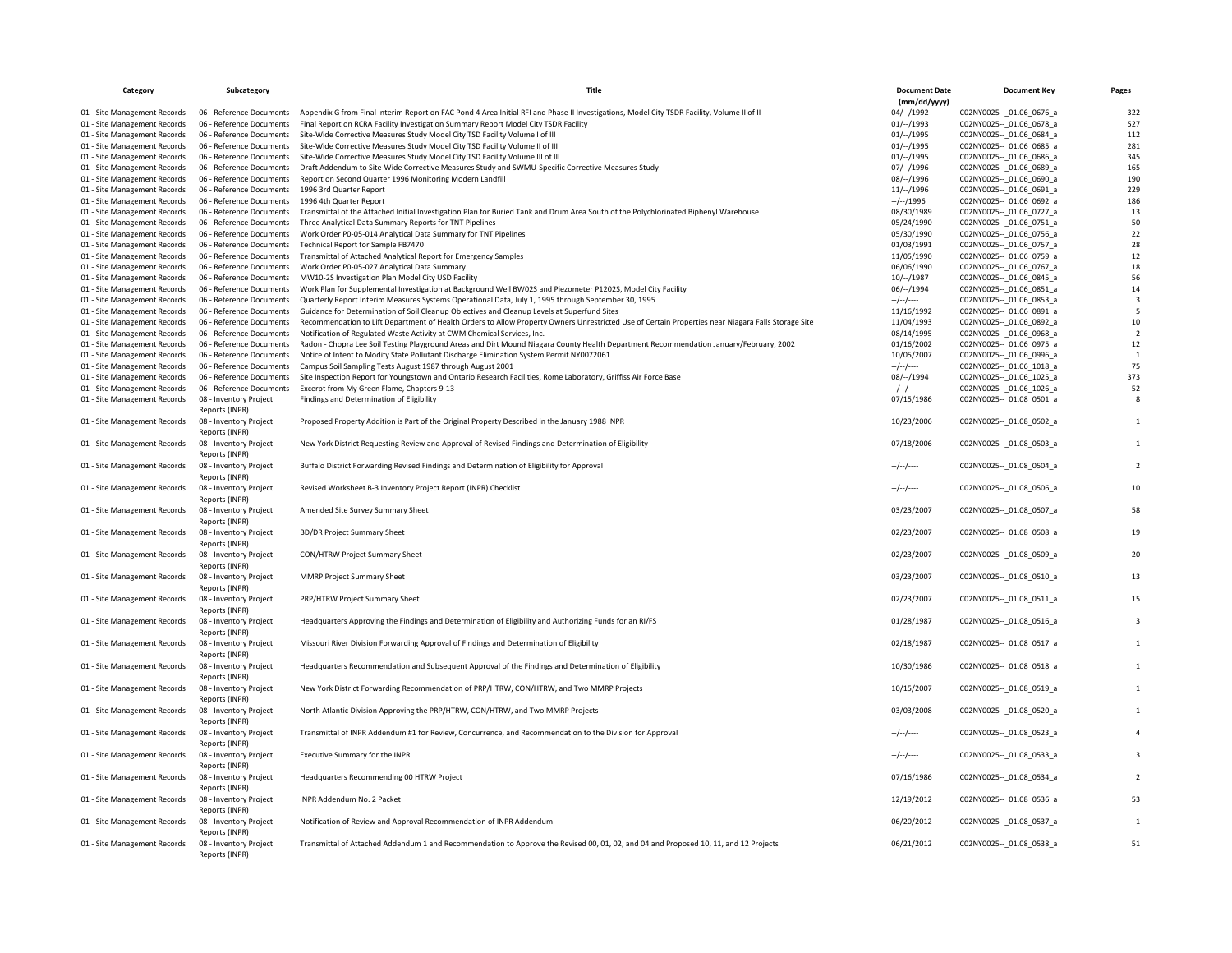| Category                     | Subcategory                              | Title                                                                                                                                              | <b>Document Date</b><br>(mm/dd/yyyy) | <b>Document Key</b>            | Pages                   |
|------------------------------|------------------------------------------|----------------------------------------------------------------------------------------------------------------------------------------------------|--------------------------------------|--------------------------------|-------------------------|
|                              |                                          | Appendix G from Final Interim Report on FAC Pond 4 Area Initial RFI and Phase II Investigations, Model City TSDR Facility, Volume II of II         |                                      |                                | 322                     |
| 01 - Site Management Records | 06 - Reference Documents                 |                                                                                                                                                    | 04/--/1992                           | C02NY0025 -- _ 01.06_0676_a    |                         |
| 01 - Site Management Records | 06 - Reference Documents                 | Final Report on RCRA Facility Investigation Summary Report Model City TSDR Facility                                                                | 01/–/1993                            | C02NY0025 -- 01.06 0678 a      | 527                     |
| 01 - Site Management Records | 06 - Reference Documents                 | Site-Wide Corrective Measures Study Model City TSD Facility Volume I of III                                                                        | 01/–/1995                            | C02NY0025 -- 01.06 0684 a      | 112                     |
| 01 - Site Management Records | 06 - Reference Documents                 | Site-Wide Corrective Measures Study Model City TSD Facility Volume II of III                                                                       | 01/–/1995                            | C02NY0025 -- _ 01.06_0685_a    | 281                     |
| 01 - Site Management Records | 06 - Reference Documents                 | Site-Wide Corrective Measures Study Model City TSD Facility Volume III of III                                                                      | 01/–/1995                            | C02NY0025 -- 01.06 0686 a      | 345                     |
| 01 - Site Management Records | 06 - Reference Documents                 | Draft Addendum to Site-Wide Corrective Measures Study and SWMU-Specific Corrective Measures Study                                                  | 07/–/1996                            | C02NY0025 -- 01.06 0689 a      | 165                     |
| 01 - Site Management Records | 06 - Reference Documents                 | Report on Second Quarter 1996 Monitoring Modern Landfill                                                                                           | 08/--/1996                           | C02NY0025 -- 01.06 0690 a      | 190                     |
| 01 - Site Management Records | 06 - Reference Documents                 | 1996 3rd Quarter Report                                                                                                                            | 11/–/1996                            | C02NY0025 -- _ 01.06_0691_a    | 229                     |
| 01 - Site Management Records | 06 - Reference Documents                 | 1996 4th Quarter Report                                                                                                                            | $-/-/1996$                           | C02NY0025 -- 01.06 0692 a      | 186                     |
| 01 - Site Management Records | 06 - Reference Documents                 | Transmittal of the Attached Initial Investigation Plan for Buried Tank and Drum Area South of the Polychlorinated Biphenyl Warehouse               | 08/30/1989                           | C02NY0025 -- 01.06 0727 a      | 13                      |
| 01 - Site Management Records | 06 - Reference Documents                 | Three Analytical Data Summary Reports for TNT Pipelines                                                                                            | 05/24/1990                           | C02NY0025 -- 01.06 0751 a      | 50                      |
| 01 - Site Management Records | 06 - Reference Documents                 | Work Order P0-05-014 Analytical Data Summary for TNT Pipelines                                                                                     | 05/30/1990                           | C02NY0025 -- 01.06 0756 a      | 22                      |
| 01 - Site Management Records | 06 - Reference Documents                 | Technical Report for Sample FB7470                                                                                                                 | 01/03/1991                           | C02NY0025 -- 01.06 0757 a      | 28                      |
| 01 - Site Management Records | 06 - Reference Documents                 | Transmittal of Attached Analytical Report for Emergency Samples                                                                                    | 11/05/1990                           | C02NY0025 -- 01.06 0759 a      | 12                      |
| 01 - Site Management Records | 06 - Reference Documents                 | Work Order P0-05-027 Analytical Data Summary                                                                                                       | 06/06/1990                           | C02NY0025 -- 01.06 0767 a      | 18                      |
| 01 - Site Management Records | 06 - Reference Documents                 | MW10-2S Investigation Plan Model City USD Facility                                                                                                 | $10/-/1987$                          | C02NY0025 -- _ 01.06_0845_a    | 56                      |
| 01 - Site Management Records | 06 - Reference Documents                 | Work Plan for Supplemental Investigation at Background Well BW02S and Piezometer P1202S, Model City Facility                                       | 06/--/1994                           | C02NY0025 -- 01.06 0851 a      | 14                      |
| 01 - Site Management Records | 06 - Reference Documents                 | Quarterly Report Interim Measures Systems Operational Data, July 1, 1995 through September 30, 1995                                                | $-/-/-$                              | C02NY0025 -- 01.06 0853 a      | $\overline{\mathbf{3}}$ |
| 01 - Site Management Records | 06 - Reference Documents                 | Guidance for Determination of Soil Cleanup Objectives and Cleanup Levels at Superfund Sites                                                        | 11/16/1992                           | C02NY0025 -- 01.06 0891 a      | 5                       |
| 01 - Site Management Records | 06 - Reference Documents                 | Recommendation to Lift Department of Health Orders to Allow Property Owners Unrestricted Use of Certain Properties near Niagara Falls Storage Site | 11/04/1993                           | C02NY0025 -- _ 01.06_0892_a    | 10                      |
| 01 - Site Management Records | 06 - Reference Documents                 | Notification of Regulated Waste Activity at CWM Chemical Services, Inc.                                                                            | 08/14/1995                           | C02NY0025 -- 01.06 0968 a      | $\overline{2}$          |
| 01 - Site Management Records | 06 - Reference Documents                 | Radon - Chopra Lee Soil Testing Playground Areas and Dirt Mound Niagara County Health Department Recommendation January/February, 2002             | 01/16/2002                           | C02NY0025 -- 01.06 0975 a      | 12                      |
| 01 - Site Management Records | 06 - Reference Documents                 | Notice of Intent to Modify State Pollutant Discharge Elimination System Permit NY0072061                                                           | 10/05/2007                           | C02NY0025 -- _ 01.06_0996_a    | $\overline{1}$          |
| 01 - Site Management Records | 06 - Reference Documents                 | Campus Soil Sampling Tests August 1987 through August 2001                                                                                         | --/--/----                           | C02NY0025 -- 01.06 1018 a      | 75                      |
| 01 - Site Management Records | 06 - Reference Documents                 | Site Inspection Report for Youngstown and Ontario Research Facilities, Rome Laboratory, Griffiss Air Force Base                                    | 08/--/1994                           | C02NY0025 -- _ 01.06_1025_a    | 373                     |
| 01 - Site Management Records | 06 - Reference Documents                 | Excerpt from My Green Flame, Chapters 9-13                                                                                                         | --/--/----                           | C02NY0025 -- 01.06 1026 a      | 52                      |
| 01 - Site Management Records | 08 - Inventory Project                   | Findings and Determination of Eligibility                                                                                                          | 07/15/1986                           | C02NY0025 -- 01.08 0501 a      | 8                       |
|                              | Reports (INPR)                           |                                                                                                                                                    |                                      |                                |                         |
| 01 - Site Management Records | 08 - Inventory Project<br>Reports (INPR) | Proposed Property Addition is Part of the Original Property Described in the January 1988 INPR                                                     | 10/23/2006                           | C02NY0025 -- 01.08 0502_a      |                         |
| 01 - Site Management Records | 08 - Inventory Project<br>Reports (INPR) | New York District Requesting Review and Approval of Revised Findings and Determination of Eligibility                                              | 07/18/2006                           | C02NY0025 -- _ 01.08 _ 0503 _a |                         |
| 01 - Site Management Records | 08 - Inventory Project<br>Reports (INPR) | Buffalo District Forwarding Revised Findings and Determination of Eligibility for Approval                                                         | $-/-/-$                              | C02NY0025 -- 01.08 0504 a      |                         |
| 01 - Site Management Records | 08 - Inventory Project<br>Reports (INPR) | Revised Worksheet B-3 Inventory Project Report (INPR) Checklist                                                                                    | $-/-/-$                              | C02NY0025 -- 01.08 0506 a      | 10                      |
| 01 - Site Management Records | 08 - Inventory Project<br>Reports (INPR) | Amended Site Survey Summary Sheet                                                                                                                  | 03/23/2007                           | C02NY0025 -- _ 01.08_0507_a    | 58                      |
| 01 - Site Management Records | 08 - Inventory Project                   | <b>BD/DR Project Summary Sheet</b>                                                                                                                 | 02/23/2007                           | C02NY0025 -- 01.08 0508 a      | 19                      |
| 01 - Site Management Records | Reports (INPR)<br>08 - Inventory Project | CON/HTRW Project Summary Sheet                                                                                                                     | 02/23/2007                           | C02NY0025 -- 01.08 0509 a      | 20                      |
| 01 - Site Management Records | Reports (INPR)<br>08 - Inventory Project | <b>MMRP Project Summary Sheet</b>                                                                                                                  | 03/23/2007                           | C02NY0025 -- 01.08 0510 a      | 13                      |
|                              | Reports (INPR)                           |                                                                                                                                                    |                                      |                                |                         |
| 01 - Site Management Records | 08 - Inventory Project<br>Reports (INPR) | PRP/HTRW Project Summary Sheet                                                                                                                     | 02/23/2007                           | C02NY0025 -- _ 01.08_0511_a    | 15                      |
| 01 - Site Management Records | 08 - Inventory Project<br>Reports (INPR) | Headquarters Approving the Findings and Determination of Eligibility and Authorizing Funds for an RI/FS                                            | 01/28/1987                           | C02NY0025 -- 01.08 0516 a      |                         |
| 01 - Site Management Records | 08 - Inventory Project<br>Reports (INPR) | Missouri River Division Forwarding Approval of Findings and Determination of Eligibility                                                           | 02/18/1987                           | C02NY0025 -- 01.08 0517_a      |                         |
| 01 - Site Management Records | 08 - Inventory Project<br>Reports (INPR) | Headquarters Recommendation and Subsequent Approval of the Findings and Determination of Eligibility                                               | 10/30/1986                           | C02NY0025 -- _ 01.08_0518_a    |                         |
| 01 - Site Management Records | 08 - Inventory Project<br>Reports (INPR) | New York District Forwarding Recommendation of PRP/HTRW, CON/HTRW, and Two MMRP Projects                                                           | 10/15/2007                           | C02NY0025 -- 01.08 0519 a      |                         |
| 01 - Site Management Records | 08 - Inventory Project<br>Reports (INPR) | North Atlantic Division Approving the PRP/HTRW, CON/HTRW, and Two MMRP Projects                                                                    | 03/03/2008                           | C02NY0025 -- 01.08 0520 a      |                         |
| 01 - Site Management Records | 08 - Inventory Project<br>Reports (INPR) | Transmittal of INPR Addendum #1 for Review, Concurrence, and Recommendation to the Division for Approval                                           | $-/-/-$                              | C02NY0025 -- 01.08 0523 a      |                         |
| 01 - Site Management Records | 08 - Inventory Project<br>Reports (INPR) | Executive Summary for the INPR                                                                                                                     | $-\frac{1}{2}$                       | C02NY0025 -- _ 01.08_0533_a    |                         |
| 01 - Site Management Records | 08 - Inventory Project<br>Reports (INPR) | Headquarters Recommending 00 HTRW Project                                                                                                          | 07/16/1986                           | C02NY0025 -- 01.08 0534 a      |                         |
| 01 - Site Management Records | 08 - Inventory Project<br>Reports (INPR) | INPR Addendum No. 2 Packet                                                                                                                         | 12/19/2012                           | C02NY0025 -- 01.08 0536 a      | 53                      |
| 01 - Site Management Records | 08 - Inventory Project<br>Reports (INPR) | Notification of Review and Approval Recommendation of INPR Addendum                                                                                | 06/20/2012                           | C02NY0025 -- _ 01.08_0537_a    |                         |
| 01 - Site Management Records | 08 - Inventory Project<br>Reports (INPR) | Transmittal of Attached Addendum 1 and Recommendation to Approve the Revised 00, 01, 02, and 04 and Proposed 10, 11, and 12 Projects               | 06/21/2012                           | C02NY0025 -- 01.08 0538 a      | 51                      |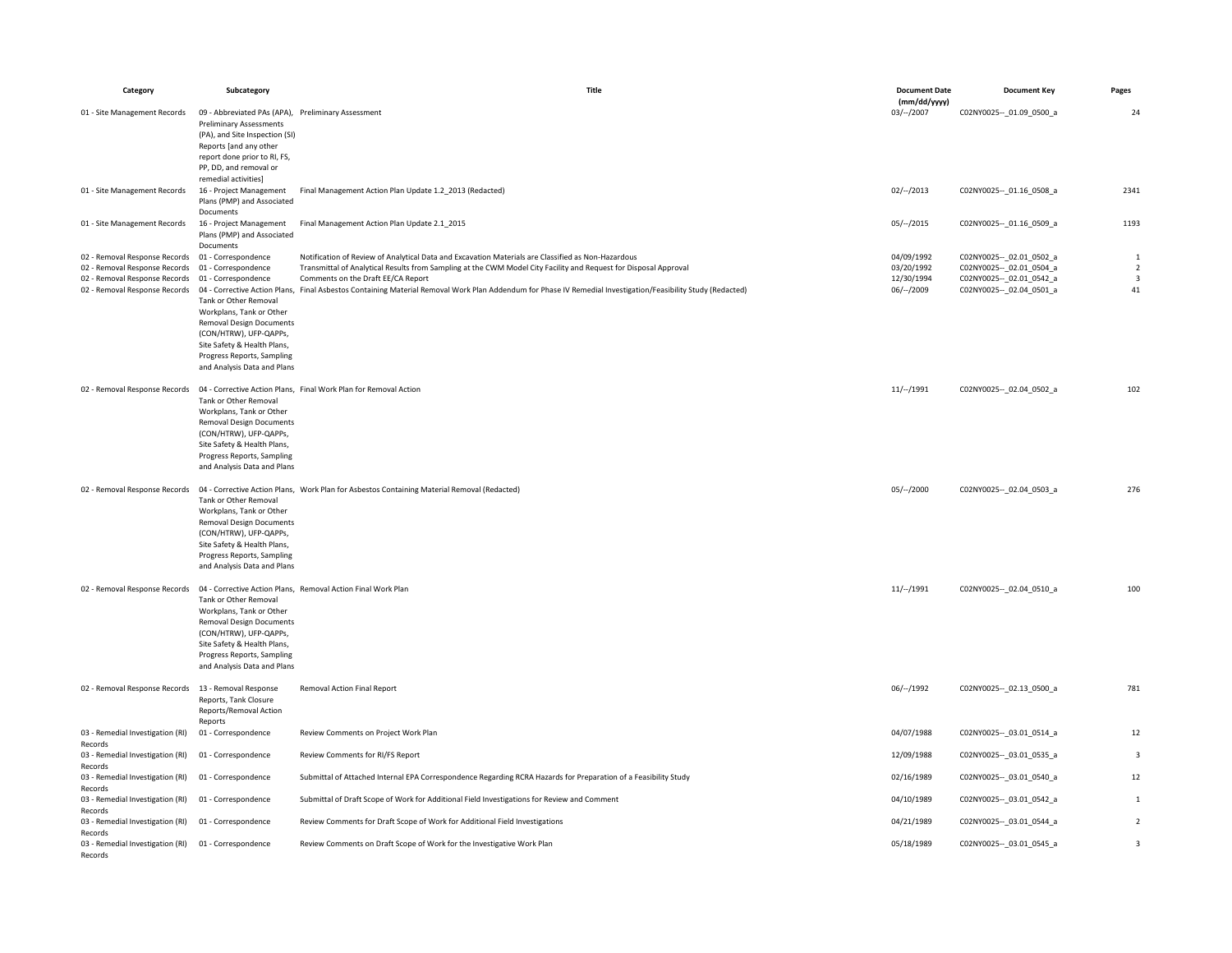| Category                                                        | Subcategory                                                                                                                                                                                                | Title                                                                                                                                                                                              | <b>Document Date</b><br>(mm/dd/yyyy) | <b>Document Key</b>                                        | Pages                         |
|-----------------------------------------------------------------|------------------------------------------------------------------------------------------------------------------------------------------------------------------------------------------------------------|----------------------------------------------------------------------------------------------------------------------------------------------------------------------------------------------------|--------------------------------------|------------------------------------------------------------|-------------------------------|
| 01 - Site Management Records                                    | 09 - Abbreviated PAs (APA), Preliminary Assessment<br><b>Preliminary Assessments</b><br>(PA), and Site Inspection (SI)<br>Reports [and any other<br>report done prior to RI, FS,                           |                                                                                                                                                                                                    | $03/-/2007$                          | C02NY0025 -- 01.09 0500 a                                  | 24                            |
|                                                                 | PP, DD, and removal or<br>remedial activities]                                                                                                                                                             |                                                                                                                                                                                                    |                                      |                                                            |                               |
| 01 - Site Management Records                                    | 16 - Project Management<br>Plans (PMP) and Associated<br>Documents                                                                                                                                         | Final Management Action Plan Update 1.2 2013 (Redacted)                                                                                                                                            | $02/-/2013$                          | C02NY0025 -- 01.16 0508 a                                  | 2341                          |
| 01 - Site Management Records                                    | 16 - Project Management<br>Plans (PMP) and Associated                                                                                                                                                      | Final Management Action Plan Update 2.1_2015                                                                                                                                                       | $05/-/2015$                          | C02NY0025 -- 01.16 0509 a                                  | 1193                          |
| 02 - Removal Response Records                                   | Documents<br>01 - Correspondence                                                                                                                                                                           | Notification of Review of Analytical Data and Excavation Materials are Classified as Non-Hazardous                                                                                                 | 04/09/1992                           | C02NY0025 -- 02.01 0502_a                                  | $\mathbf{1}$                  |
| 02 - Removal Response Records                                   | 01 - Correspondence                                                                                                                                                                                        | Transmittal of Analytical Results from Sampling at the CWM Model City Facility and Request for Disposal Approval                                                                                   | 03/20/1992                           | C02NY0025 -- 02.01 0504 a                                  | $\overline{2}$                |
| 02 - Removal Response Records<br>02 - Removal Response Records  | 01 - Correspondence<br>Tank or Other Removal<br>Workplans, Tank or Other<br><b>Removal Design Documents</b><br>(CON/HTRW), UFP-QAPPs,<br>Site Safety & Health Plans,<br>Progress Reports, Sampling         | Comments on the Draft EE/CA Report<br>04 - Corrective Action Plans, Final Asbestos Containing Material Removal Work Plan Addendum for Phase IV Remedial Investigation/Feasibility Study (Redacted) | 12/30/1994<br>06/--/2009             | C02NY0025 -- _ 02.01_0542_a<br>C02NY0025 -- _ 02.04_0501_a | $\overline{\mathbf{3}}$<br>41 |
|                                                                 | and Analysis Data and Plans                                                                                                                                                                                |                                                                                                                                                                                                    |                                      |                                                            |                               |
| 02 - Removal Response Records                                   | Tank or Other Removal<br>Workplans, Tank or Other<br><b>Removal Design Documents</b><br>(CON/HTRW), UFP-QAPPs,<br>Site Safety & Health Plans,<br>Progress Reports, Sampling<br>and Analysis Data and Plans | 04 - Corrective Action Plans, Final Work Plan for Removal Action                                                                                                                                   | 11/–/1991                            | C02NY0025 -- _ 02.04_0502_a                                | 102                           |
| 02 - Removal Response Records                                   |                                                                                                                                                                                                            | 04 - Corrective Action Plans, Work Plan for Asbestos Containing Material Removal (Redacted)                                                                                                        | 05/–/2000                            | C02NY0025 -- 02.04 0503 a                                  | 276                           |
|                                                                 | Tank or Other Removal<br>Workplans, Tank or Other<br><b>Removal Design Documents</b><br>(CON/HTRW), UFP-QAPPs,<br>Site Safety & Health Plans,<br>Progress Reports, Sampling<br>and Analysis Data and Plans |                                                                                                                                                                                                    |                                      |                                                            |                               |
| 02 - Removal Response Records                                   |                                                                                                                                                                                                            | 04 - Corrective Action Plans, Removal Action Final Work Plan                                                                                                                                       | 11/–/1991                            | C02NY0025 -- _ 02.04_0510_a                                | 100                           |
|                                                                 | Tank or Other Removal<br>Workplans, Tank or Other<br><b>Removal Design Documents</b><br>(CON/HTRW), UFP-QAPPs,<br>Site Safety & Health Plans,<br>Progress Reports, Sampling<br>and Analysis Data and Plans |                                                                                                                                                                                                    |                                      |                                                            |                               |
| 02 - Removal Response Records                                   | 13 - Removal Response<br>Reports, Tank Closure<br>Reports/Removal Action                                                                                                                                   | Removal Action Final Report                                                                                                                                                                        | 06/–/1992                            | C02NY0025 -- 02.13 0500 a                                  | 781                           |
| 03 - Remedial Investigation (RI)                                | Reports<br>01 - Correspondence                                                                                                                                                                             | Review Comments on Project Work Plan                                                                                                                                                               | 04/07/1988                           | C02NY0025 -- 03.01 0514 a                                  | 12                            |
| Records                                                         |                                                                                                                                                                                                            |                                                                                                                                                                                                    |                                      |                                                            |                               |
| 03 - Remedial Investigation (RI)<br>Records                     | 01 - Correspondence                                                                                                                                                                                        | Review Comments for RI/FS Report                                                                                                                                                                   | 12/09/1988                           | C02NY0025 -- 03.01 0535_a                                  | 3                             |
| 03 - Remedial Investigation (RI)<br>Records                     | 01 - Correspondence                                                                                                                                                                                        | Submittal of Attached Internal EPA Correspondence Regarding RCRA Hazards for Preparation of a Feasibility Study                                                                                    | 02/16/1989                           | C02NY0025 -- 03.01 0540 a                                  | 12                            |
| 03 - Remedial Investigation (RI)                                | 01 - Correspondence                                                                                                                                                                                        | Submittal of Draft Scope of Work for Additional Field Investigations for Review and Comment                                                                                                        | 04/10/1989                           | C02NY0025 -- 03.01 0542 a                                  | $\mathbf{1}$                  |
| Records<br>03 - Remedial Investigation (RI)<br>Records          | 01 - Correspondence                                                                                                                                                                                        | Review Comments for Draft Scope of Work for Additional Field Investigations                                                                                                                        | 04/21/1989                           | C02NY0025 -- _ 03.01_0544_a                                | $\sqrt{2}$                    |
| 03 - Remedial Investigation (RI) 01 - Correspondence<br>Records |                                                                                                                                                                                                            | Review Comments on Draft Scope of Work for the Investigative Work Plan                                                                                                                             | 05/18/1989                           | C02NY0025 -- 03.01 0545 a                                  | $\overline{\mathbf{3}}$       |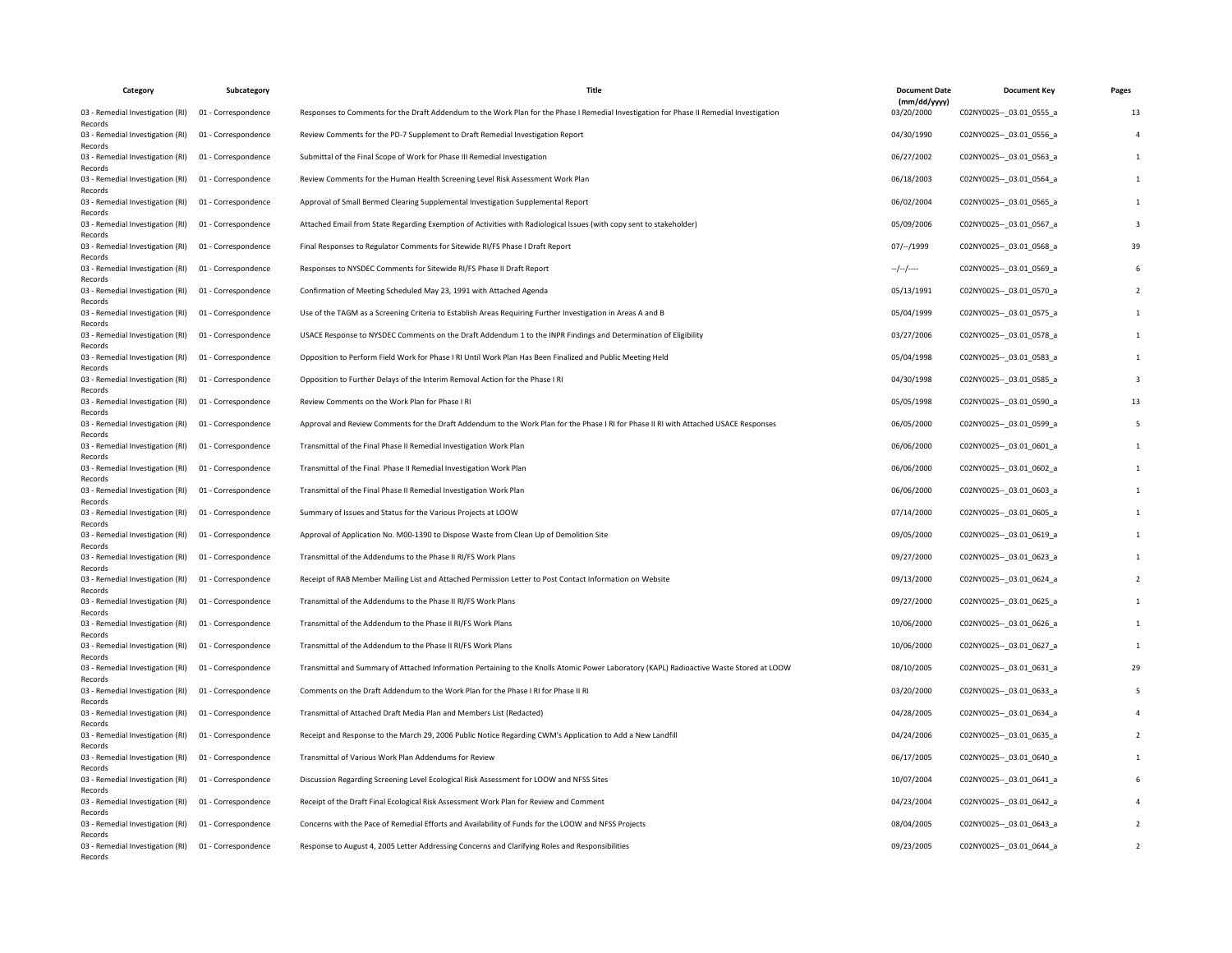| Category                                    | Subcategory         | <b>Title</b>                                                                                                                             | <b>Document Date</b>       | <b>Document Key</b>         | Pages |
|---------------------------------------------|---------------------|------------------------------------------------------------------------------------------------------------------------------------------|----------------------------|-----------------------------|-------|
| 03 - Remedial Investigation (RI)<br>Records | 01 - Correspondence | Responses to Comments for the Draft Addendum to the Work Plan for the Phase I Remedial Investigation for Phase II Remedial Investigation | (mm/dd/yyyy)<br>03/20/2000 | C02NY0025 -- 03.01 0555 a   | 13    |
| 03 - Remedial Investigation (RI)<br>Records | 01 - Correspondence | Review Comments for the PD-7 Supplement to Draft Remedial Investigation Report                                                           | 04/30/1990                 | C02NY0025 -- 03.01 0556 a   |       |
| 03 - Remedial Investigation (RI)<br>Records | 01 - Correspondence | Submittal of the Final Scope of Work for Phase III Remedial Investigation                                                                | 06/27/2002                 | C02NY0025 -- 03.01 0563 a   |       |
| 03 - Remedial Investigation (RI)<br>Records | 01 - Correspondence | Review Comments for the Human Health Screening Level Risk Assessment Work Plan                                                           | 06/18/2003                 | C02NY0025 -- 03.01 0564_a   |       |
| 03 - Remedial Investigation (RI)<br>Records | 01 - Correspondence | Approval of Small Bermed Clearing Supplemental Investigation Supplemental Report                                                         | 06/02/2004                 | C02NY0025 -- 03.01 0565_a   |       |
| 03 - Remedial Investigation (RI)<br>Records | 01 - Correspondence | Attached Email from State Regarding Exemption of Activities with Radiological Issues (with copy sent to stakeholder)                     | 05/09/2006                 | C02NY0025 -- 03.01 0567 a   |       |
| 03 - Remedial Investigation (RI)<br>Records | 01 - Correspondence | Final Responses to Regulator Comments for Sitewide RI/FS Phase I Draft Report                                                            | 07/--/1999                 | C02NY0025 -- 03.01 0568_a   |       |
| 03 - Remedial Investigation (RI)<br>Records | 01 - Correspondence | Responses to NYSDEC Comments for Sitewide RI/FS Phase II Draft Report                                                                    | $-$ / $-$ /----            | C02NY0025 -- 03.01 0569_a   |       |
| 03 - Remedial Investigation (RI)<br>Records | 01 - Correspondence | Confirmation of Meeting Scheduled May 23, 1991 with Attached Agenda                                                                      | 05/13/1991                 | C02NY0025 -- 03.01 0570 a   |       |
| 03 - Remedial Investigation (RI)<br>Records | 01 - Correspondence | Use of the TAGM as a Screening Criteria to Establish Areas Requiring Further Investigation in Areas A and B                              | 05/04/1999                 | C02NY0025 -- 03.01 0575 a   |       |
| 03 - Remedial Investigation (RI)<br>Records | 01 - Correspondence | USACE Response to NYSDEC Comments on the Draft Addendum 1 to the INPR Findings and Determination of Eligibility                          | 03/27/2006                 | C02NY0025 -- _ 03.01_0578_a |       |
| 03 - Remedial Investigation (RI)<br>Records | 01 - Correspondence | Opposition to Perform Field Work for Phase I RI Until Work Plan Has Been Finalized and Public Meeting Held                               | 05/04/1998                 | C02NY0025 -- 03.01 0583 a   |       |
| 03 - Remedial Investigation (RI)<br>Records | 01 - Correspondence | Opposition to Further Delays of the Interim Removal Action for the Phase I RI                                                            | 04/30/1998                 | C02NY0025 -- 03.01 0585 a   |       |
| 03 - Remedial Investigation (RI)<br>Records | 01 - Correspondence | Review Comments on the Work Plan for Phase I RI                                                                                          | 05/05/1998                 | C02NY0025 -- 03.01 0590 a   |       |
| 03 - Remedial Investigation (RI)<br>Records | 01 - Correspondence | Approval and Review Comments for the Draft Addendum to the Work Plan for the Phase I RI for Phase II RI with Attached USACE Responses    | 06/05/2000                 | C02NY0025 -- _ 03.01_0599_a |       |
| 03 - Remedial Investigation (RI)<br>Records | 01 - Correspondence | Transmittal of the Final Phase II Remedial Investigation Work Plan                                                                       | 06/06/2000                 | C02NY0025 -- _ 03.01_0601_a |       |
| 03 - Remedial Investigation (RI)<br>Records | 01 - Correspondence | Transmittal of the Final Phase II Remedial Investigation Work Plan                                                                       | 06/06/2000                 | C02NY0025 -- 03.01 0602 a   |       |
| 03 - Remedial Investigation (RI)<br>Records | 01 - Correspondence | Transmittal of the Final Phase II Remedial Investigation Work Plan                                                                       | 06/06/2000                 | C02NY0025 -- 03.01 0603 a   |       |
| 03 - Remedial Investigation (RI)<br>Records | 01 - Correspondence | Summary of Issues and Status for the Various Projects at LOOW                                                                            | 07/14/2000                 | C02NY0025 -- 03.01 0605 a   |       |
| 03 - Remedial Investigation (RI)<br>Records | 01 - Correspondence | Approval of Application No. M00-1390 to Dispose Waste from Clean Up of Demolition Site                                                   | 09/05/2000                 | C02NY0025 -- _ 03.01_0619_a |       |
| 03 - Remedial Investigation (RI)<br>Records | 01 - Correspondence | Transmittal of the Addendums to the Phase II RI/FS Work Plans                                                                            | 09/27/2000                 | C02NY0025 -- 03.01 0623 a   |       |
| 03 - Remedial Investigation (RI)<br>Records | 01 - Correspondence | Receipt of RAB Member Mailing List and Attached Permission Letter to Post Contact Information on Website                                 | 09/13/2000                 | C02NY0025 -- 03.01 0624 a   |       |
| 03 - Remedial Investigation (RI)<br>Records | 01 - Correspondence | Transmittal of the Addendums to the Phase II RI/FS Work Plans                                                                            | 09/27/2000                 | C02NY0025 -- _ 03.01_0625_a |       |
| 03 - Remedial Investigation (RI)<br>Records | 01 - Correspondence | Transmittal of the Addendum to the Phase II RI/FS Work Plans                                                                             | 10/06/2000                 | C02NY0025 -- 03.01 0626 a   |       |
| 03 - Remedial Investigation (RI)<br>Records | 01 - Correspondence | Transmittal of the Addendum to the Phase II RI/FS Work Plans                                                                             | 10/06/2000                 | C02NY0025 -- _ 03.01_0627_a |       |
| 03 - Remedial Investigation (RI)<br>Records | 01 - Correspondence | Transmittal and Summary of Attached Information Pertaining to the Knolls Atomic Power Laboratory (KAPL) Radioactive Waste Stored at LOOW | 08/10/2005                 | C02NY0025 -- 03.01 0631 a   |       |
| 03 - Remedial Investigation (RI)<br>Records | 01 - Correspondence | Comments on the Draft Addendum to the Work Plan for the Phase I RI for Phase II RI                                                       | 03/20/2000                 | C02NY0025 -- 03.01 0633 a   |       |
| 03 - Remedial Investigation (RI)<br>Records | 01 - Correspondence | Transmittal of Attached Draft Media Plan and Members List (Redacted)                                                                     | 04/28/2005                 | C02NY0025 -- 03.01 0634 a   |       |
| 03 - Remedial Investigation (RI)<br>Records | 01 - Correspondence | Receipt and Response to the March 29, 2006 Public Notice Regarding CWM's Application to Add a New Landfill                               | 04/24/2006                 | C02NY0025 -- 03.01 0635_a   |       |
| 03 - Remedial Investigation (RI)<br>Records | 01 - Correspondence | Transmittal of Various Work Plan Addendums for Review                                                                                    | 06/17/2005                 | C02NY0025 -- 03.01 0640 a   |       |
| 03 - Remedial Investigation (RI)<br>Records | 01 - Correspondence | Discussion Regarding Screening Level Ecological Risk Assessment for LOOW and NFSS Sites                                                  | 10/07/2004                 | C02NY0025 -- 03.01 0641 a   |       |
| 03 - Remedial Investigation (RI)<br>Records | 01 - Correspondence | Receipt of the Draft Final Ecological Risk Assessment Work Plan for Review and Comment                                                   | 04/23/2004                 | C02NY0025 -- 03.01 0642 a   |       |
| 03 - Remedial Investigation (RI)<br>Records | 01 - Correspondence | Concerns with the Pace of Remedial Efforts and Availability of Funds for the LOOW and NFSS Projects                                      | 08/04/2005                 | C02NY0025 -- 03.01 0643 a   |       |
| 03 - Remedial Investigation (RI)<br>Records | 01 - Correspondence | Response to August 4, 2005 Letter Addressing Concerns and Clarifying Roles and Responsibilities                                          | 09/23/2005                 | C02NY0025 -- 03.01 0644 a   |       |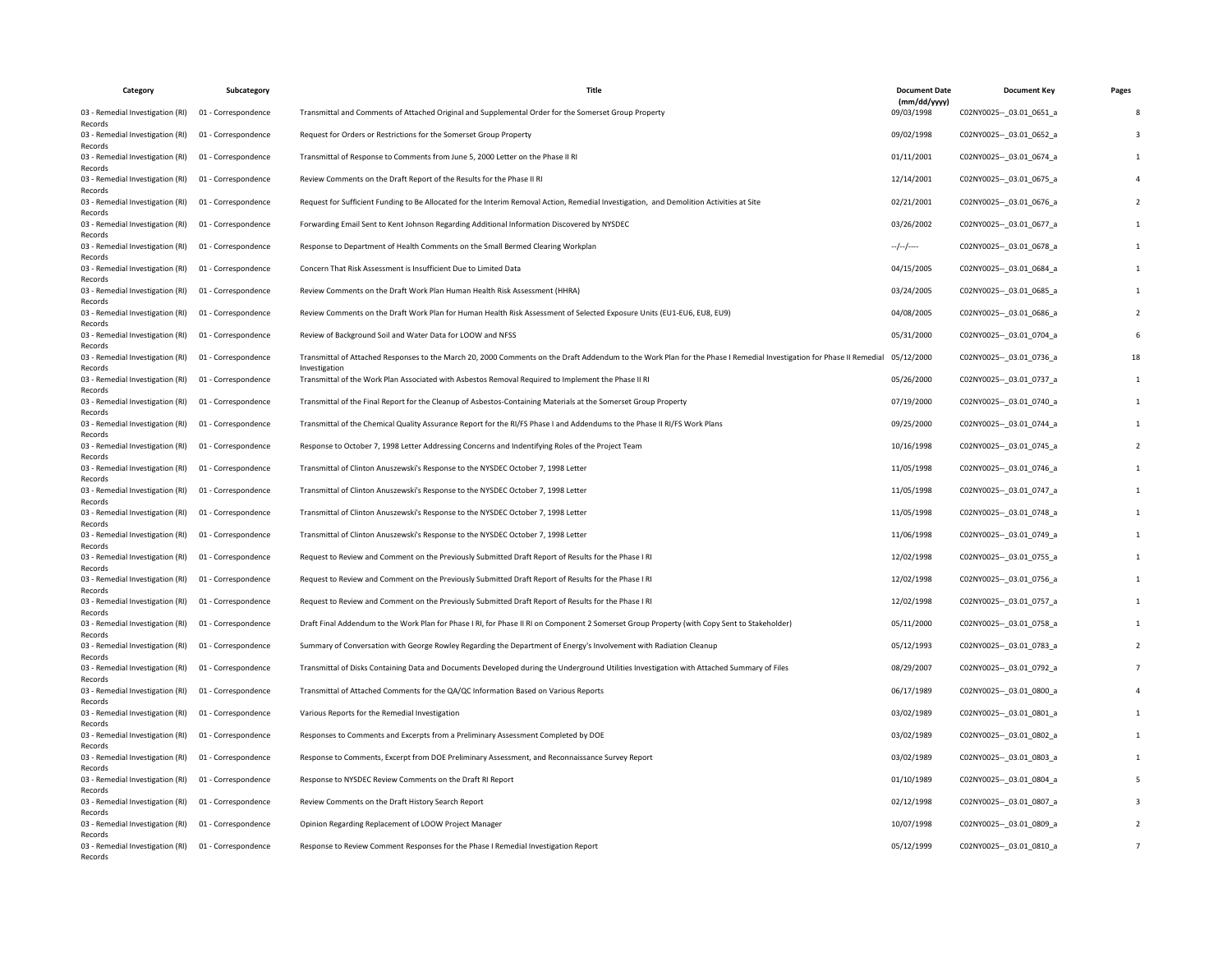| Category                                    | Subcategory         | <b>Title</b>                                                                                                                                                                                     | <b>Document Date</b>       | <b>Document Key</b>         | Pages |
|---------------------------------------------|---------------------|--------------------------------------------------------------------------------------------------------------------------------------------------------------------------------------------------|----------------------------|-----------------------------|-------|
| 03 - Remedial Investigation (RI)<br>Records | 01 - Correspondence | Transmittal and Comments of Attached Original and Supplemental Order for the Somerset Group Property                                                                                             | (mm/dd/yyyy)<br>09/03/1998 | C02NY0025 -- 03.01 0651 a   |       |
| 03 - Remedial Investigation (RI)<br>Records | 01 - Correspondence | Request for Orders or Restrictions for the Somerset Group Property                                                                                                                               | 09/02/1998                 | C02NY0025 -- 03.01 0652 a   |       |
| 03 - Remedial Investigation (RI)<br>Records | 01 - Correspondence | Transmittal of Response to Comments from June 5, 2000 Letter on the Phase II RI                                                                                                                  | 01/11/2001                 | C02NY0025 -- 03.01 0674 a   |       |
| 03 - Remedial Investigation (RI)<br>Records | 01 - Correspondence | Review Comments on the Draft Report of the Results for the Phase II RI                                                                                                                           | 12/14/2001                 | C02NY0025 -- 03.01 0675 a   |       |
| 03 - Remedial Investigation (RI)<br>Records | 01 - Correspondence | Request for Sufficient Funding to Be Allocated for the Interim Removal Action, Remedial Investigation, and Demolition Activities at Site                                                         | 02/21/2001                 | C02NY0025 -- 03.01 0676 a   |       |
| 03 - Remedial Investigation (RI)<br>Records | 01 - Correspondence | Forwarding Email Sent to Kent Johnson Regarding Additional Information Discovered by NYSDEC                                                                                                      | 03/26/2002                 | C02NY0025 -- 03.01 0677 a   |       |
| 03 - Remedial Investigation (RI)<br>Records | 01 - Correspondence | Response to Department of Health Comments on the Small Bermed Clearing Workplan                                                                                                                  | $-/-/-$                    | C02NY0025 -- 03.01 0678 a   |       |
| 03 - Remedial Investigation (RI)<br>Records | 01 - Correspondence | Concern That Risk Assessment is Insufficient Due to Limited Data                                                                                                                                 | 04/15/2005                 | C02NY0025 -- 03.01 0684_a   |       |
| 03 - Remedial Investigation (RI)<br>Records | 01 - Correspondence | Review Comments on the Draft Work Plan Human Health Risk Assessment (HHRA)                                                                                                                       | 03/24/2005                 | C02NY0025 -- 03.01 0685 a   |       |
| 03 - Remedial Investigation (RI)<br>Records | 01 - Correspondence | Review Comments on the Draft Work Plan for Human Health Risk Assessment of Selected Exposure Units (EU1-EU6, EU8) EU9)                                                                           | 04/08/2005                 | C02NY0025 -- 03.01 0686 a   |       |
| 03 - Remedial Investigation (RI)<br>Records | 01 - Correspondence | Review of Background Soil and Water Data for LOOW and NFSS                                                                                                                                       | 05/31/2000                 | C02NY0025 -- _ 03.01_0704_a |       |
| 03 - Remedial Investigation (RI)<br>Records | 01 - Correspondence | Transmittal of Attached Responses to the March 20, 2000 Comments on the Draft Addendum to the Work Plan for the Phase I Remedial Investigation for Phase II Remedial 05/12/2000<br>Investigation |                            | C02NY0025 -- 03.01 0736 a   |       |
| 03 - Remedial Investigation (RI)<br>Records | 01 - Correspondence | Transmittal of the Work Plan Associated with Asbestos Removal Required to Implement the Phase II RI                                                                                              | 05/26/2000                 | C02NY0025 -- 03.01 0737 a   |       |
| 03 - Remedial Investigation (RI)<br>Records | 01 - Correspondence | Transmittal of the Final Report for the Cleanup of Asbestos-Containing Materials at the Somerset Group Property                                                                                  | 07/19/2000                 | C02NY0025 -- 03.01 0740 a   |       |
| 03 - Remedial Investigation (RI)<br>Records | 01 - Correspondence | Transmittal of the Chemical Quality Assurance Report for the RI/FS Phase I and Addendums to the Phase II RI/FS Work Plans                                                                        | 09/25/2000                 | C02NY0025 -- 03.01 0744_a   |       |
| 03 - Remedial Investigation (RI)<br>Records | 01 - Correspondence | Response to October 7, 1998 Letter Addressing Concerns and Indentifying Roles of the Project Team                                                                                                | 10/16/1998                 | C02NY0025 -- _ 03.01_0745_a |       |
| 03 - Remedial Investigation (RI)<br>Records | 01 - Correspondence | Transmittal of Clinton Anuszewski's Response to the NYSDEC October 7, 1998 Letter                                                                                                                | 11/05/1998                 | C02NY0025 -- 03.01 0746 a   |       |
| 03 - Remedial Investigation (RI)<br>Records | 01 - Correspondence | Transmittal of Clinton Anuszewski's Response to the NYSDEC October 7, 1998 Letter                                                                                                                | 11/05/1998                 | C02NY0025 -- 03.01 0747 a   |       |
| 03 - Remedial Investigation (RI)<br>Records | 01 - Correspondence | Transmittal of Clinton Anuszewski's Response to the NYSDEC October 7, 1998 Letter                                                                                                                | 11/05/1998                 | C02NY0025 -- 03.01 0748_a   |       |
| 03 - Remedial Investigation (RI)<br>Records | 01 - Correspondence | Transmittal of Clinton Anuszewski's Response to the NYSDEC October 7, 1998 Letter                                                                                                                | 11/06/1998                 | C02NY0025 -- _ 03.01_0749_a |       |
| 03 - Remedial Investigation (RI)<br>Records | 01 - Correspondence | Request to Review and Comment on the Previously Submitted Draft Report of Results for the Phase I RI                                                                                             | 12/02/1998                 | C02NY0025 -- 03.01 0755_a   |       |
| 03 - Remedial Investigation (RI)<br>Records | 01 - Correspondence | Request to Review and Comment on the Previously Submitted Draft Report of Results for the Phase I RI                                                                                             | 12/02/1998                 | C02NY0025 -- 03.01 0756_a   |       |
| 03 - Remedial Investigation (RI)<br>Records | 01 - Correspondence | Request to Review and Comment on the Previously Submitted Draft Report of Results for the Phase I RI                                                                                             | 12/02/1998                 | C02NY0025 -- _ 03.01_0757_a |       |
| 03 - Remedial Investigation (RI)<br>Records | 01 - Correspondence | Draft Final Addendum to the Work Plan for Phase I RI, for Phase II RI on Component 2 Somerset Group Property (with Copy Sent to Stakeholder)                                                     | 05/11/2000                 | C02NY0025 -- 03.01 0758 a   |       |
| 03 - Remedial Investigation (RI)<br>Records | 01 - Correspondence | Summary of Conversation with George Rowley Regarding the Department of Energy's Involvement with Radiation Cleanup                                                                               | 05/12/1993                 | C02NY0025 -- _ 03.01_0783_a |       |
| 03 - Remedial Investigation (RI)<br>Records | 01 - Correspondence | Transmittal of Disks Containing Data and Documents Developed during the Underground Utilities Investigation with Attached Summary of Files                                                       | 08/29/2007                 | C02NY0025 -- 03.01 0792_a   |       |
| 03 - Remedial Investigation (RI)<br>Records | 01 - Correspondence | Transmittal of Attached Comments for the QA/QC Information Based on Various Reports                                                                                                              | 06/17/1989                 | C02NY0025 -- 03.01 0800 a   |       |
| 03 - Remedial Investigation (RI)<br>Records | 01 - Correspondence | Various Reports for the Remedial Investigation                                                                                                                                                   | 03/02/1989                 | C02NY0025 -- 03.01 0801 a   |       |
| 03 - Remedial Investigation (RI)<br>Records | 01 - Correspondence | Responses to Comments and Excerpts from a Preliminary Assessment Completed by DOE                                                                                                                | 03/02/1989                 | C02NY0025 -- 03.01 0802_a   |       |
| 03 - Remedial Investigation (RI)<br>Records | 01 - Correspondence | Response to Comments, Excerpt from DOE Preliminary Assessment, and Reconnaissance Survey Report                                                                                                  | 03/02/1989                 | C02NY0025 -- 03.01 0803 a   |       |
| 03 - Remedial Investigation (RI)<br>Records | 01 - Correspondence | Response to NYSDEC Review Comments on the Draft RI Report                                                                                                                                        | 01/10/1989                 | C02NY0025 -- 03.01 0804 a   |       |
| 03 - Remedial Investigation (RI)<br>Records | 01 - Correspondence | Review Comments on the Draft History Search Report                                                                                                                                               | 02/12/1998                 | C02NY0025 -- 03.01 0807 a   |       |
| 03 - Remedial Investigation (RI)<br>Records | 01 - Correspondence | Opinion Regarding Replacement of LOOW Project Manager                                                                                                                                            | 10/07/1998                 | C02NY0025 -- 03.01 0809 a   |       |
| 03 - Remedial Investigation (RI)<br>Records | 01 - Correspondence | Response to Review Comment Responses for the Phase I Remedial Investigation Report                                                                                                               | 05/12/1999                 | C02NY0025 -- 03.01 0810 a   |       |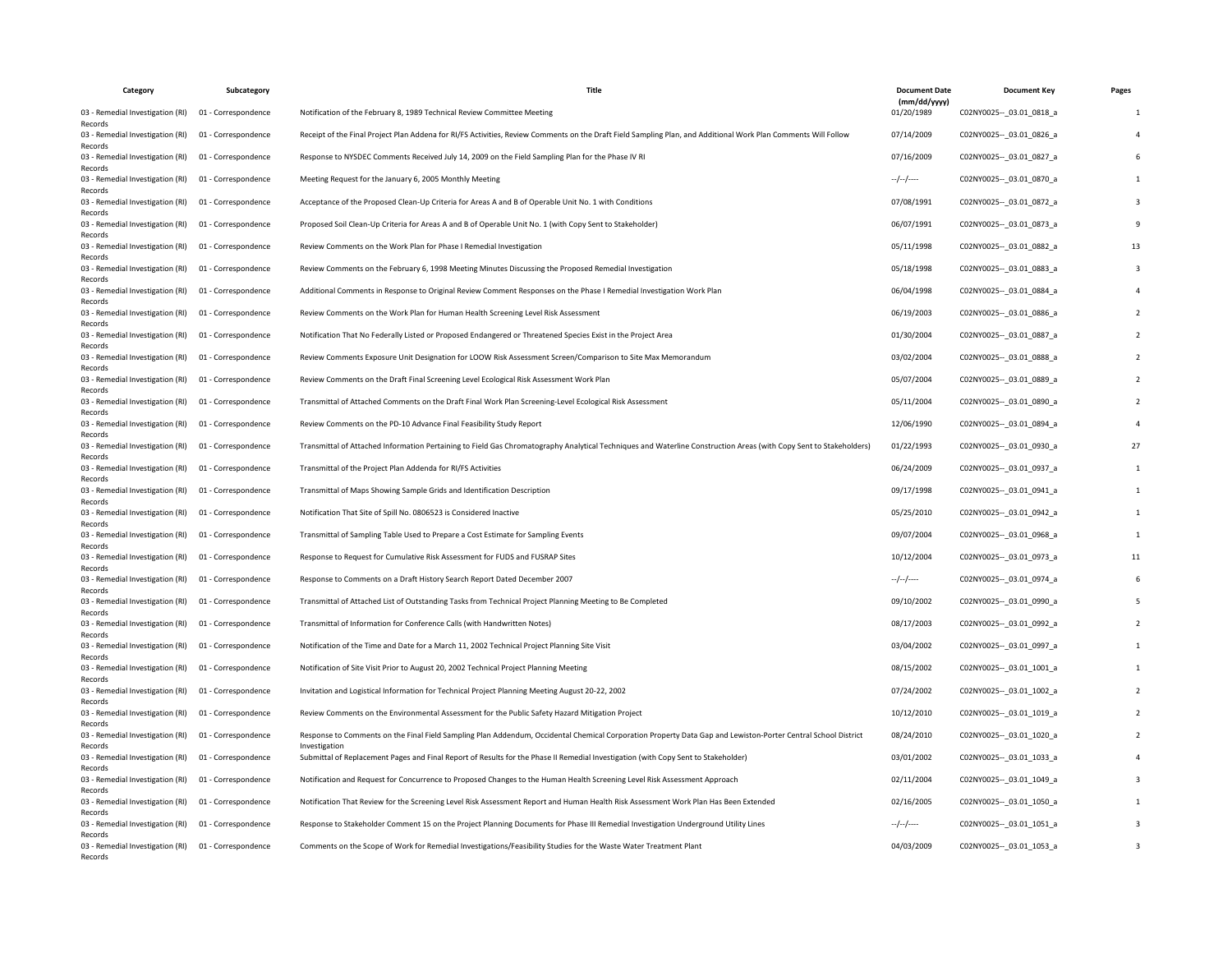| Category                                    | Subcategory         | Title                                                                                                                                                                          | <b>Document Date</b>       | <b>Document Key</b>         | Pages |
|---------------------------------------------|---------------------|--------------------------------------------------------------------------------------------------------------------------------------------------------------------------------|----------------------------|-----------------------------|-------|
| 03 - Remedial Investigation (RI)<br>Records | 01 - Correspondence | Notification of the February 8, 1989 Technical Review Committee Meeting                                                                                                        | (mm/dd/yyyy)<br>01/20/1989 | C02NY0025 -- _ 03.01_0818_a |       |
| 03 - Remedial Investigation (RI)<br>Records | 01 - Correspondence | Receipt of the Final Project Plan Addena for RI/FS Activities, Review Comments on the Draft Field Sampling Plan, and Additional Work Plan Comments Will Follow                 | 07/14/2009                 | C02NY0025 -- 03.01 0826 a   |       |
| 03 - Remedial Investigation (RI)<br>Records | 01 - Correspondence | Response to NYSDEC Comments Received July 14, 2009 on the Field Sampling Plan for the Phase IV RI                                                                              | 07/16/2009                 | C02NY0025 -- 03.01 0827 a   |       |
| 03 - Remedial Investigation (RI)<br>Records | 01 - Correspondence | Meeting Request for the January 6, 2005 Monthly Meeting                                                                                                                        | --/--/----                 | C02NY0025 -- 03.01 0870 a   |       |
| 03 - Remedial Investigation (RI)<br>Records | 01 - Correspondence | Acceptance of the Proposed Clean-Up Criteria for Areas A and B of Operable Unit No. 1 with Conditions                                                                          | 07/08/1991                 | C02NY0025 -- 03.01 0872 a   |       |
| 03 - Remedial Investigation (RI)<br>Records | 01 - Correspondence | Proposed Soil Clean-Up Criteria for Areas A and B of Operable Unit No. 1 (with Copy Sent to Stakeholder)                                                                       | 06/07/1991                 | C02NY0025 -- _ 03.01_0873_a |       |
| 03 - Remedial Investigation (RI)<br>Records | 01 - Correspondence | Review Comments on the Work Plan for Phase I Remedial Investigation                                                                                                            | 05/11/1998                 | C02NY0025 -- 03.01 0882 a   |       |
| 03 - Remedial Investigation (RI)<br>Records | 01 - Correspondence | Review Comments on the February 6, 1998 Meeting Minutes Discussing the Proposed Remedial Investigation                                                                         | 05/18/1998                 | C02NY0025 -- 03.01 0883 a   |       |
| 03 - Remedial Investigation (RI)<br>Records | 01 - Correspondence | Additional Comments in Response to Original Review Comment Responses on the Phase I Remedial Investigation Work Plan                                                           | 06/04/1998                 | C02NY0025 -- 03.01 0884 a   |       |
| 03 - Remedial Investigation (RI)<br>Records | 01 - Correspondence | Review Comments on the Work Plan for Human Health Screening Level Risk Assessment                                                                                              | 06/19/2003                 | C02NY0025 -- _ 03.01_0886_a |       |
| 03 - Remedial Investigation (RI)<br>Records | 01 - Correspondence | Notification That No Federally Listed or Proposed Endangered or Threatened Species Exist in the Project Area                                                                   | 01/30/2004                 | C02NY0025 -- 03.01 0887 a   |       |
| 03 - Remedial Investigation (RI)<br>Records | 01 - Correspondence | Review Comments Exposure Unit Designation for LOOW Risk Assessment Screen/Comparison to Site Max Memorandum                                                                    | 03/02/2004                 | C02NY0025 -- 03.01 0888 a   |       |
| 03 - Remedial Investigation (RI)<br>Records | 01 - Correspondence | Review Comments on the Draft Final Screening Level Ecological Risk Assessment Work Plan                                                                                        | 05/07/2004                 | C02NY0025 -- _ 03.01_0889_a |       |
| 03 - Remedial Investigation (RI)<br>Records | 01 - Correspondence | Transmittal of Attached Comments on the Draft Final Work Plan Screening-Level Ecological Risk Assessment                                                                       | 05/11/2004                 | C02NY0025 -- 03.01 0890 a   |       |
| 03 - Remedial Investigation (RI)<br>Records | 01 - Correspondence | Review Comments on the PD-10 Advance Final Feasibility Study Report                                                                                                            | 12/06/1990                 | C02NY0025 -- 03.01 0894 a   |       |
| 03 - Remedial Investigation (RI)<br>Records | 01 - Correspondence | Transmittal of Attached Information Pertaining to Field Gas Chromatography Analytical Techniques and Waterline Construction Areas (with Copy Sent to Stakeholders)             | 01/22/1993                 | C02NY0025 -- 03.01 0930 a   |       |
| 03 - Remedial Investigation (RI)<br>Records | 01 - Correspondence | Transmittal of the Project Plan Addenda for RI/FS Activities                                                                                                                   | 06/24/2009                 | C02NY0025 -- 03.01 0937_a   |       |
| 03 - Remedial Investigation (RI)<br>Records | 01 - Correspondence | Transmittal of Maps Showing Sample Grids and Identification Description                                                                                                        | 09/17/1998                 | C02NY0025 -- _ 03.01_0941_a |       |
| 03 - Remedial Investigation (RI)<br>Records | 01 - Correspondence | Notification That Site of Spill No. 0806523 is Considered Inactive                                                                                                             | 05/25/2010                 | C02NY0025 -- 03.01 0942 a   |       |
| 03 - Remedial Investigation (RI)<br>Records | 01 - Correspondence | Transmittal of Sampling Table Used to Prepare a Cost Estimate for Sampling Events                                                                                              | 09/07/2004                 | C02NY0025 -- 03.01 0968 a   |       |
| 03 - Remedial Investigation (RI)<br>Records | 01 - Correspondence | Response to Request for Cumulative Risk Assessment for FUDS and FUSRAP Sites                                                                                                   | 10/12/2004                 | C02NY0025 -- 03.01 0973 a   |       |
| 03 - Remedial Investigation (RI)<br>Records | 01 - Correspondence | Response to Comments on a Draft History Search Report Dated December 2007                                                                                                      | --/--/----                 | C02NY0025 -- _ 03.01_0974_a |       |
| 03 - Remedial Investigation (RI)<br>Records | 01 - Correspondence | Transmittal of Attached List of Outstanding Tasks from Technical Project Planning Meeting to Be Completed                                                                      | 09/10/2002                 | C02NY0025 -- 03.01 0990 a   |       |
| 03 - Remedial Investigation (RI)<br>Records | 01 - Correspondence | Transmittal of Information for Conference Calls (with Handwritten Notes)                                                                                                       | 08/17/2003                 | C02NY0025 -- 03.01 0992 a   |       |
| 03 - Remedial Investigation (RI)<br>Records | 01 - Correspondence | Notification of the Time and Date for a March 11, 2002 Technical Project Planning Site Visit                                                                                   | 03/04/2002                 | C02NY0025 -- _ 03.01_0997_a |       |
| 03 - Remedial Investigation (RI)<br>Records | 01 - Correspondence | Notification of Site Visit Prior to August 20, 2002 Technical Project Planning Meeting                                                                                         | 08/15/2002                 | C02NY0025 -- 03.01 1001 a   |       |
| 03 - Remedial Investigation (RI)<br>Records | 01 - Correspondence | Invitation and Logistical Information for Technical Project Planning Meeting August 20-22, 2002                                                                                | 07/24/2002                 | C02NY0025 -- 03.01 1002 a   |       |
| 03 - Remedial Investigation (RI)<br>Records | 01 - Correspondence | Review Comments on the Environmental Assessment for the Public Safety Hazard Mitigation Project                                                                                | 10/12/2010                 | C02NY0025 -- 03.01 1019 a   |       |
| 03 - Remedial Investigation (RI)<br>Records | 01 - Correspondence | Response to Comments on the Final Field Sampling Plan Addendum, Occidental Chemical Corporation Property Data Gap and Lewiston-Porter Central School District<br>Investigation | 08/24/2010                 | C02NY0025 -- 03.01 1020 a   |       |
| 03 - Remedial Investigation (RI)<br>Records | 01 - Correspondence | Submittal of Replacement Pages and Final Report of Results for the Phase II Remedial Investigation (with Copy Sent to Stakeholder)                                             | 03/01/2002                 | C02NY0025 -- _ 03.01_1033_a |       |
| 03 - Remedial Investigation (RI)<br>Records | 01 - Correspondence | Notification and Request for Concurrence to Proposed Changes to the Human Health Screening Level Risk Assessment Approach                                                      | 02/11/2004                 | C02NY0025 -- 03.01 1049 a   |       |
| 03 - Remedial Investigation (RI)<br>Records | 01 - Correspondence | Notification That Review for the Screening Level Risk Assessment Report and Human Health Risk Assessment Work Plan Has Been Extended                                           | 02/16/2005                 | C02NY0025 -- 03.01 1050 a   |       |
| 03 - Remedial Investigation (RI)<br>Records | 01 - Correspondence | Response to Stakeholder Comment 15 on the Project Planning Documents for Phase III Remedial Investigation Underground Utility Lines                                            | $-/-/-$                    | C02NY0025 -- 03.01 1051 a   |       |
| 03 - Remedial Investigation (RI)<br>Records | 01 - Correspondence | Comments on the Scope of Work for Remedial Investigations/Feasibility Studies for the Waste Water Treatment Plant                                                              | 04/03/2009                 | C02NY0025 -- _ 03.01_1053_a |       |
|                                             |                     |                                                                                                                                                                                |                            |                             |       |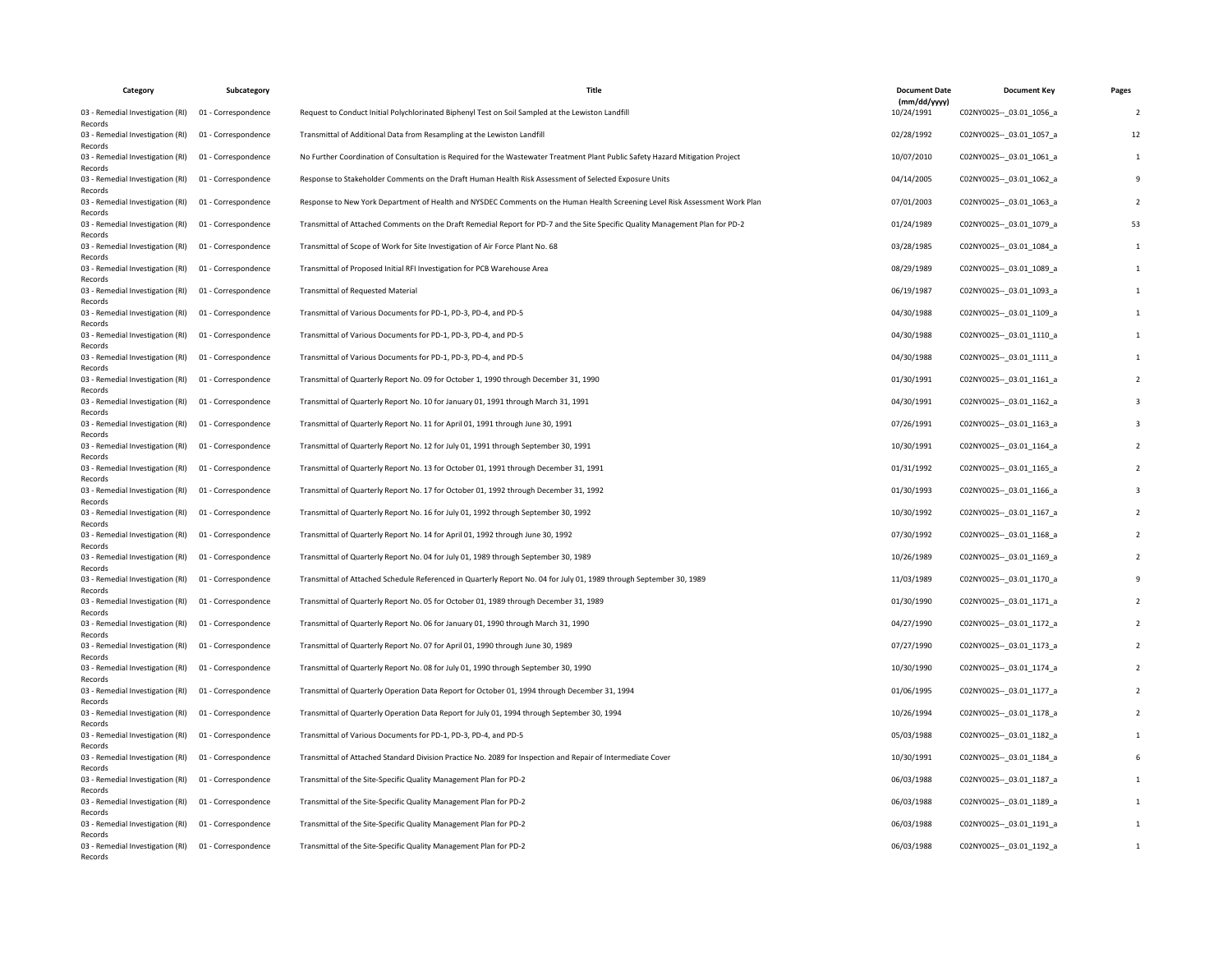| Category                                    | Subcategory         | Title                                                                                                                          | <b>Document Date</b>       | <b>Document Key</b>         | Pages |
|---------------------------------------------|---------------------|--------------------------------------------------------------------------------------------------------------------------------|----------------------------|-----------------------------|-------|
| 03 - Remedial Investigation (RI)<br>Records | 01 - Correspondence | Request to Conduct Initial Polychlorinated Biphenyl Test on Soil Sampled at the Lewiston Landfill                              | (mm/dd/yyyy)<br>10/24/1991 | C02NY0025 -- _ 03.01_1056_a | -2    |
| 03 - Remedial Investigation (RI)<br>Records | 01 - Correspondence | Transmittal of Additional Data from Resampling at the Lewiston Landfill                                                        | 02/28/1992                 | C02NY0025 -- 03.01 1057 a   | 12    |
| 03 - Remedial Investigation (RI)<br>Records | 01 - Correspondence | No Further Coordination of Consultation is Required for the Wastewater Treatment Plant Public Safety Hazard Mitigation Project | 10/07/2010                 | C02NY0025 -- 03.01 1061 a   |       |
| 03 - Remedial Investigation (RI)<br>Records | 01 - Correspondence | Response to Stakeholder Comments on the Draft Human Health Risk Assessment of Selected Exposure Units                          | 04/14/2005                 | C02NY0025 -- 03.01 1062 a   |       |
| 03 - Remedial Investigation (RI)<br>Records | 01 - Correspondence | Response to New York Department of Health and NYSDEC Comments on the Human Health Screening Level Risk Assessment Work Plan    | 07/01/2003                 | C02NY0025 -- 03.01 1063 a   |       |
| 03 - Remedial Investigation (RI)<br>Records | 01 - Correspondence | Transmittal of Attached Comments on the Draft Remedial Report for PD-7 and the Site Specific Quality Management Plan for PD-2  | 01/24/1989                 | C02NY0025 -- _ 03.01_1079_a |       |
| 03 - Remedial Investigation (RI)<br>Records | 01 - Correspondence | Transmittal of Scope of Work for Site Investigation of Air Force Plant No. 68                                                  | 03/28/1985                 | C02NY0025 -- 03.01 1084 a   |       |
| 03 - Remedial Investigation (RI)<br>Records | 01 - Correspondence | Transmittal of Proposed Initial RFI Investigation for PCB Warehouse Area                                                       | 08/29/1989                 | C02NY0025 -- 03.01 1089 a   |       |
| 03 - Remedial Investigation (RI)<br>Records | 01 - Correspondence | <b>Transmittal of Requested Material</b>                                                                                       | 06/19/1987                 | C02NY0025 -- 03.01 1093 a   |       |
| 03 - Remedial Investigation (RI)<br>Records | 01 - Correspondence | Transmittal of Various Documents for PD-1, PD-3, PD-4, and PD-5                                                                | 04/30/1988                 | C02NY0025 -- _ 03.01_1109_a |       |
| 03 - Remedial Investigation (RI)<br>Records | 01 - Correspondence | Transmittal of Various Documents for PD-1, PD-3, PD-4, and PD-5                                                                | 04/30/1988                 | C02NY0025 -- 03.01 1110 a   |       |
| 03 - Remedial Investigation (RI)<br>Records | 01 - Correspondence | Transmittal of Various Documents for PD-1, PD-3, PD-4, and PD-5                                                                | 04/30/1988                 | C02NY0025 -- 03.01 1111 a   |       |
| 03 - Remedial Investigation (RI)<br>Records | 01 - Correspondence | Transmittal of Quarterly Report No. 09 for October 1, 1990 through December 31, 1990                                           | 01/30/1991                 | C02NY0025 -- _ 03.01_1161_a |       |
| 03 - Remedial Investigation (RI)<br>Records | 01 - Correspondence | Transmittal of Quarterly Report No. 10 for January 01, 1991 through March 31, 1991                                             | 04/30/1991                 | C02NY0025 -- 03.01 1162 a   |       |
| 03 - Remedial Investigation (RI)<br>Records | 01 - Correspondence | Transmittal of Quarterly Report No. 11 for April 01, 1991 through June 30, 1991                                                | 07/26/1991                 | C02NY0025 -- 03.01 1163 a   |       |
| 03 - Remedial Investigation (RI)<br>Records | 01 - Correspondence | Transmittal of Quarterly Report No. 12 for July 01, 1991 through September 30, 1991                                            | 10/30/1991                 | C02NY0025 -- 03.01 1164 a   |       |
| 03 - Remedial Investigation (RI)<br>Records | 01 - Correspondence | Transmittal of Quarterly Report No. 13 for October 01, 1991 through December 31, 1991                                          | 01/31/1992                 | C02NY0025 -- 03.01 1165 a   |       |
| 03 - Remedial Investigation (RI)<br>Records | 01 - Correspondence | Transmittal of Quarterly Report No. 17 for October 01, 1992 through December 31, 1992                                          | 01/30/1993                 | C02NY0025 -- _ 03.01_1166_a |       |
| 03 - Remedial Investigation (RI)<br>Records | 01 - Correspondence | Transmittal of Quarterly Report No. 16 for July 01, 1992 through September 30, 1992                                            | 10/30/1992                 | C02NY0025 -- 03.01 1167 a   |       |
| 03 - Remedial Investigation (RI)<br>Records | 01 - Correspondence | Transmittal of Quarterly Report No. 14 for April 01, 1992 through June 30, 1992                                                | 07/30/1992                 | C02NY0025 -- 03.01 1168 a   |       |
| 03 - Remedial Investigation (RI)<br>Records | 01 - Correspondence | Transmittal of Quarterly Report No. 04 for July 01, 1989 through September 30, 1989                                            | 10/26/1989                 | C02NY0025 -- 03.01 1169 a   |       |
| 03 - Remedial Investigation (RI)<br>Records | 01 - Correspondence | Transmittal of Attached Schedule Referenced in Quarterly Report No. 04 for July 01, 1989 through September 30, 1989            | 11/03/1989                 | C02NY0025 -- _ 03.01_1170_a |       |
| 03 - Remedial Investigation (RI)<br>Records | 01 - Correspondence | Transmittal of Quarterly Report No. 05 for October 01, 1989 through December 31, 1989                                          | 01/30/1990                 | C02NY0025 -- 03.01 1171 a   |       |
| 03 - Remedial Investigation (RI)<br>Records | 01 - Correspondence | Transmittal of Quarterly Report No. 06 for January 01, 1990 through March 31, 1990                                             | 04/27/1990                 | C02NY0025 -- 03.01 1172 a   |       |
| 03 - Remedial Investigation (RI)<br>Records | 01 - Correspondence | Transmittal of Quarterly Report No. 07 for April 01, 1990 through June 30, 1989                                                | 07/27/1990                 | C02NY0025 -- _ 03.01_1173_a |       |
| 03 - Remedial Investigation (RI)<br>Records | 01 - Correspondence | Transmittal of Quarterly Report No. 08 for July 01, 1990 through September 30, 1990                                            | 10/30/1990                 | C02NY0025 -- 03.01 1174 a   |       |
| 03 - Remedial Investigation (RI)<br>Records | 01 - Correspondence | Transmittal of Quarterly Operation Data Report for October 01, 1994 through December 31, 1994                                  | 01/06/1995                 | C02NY0025 -- 03.01 1177 a   |       |
| 03 - Remedial Investigation (RI)<br>Records | 01 - Correspondence | Transmittal of Quarterly Operation Data Report for July 01, 1994 through September 30, 1994                                    | 10/26/1994                 | C02NY0025 -- 03.01 1178 a   |       |
| 03 - Remedial Investigation (RI)<br>Records | 01 - Correspondence | Transmittal of Various Documents for PD-1, PD-3, PD-4, and PD-5                                                                | 05/03/1988                 | C02NY0025 -- 03.01 1182 a   |       |
| 03 - Remedial Investigation (RI)<br>Records | 01 - Correspondence | Transmittal of Attached Standard Division Practice No. 2089 for Inspection and Repair of Intermediate Cover                    | 10/30/1991                 | C02NY0025 -- _ 03.01_1184_a |       |
| 03 - Remedial Investigation (RI)<br>Records | 01 - Correspondence | Transmittal of the Site-Specific Quality Management Plan for PD-2                                                              | 06/03/1988                 | C02NY0025 -- 03.01 1187 a   |       |
| 03 - Remedial Investigation (RI)<br>Records | 01 - Correspondence | Transmittal of the Site-Specific Quality Management Plan for PD-2                                                              | 06/03/1988                 | C02NY0025 -- 03.01 1189 a   |       |
| 03 - Remedial Investigation (RI)<br>Records | 01 - Correspondence | Transmittal of the Site-Specific Quality Management Plan for PD-2                                                              | 06/03/1988                 | C02NY0025 -- 03.01 1191 a   |       |
| 03 - Remedial Investigation (RI)<br>Records | 01 - Correspondence | Transmittal of the Site-Specific Quality Management Plan for PD-2                                                              | 06/03/1988                 | C02NY0025 -- _ 03.01_1192_a |       |
|                                             |                     |                                                                                                                                |                            |                             |       |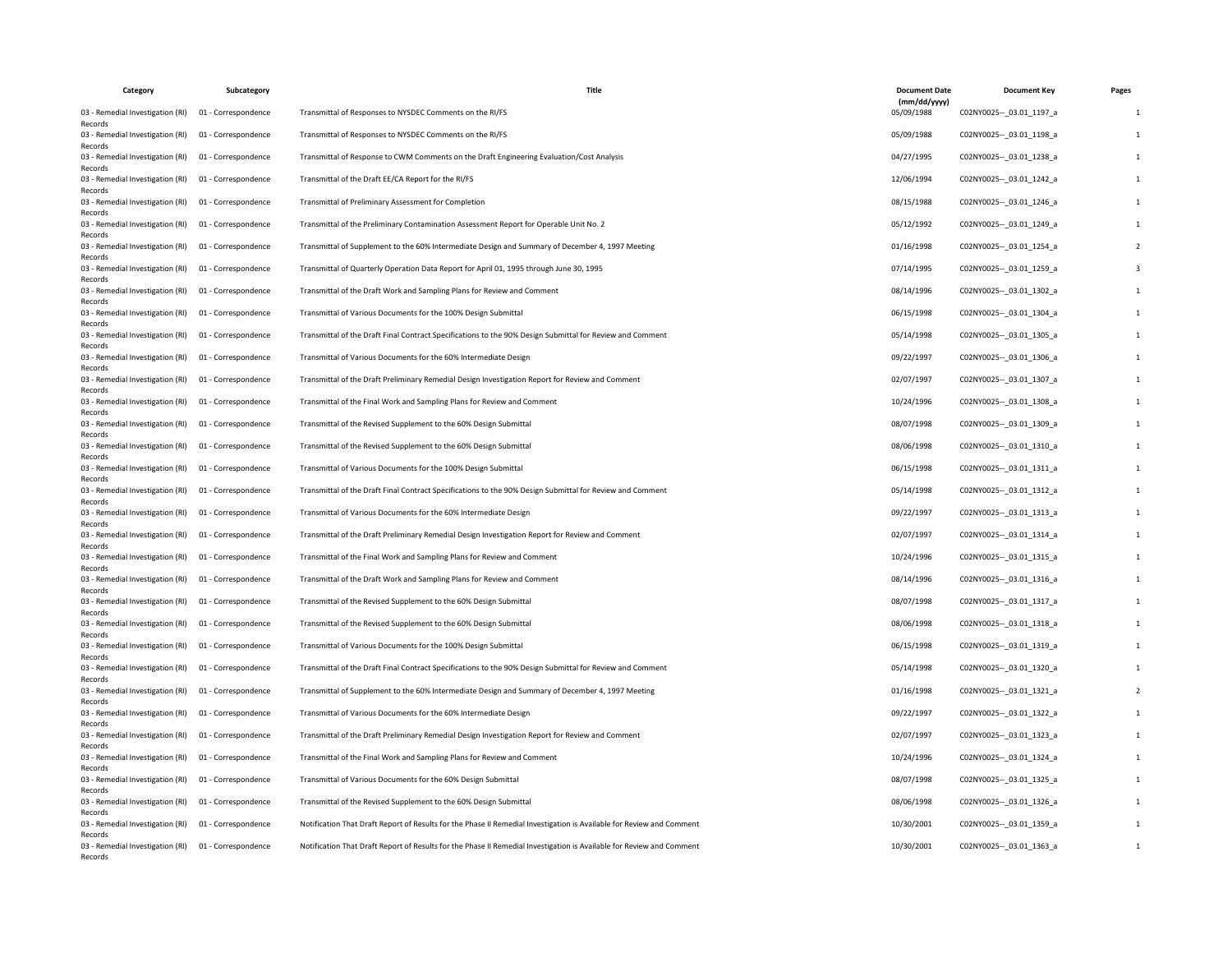| Category                                    | Subcategory         | Title                                                                                                                 | <b>Document Date</b>       | <b>Document Key</b>         | Pages |
|---------------------------------------------|---------------------|-----------------------------------------------------------------------------------------------------------------------|----------------------------|-----------------------------|-------|
| 03 - Remedial Investigation (RI)<br>Records | 01 - Correspondence | Transmittal of Responses to NYSDEC Comments on the RI/FS                                                              | (mm/dd/yyyy)<br>05/09/1988 | C02NY0025 -- 03.01 1197 a   |       |
| 03 - Remedial Investigation (RI)<br>Records | 01 - Correspondence | Transmittal of Responses to NYSDEC Comments on the RI/FS                                                              | 05/09/1988                 | C02NY0025 -- 03.01 1198 a   |       |
| 03 - Remedial Investigation (RI)<br>Records | 01 - Correspondence | Transmittal of Response to CWM Comments on the Draft Engineering Evaluation/Cost Analysis                             | 04/27/1995                 | C02NY0025 -- 03.01 1238 a   |       |
| 03 - Remedial Investigation (RI)<br>Records | 01 - Correspondence | Transmittal of the Draft EE/CA Report for the RI/FS                                                                   | 12/06/1994                 | C02NY0025 -- 03.01 1242 a   |       |
| 03 - Remedial Investigation (RI)<br>Records | 01 - Correspondence | Transmittal of Preliminary Assessment for Completion                                                                  | 08/15/1988                 | C02NY0025 -- _ 03.01_1246_a |       |
| 03 - Remedial Investigation (RI)<br>Records | 01 - Correspondence | Transmittal of the Preliminary Contamination Assessment Report for Operable Unit No. 2                                | 05/12/1992                 | C02NY0025 -- 03.01 1249 a   |       |
| 03 - Remedial Investigation (RI)<br>Records | 01 - Correspondence | Transmittal of Supplement to the 60% Intermediate Design and Summary of December 4, 1997 Meeting                      | 01/16/1998                 | C02NY0025 -- 03.01 1254 a   |       |
| 03 - Remedial Investigation (RI)<br>Records | 01 - Correspondence | Transmittal of Quarterly Operation Data Report for April 01, 1995 through June 30, 1995                               | 07/14/1995                 | C02NY0025 -- _ 03.01_1259_a |       |
| 03 - Remedial Investigation (RI)<br>Records | 01 - Correspondence | Transmittal of the Draft Work and Sampling Plans for Review and Comment                                               | 08/14/1996                 | C02NY0025 -- 03.01 1302 a   |       |
| 03 - Remedial Investigation (RI)<br>Records | 01 - Correspondence | Transmittal of Various Documents for the 100% Design Submittal                                                        | 06/15/1998                 | C02NY0025 -- 03.01 1304 a   |       |
| 03 - Remedial Investigation (RI)<br>Records | 01 - Correspondence | Transmittal of the Draft Final Contract Specifications to the 90% Design Submittal for Review and Comment             | 05/14/1998                 | C02NY0025 -- 03.01 1305 a   |       |
| 03 - Remedial Investigation (RI)<br>Records | 01 - Correspondence | Transmittal of Various Documents for the 60% Intermediate Design                                                      | 09/22/1997                 | C02NY0025 -- _ 03.01_1306_a |       |
| 03 - Remedial Investigation (RI)<br>Records | 01 - Correspondence | Transmittal of the Draft Preliminary Remedial Design Investigation Report for Review and Comment                      | 02/07/1997                 | C02NY0025 -- 03.01 1307 a   |       |
| 03 - Remedial Investigation (RI)<br>Records | 01 - Correspondence | Transmittal of the Final Work and Sampling Plans for Review and Comment                                               | 10/24/1996                 | C02NY0025 -- 03.01 1308 a   |       |
| 03 - Remedial Investigation (RI)<br>Records | 01 - Correspondence | Transmittal of the Revised Supplement to the 60% Design Submittal                                                     | 08/07/1998                 | C02NY0025 -- _ 03.01_1309_a |       |
| 03 - Remedial Investigation (RI)<br>Records | 01 - Correspondence | Transmittal of the Revised Supplement to the 60% Design Submittal                                                     | 08/06/1998                 | C02NY0025 -- 03.01 1310 a   |       |
| 03 - Remedial Investigation (RI)<br>Records | 01 - Correspondence | Transmittal of Various Documents for the 100% Design Submittal                                                        | 06/15/1998                 | C02NY0025 -- 03.01 1311 a   |       |
| 03 - Remedial Investigation (RI)<br>Records | 01 - Correspondence | Transmittal of the Draft Final Contract Specifications to the 90% Design Submittal for Review and Comment             | 05/14/1998                 | C02NY0025 -- _ 03.01_1312_a |       |
| 03 - Remedial Investigation (RI)<br>Records | 01 - Correspondence | Transmittal of Various Documents for the 60% Intermediate Design                                                      | 09/22/1997                 | C02NY0025 -- 03.01 1313 a   |       |
| 03 - Remedial Investigation (RI)<br>Records | 01 - Correspondence | Transmittal of the Draft Preliminary Remedial Design Investigation Report for Review and Comment                      | 02/07/1997                 | C02NY0025 -- 03.01 1314 a   |       |
| 03 - Remedial Investigation (RI)<br>Records | 01 - Correspondence | Transmittal of the Final Work and Sampling Plans for Review and Comment                                               | 10/24/1996                 | C02NY0025 -- 03.01 1315 a   |       |
| 03 - Remedial Investigation (RI)<br>Records | 01 - Correspondence | Transmittal of the Draft Work and Sampling Plans for Review and Comment                                               | 08/14/1996                 | C02NY0025 -- 03.01 1316 a   |       |
| 03 - Remedial Investigation (RI)<br>Records | 01 - Correspondence | Transmittal of the Revised Supplement to the 60% Design Submittal                                                     | 08/07/1998                 | C02NY0025 -- 03.01 1317 a   |       |
| 03 - Remedial Investigation (RI)<br>Records | 01 - Correspondence | Transmittal of the Revised Supplement to the 60% Design Submittal                                                     | 08/06/1998                 | C02NY0025 -- 03.01 1318 a   |       |
| 03 - Remedial Investigation (RI)<br>Records | 01 - Correspondence | Transmittal of Various Documents for the 100% Design Submittal                                                        | 06/15/1998                 | C02NY0025 -- _ 03.01_1319_a |       |
| 03 - Remedial Investigation (RI)<br>Records | 01 - Correspondence | Transmittal of the Draft Final Contract Specifications to the 90% Design Submittal for Review and Comment             | 05/14/1998                 | C02NY0025 -- 03.01 1320 a   |       |
| 03 - Remedial Investigation (RI)<br>Records | 01 - Correspondence | Transmittal of Supplement to the 60% Intermediate Design and Summary of December 4, 1997 Meeting                      | 01/16/1998                 | C02NY0025 -- 03.01 1321 a   |       |
| 03 - Remedial Investigation (RI)<br>Records | 01 - Correspondence | Transmittal of Various Documents for the 60% Intermediate Design                                                      | 09/22/1997                 | C02NY0025 -- 03.01 1322 a   |       |
| 03 - Remedial Investigation (RI)<br>Records | 01 - Correspondence | Transmittal of the Draft Preliminary Remedial Design Investigation Report for Review and Comment                      | 02/07/1997                 | C02NY0025 -- 03.01 1323 a   |       |
| 03 - Remedial Investigation (RI)<br>Records | 01 - Correspondence | Transmittal of the Final Work and Sampling Plans for Review and Comment                                               | 10/24/1996                 | C02NY0025 -- _ 03.01_1324_a |       |
| 03 - Remedial Investigation (RI)<br>Records | 01 - Correspondence | Transmittal of Various Documents for the 60% Design Submittal                                                         | 08/07/1998                 | C02NY0025 -- 03.01 1325 a   |       |
| 03 - Remedial Investigation (RI)<br>Records | 01 - Correspondence | Transmittal of the Revised Supplement to the 60% Design Submittal                                                     | 08/06/1998                 | C02NY0025 -- 03.01 1326 a   |       |
| 03 - Remedial Investigation (RI)<br>Records | 01 - Correspondence | Notification That Draft Report of Results for the Phase II Remedial Investigation is Available for Review and Comment | 10/30/2001                 | C02NY0025 -- 03.01 1359 a   |       |
| 03 - Remedial Investigation (RI)<br>Records | 01 - Correspondence | Notification That Draft Report of Results for the Phase II Remedial Investigation is Available for Review and Comment | 10/30/2001                 | C02NY0025 -- _ 03.01_1363_a |       |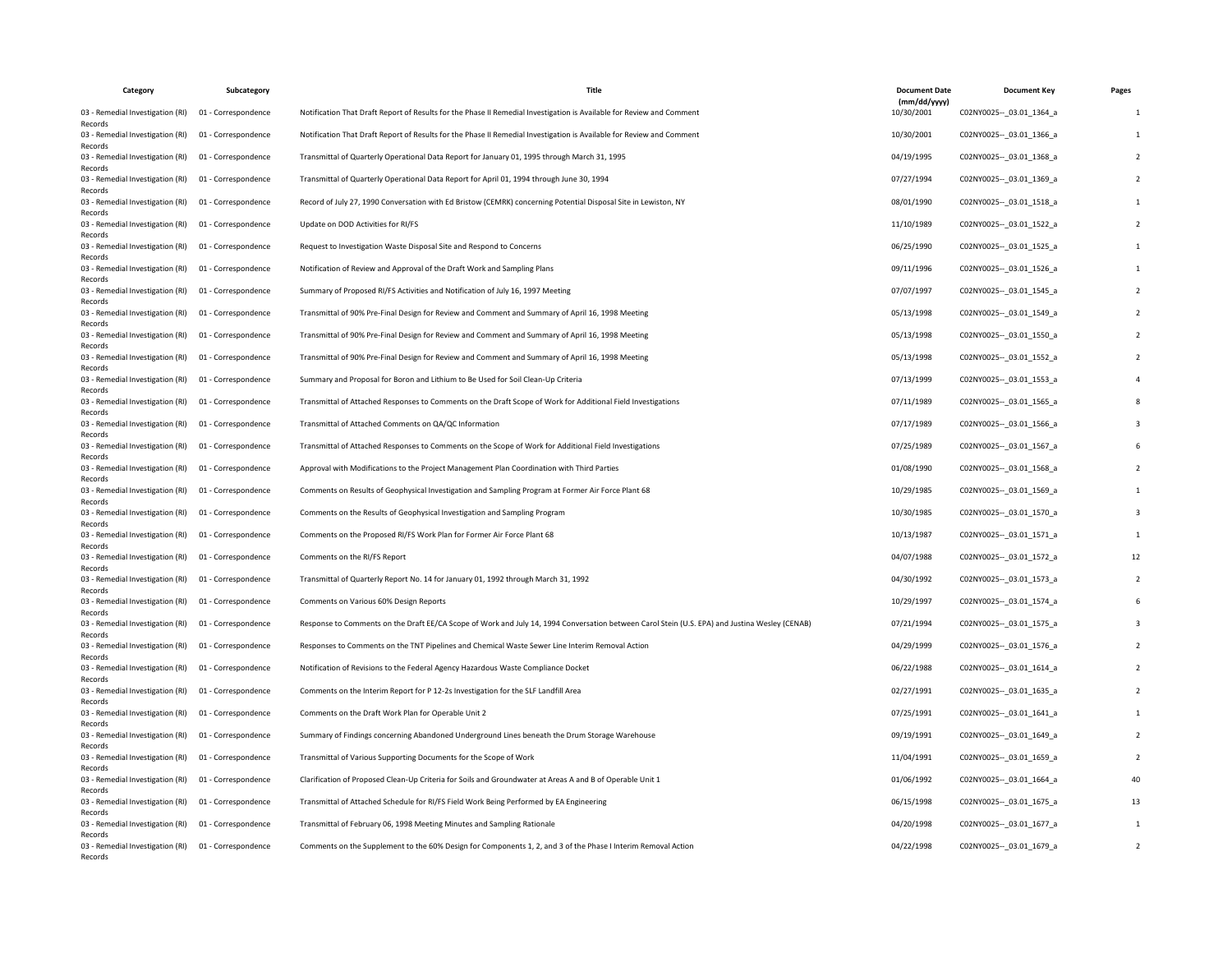| Category                                    | Subcategory         | Title                                                                                                                                          | <b>Document Date</b>       | <b>Document Key</b>         | Pages |
|---------------------------------------------|---------------------|------------------------------------------------------------------------------------------------------------------------------------------------|----------------------------|-----------------------------|-------|
| 03 - Remedial Investigation (RI)<br>Records | 01 - Correspondence | Notification That Draft Report of Results for the Phase II Remedial Investigation is Available for Review and Comment                          | (mm/dd/yyyy)<br>10/30/2001 | C02NY0025 -- _ 03.01_1364_a |       |
| 03 - Remedial Investigation (RI)<br>Records | 01 - Correspondence | Notification That Draft Report of Results for the Phase II Remedial Investigation is Available for Review and Comment                          | 10/30/2001                 | C02NY0025 -- 03.01 1366 a   |       |
| 03 - Remedial Investigation (RI)<br>Records | 01 - Correspondence | Transmittal of Quarterly Operational Data Report for January 01, 1995 through March 31, 1995                                                   | 04/19/1995                 | C02NY0025 -- 03.01 1368 a   |       |
| 03 - Remedial Investigation (RI)<br>Records | 01 - Correspondence | Transmittal of Quarterly Operational Data Report for April 01, 1994 through June 30, 1994                                                      | 07/27/1994                 | C02NY0025 -- 03.01 1369 a   |       |
| 03 - Remedial Investigation (RI)<br>Records | 01 - Correspondence | Record of July 27, 1990 Conversation with Ed Bristow (CEMRK) concerning Potential Disposal Site in Lewiston, NY                                | 08/01/1990                 | C02NY0025 -- 03.01 1518 a   |       |
| 03 - Remedial Investigation (RI)<br>Records | 01 - Correspondence | Update on DOD Activities for RI/FS                                                                                                             | 11/10/1989                 | C02NY0025 -- _ 03.01_1522_a |       |
| 03 - Remedial Investigation (RI)<br>Records | 01 - Correspondence | Request to Investigation Waste Disposal Site and Respond to Concerns                                                                           | 06/25/1990                 | C02NY0025 -- 03.01 1525 a   |       |
| 03 - Remedial Investigation (RI)<br>Records | 01 - Correspondence | Notification of Review and Approval of the Draft Work and Sampling Plans                                                                       | 09/11/1996                 | C02NY0025 -- 03.01 1526 a   |       |
| 03 - Remedial Investigation (RI)<br>Records | 01 - Correspondence | Summary of Proposed RI/FS Activities and Notification of July 16, 1997 Meeting                                                                 | 07/07/1997                 | C02NY0025 -- 03.01 1545 a   |       |
| 03 - Remedial Investigation (RI)<br>Records | 01 - Correspondence | Transmittal of 90% Pre-Final Design for Review and Comment and Summary of April 16, 1998 Meeting                                               | 05/13/1998                 | C02NY0025 -- _ 03.01_1549_a |       |
| 03 - Remedial Investigation (RI)<br>Records | 01 - Correspondence | Transmittal of 90% Pre-Final Design for Review and Comment and Summary of April 16, 1998 Meeting                                               | 05/13/1998                 | C02NY0025 -- 03.01 1550 a   |       |
| 03 - Remedial Investigation (RI)<br>Records | 01 - Correspondence | Transmittal of 90% Pre-Final Design for Review and Comment and Summary of April 16, 1998 Meeting                                               | 05/13/1998                 | C02NY0025 -- 03.01 1552 a   |       |
| 03 - Remedial Investigation (RI)<br>Records | 01 - Correspondence | Summary and Proposal for Boron and Lithium to Be Used for Soil Clean-Up Criteria                                                               | 07/13/1999                 | C02NY0025 -- _ 03.01_1553_a |       |
| 03 - Remedial Investigation (RI)<br>Records | 01 - Correspondence | Transmittal of Attached Responses to Comments on the Draft Scope of Work for Additional Field Investigations                                   | 07/11/1989                 | C02NY0025 -- 03.01 1565 a   |       |
| 03 - Remedial Investigation (RI)<br>Records | 01 - Correspondence | Transmittal of Attached Comments on QA/QC Information                                                                                          | 07/17/1989                 | C02NY0025 -- 03.01 1566 a   |       |
| 03 - Remedial Investigation (RI)<br>Records | 01 - Correspondence | Transmittal of Attached Responses to Comments on the Scope of Work for Additional Field Investigations                                         | 07/25/1989                 | C02NY0025 -- 03.01 1567 a   |       |
| 03 - Remedial Investigation (RI)<br>Records | 01 - Correspondence | Approval with Modifications to the Project Management Plan Coordination with Third Parties                                                     | 01/08/1990                 | C02NY0025 -- 03.01 1568 a   |       |
| 03 - Remedial Investigation (RI)<br>Records | 01 - Correspondence | Comments on Results of Geophysical Investigation and Sampling Program at Former Air Force Plant 68                                             | 10/29/1985                 | C02NY0025 -- _ 03.01_1569_a |       |
| 03 - Remedial Investigation (RI)<br>Records | 01 - Correspondence | Comments on the Results of Geophysical Investigation and Sampling Program                                                                      | 10/30/1985                 | C02NY0025 -- 03.01 1570 a   |       |
| 03 - Remedial Investigation (RI)<br>Records | 01 - Correspondence | Comments on the Proposed RI/FS Work Plan for Former Air Force Plant 68                                                                         | 10/13/1987                 | C02NY0025 -- 03.01 1571 a   |       |
| 03 - Remedial Investigation (RI)<br>Records | 01 - Correspondence | Comments on the RI/FS Report                                                                                                                   | 04/07/1988                 | C02NY0025 -- 03.01 1572 a   |       |
| 03 - Remedial Investigation (RI)<br>Records | 01 - Correspondence | Transmittal of Quarterly Report No. 14 for January 01, 1992 through March 31, 1992                                                             | 04/30/1992                 | C02NY0025 -- _ 03.01_1573_a |       |
| 03 - Remedial Investigation (RI)<br>Records | 01 - Correspondence | Comments on Various 60% Design Reports                                                                                                         | 10/29/1997                 | C02NY0025 -- 03.01 1574 a   |       |
| 03 - Remedial Investigation (RI)<br>Records | 01 - Correspondence | Response to Comments on the Draft EE/CA Scope of Work and July 14, 1994 Conversation between Carol Stein (U.S. EPA) and Justina Wesley (CENAB) | 07/21/1994                 | C02NY0025 -- 03.01 1575 a   |       |
| 03 - Remedial Investigation (RI)<br>Records | 01 - Correspondence | Responses to Comments on the TNT Pipelines and Chemical Waste Sewer Line Interim Removal Action                                                | 04/29/1999                 | C02NY0025 -- _ 03.01_1576_a |       |
| 03 - Remedial Investigation (RI)<br>Records | 01 - Correspondence | Notification of Revisions to the Federal Agency Hazardous Waste Compliance Docket                                                              | 06/22/1988                 | C02NY0025 -- _ 03.01_1614_a |       |
| 03 - Remedial Investigation (RI)<br>Records | 01 - Correspondence | Comments on the Interim Report for P 12-2s Investigation for the SLF Landfill Area                                                             | 02/27/1991                 | C02NY0025 -- 03.01 1635 a   |       |
| 03 - Remedial Investigation (RI)<br>Records | 01 - Correspondence | Comments on the Draft Work Plan for Operable Unit 2                                                                                            | 07/25/1991                 | C02NY0025 -- 03.01 1641 a   |       |
| 03 - Remedial Investigation (RI)<br>Records | 01 - Correspondence | Summary of Findings concerning Abandoned Underground Lines beneath the Drum Storage Warehouse                                                  | 09/19/1991                 | C02NY0025 -- 03.01 1649 a   |       |
| 03 - Remedial Investigation (RI)<br>Records | 01 - Correspondence | Transmittal of Various Supporting Documents for the Scope of Work                                                                              | 11/04/1991                 | C02NY0025 -- _ 03.01_1659_a |       |
| 03 - Remedial Investigation (RI)<br>Records | 01 - Correspondence | Clarification of Proposed Clean-Up Criteria for Soils and Groundwater at Areas A and B of Operable Unit 1                                      | 01/06/1992                 | C02NY0025 -- 03.01 1664 a   |       |
| 03 - Remedial Investigation (RI)<br>Records | 01 - Correspondence | Transmittal of Attached Schedule for RI/FS Field Work Being Performed by EA Engineering                                                        | 06/15/1998                 | C02NY0025 -- 03.01 1675 a   |       |
| 03 - Remedial Investigation (RI)<br>Records | 01 - Correspondence | Transmittal of February 06, 1998 Meeting Minutes and Sampling Rationale                                                                        | 04/20/1998                 | C02NY0025 -- 03.01 1677 a   |       |
| 03 - Remedial Investigation (RI)<br>Records | 01 - Correspondence | Comments on the Supplement to the 60% Design for Components 1, 2, and 3 of the Phase I Interim Removal Action                                  | 04/22/1998                 | C02NY0025 -- _ 03.01_1679_a |       |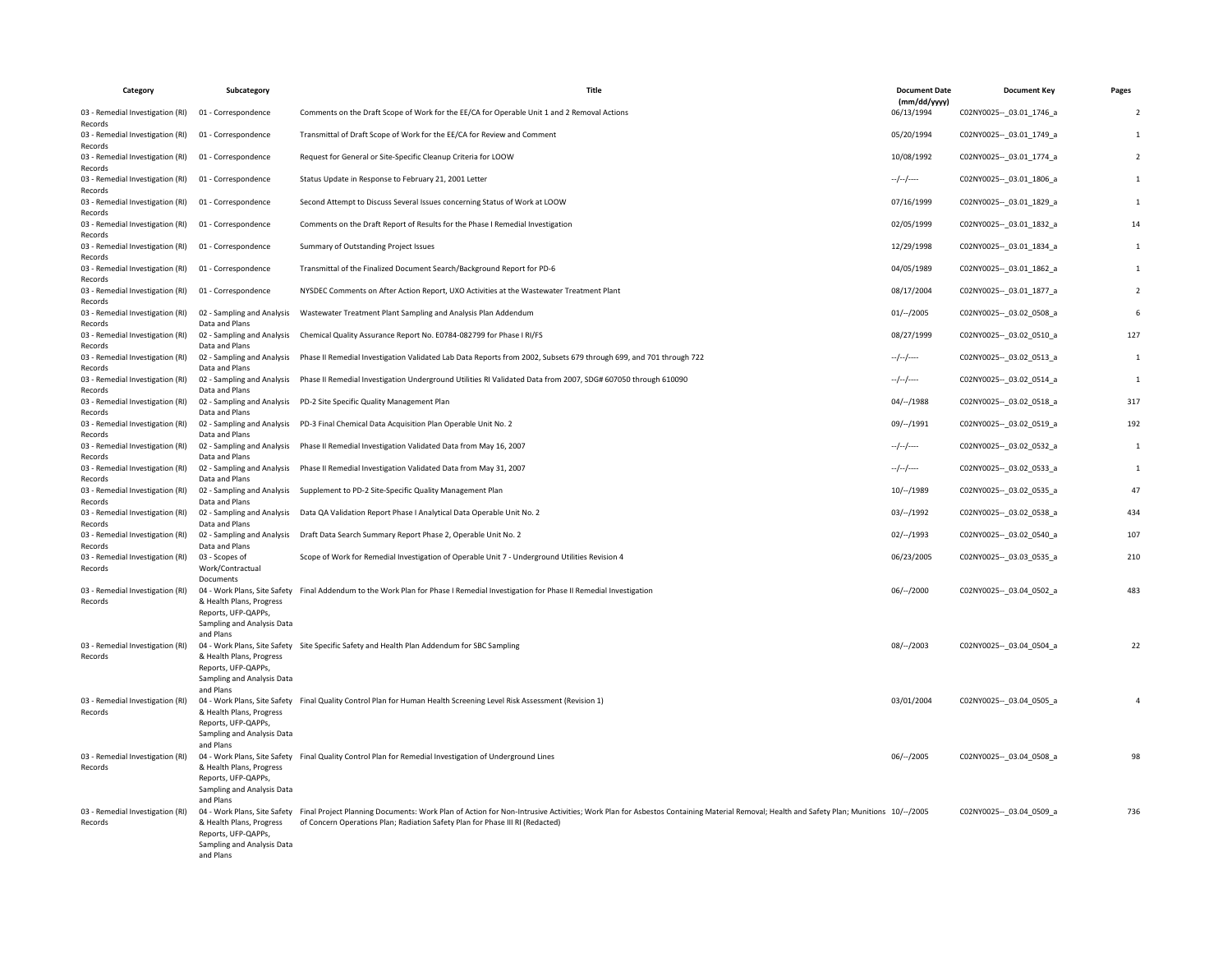| Category                                    | Subcategory                                                                                | Title                                                                                                                                                                                                                                                                                            | <b>Document Date</b>       | <b>Document Key</b>         | Pages          |
|---------------------------------------------|--------------------------------------------------------------------------------------------|--------------------------------------------------------------------------------------------------------------------------------------------------------------------------------------------------------------------------------------------------------------------------------------------------|----------------------------|-----------------------------|----------------|
| 03 - Remedial Investigation (RI)<br>Records | 01 - Correspondence                                                                        | Comments on the Draft Scope of Work for the EE/CA for Operable Unit 1 and 2 Removal Actions                                                                                                                                                                                                      | (mm/dd/yyyy)<br>06/13/1994 | C02NY0025 -- 03.01 1746 a   | $\overline{2}$ |
| 03 - Remedial Investigation (RI)<br>Records | 01 - Correspondence                                                                        | Transmittal of Draft Scope of Work for the EE/CA for Review and Comment                                                                                                                                                                                                                          | 05/20/1994                 | C02NY0025 -- 03.01 1749 a   | $\mathbf{1}$   |
| 03 - Remedial Investigation (RI)<br>Records | 01 - Correspondence                                                                        | Request for General or Site-Specific Cleanup Criteria for LOOW                                                                                                                                                                                                                                   | 10/08/1992                 | C02NY0025 -- _ 03.01_1774_a | $\overline{2}$ |
| 03 - Remedial Investigation (RI)<br>Records | 01 - Correspondence                                                                        | Status Update in Response to February 21, 2001 Letter                                                                                                                                                                                                                                            | $-/-/-$                    | C02NY0025 -- _ 03.01_1806_a | $\overline{1}$ |
| 03 - Remedial Investigation (RI)<br>Records | 01 - Correspondence                                                                        | Second Attempt to Discuss Several Issues concerning Status of Work at LOOW                                                                                                                                                                                                                       | 07/16/1999                 | C02NY0025 -- 03.01 1829 a   | $\mathbf{1}$   |
| 03 - Remedial Investigation (RI)<br>Records | 01 - Correspondence                                                                        | Comments on the Draft Report of Results for the Phase I Remedial Investigation                                                                                                                                                                                                                   | 02/05/1999                 | C02NY0025 -- 03.01 1832 a   | 14             |
| 03 - Remedial Investigation (RI)<br>Records | 01 - Correspondence                                                                        | Summary of Outstanding Project Issues                                                                                                                                                                                                                                                            | 12/29/1998                 | C02NY0025 -- 03.01 1834 a   | $\mathbf{1}$   |
| 03 - Remedial Investigation (RI)<br>Records | 01 - Correspondence                                                                        | Transmittal of the Finalized Document Search/Background Report for PD-6                                                                                                                                                                                                                          | 04/05/1989                 | C02NY0025 -- 03.01 1862 a   | $\mathbf{1}$   |
| 03 - Remedial Investigation (RI)<br>Records | 01 - Correspondence                                                                        | NYSDEC Comments on After Action Report, UXO Activities at the Wastewater Treatment Plant                                                                                                                                                                                                         | 08/17/2004                 | C02NY0025 -- 03.01 1877 a   | $\overline{2}$ |
| 03 - Remedial Investigation (RI)<br>Records | 02 - Sampling and Analysis<br>Data and Plans                                               | Wastewater Treatment Plant Sampling and Analysis Plan Addendum                                                                                                                                                                                                                                   | $01/-/2005$                | C02NY0025 -- _ 03.02_0508_a | 6              |
| 03 - Remedial Investigation (RI)<br>Records | 02 - Sampling and Analysis<br>Data and Plans                                               | Chemical Quality Assurance Report No. E0784-082799 for Phase I RI/FS                                                                                                                                                                                                                             | 08/27/1999                 | C02NY0025 -- _ 03.02_0510_a | 127            |
| 03 - Remedial Investigation (RI)<br>Records | 02 - Sampling and Analysis<br>Data and Plans                                               | Phase II Remedial Investigation Validated Lab Data Reports from 2002, Subsets 679 through 699, and 701 through 722                                                                                                                                                                               | $-/-/-$                    | C02NY0025 -- 03.02 0513 a   | 1              |
| 03 - Remedial Investigation (RI)<br>Records | 02 - Sampling and Analysis<br>Data and Plans                                               | Phase II Remedial Investigation Underground Utilities RI Validated Data from 2007, SDG# 607050 through 610090                                                                                                                                                                                    | $-/-/-$                    | C02NY0025 -- 03.02 0514 a   | 1              |
| 03 - Remedial Investigation (RI)<br>Records | Data and Plans                                                                             | 02 - Sampling and Analysis  PD-2 Site Specific Quality Management Plan                                                                                                                                                                                                                           | $04/-/1988$                | C02NY0025 -- 03.02 0518 a   | 317            |
| 03 - Remedial Investigation (RI)<br>Records | Data and Plans                                                                             | 02 - Sampling and Analysis PD-3 Final Chemical Data Acquisition Plan Operable Unit No. 2                                                                                                                                                                                                         | 09/--/1991                 | C02NY0025 -- _ 03.02_0519_a | 192            |
| 03 - Remedial Investigation (RI)<br>Records | 02 - Sampling and Analysis<br>Data and Plans                                               | Phase II Remedial Investigation Validated Data from May 16, 2007                                                                                                                                                                                                                                 | $-/-/-$                    | C02NY0025 -- 03.02 0532 a   | $\mathbf{1}$   |
| 03 - Remedial Investigation (RI)<br>Records | 02 - Sampling and Analysis<br>Data and Plans                                               | Phase II Remedial Investigation Validated Data from May 31, 2007                                                                                                                                                                                                                                 | $-/-/-/$                   | C02NY0025 -- _ 03.02_0533_a | $\mathbf{1}$   |
| 03 - Remedial Investigation (RI)<br>Records | 02 - Sampling and Analysis<br>Data and Plans                                               | Supplement to PD-2 Site-Specific Quality Management Plan                                                                                                                                                                                                                                         | 10/--/1989                 | C02NY0025 -- _ 03.02_0535_a | 47             |
| 03 - Remedial Investigation (RI)<br>Records | 02 - Sampling and Analysis<br>Data and Plans                                               | Data QA Validation Report Phase I Analytical Data Operable Unit No. 2                                                                                                                                                                                                                            | $03/-/1992$                | C02NY0025 -- 03.02 0538 a   | 434            |
| 03 - Remedial Investigation (RI)<br>Records | 02 - Sampling and Analysis<br>Data and Plans                                               | Draft Data Search Summary Report Phase 2, Operable Unit No. 2                                                                                                                                                                                                                                    | 02/--/1993                 | C02NY0025 -- 03.02 0540 a   | 107            |
| 03 - Remedial Investigation (RI)<br>Records | 03 - Scopes of<br>Work/Contractual<br>Documents                                            | Scope of Work for Remedial Investigation of Operable Unit 7 - Underground Utilities Revision 4                                                                                                                                                                                                   | 06/23/2005                 | C02NY0025 -- 03.03 0535 a   | 210            |
| 03 - Remedial Investigation (RI)<br>Records | & Health Plans, Progress<br>Reports, UFP-QAPPs,<br>Sampling and Analysis Data<br>and Plans | 04 - Work Plans, Site Safety Final Addendum to the Work Plan for Phase I Remedial Investigation for Phase II Remedial Investigation                                                                                                                                                              | $06/-/2000$                | C02NY0025 -- 03.04 0502 a   | 483            |
| 03 - Remedial Investigation (RI)<br>Records | & Health Plans, Progress<br>Reports, UFP-QAPPs,<br>Sampling and Analysis Data<br>and Plans | 04 - Work Plans, Site Safety Site Specific Safety and Health Plan Addendum for SBC Sampling                                                                                                                                                                                                      | $08/-/2003$                | C02NY0025 -- 03.04 0504 a   | 22             |
| 03 - Remedial Investigation (RI)<br>Records | & Health Plans, Progress<br>Reports, UFP-QAPPs,<br>Sampling and Analysis Data<br>and Plans | 04 - Work Plans, Site Safety Final Quality Control Plan for Human Health Screening Level Risk Assessment (Revision 1)                                                                                                                                                                            | 03/01/2004                 | C02NY0025 -- 03.04 0505 a   |                |
| 03 - Remedial Investigation (RI)<br>Records | & Health Plans, Progress<br>Reports, UFP-QAPPs,<br>Sampling and Analysis Data<br>and Plans | 04 - Work Plans, Site Safety Final Quality Control Plan for Remedial Investigation of Underground Lines                                                                                                                                                                                          | 06/--/2005                 | C02NY0025 -- _ 03.04_0508_a | 98             |
| 03 - Remedial Investigation (RI)<br>Records | & Health Plans, Progress<br>Reports, UFP-QAPPs,<br>Sampling and Analysis Data<br>and Plans | 04- Work Plans, Site Safety Final Project Planning Documents: Work Plan of Action for Non-Intrusive Activities; Work Plan for Asbestos Containing Material Removal; Health and Safety Plan; Munitions 10/-/2005<br>of Concern Operations Plan; Radiation Safety Plan for Phase III RI (Redacted) |                            | C02NY0025 -- 03.04 0509 a   | 736            |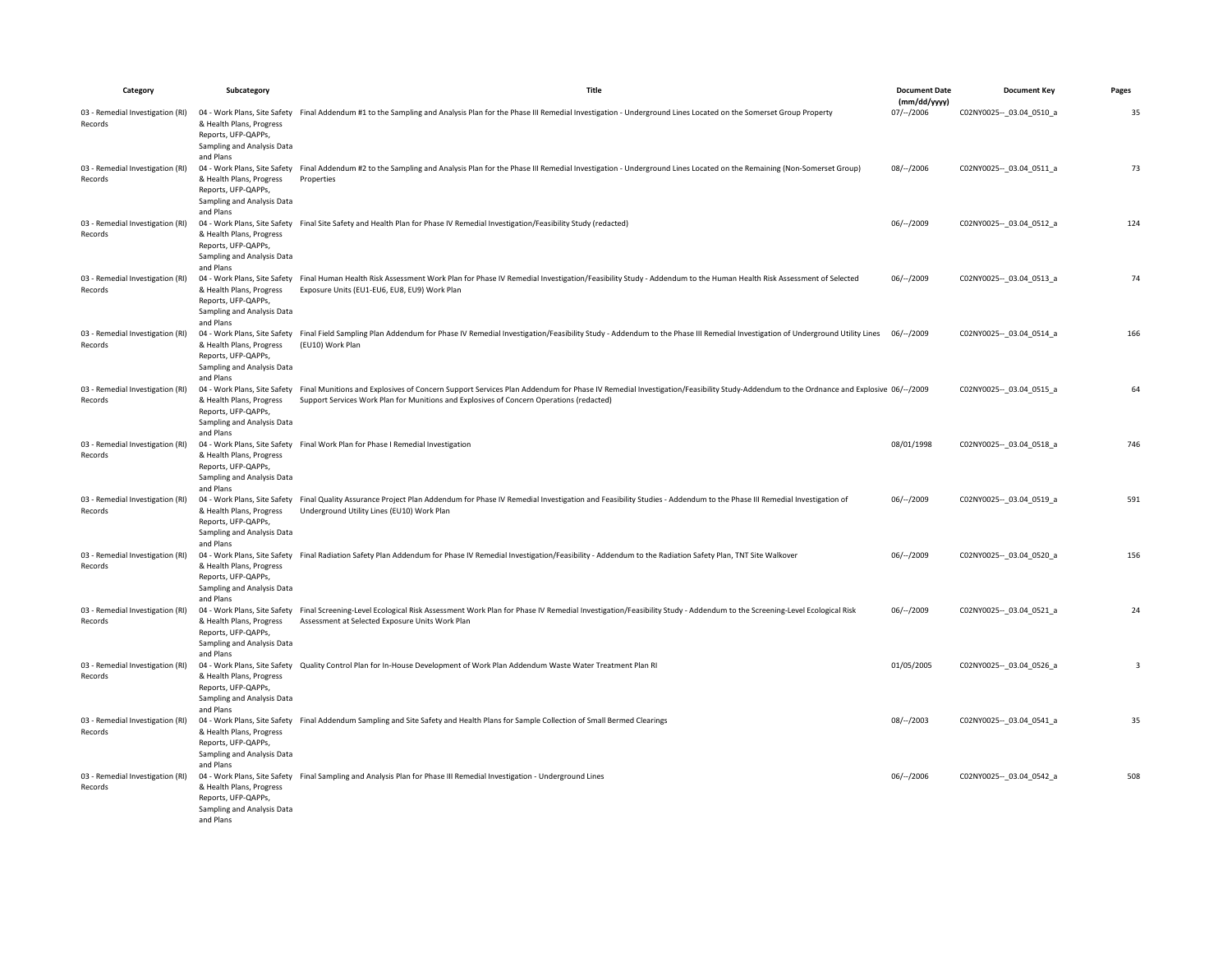| Category                                    | Subcategory                                                                                             | Title                                                                                                                                                                                                                                                                                                    | <b>Document Date</b>       | <b>Document Key</b>         | Pages                   |
|---------------------------------------------|---------------------------------------------------------------------------------------------------------|----------------------------------------------------------------------------------------------------------------------------------------------------------------------------------------------------------------------------------------------------------------------------------------------------------|----------------------------|-----------------------------|-------------------------|
| 03 - Remedial Investigation (RI)<br>Records | & Health Plans, Progress<br>Reports, UFP-QAPPs,<br>Sampling and Analysis Data                           | 04 - Work Plans, Site Safety Final Addendum #1 to the Sampling and Analysis Plan for the Phase III Remedial Investigation - Underground Lines Located on the Somerset Group Property                                                                                                                     | (mm/dd/yyyy)<br>07/--/2006 | C02NY0025 -- _ 03.04_0510_a | 35                      |
| 03 - Remedial Investigation (RI)<br>Records | and Plans<br>& Health Plans, Progress<br>Reports, UFP-QAPPs,<br>Sampling and Analysis Data              | 04 - Work Plans, Site Safety Final Addendum #2 to the Sampling and Analysis Plan for the Phase III Remedial Investigation - Underground Lines Located on the Remaining (Non-Somerset Group)<br>Properties                                                                                                | 08/--/2006                 | C02NY0025 -- _ 03.04_0511_a | 73                      |
| 03 - Remedial Investigation (RI)<br>Records | and Plans<br>& Health Plans, Progress<br>Reports, UFP-QAPPs,<br>Sampling and Analysis Data<br>and Plans | 04 - Work Plans, Site Safety Final Site Safety and Health Plan for Phase IV Remedial Investigation/Feasibility Study (redacted)                                                                                                                                                                          | 06/--/2009                 | C02NY0025 -- _ 03.04_0512_a | 124                     |
| 03 - Remedial Investigation (RI)<br>Records | & Health Plans, Progress<br>Reports, UFP-QAPPs,<br>Sampling and Analysis Data<br>and Plans              | 04 - Work Plans, Site Safety Final Human Health Risk Assessment Work Plan for Phase IV Remedial Investigation/Feasibility Study - Addendum to the Human Health Risk Assessment of Selected<br>Exposure Units (EU1-EU6, EU8, EU9) Work Plan                                                               | $06/-/2009$                | C02NY0025 -- 03.04 0513 a   | 74                      |
| 03 - Remedial Investigation (RI)<br>Records | & Health Plans, Progress<br>Reports, UFP-QAPPs,<br>Sampling and Analysis Data<br>and Plans              | 04- Work Plans, Site Safety Final Field Sampling Plan Addendum for Phase IV Remedial Investigation/Feasibility Study - Addendum to the Phase III Remedial Investigation of Underground Utility Lines 06/--/2009<br>(EU10) Work Plan                                                                      |                            | C02NY0025 -- 03.04 0514 a   | 166                     |
| 03 - Remedial Investigation (RI)<br>Records | & Health Plans, Progress<br>Reports, UFP-QAPPs,<br>Sampling and Analysis Data<br>and Plans              | 04- Work Plans, Site Safety Final Munitions and Explosives of Concern Support Services Plan Addendum for Phase IV Remedial Investigation/Feasibility Study-Addendum to the Ordnance and Explosive 06/--/2009<br>Support Services Work Plan for Munitions and Explosives of Concern Operations (redacted) |                            | C02NY0025 -- _ 03.04_0515_a | 64                      |
| 03 - Remedial Investigation (RI)<br>Records | & Health Plans, Progress<br>Reports, UFP-QAPPs,<br>Sampling and Analysis Data<br>and Plans              | 04 - Work Plans, Site Safety Final Work Plan for Phase I Remedial Investigation                                                                                                                                                                                                                          | 08/01/1998                 | C02NY0025 -- 03.04 0518 a   | 746                     |
| 03 - Remedial Investigation (RI)<br>Records | & Health Plans, Progress<br>Reports, UFP-QAPPs,<br>Sampling and Analysis Data<br>and Plans              | 04 - Work Plans, Site Safety Final Quality Assurance Project Plan Addendum for Phase IV Remedial Investigation and Feasibility Studies - Addendum to the Phase III Remedial Investigation of<br>Underground Utility Lines (EU10) Work Plan                                                               | $06/-/2009$                | C02NY0025 -- 03.04 0519 a   | 591                     |
| 03 - Remedial Investigation (RI)<br>Records | & Health Plans, Progress<br>Reports, UFP-QAPPs,<br>Sampling and Analysis Data<br>and Plans              | 04 - Work Plans, Site Safety Final Radiation Safety Plan Addendum for Phase IV Remedial Investigation/Feasibility - Addendum to the Radiation Safety Plan, TNT Site Walkover                                                                                                                             | 06/--/2009                 | C02NY0025 -- 03.04 0520 a   | 156                     |
| 03 - Remedial Investigation (RI)<br>Records | & Health Plans, Progress<br>Reports, UFP-QAPPs,<br>Sampling and Analysis Data<br>and Plans              | 04 - Work Plans, Site Safety Final Screening-Level Ecological Risk Assessment Work Plan for Phase IV Remedial Investigation/Feasibility Study - Addendum to the Screening-Level Ecological Risk<br>Assessment at Selected Exposure Units Work Plan                                                       | $06/--/2009$               | C02NY0025 -- _ 03.04_0521_a | 24                      |
| 03 - Remedial Investigation (RI)<br>Records | & Health Plans, Progress<br>Reports, UFP-QAPPs,<br>Sampling and Analysis Data<br>and Plans              | 04 - Work Plans, Site Safety Quality Control Plan for In-House Development of Work Plan Addendum Waste Water Treatment Plan RI                                                                                                                                                                           | 01/05/2005                 | C02NY0025 -- 03.04 0526 a   | $\overline{\mathbf{3}}$ |
| 03 - Remedial Investigation (RI)<br>Records | & Health Plans, Progress<br>Reports, UFP-QAPPs,<br>Sampling and Analysis Data<br>and Plans              | 04 - Work Plans, Site Safety Final Addendum Sampling and Site Safety and Health Plans for Sample Collection of Small Bermed Clearings                                                                                                                                                                    | 08/--/2003                 | C02NY0025 -- 03.04 0541 a   | 35                      |
| 03 - Remedial Investigation (RI)<br>Records | & Health Plans, Progress<br>Reports, UFP-QAPPs,<br>Sampling and Analysis Data<br>and Plans              | 04 - Work Plans, Site Safety Final Sampling and Analysis Plan for Phase III Remedial Investigation - Underground Lines                                                                                                                                                                                   | $06/-/2006$                | C02NY0025 -- 03.04 0542 a   | 508                     |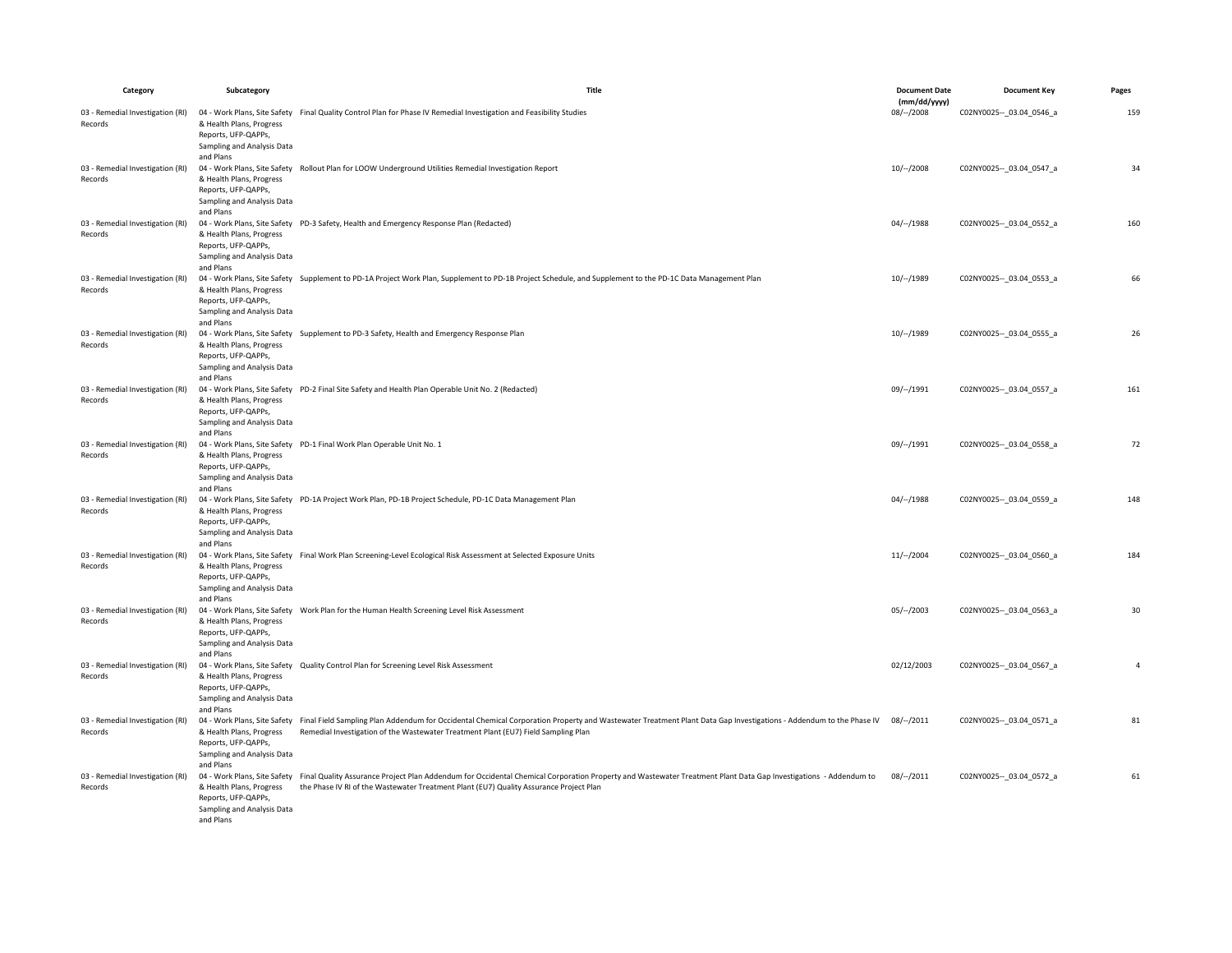| Category                                    | Subcategory                                                                                             | Title                                                                                                                                                                                                                                                                                  | <b>Document Date</b>       | <b>Document Key</b>         | Pages          |
|---------------------------------------------|---------------------------------------------------------------------------------------------------------|----------------------------------------------------------------------------------------------------------------------------------------------------------------------------------------------------------------------------------------------------------------------------------------|----------------------------|-----------------------------|----------------|
| 03 - Remedial Investigation (RI)            |                                                                                                         | 04 - Work Plans, Site Safety Final Quality Control Plan for Phase IV Remedial Investigation and Feasibility Studies                                                                                                                                                                    | (mm/dd/yyyy)<br>08/--/2008 | C02NY0025 -- _ 03.04_0546_a | 159            |
| Records                                     | & Health Plans, Progress<br>Reports, UFP-QAPPs,<br>Sampling and Analysis Data<br>and Plans              |                                                                                                                                                                                                                                                                                        |                            |                             |                |
| 03 - Remedial Investigation (RI)<br>Records | & Health Plans, Progress<br>Reports, UFP-QAPPs,<br>Sampling and Analysis Data                           | 04 - Work Plans, Site Safety Rollout Plan for LOOW Underground Utilities Remedial Investigation Report                                                                                                                                                                                 | $10/-/2008$                | C02NY0025 -- 03.04 0547 a   | 34             |
| 03 - Remedial Investigation (RI)<br>Records | and Plans<br>& Health Plans, Progress<br>Reports, UFP-QAPPs,<br>Sampling and Analysis Data<br>and Plans | 04 - Work Plans, Site Safety PD-3 Safety, Health and Emergency Response Plan (Redacted)                                                                                                                                                                                                | 04/--/1988                 | C02NY0025 -- _ 03.04_0552_a | 160            |
| 03 - Remedial Investigation (RI)<br>Records | & Health Plans, Progress<br>Reports, UFP-QAPPs,<br>Sampling and Analysis Data<br>and Plans              | 04 - Work Plans, Site Safety Supplement to PD-1A Project Work Plan, Supplement to PD-1B Project Schedule, and Supplement to the PD-1C Data Management Plan                                                                                                                             | 10/--/1989                 | C02NY0025 -- 03.04 0553 a   | 66             |
| 03 - Remedial Investigation (RI)<br>Records | & Health Plans, Progress<br>Reports, UFP-QAPPs,<br>Sampling and Analysis Data<br>and Plans              | 04 - Work Plans, Site Safety Supplement to PD-3 Safety, Health and Emergency Response Plan                                                                                                                                                                                             | $10/-/1989$                | C02NY0025 -- 03.04 0555 a   | 26             |
| 03 - Remedial Investigation (RI)<br>Records | & Health Plans, Progress<br>Reports, UFP-QAPPs,<br>Sampling and Analysis Data<br>and Plans              | 04 - Work Plans, Site Safety PD-2 Final Site Safety and Health Plan Operable Unit No. 2 (Redacted)                                                                                                                                                                                     | 09/--/1991                 | C02NY0025 -- 03.04 0557 a   | 161            |
| 03 - Remedial Investigation (RI)<br>Records | & Health Plans, Progress<br>Reports, UFP-QAPPs,<br>Sampling and Analysis Data<br>and Plans              | 04 - Work Plans, Site Safety PD-1 Final Work Plan Operable Unit No. 1                                                                                                                                                                                                                  | 09/--/1991                 | C02NY0025 -- 03.04 0558 a   | 72             |
| 03 - Remedial Investigation (RI)<br>Records | & Health Plans, Progress<br>Reports, UFP-QAPPs,<br>Sampling and Analysis Data<br>and Plans              | 04 - Work Plans, Site Safety PD-1A Project Work Plan, PD-1B Project Schedule, PD-1C Data Management Plan                                                                                                                                                                               | $04/-/1988$                | C02NY0025 -- _ 03.04_0559_a | 148            |
| 03 - Remedial Investigation (RI)<br>Records | & Health Plans, Progress<br>Reports, UFP-QAPPs,<br>Sampling and Analysis Data<br>and Plans              | 04 - Work Plans, Site Safety Final Work Plan Screening-Level Ecological Risk Assessment at Selected Exposure Units                                                                                                                                                                     | $11/-/2004$                | C02NY0025 -- 03.04 0560 a   | 184            |
| 03 - Remedial Investigation (RI)<br>Records | & Health Plans, Progress<br>Reports, UFP-QAPPs,<br>Sampling and Analysis Data<br>and Plans              | 04 - Work Plans, Site Safety Work Plan for the Human Health Screening Level Risk Assessment                                                                                                                                                                                            | 05/--/2003                 | C02NY0025 -- _ 03.04_0563_a | 30             |
| 03 - Remedial Investigation (RI)<br>Records | & Health Plans, Progress<br>Reports, UFP-QAPPs,<br>Sampling and Analysis Data<br>and Plans              | 04 - Work Plans, Site Safety Quality Control Plan for Screening Level Risk Assessment                                                                                                                                                                                                  | 02/12/2003                 | C02NY0025 -- 03.04 0567 a   | $\overline{4}$ |
| 03 - Remedial Investigation (RI)<br>Records | & Health Plans, Progress<br>Reports, UFP-QAPPs,<br>Sampling and Analysis Data<br>and Plans              | 04 - Work Plans, Site Safety Final Field Sampling Plan Addendum for Occidental Chemical Corporation Property and Wastewater Treatment Plant Data Gap Investigations - Addendum to the Phase IV<br>Remedial Investigation of the Wastewater Treatment Plant (EU7) Field Sampling Plan   | 08/--/2011                 | C02NY0025 -- 03.04 0571 a   | 81             |
| 03 - Remedial Investigation (RI)<br>Records | & Health Plans, Progress<br>Reports, UFP-QAPPs,<br>Sampling and Analysis Data<br>and Plans              | 04 - Work Plans, Site Safety Final Quality Assurance Project Plan Addendum for Occidental Chemical Corporation Property and Wastewater Treatment Plant Data Gap Investigations - Addendum to<br>the Phase IV RI of the Wastewater Treatment Plant (EU7) Quality Assurance Project Plan | $08/-/2011$                | C02NY0025 -- _ 03.04_0572_a | 61             |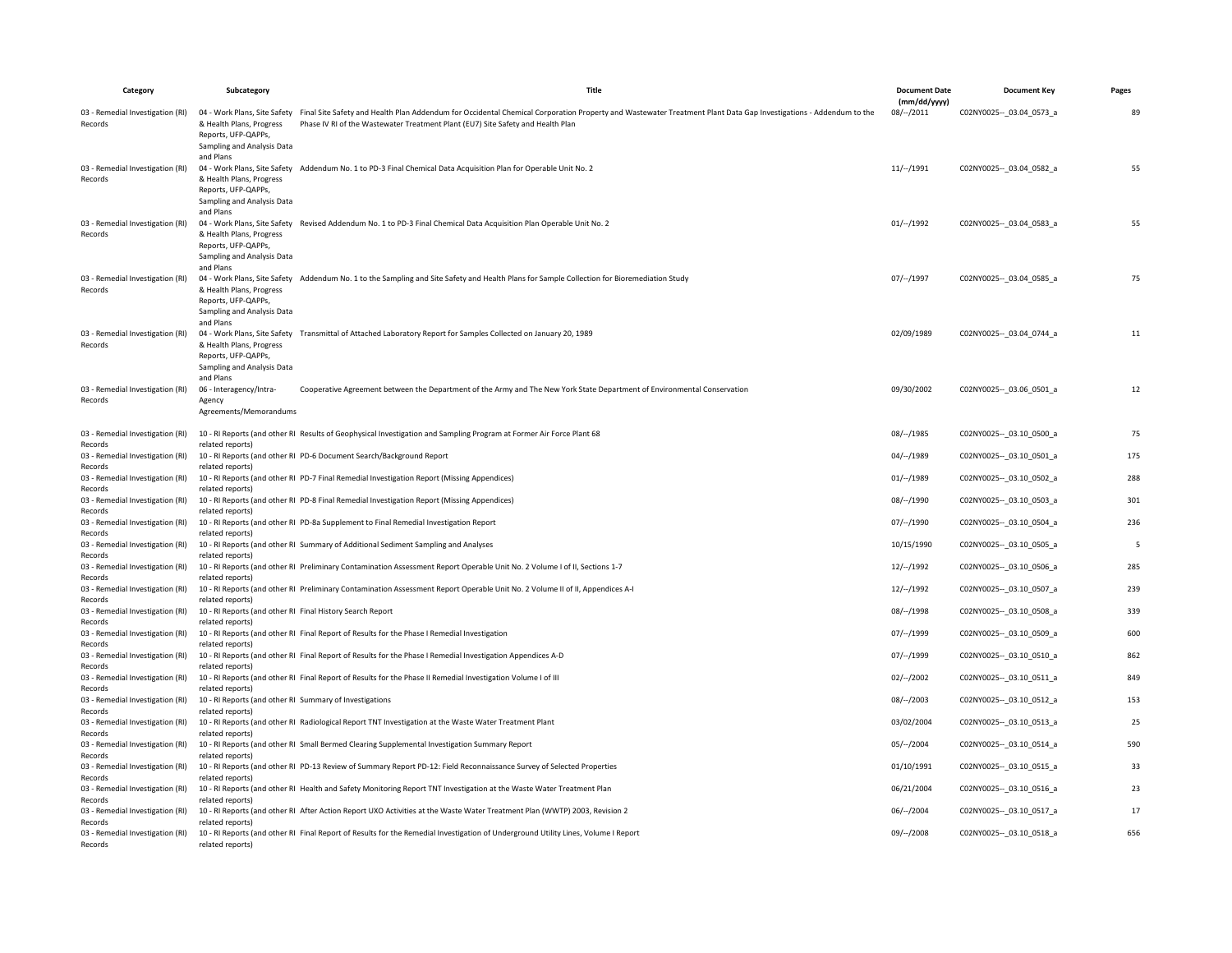| Category                                    | Subcategory                                                                 | Title                                                                                                                                                                                                                                                                            | <b>Document Date</b>        | <b>Document Key</b>         | Pages |
|---------------------------------------------|-----------------------------------------------------------------------------|----------------------------------------------------------------------------------------------------------------------------------------------------------------------------------------------------------------------------------------------------------------------------------|-----------------------------|-----------------------------|-------|
| 03 - Remedial Investigation (RI)<br>Records | & Health Plans, Progress                                                    | 04 - Work Plans, Site Safety Final Site Safety and Health Plan Addendum for Occidental Chemical Corporation Property and Wastewater Treatment Plant Data Gap Investigations - Addendum to the<br>Phase IV RI of the Wastewater Treatment Plant (EU7) Site Safety and Health Plan | (mm/dd/yyyy)<br>$08/-/2011$ | C02NY0025 -- 03.04 0573 a   | 89    |
|                                             | Reports, UFP-QAPPs,<br>Sampling and Analysis Data<br>and Plans              |                                                                                                                                                                                                                                                                                  |                             |                             |       |
| 03 - Remedial Investigation (RI)<br>Records | & Health Plans, Progress                                                    | 04 - Work Plans, Site Safety Addendum No. 1 to PD-3 Final Chemical Data Acquisition Plan for Operable Unit No. 2                                                                                                                                                                 | 11/–/1991                   | C02NY0025 -- _ 03.04_0582_a | 55    |
|                                             | Reports, UFP-QAPPs,<br>Sampling and Analysis Data<br>and Plans              |                                                                                                                                                                                                                                                                                  |                             |                             |       |
| 03 - Remedial Investigation (RI)<br>Records | & Health Plans, Progress                                                    | 04 - Work Plans, Site Safety Revised Addendum No. 1 to PD-3 Final Chemical Data Acquisition Plan Operable Unit No. 2                                                                                                                                                             | 01/–/1992                   | C02NY0025 -- 03.04 0583 a   | 55    |
|                                             | Reports, UFP-QAPPs,<br>Sampling and Analysis Data<br>and Plans              |                                                                                                                                                                                                                                                                                  |                             |                             |       |
| 03 - Remedial Investigation (RI)<br>Records | & Health Plans, Progress                                                    | 04 - Work Plans, Site Safety Addendum No. 1 to the Sampling and Site Safety and Health Plans for Sample Collection for Bioremediation Study                                                                                                                                      | 07/--/1997                  | C02NY0025 -- _ 03.04_0585_a | 75    |
|                                             | Reports, UFP-QAPPs<br>Sampling and Analysis Data<br>and Plans               |                                                                                                                                                                                                                                                                                  |                             |                             |       |
| 03 - Remedial Investigation (RI)<br>Records | & Health Plans, Progress                                                    | 04 - Work Plans, Site Safety Transmittal of Attached Laboratory Report for Samples Collected on January 20, 1989                                                                                                                                                                 | 02/09/1989                  | C02NY0025 -- 03.04 0744 a   | 11    |
|                                             | Reports, UFP-QAPPs,<br>Sampling and Analysis Data<br>and Plans              |                                                                                                                                                                                                                                                                                  |                             |                             |       |
| 03 - Remedial Investigation (RI)<br>Records | 06 - Interagency/Intra-<br>Agency                                           | Cooperative Agreement between the Department of the Army and The New York State Department of Environmental Conservation                                                                                                                                                         | 09/30/2002                  | C02NY0025 -- 03.06 0501 a   | 12    |
|                                             | Agreements/Memorandums                                                      |                                                                                                                                                                                                                                                                                  |                             |                             |       |
| 03 - Remedial Investigation (RI)<br>Records | related reports)                                                            | 10 - RI Reports (and other RI Results of Geophysical Investigation and Sampling Program at Former Air Force Plant 68                                                                                                                                                             | 08/--/1985                  | C02NY0025 -- 03.10 0500 a   | 75    |
| 03 - Remedial Investigation (RI)            |                                                                             | 10 - RI Reports (and other RI PD-6 Document Search/Background Report                                                                                                                                                                                                             | 04/--/1989                  | C02NY0025 -- 03.10 0501 a   | 175   |
| Records<br>03 - Remedial Investigation (RI) | related reports)                                                            | 10 - RI Reports (and other RI PD-7 Final Remedial Investigation Report (Missing Appendices)                                                                                                                                                                                      | 01/–/1989                   | C02NY0025 -- 03.10 0502 a   | 288   |
| Records<br>03 - Remedial Investigation (RI) | related reports)                                                            | 10 - RI Reports (and other RI PD-8 Final Remedial Investigation Report (Missing Appendices)                                                                                                                                                                                      | 08/--/1990                  | C02NY0025 -- _ 03.10_0503_a | 301   |
| Records<br>03 - Remedial Investigation (RI) | related reports)                                                            | 10 - RI Reports (and other RI PD-8a Supplement to Final Remedial Investigation Report                                                                                                                                                                                            | 07/--/1990                  | C02NY0025 -- 03.10 0504 a   | 236   |
| Records                                     | related reports)                                                            |                                                                                                                                                                                                                                                                                  |                             |                             |       |
| 03 - Remedial Investigation (RI)<br>Records | related reports)                                                            | 10 - RI Reports (and other RI Summary of Additional Sediment Sampling and Analyses                                                                                                                                                                                               | 10/15/1990                  | C02NY0025 -- _ 03.10_0505_a | -5    |
| 03 - Remedial Investigation (RI)<br>Records | related reports'                                                            | 10 - RI Reports (and other RI Preliminary Contamination Assessment Report Operable Unit No. 2 Volume I of II, Sections 1-7                                                                                                                                                       | 12/--/1992                  | C02NY0025 -- _ 03.10_0506_a | 285   |
| 03 - Remedial Investigation (RI)            |                                                                             | 10 - RI Reports (and other RI Preliminary Contamination Assessment Report Operable Unit No. 2 Volume II of II, Appendices A-I                                                                                                                                                    | $12/-/1992$                 | C02NY0025 -- 03.10 0507 a   | 239   |
| Records<br>03 - Remedial Investigation (RI) | related reports)                                                            | 10 - RI Reports (and other RI Final History Search Report                                                                                                                                                                                                                        | 08/--/1998                  | C02NY0025 -- 03.10 0508 a   | 339   |
| Records<br>03 - Remedial Investigation (RI) | related reports)                                                            | 10 - RI Reports (and other RI Final Report of Results for the Phase I Remedial Investigation                                                                                                                                                                                     | 07/--/1999                  | C02NY0025 -- _ 03.10_0509_a | 600   |
| Records<br>03 - Remedial Investigation (RI) | related reports)                                                            | 10 - RI Reports (and other RI Final Report of Results for the Phase I Remedial Investigation Appendices A-D                                                                                                                                                                      | 07/--/1999                  | C02NY0025 -- _ 03.10_0510_a | 862   |
| Records                                     | related reports)                                                            |                                                                                                                                                                                                                                                                                  |                             |                             |       |
| 03 - Remedial Investigation (RI)<br>Records | related reports)                                                            | 10 - RI Reports (and other RI Final Report of Results for the Phase II Remedial Investigation Volume I of III                                                                                                                                                                    | $02/-/2002$                 | C02NY0025 -- 03.10 0511 a   | 849   |
| 03 - Remedial Investigation (RI)<br>Records | 10 - RI Reports (and other RI Summary of Investigations<br>related reports) |                                                                                                                                                                                                                                                                                  | $08/-/2003$                 | C02NY0025 -- 03.10 0512 a   | 153   |
| 03 - Remedial Investigation (RI)            |                                                                             | 10 - RI Reports (and other RI Radiological Report TNT Investigation at the Waste Water Treatment Plant                                                                                                                                                                           | 03/02/2004                  | C02NY0025 -- _ 03.10_0513_a | 25    |
| Records<br>03 - Remedial Investigation (RI) | related reports)                                                            | 10 - RI Reports (and other RI Small Bermed Clearing Supplemental Investigation Summary Report                                                                                                                                                                                    | $05/-/2004$                 | C02NY0025 -- 03.10 0514 a   | 590   |
| Records<br>03 - Remedial Investigation (RI) | related reports)                                                            | 10 - RI Reports (and other RI PD-13 Review of Summary Report PD-12: Field Reconnaissance Survey of Selected Properties                                                                                                                                                           | 01/10/1991                  | C02NY0025 -- 03.10 0515 a   | 33    |
| Records                                     | related reports)                                                            | 10 - RI Reports (and other RI Health and Safety Monitoring Report TNT Investigation at the Waste Water Treatment Plan                                                                                                                                                            | 06/21/2004                  | C02NY0025 -- 03.10 0516 a   | 23    |
| 03 - Remedial Investigation (RI)<br>Records | related reports)                                                            |                                                                                                                                                                                                                                                                                  |                             |                             |       |
| 03 - Remedial Investigation (RI)<br>Records | related reports)                                                            | 10 - RI Reports (and other RI After Action Report UXO Activities at the Waste Water Treatment Plan (WWTP) 2003, Revision 2                                                                                                                                                       | 06/--/2004                  | C02NY0025 -- _ 03.10_0517_a | 17    |
| 03 - Remedial Investigation (RI)<br>Records | related reports)                                                            | 10 - RI Reports (and other RI Final Report of Results for the Remedial Investigation of Underground Utility Lines, Volume I Report                                                                                                                                               | 09/–/2008                   | C02NY0025 -- 03.10 0518 a   | 656   |
|                                             |                                                                             |                                                                                                                                                                                                                                                                                  |                             |                             |       |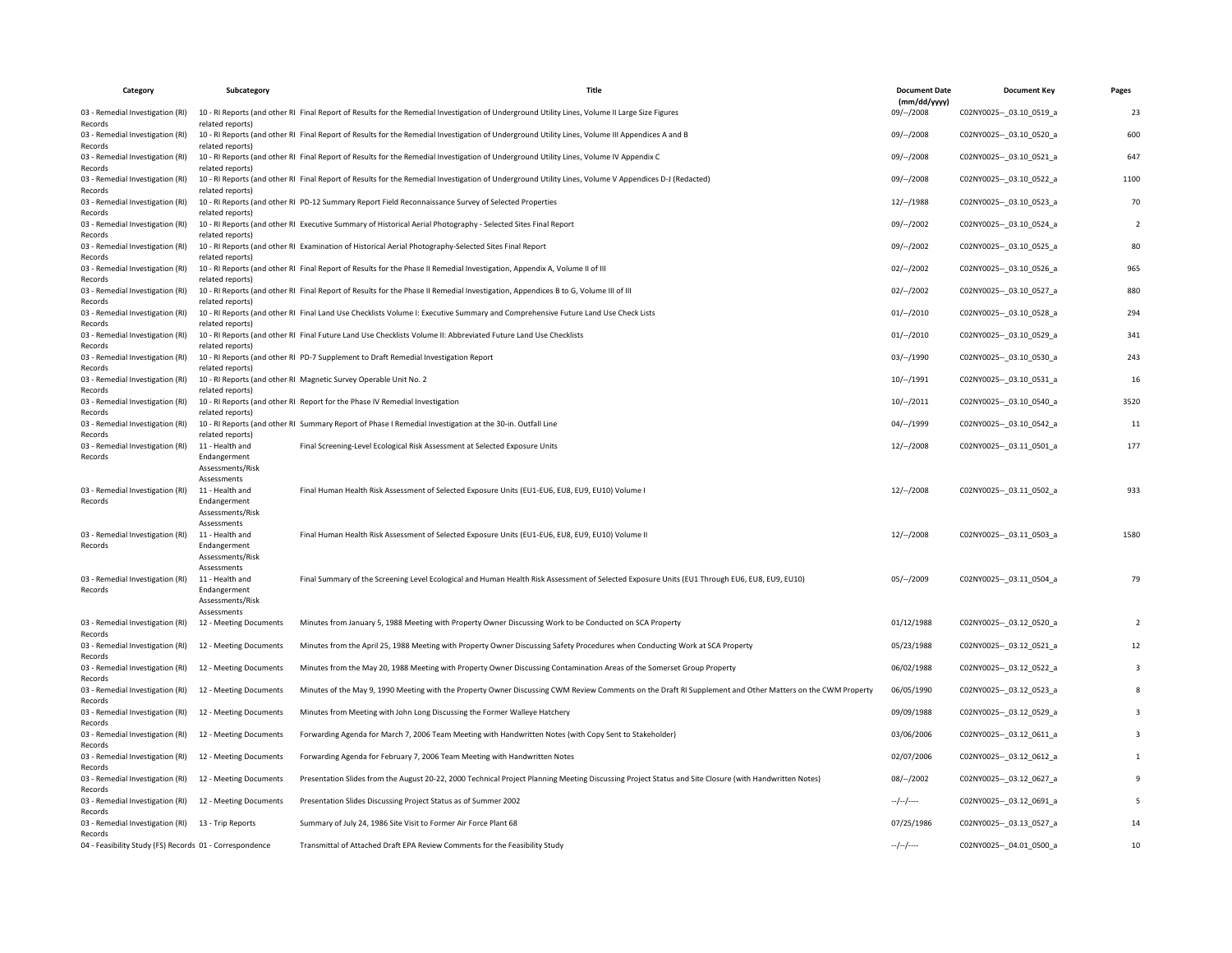| Category                                                | Subcategory                     | Title                                                                                                                                                      | <b>Document Date</b>         | <b>Document Key</b>         | Pages                   |
|---------------------------------------------------------|---------------------------------|------------------------------------------------------------------------------------------------------------------------------------------------------------|------------------------------|-----------------------------|-------------------------|
| 03 - Remedial Investigation (RI)<br>Records             | related reports)                | 10 - RI Reports (and other RI Final Report of Results for the Remedial Investigation of Underground Utility Lines, Volume II Large Size Figures            | (mm/dd/yyyy)<br>$09/--/2008$ | C02NY0025 -- 03.10 0519 a   | 23                      |
| 03 - Remedial Investigation (RI)<br>Records             | related reports                 | 10 - RI Reports (and other RI Final Report of Results for the Remedial Investigation of Underground Utility Lines, Volume III Appendices A and B           | 09/--/2008                   | C02NY0025 -- _ 03.10_0520_a | 600                     |
| 03 - Remedial Investigation (RI)<br>Records             | related reports                 | 10 - RI Reports (and other RI Final Report of Results for the Remedial Investigation of Underground Utility Lines, Volume IV Appendix C                    | 09/–/2008                    | C02NY0025 -- 03.10 0521 a   | 647                     |
| 03 - Remedial Investigation (RI)<br>Records             | related reports)                | 10 - RI Reports (and other RI Final Report of Results for the Remedial Investigation of Underground Utility Lines, Volume V Appendices D-J (Redacted)      | 09/--/2008                   | C02NY0025 -- 03.10 0522 a   | 1100                    |
| 03 - Remedial Investigation (RI)<br>Records             | related reports                 | 10 - RI Reports (and other RI PD-12 Summary Report Field Reconnaissance Survey of Selected Properties                                                      | $12/-/1988$                  | C02NY0025 -- 03.10 0523 a   | 70                      |
| 03 - Remedial Investigation (RI)<br>Records             | related reports)                | 10 - RI Reports (and other RI Executive Summary of Historical Aerial Photography - Selected Sites Final Report                                             | 09/--/2002                   | C02NY0025 -- 03.10 0524 a   | $\overline{2}$          |
| 03 - Remedial Investigation (RI)<br>Records             | related reports)                | 10 - RI Reports (and other RI Examination of Historical Aerial Photography-Selected Sites Final Report                                                     | 09/--/2002                   | C02NY0025 -- 03.10 0525 a   | 80                      |
| 03 - Remedial Investigation (RI)<br>Records             | related reports)                | 10 - RI Reports (and other RI Final Report of Results for the Phase II Remedial Investigation, Appendix A, Volume II of III                                | $02/-/2002$                  | C02NY0025 -- 03.10 0526 a   | 965                     |
| 03 - Remedial Investigation (RI)<br>Records             | related reports                 | 10 - RI Reports (and other RI Final Report of Results for the Phase II Remedial Investigation, Appendices B to G, Volume III of III                        | $02/-/2002$                  | C02NY0025 -- 03.10 0527 a   | 880                     |
| 03 - Remedial Investigation (RI)<br>Records             | related reports'                | 10 - RI Reports (and other RI Final Land Use Checklists Volume I: Executive Summary and Comprehensive Future Land Use Check Lists                          | $01/--/2010$                 | C02NY0025 -- 03.10 0528 a   | 294                     |
| 03 - Remedial Investigation (RI)<br>Records             | related reports                 | 10 - RI Reports (and other RI Final Future Land Use Checklists Volume II: Abbreviated Future Land Use Checklists                                           | 01/–/2010                    | C02NY0025 -- 03.10 0529 a   | 341                     |
| 03 - Remedial Investigation (RI)<br>Records             | related reports)                | 10 - RI Reports (and other RI PD-7 Supplement to Draft Remedial Investigation Report                                                                       | 03/--/1990                   | C02NY0025 -- _ 03.10_0530_a | 243                     |
| 03 - Remedial Investigation (RI)<br>Records             | related reports)                | 10 - RI Reports (and other RI Magnetic Survey Operable Unit No. 2                                                                                          | $10/-/1991$                  | C02NY0025 -- 03.10 0531 a   | 16                      |
| 03 - Remedial Investigation (RI)<br>Records             | related reports)                | 10 - RI Reports (and other RI Report for the Phase IV Remedial Investigation                                                                               | $10/-/2011$                  | C02NY0025 -- _ 03.10_0540_a | 3520                    |
| 03 - Remedial Investigation (RI)<br>Records             | related reports)                | 10 - RI Reports (and other RI Summary Report of Phase I Remedial Investigation at the 30-in. Outfall Line                                                  | 04/--/1999                   | C02NY0025 -- 03.10 0542 a   | 11                      |
| 03 - Remedial Investigation (RI)<br>Records             | 11 - Health and<br>Endangerment | Final Screening-Level Ecological Risk Assessment at Selected Exposure Units                                                                                | $12/-/2008$                  | C02NY0025 -- 03.11 0501 a   | 177                     |
|                                                         | Assessments/Risk<br>Assessments |                                                                                                                                                            |                              |                             |                         |
| 03 - Remedial Investigation (RI)<br>Records             | 11 - Health and<br>Endangerment | Final Human Health Risk Assessment of Selected Exposure Units (EU1-EU6, EU8, EU9, EU10) Volume I                                                           | $12/-/2008$                  | C02NY0025 -- 03.11 0502 a   | 933                     |
|                                                         | Assessments/Risk<br>Assessments |                                                                                                                                                            |                              |                             |                         |
| 03 - Remedial Investigation (RI)<br>Records             | 11 - Health and<br>Endangerment | Final Human Health Risk Assessment of Selected Exposure Units (EU1-EU6, EU8, EU9, EU10) Volume II                                                          | $12/-/2008$                  | C02NY0025 -- _ 03.11_0503_a | 1580                    |
|                                                         | Assessments/Risk<br>Assessments |                                                                                                                                                            |                              |                             |                         |
| 03 - Remedial Investigation (RI)<br>Records             | 11 - Health and<br>Endangerment | Final Summary of the Screening Level Ecological and Human Health Risk Assessment of Selected Exposure Units (EU1 Through EU6, EU8, EU9, EU10)              | $05/-/2009$                  | C02NY0025 -- 03.11 0504 a   | 79                      |
|                                                         | Assessments/Risk<br>Assessments |                                                                                                                                                            |                              |                             |                         |
| 03 - Remedial Investigation (RI)<br>Records             | 12 - Meeting Documents          | Minutes from January 5, 1988 Meeting with Property Owner Discussing Work to be Conducted on SCA Property                                                   | 01/12/1988                   | C02NY0025 -- 03.12 0520 a   |                         |
| 03 - Remedial Investigation (RI)<br>Records             | 12 - Meeting Documents          | Minutes from the April 25, 1988 Meeting with Property Owner Discussing Safety Procedures when Conducting Work at SCA Property                              | 05/23/1988                   | C02NY0025 -- 03.12 0521 a   | 12                      |
| 03 - Remedial Investigation (RI)<br>Records             | 12 - Meeting Documents          | Minutes from the May 20, 1988 Meeting with Property Owner Discussing Contamination Areas of the Somerset Group Property                                    | 06/02/1988                   | C02NY0025 -- _ 03.12_0522_a | $\overline{\mathbf{3}}$ |
| 03 - Remedial Investigation (RI)<br>Records             | 12 - Meeting Documents          | Minutes of the May 9, 1990 Meeting with the Property Owner Discussing CWM Review Comments on the Draft RI Supplement and Other Matters on the CWM Property | 06/05/1990                   | C02NY0025 -- 03.12 0523 a   | 8                       |
| 03 - Remedial Investigation (RI)<br>Records             | 12 - Meeting Documents          | Minutes from Meeting with John Long Discussing the Former Walleye Hatchery                                                                                 | 09/09/1988                   | C02NY0025 -- _ 03.12_0529_a | $\overline{3}$          |
| 03 - Remedial Investigation (RI)<br>Records             | 12 - Meeting Documents          | Forwarding Agenda for March 7, 2006 Team Meeting with Handwritten Notes (with Copy Sent to Stakeholder)                                                    | 03/06/2006                   | C02NY0025 -- _ 03.12_0611_a | $\overline{\mathbf{3}}$ |
| 03 - Remedial Investigation (RI)<br>Records             | 12 - Meeting Documents          | Forwarding Agenda for February 7, 2006 Team Meeting with Handwritten Notes                                                                                 | 02/07/2006                   | C02NY0025 -- 03.12 0612 a   |                         |
| 03 - Remedial Investigation (RI)<br>Records             | 12 - Meeting Documents          | Presentation Slides from the August 20-22, 2000 Technical Project Planning Meeting Discussing Project Status and Site Closure (with Handwritten Notes)     | $08/-/2002$                  | C02NY0025 -- _ 03.12_0627_a | 9                       |
| 03 - Remedial Investigation (RI)<br>Records             | 12 - Meeting Documents          | Presentation Slides Discussing Project Status as of Summer 2002                                                                                            | $-/-/-$                      | C02NY0025 -- _ 03.12_0691_a |                         |
| 03 - Remedial Investigation (RI)<br>Records             | 13 - Trip Reports               | Summary of July 24, 1986 Site Visit to Former Air Force Plant 68                                                                                           | 07/25/1986                   | C02NY0025 -- 03.13 0527 a   | 14                      |
| 04 - Feasibility Study (FS) Records 01 - Correspondence |                                 | Transmittal of Attached Draft EPA Review Comments for the Feasibility Study                                                                                | $-/-/-$                      | C02NY0025 -- 04.01 0500 a   | 10                      |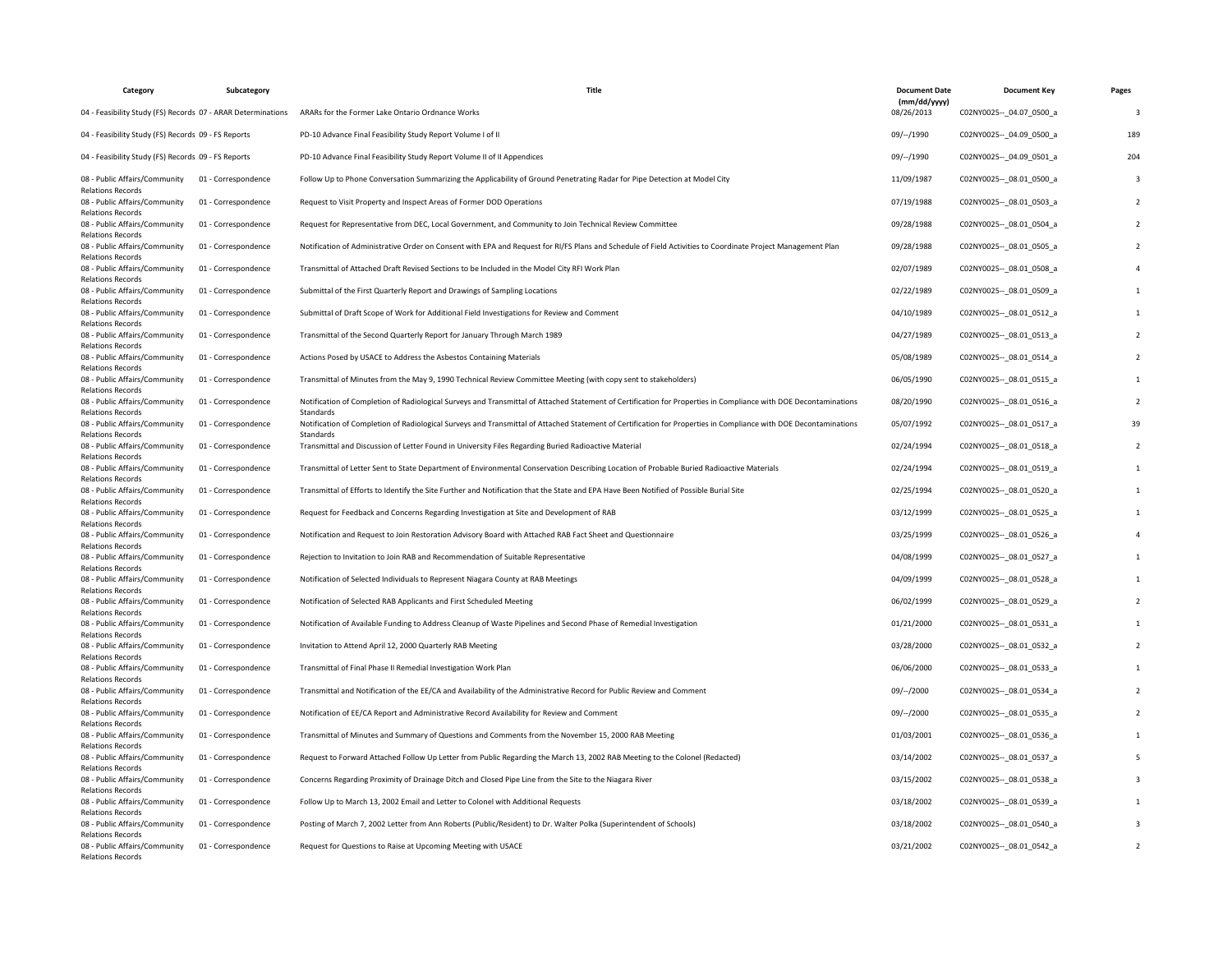| Category                                                                              | Subcategory         | <b>Title</b>                                                                                                                                                                  | <b>Document Date</b>       | <b>Document Key</b>         | Pages |
|---------------------------------------------------------------------------------------|---------------------|-------------------------------------------------------------------------------------------------------------------------------------------------------------------------------|----------------------------|-----------------------------|-------|
| 04 - Feasibility Study (FS) Records 07 - ARAR Determinations                          |                     | ARARs for the Former Lake Ontario Ordnance Works                                                                                                                              | (mm/dd/yyyy)<br>08/26/2013 | C02NY0025 -- 04.07 0500 a   | -3    |
| 04 - Feasibility Study (FS) Records 09 - FS Reports                                   |                     | PD-10 Advance Final Feasibility Study Report Volume I of II                                                                                                                   | 09/--/1990                 | C02NY0025 -- 04.09 0500 a   | 189   |
| 04 - Feasibility Study (FS) Records 09 - FS Reports                                   |                     | PD-10 Advance Final Feasibility Study Report Volume II of II Appendices                                                                                                       | 09/--/1990                 | C02NY0025 -- 04.09 0501 a   | 204   |
| 08 - Public Affairs/Community<br><b>Relations Records</b>                             | 01 - Correspondence | Follow Up to Phone Conversation Summarizing the Applicability of Ground Penetrating Radar for Pipe Detection at Model City                                                    | 11/09/1987                 | C02NY0025 -- 08.01 0500 a   |       |
| 08 - Public Affairs/Community<br><b>Relations Records</b>                             | 01 - Correspondence | Request to Visit Property and Inspect Areas of Former DOD Operations                                                                                                          | 07/19/1988                 | C02NY0025 -- 08.01 0503 a   |       |
| 08 - Public Affairs/Community<br>Relations Records                                    | 01 - Correspondence | Request for Representative from DEC, Local Government, and Community to Join Technical Review Committee                                                                       | 09/28/1988                 | C02NY0025 -- 08.01 0504 a   |       |
| 08 - Public Affairs/Community<br><b>Relations Records</b>                             | 01 - Correspondence | Notification of Administrative Order on Consent with EPA and Request for RI/FS Plans and Schedule of Field Activities to Coordinate Project Management Plan                   | 09/28/1988                 | C02NY0025 -- 08.01 0505_a   |       |
| 08 - Public Affairs/Community<br><b>Relations Records</b>                             | 01 - Correspondence | Transmittal of Attached Draft Revised Sections to be Included in the Model City RFI Work Plan                                                                                 | 02/07/1989                 | C02NY0025 -- 08.01 0508 a   |       |
| 08 - Public Affairs/Community<br><b>Relations Records</b>                             | 01 - Correspondence | Submittal of the First Quarterly Report and Drawings of Sampling Locations                                                                                                    | 02/22/1989                 | C02NY0025 -- 08.01 0509 a   |       |
| 08 - Public Affairs/Community<br><b>Relations Records</b>                             | 01 - Correspondence | Submittal of Draft Scope of Work for Additional Field Investigations for Review and Comment                                                                                   | 04/10/1989                 | C02NY0025 -- 08.01 0512 a   |       |
| 08 - Public Affairs/Community<br><b>Relations Records</b>                             | 01 - Correspondence | Transmittal of the Second Quarterly Report for January Through March 1989                                                                                                     | 04/27/1989                 | C02NY0025 -- _ 08.01_0513_a |       |
| 08 - Public Affairs/Community<br><b>Relations Records</b>                             | 01 - Correspondence | Actions Posed by USACE to Address the Asbestos Containing Materials                                                                                                           | 05/08/1989                 | C02NY0025 -- 08.01 0514 a   |       |
| 08 - Public Affairs/Community<br><b>Relations Records</b>                             | 01 - Correspondence | Transmittal of Minutes from the May 9, 1990 Technical Review Committee Meeting (with copy sent to stakeholders)                                                               | 06/05/1990                 | C02NY0025 -- 08.01 0515 a   |       |
| 08 - Public Affairs/Community<br><b>Relations Records</b>                             | 01 - Correspondence | Notification of Completion of Radiological Surveys and Transmittal of Attached Statement of Certification for Properties in Compliance with DOE Decontaminations<br>Standards | 08/20/1990                 | C02NY0025 -- 08.01 0516 a   |       |
| 08 - Public Affairs/Community<br><b>Relations Records</b>                             | 01 - Correspondence | Notification of Completion of Radiological Surveys and Transmittal of Attached Statement of Certification for Properties in Compliance with DOE Decontaminations<br>Standards | 05/07/1992                 | C02NY0025 -- 08.01 0517_a   | 39    |
| 08 - Public Affairs/Community<br><b>Relations Records</b>                             | 01 - Correspondence | Transmittal and Discussion of Letter Found in University Files Regarding Buried Radioactive Material                                                                          | 02/24/1994                 | C02NY0025 -- 08.01 0518 a   |       |
| 08 - Public Affairs/Community<br><b>Relations Records</b>                             | 01 - Correspondence | Transmittal of Letter Sent to State Department of Environmental Conservation Describing Location of Probable Buried Radioactive Materials                                     | 02/24/1994                 | C02NY0025 -- 08.01 0519 a   |       |
| 08 - Public Affairs/Community<br><b>Relations Records</b>                             | 01 - Correspondence | Transmittal of Efforts to Identify the Site Further and Notification that the State and EPA Have Been Notified of Possible Burial Site                                        | 02/25/1994                 | C02NY0025 -- 08.01 0520 a   |       |
| 08 - Public Affairs/Community<br><b>Relations Records</b>                             | 01 - Correspondence | Request for Feedback and Concerns Regarding Investigation at Site and Development of RAB                                                                                      | 03/12/1999                 | C02NY0025 -- 08.01 0525 a   |       |
| 08 - Public Affairs/Community<br><b>Relations Records</b>                             | 01 - Correspondence | Notification and Request to Join Restoration Advisory Board with Attached RAB Fact Sheet and Questionnaire                                                                    | 03/25/1999                 | C02NY0025 -- _ 08.01_0526_a |       |
| 08 - Public Affairs/Community<br><b>Relations Records</b>                             | 01 - Correspondence | Rejection to Invitation to Join RAB and Recommendation of Suitable Representative                                                                                             | 04/08/1999                 | C02NY0025 -- 08.01 0527 a   |       |
| 08 - Public Affairs/Community<br><b>Relations Records</b>                             | 01 - Correspondence | Notification of Selected Individuals to Represent Niagara County at RAB Meetings                                                                                              | 04/09/1999                 | C02NY0025 -- 08.01 0528 a   |       |
| 08 - Public Affairs/Community<br><b>Relations Records</b>                             | 01 - Correspondence | Notification of Selected RAB Applicants and First Scheduled Meeting                                                                                                           | 06/02/1999                 | C02NY0025 -- _ 08.01_0529_a |       |
| 08 - Public Affairs/Community<br><b>Relations Records</b>                             | 01 - Correspondence | Notification of Available Funding to Address Cleanup of Waste Pipelines and Second Phase of Remedial Investigation                                                            | 01/21/2000                 | C02NY0025 -- 08.01 0531 a   |       |
| 08 - Public Affairs/Community<br><b>Relations Records</b>                             | 01 - Correspondence | Invitation to Attend April 12, 2000 Quarterly RAB Meeting                                                                                                                     | 03/28/2000                 | C02NY0025 -- _ 08.01_0532_a |       |
| 08 - Public Affairs/Community<br><b>Relations Records</b>                             | 01 - Correspondence | Transmittal of Final Phase II Remedial Investigation Work Plan                                                                                                                | 06/06/2000                 | C02NY0025 -- 08.01 0533_a   |       |
| 08 - Public Affairs/Community                                                         | 01 - Correspondence | Transmittal and Notification of the EE/CA and Availability of the Administrative Record for Public Review and Comment                                                         | 09/--/2000                 | C02NY0025 -- 08.01 0534 a   |       |
| <b>Relations Records</b><br>08 - Public Affairs/Community                             | 01 - Correspondence | Notification of EE/CA Report and Administrative Record Availability for Review and Comment                                                                                    | 09/--/2000                 | C02NY0025 -- 08.01 0535_a   |       |
| <b>Relations Records</b><br>08 - Public Affairs/Community                             | 01 - Correspondence | Transmittal of Minutes and Summary of Questions and Comments from the November 15, 2000 RAB Meeting                                                                           | 01/03/2001                 | C02NY0025 -- 08.01 0536 a   |       |
| <b>Relations Records</b><br>08 - Public Affairs/Community                             | 01 - Correspondence | Request to Forward Attached Follow Up Letter from Public Regarding the March 13, 2002 RAB Meeting to the Colonel (Redacted)                                                   | 03/14/2002                 | C02NY0025 -- 08.01 0537 a   |       |
| <b>Relations Records</b><br>08 - Public Affairs/Community                             | 01 - Correspondence | Concerns Regarding Proximity of Drainage Ditch and Closed Pipe Line from the Site to the Niagara River                                                                        | 03/15/2002                 | C02NY0025 -- 08.01 0538 a   |       |
| <b>Relations Records</b><br>08 - Public Affairs/Community                             | 01 - Correspondence | Follow Up to March 13, 2002 Email and Letter to Colonel with Additional Requests                                                                                              | 03/18/2002                 | C02NY0025 -- 08.01 0539 a   |       |
| <b>Relations Records</b><br>08 - Public Affairs/Community                             | 01 - Correspondence | Posting of March 7, 2002 Letter from Ann Roberts (Public/Resident) to Dr. Walter Polka (Superintendent of Schools)                                                            | 03/18/2002                 | C02NY0025 -- 08.01 0540 a   |       |
| <b>Relations Records</b><br>08 - Public Affairs/Community<br><b>Relations Records</b> | 01 - Correspondence | Request for Questions to Raise at Upcoming Meeting with USACE                                                                                                                 | 03/21/2002                 | C02NY0025 -- 08.01 0542 a   |       |
|                                                                                       |                     |                                                                                                                                                                               |                            |                             |       |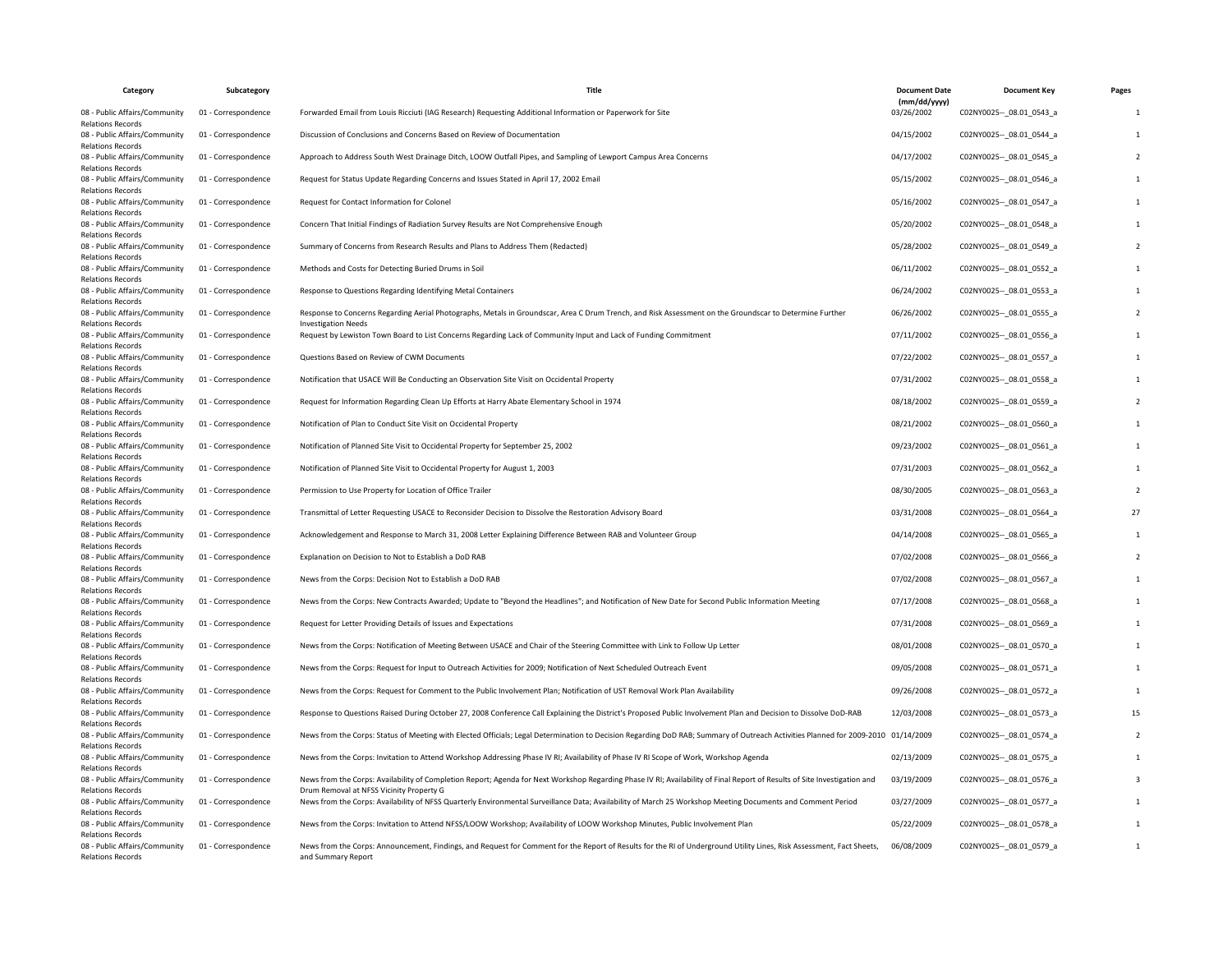| Category                                                  | Subcategory         | <b>Title</b>                                                                                                                                                                                                          | <b>Document Date</b>       | <b>Document Kev</b>         | Pages |
|-----------------------------------------------------------|---------------------|-----------------------------------------------------------------------------------------------------------------------------------------------------------------------------------------------------------------------|----------------------------|-----------------------------|-------|
| 08 - Public Affairs/Community<br><b>Relations Records</b> | 01 - Correspondence | Forwarded Email from Louis Ricciuti (IAG Research) Requesting Additional Information or Paperwork for Site                                                                                                            | (mm/dd/yyyy)<br>03/26/2002 | C02NY0025 -- 08.01 0543 a   |       |
| 08 - Public Affairs/Community<br><b>Relations Records</b> | 01 - Correspondence | Discussion of Conclusions and Concerns Based on Review of Documentation                                                                                                                                               | 04/15/2002                 | C02NY0025 -- _ 08.01_0544_a |       |
| 08 - Public Affairs/Community<br><b>Relations Records</b> | 01 - Correspondence | Approach to Address South West Drainage Ditch, LOOW Outfall Pipes, and Sampling of Lewport Campus Area Concerns                                                                                                       | 04/17/2002                 | C02NY0025 -- 08.01 0545_a   |       |
| 08 - Public Affairs/Community<br><b>Relations Records</b> | 01 - Correspondence | Request for Status Update Regarding Concerns and Issues Stated in April 17, 2002 Email                                                                                                                                | 05/15/2002                 | C02NY0025 -- 08.01 0546 a   |       |
| 08 - Public Affairs/Community<br><b>Relations Records</b> | 01 - Correspondence | Request for Contact Information for Colonel                                                                                                                                                                           | 05/16/2002                 | C02NY0025 -- 08.01 0547_a   |       |
| 08 - Public Affairs/Community<br><b>Relations Records</b> | 01 - Correspondence | Concern That Initial Findings of Radiation Survey Results are Not Comprehensive Enough                                                                                                                                | 05/20/2002                 | C02NY0025 -- _ 08.01_0548_a |       |
| 08 - Public Affairs/Community<br><b>Relations Records</b> | 01 - Correspondence | Summary of Concerns from Research Results and Plans to Address Them (Redacted)                                                                                                                                        | 05/28/2002                 | C02NY0025 -- 08.01 0549_a   |       |
| 08 - Public Affairs/Community<br><b>Relations Records</b> | 01 - Correspondence | Methods and Costs for Detecting Buried Drums in Soil                                                                                                                                                                  | 06/11/2002                 | C02NY0025 -- 08.01 0552_a   |       |
| 08 - Public Affairs/Community<br><b>Relations Records</b> | 01 - Correspondence | Response to Questions Regarding Identifying Metal Containers                                                                                                                                                          | 06/24/2002                 | C02NY0025 -- _ 08.01_0553_a |       |
| 08 - Public Affairs/Community<br><b>Relations Records</b> | 01 - Correspondence | Response to Concerns Regarding Aerial Photographs, Metals in Groundscar, Area C Drum Trench, and Risk Assessment on the Groundscar to Determine Further<br><b>Investigation Needs</b>                                 | 06/26/2002                 | C02NY0025 -- 08.01 0555_a   |       |
| 08 - Public Affairs/Community<br><b>Relations Records</b> | 01 - Correspondence | Request by Lewiston Town Board to List Concerns Regarding Lack of Community Input and Lack of Funding Commitment                                                                                                      | 07/11/2002                 | C02NY0025 -- 08.01 0556 a   |       |
| 08 - Public Affairs/Community<br><b>Relations Records</b> | 01 - Correspondence | Questions Based on Review of CWM Documents                                                                                                                                                                            | 07/22/2002                 | C02NY0025 -- 08.01 0557_a   |       |
| 08 - Public Affairs/Community<br><b>Relations Records</b> | 01 - Correspondence | Notification that USACE Will Be Conducting an Observation Site Visit on Occidental Property                                                                                                                           | 07/31/2002                 | C02NY0025 -- 08.01 0558 a   |       |
| 08 - Public Affairs/Community<br><b>Relations Records</b> | 01 - Correspondence | Request for Information Regarding Clean Up Efforts at Harry Abate Elementary School in 1974                                                                                                                           | 08/18/2002                 | C02NY0025 -- _ 08.01_0559_a |       |
| 08 - Public Affairs/Community<br><b>Relations Records</b> | 01 - Correspondence | Notification of Plan to Conduct Site Visit on Occidental Property                                                                                                                                                     | 08/21/2002                 | C02NY0025 -- 08.01 0560 a   |       |
| 08 - Public Affairs/Community<br><b>Relations Records</b> | 01 - Correspondence | Notification of Planned Site Visit to Occidental Property for September 25, 2002                                                                                                                                      | 09/23/2002                 | C02NY0025 -- _ 08.01_0561_a |       |
| 08 - Public Affairs/Community<br><b>Relations Records</b> | 01 - Correspondence | Notification of Planned Site Visit to Occidental Property for August 1, 2003                                                                                                                                          | 07/31/2003                 | C02NY0025 -- 08.01 0562 a   |       |
| 08 - Public Affairs/Community<br><b>Relations Records</b> | 01 - Correspondence | Permission to Use Property for Location of Office Trailer                                                                                                                                                             | 08/30/2005                 | C02NY0025 -- _ 08.01_0563_a |       |
| 08 - Public Affairs/Community<br><b>Relations Records</b> | 01 - Correspondence | Transmittal of Letter Requesting USACE to Reconsider Decision to Dissolve the Restoration Advisory Board                                                                                                              | 03/31/2008                 | C02NY0025 -- 08.01 0564 a   | 27    |
| 08 - Public Affairs/Community<br><b>Relations Records</b> | 01 - Correspondence | Acknowledgement and Response to March 31, 2008 Letter Explaining Difference Between RAB and Volunteer Group                                                                                                           | 04/14/2008                 | C02NY0025 -- 08.01 0565_a   |       |
| 08 - Public Affairs/Community<br><b>Relations Records</b> | 01 - Correspondence | Explanation on Decision to Not to Establish a DoD RAB                                                                                                                                                                 | 07/02/2008                 | C02NY0025 -- _ 08.01_0566_a |       |
| 08 - Public Affairs/Community<br><b>Relations Records</b> | 01 - Correspondence | News from the Corps: Decision Not to Establish a DoD RAB                                                                                                                                                              | 07/02/2008                 | C02NY0025 -- 08.01 0567_a   |       |
| 08 - Public Affairs/Community<br><b>Relations Records</b> | 01 - Correspondence | News from the Corps: New Contracts Awarded; Update to "Beyond the Headlines"; and Notification of New Date for Second Public Information Meeting                                                                      | 07/17/2008                 | C02NY0025 -- 08.01 0568 a   |       |
| 08 - Public Affairs/Community<br><b>Relations Records</b> | 01 - Correspondence | Request for Letter Providing Details of Issues and Expectations                                                                                                                                                       | 07/31/2008                 | C02NY0025 -- 08.01 0569 a   |       |
| 08 - Public Affairs/Community<br><b>Relations Records</b> | 01 - Correspondence | News from the Corps: Notification of Meeting Between USACE and Chair of the Steering Committee with Link to Follow Up Letter                                                                                          | 08/01/2008                 | C02NY0025 -- 08.01 0570 a   |       |
| 08 - Public Affairs/Community<br><b>Relations Records</b> | 01 - Correspondence | News from the Corps: Request for Input to Outreach Activities for 2009; Notification of Next Scheduled Outreach Event                                                                                                 | 09/05/2008                 | C02NY0025 -- _ 08.01_0571_a |       |
| 08 - Public Affairs/Community<br><b>Relations Records</b> | 01 - Correspondence | News from the Corps: Request for Comment to the Public Involvement Plan; Notification of UST Removal Work Plan Availability                                                                                           | 09/26/2008                 | C02NY0025 -- 08.01 0572_a   |       |
| 08 - Public Affairs/Community<br><b>Relations Records</b> | 01 - Correspondence | Response to Questions Raised During October 27, 2008 Conference Call Explaining the District's Proposed Public Involvement Plan and Decision to Dissolve DoD-RAB                                                      | 12/03/2008                 | C02NY0025 -- 08.01 0573_a   | 15    |
| 08 - Public Affairs/Community<br><b>Relations Records</b> | 01 - Correspondence | News from the Corps: Status of Meeting with Elected Officials; Legal Determination to Decision Regarding DoD RAB; Summary of Outreach Activities Planned for 2009-2010 01/14/2009                                     |                            | C02NY0025 -- 08.01 0574_a   |       |
| 08 - Public Affairs/Community<br><b>Relations Records</b> | 01 - Correspondence | News from the Corps: Invitation to Attend Workshop Addressing Phase IV RI; Availability of Phase IV RI Scope of Work, Workshop Agenda                                                                                 | 02/13/2009                 | C02NY0025 -- _ 08.01_0575_a |       |
| 08 - Public Affairs/Community<br><b>Relations Records</b> | 01 - Correspondence | News from the Corps: Availability of Completion Report; Agenda for Next Workshop Regarding Phase IV RI; Availability of Final Report of Results of Site Investigation and<br>Drum Removal at NFSS Vicinity Property G | 03/19/2009                 | C02NY0025 -- 08.01 0576_a   |       |
| 08 - Public Affairs/Community<br><b>Relations Records</b> | 01 - Correspondence | News from the Corps: Availability of NFSS Quarterly Environmental Surveillance Data; Availability of March 25 Workshop Meeting Documents and Comment Period                                                           | 03/27/2009                 | C02NY0025 -- 08.01 0577_a   |       |
| 08 - Public Affairs/Community<br><b>Relations Records</b> | 01 - Correspondence | News from the Corps: Invitation to Attend NFSS/LOOW Workshop; Availability of LOOW Workshop Minutes, Public Involvement Plan                                                                                          | 05/22/2009                 | C02NY0025 -- _ 08.01_0578_a |       |
| 08 - Public Affairs/Community<br><b>Relations Records</b> | 01 - Correspondence | News from the Corps: Announcement, Findings, and Request for Comment for the Report of Results for the RI of Underground Utility Lines, Risk Assessment, Fact Sheets,<br>and Summary Report                           | 06/08/2009                 | C02NY0025 -- 08.01 0579 a   |       |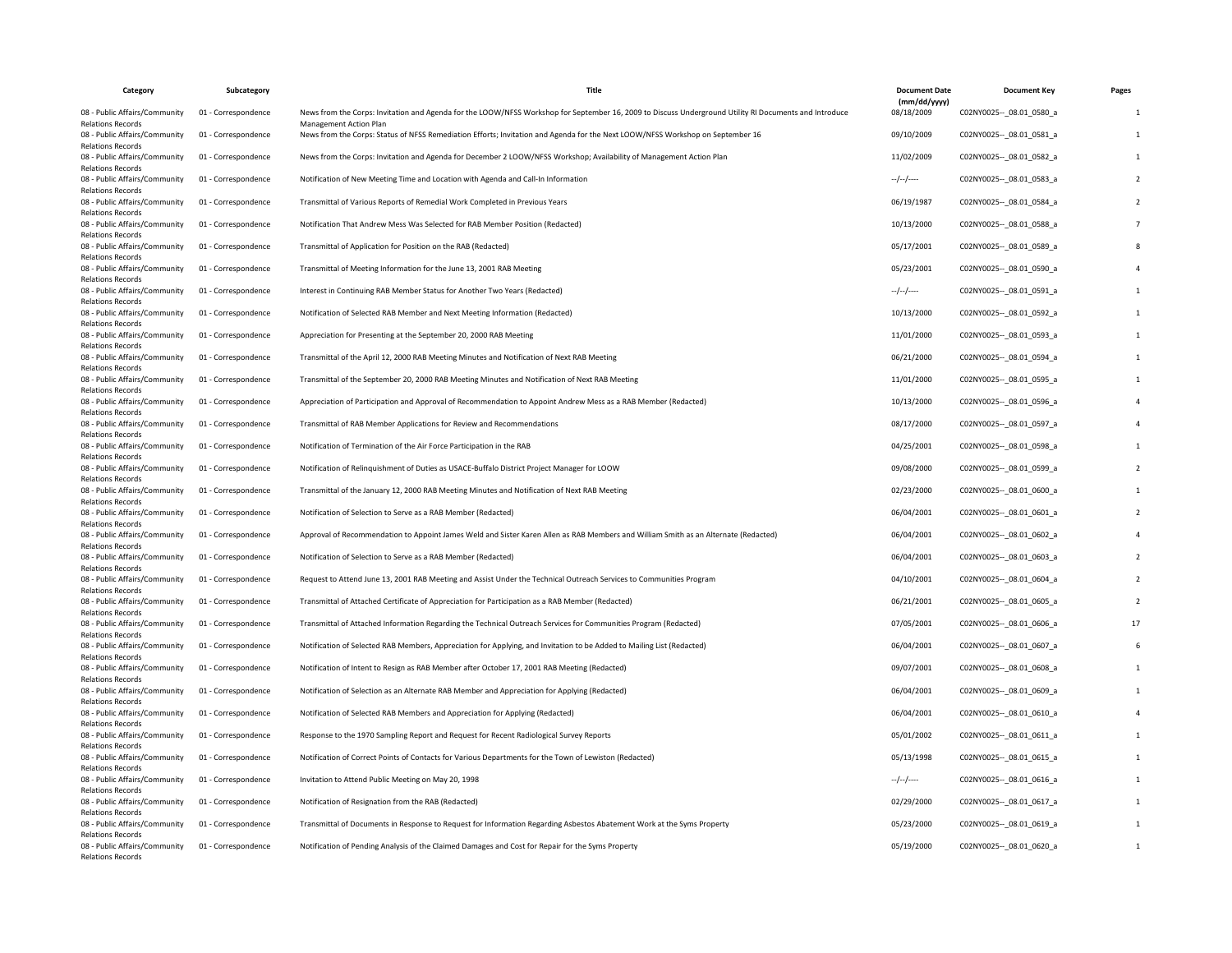| Category                                                  | Subcategory         | Title                                                                                                                                                                                   | <b>Document Date</b>       | <b>Document Key</b>         | Pages |
|-----------------------------------------------------------|---------------------|-----------------------------------------------------------------------------------------------------------------------------------------------------------------------------------------|----------------------------|-----------------------------|-------|
| 08 - Public Affairs/Community<br><b>Relations Records</b> | 01 - Correspondence | News from the Corps: Invitation and Agenda for the LOOW/NFSS Workshop for September 16, 2009 to Discuss Underground Utility RI Documents and Introduce<br><b>Management Action Plan</b> | (mm/dd/yyyy)<br>08/18/2009 | C02NY0025 -- 08.01 0580 a   |       |
| 08 - Public Affairs/Community<br><b>Relations Records</b> | 01 - Correspondence | News from the Corps: Status of NFSS Remediation Efforts; Invitation and Agenda for the Next LOOW/NFSS Workshop on September 16                                                          | 09/10/2009                 | C02NY0025 -- 08.01 0581 a   |       |
| 08 - Public Affairs/Community<br><b>Relations Records</b> | 01 - Correspondence | News from the Corps: Invitation and Agenda for December 2 LOOW/NFSS Workshop; Availability of Management Action Plan                                                                    | 11/02/2009                 | C02NY0025 -- 08.01 0582_a   |       |
| 08 - Public Affairs/Community<br><b>Relations Records</b> | 01 - Correspondence | Notification of New Meeting Time and Location with Agenda and Call-In Information                                                                                                       | $-/-/-/$                   | C02NY0025 -- 08.01 0583 a   |       |
| 08 - Public Affairs/Community<br><b>Relations Records</b> | 01 - Correspondence | Transmittal of Various Reports of Remedial Work Completed in Previous Years                                                                                                             | 06/19/1987                 | C02NY0025 -- _ 08.01_0584_a |       |
| 08 - Public Affairs/Community<br><b>Relations Records</b> | 01 - Correspondence | Notification That Andrew Mess Was Selected for RAB Member Position (Redacted)                                                                                                           | 10/13/2000                 | C02NY0025 -- 08.01 0588 a   |       |
| 08 - Public Affairs/Community<br><b>Relations Records</b> | 01 - Correspondence | Transmittal of Application for Position on the RAB (Redacted)                                                                                                                           | 05/17/2001                 | C02NY0025 -- 08.01 0589_a   |       |
| 08 - Public Affairs/Community<br><b>Relations Records</b> | 01 - Correspondence | Transmittal of Meeting Information for the June 13, 2001 RAB Meeting                                                                                                                    | 05/23/2001                 | C02NY0025 -- _ 08.01_0590_a |       |
| 08 - Public Affairs/Community<br><b>Relations Records</b> | 01 - Correspondence | Interest in Continuing RAB Member Status for Another Two Years (Redacted)                                                                                                               | $-/-/-/$                   | C02NY0025 -- 08.01 0591 a   |       |
| 08 - Public Affairs/Community<br><b>Relations Records</b> | 01 - Correspondence | Notification of Selected RAB Member and Next Meeting Information (Redacted)                                                                                                             | 10/13/2000                 | C02NY0025 -- 08.01 0592 a   |       |
| 08 - Public Affairs/Community<br><b>Relations Records</b> | 01 - Correspondence | Appreciation for Presenting at the September 20, 2000 RAB Meeting                                                                                                                       | 11/01/2000                 | C02NY0025 -- 08.01 0593 a   |       |
| 08 - Public Affairs/Community<br><b>Relations Records</b> | 01 - Correspondence | Transmittal of the April 12, 2000 RAB Meeting Minutes and Notification of Next RAB Meeting                                                                                              | 06/21/2000                 | C02NY0025 -- _ 08.01_0594_a |       |
| 08 - Public Affairs/Community<br><b>Relations Records</b> | 01 - Correspondence | Transmittal of the September 20, 2000 RAB Meeting Minutes and Notification of Next RAB Meeting                                                                                          | 11/01/2000                 | C02NY0025 -- 08.01 0595_a   |       |
| 08 - Public Affairs/Community<br><b>Relations Records</b> | 01 - Correspondence | Appreciation of Participation and Approval of Recommendation to Appoint Andrew Mess as a RAB Member (Redacted)                                                                          | 10/13/2000                 | C02NY0025 -- 08.01 0596_a   |       |
| 08 - Public Affairs/Community<br><b>Relations Records</b> | 01 - Correspondence | Transmittal of RAB Member Applications for Review and Recommendations                                                                                                                   | 08/17/2000                 | C02NY0025 -- _ 08.01_0597_a |       |
| 08 - Public Affairs/Community<br><b>Relations Records</b> | 01 - Correspondence | Notification of Termination of the Air Force Participation in the RAB                                                                                                                   | 04/25/2001                 | C02NY0025 -- 08.01 0598 a   |       |
| 08 - Public Affairs/Community<br><b>Relations Records</b> | 01 - Correspondence | Notification of Relinquishment of Duties as USACE-Buffalo District Project Manager for LOOW                                                                                             | 09/08/2000                 | C02NY0025 -- 08.01 0599_a   |       |
| 08 - Public Affairs/Community<br><b>Relations Records</b> | 01 - Correspondence | Transmittal of the January 12, 2000 RAB Meeting Minutes and Notification of Next RAB Meeting                                                                                            | 02/23/2000                 | C02NY0025 -- 08.01 0600 a   |       |
| 08 - Public Affairs/Community<br><b>Relations Records</b> | 01 - Correspondence | Notification of Selection to Serve as a RAB Member (Redacted)                                                                                                                           | 06/04/2001                 | C02NY0025 -- 08.01 0601 a   |       |
| 08 - Public Affairs/Community<br><b>Relations Records</b> | 01 - Correspondence | Approval of Recommendation to Appoint James Weld and Sister Karen Allen as RAB Members and William Smith as an Alternate (Redacted)                                                     | 06/04/2001                 | C02NY0025 -- 08.01 0602 a   |       |
| 08 - Public Affairs/Community<br><b>Relations Records</b> | 01 - Correspondence | Notification of Selection to Serve as a RAB Member (Redacted)                                                                                                                           | 06/04/2001                 | C02NY0025 -- 08.01 0603 a   |       |
| 08 - Public Affairs/Community<br><b>Relations Records</b> | 01 - Correspondence | Request to Attend June 13, 2001 RAB Meeting and Assist Under the Technical Outreach Services to Communities Program                                                                     | 04/10/2001                 | C02NY0025 -- 08.01 0604 a   |       |
| 08 - Public Affairs/Community<br><b>Relations Records</b> | 01 - Correspondence | Transmittal of Attached Certificate of Appreciation for Participation as a RAB Member (Redacted)                                                                                        | 06/21/2001                 | C02NY0025 -- _ 08.01_0605_a |       |
| 08 - Public Affairs/Community<br><b>Relations Records</b> | 01 - Correspondence | Transmittal of Attached Information Regarding the Technical Outreach Services for Communities Program (Redacted)                                                                        | 07/05/2001                 | C02NY0025 -- 08.01 0606 a   | 17    |
| 08 - Public Affairs/Community<br><b>Relations Records</b> | 01 - Correspondence | Notification of Selected RAB Members, Appreciation for Applying, and Invitation to be Added to Mailing List (Redacted)                                                                  | 06/04/2001                 | C02NY0025 -- 08.01 0607 a   |       |
| 08 - Public Affairs/Community<br><b>Relations Records</b> | 01 - Correspondence | Notification of Intent to Resign as RAB Member after October 17, 2001 RAB Meeting (Redacted)                                                                                            | 09/07/2001                 | C02NY0025 -- 08.01 0608 a   |       |
| 08 - Public Affairs/Community<br><b>Relations Records</b> | 01 - Correspondence | Notification of Selection as an Alternate RAB Member and Appreciation for Applying (Redacted)                                                                                           | 06/04/2001                 | C02NY0025 -- 08.01 0609 a   |       |
| 08 - Public Affairs/Community<br><b>Relations Records</b> | 01 - Correspondence | Notification of Selected RAB Members and Appreciation for Applying (Redacted)                                                                                                           | 06/04/2001                 | C02NY0025 -- 08.01 0610 a   |       |
| 08 - Public Affairs/Community<br><b>Relations Records</b> | 01 - Correspondence | Response to the 1970 Sampling Report and Request for Recent Radiological Survey Reports                                                                                                 | 05/01/2002                 | C02NY0025 -- 08.01 0611 a   |       |
| 08 - Public Affairs/Community<br><b>Relations Records</b> | 01 - Correspondence | Notification of Correct Points of Contacts for Various Departments for the Town of Lewiston (Redacted)                                                                                  | 05/13/1998                 | C02NY0025 -- _ 08.01_0615_a |       |
| 08 - Public Affairs/Community<br><b>Relations Records</b> | 01 - Correspondence | Invitation to Attend Public Meeting on May 20, 1998                                                                                                                                     | $-/-/-/$                   | C02NY0025 -- 08.01 0616 a   |       |
| 08 - Public Affairs/Community<br><b>Relations Records</b> | 01 - Correspondence | Notification of Resignation from the RAB (Redacted)                                                                                                                                     | 02/29/2000                 | C02NY0025 -- 08.01 0617 a   |       |
| 08 - Public Affairs/Community<br><b>Relations Records</b> | 01 - Correspondence | Transmittal of Documents in Response to Request for Information Regarding Asbestos Abatement Work at the Syms Property                                                                  | 05/23/2000                 | C02NY0025 -- 08.01 0619 a   |       |
| 08 - Public Affairs/Community<br><b>Relations Records</b> | 01 - Correspondence | Notification of Pending Analysis of the Claimed Damages and Cost for Repair for the Syms Property                                                                                       | 05/19/2000                 | C02NY0025 -- _ 08.01_0620_a |       |
|                                                           |                     |                                                                                                                                                                                         |                            |                             |       |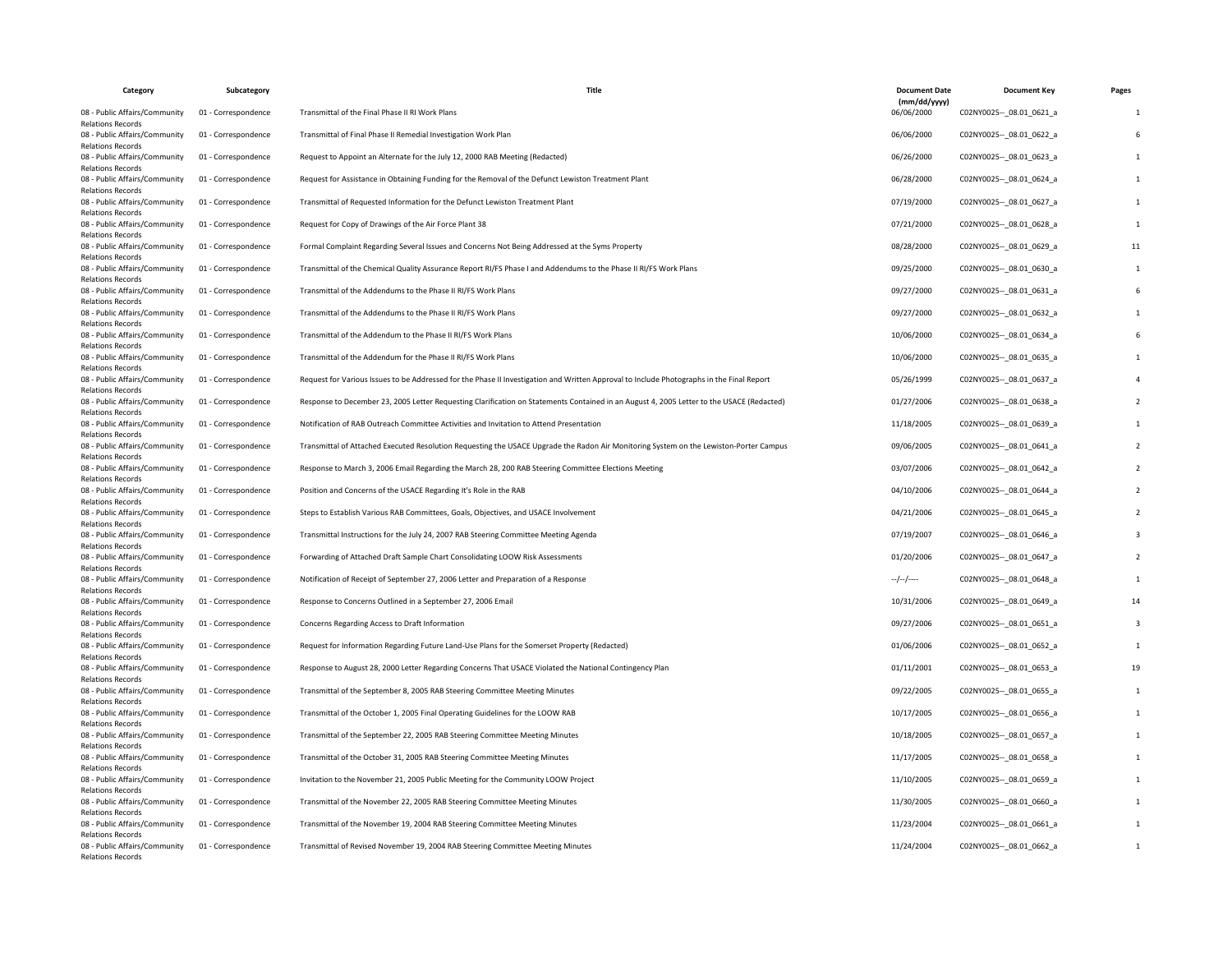| Category                                                                              | Subcategory         | Title                                                                                                                                     | <b>Document Date</b>       | <b>Document Key</b>         | Pages |
|---------------------------------------------------------------------------------------|---------------------|-------------------------------------------------------------------------------------------------------------------------------------------|----------------------------|-----------------------------|-------|
| 08 - Public Affairs/Community<br><b>Relations Records</b>                             | 01 - Correspondence | Transmittal of the Final Phase II RI Work Plans                                                                                           | (mm/dd/yyyy)<br>06/06/2000 | C02NY0025 -- _ 08.01_0621_a |       |
| 08 - Public Affairs/Community<br><b>Relations Records</b>                             | 01 - Correspondence | Transmittal of Final Phase II Remedial Investigation Work Plan                                                                            | 06/06/2000                 | C02NY0025 -- 08.01 0622 a   |       |
| 08 - Public Affairs/Community<br><b>Relations Records</b>                             | 01 - Correspondence | Request to Appoint an Alternate for the July 12, 2000 RAB Meeting (Redacted)                                                              | 06/26/2000                 | C02NY0025 -- 08.01 0623 a   |       |
| 08 - Public Affairs/Community<br><b>Relations Records</b>                             | 01 - Correspondence | Request for Assistance in Obtaining Funding for the Removal of the Defunct Lewiston Treatment Plant                                       | 06/28/2000                 | C02NY0025 -- 08.01 0624 a   |       |
| 08 - Public Affairs/Community<br><b>Relations Records</b>                             | 01 - Correspondence | Transmittal of Requested Information for the Defunct Lewiston Treatment Plant                                                             | 07/19/2000                 | C02NY0025 -- 08.01 0627 a   |       |
| 08 - Public Affairs/Community<br><b>Relations Records</b>                             | 01 - Correspondence | Request for Copy of Drawings of the Air Force Plant 38                                                                                    | 07/21/2000                 | C02NY0025 -- _ 08.01_0628_a |       |
| 08 - Public Affairs/Community<br><b>Relations Records</b>                             | 01 - Correspondence | Formal Complaint Regarding Several Issues and Concerns Not Being Addressed at the Syms Property                                           | 08/28/2000                 | C02NY0025 -- 08.01 0629 a   | 11    |
| 08 - Public Affairs/Community<br><b>Relations Records</b>                             | 01 - Correspondence | Transmittal of the Chemical Quality Assurance Report RI/FS Phase I and Addendums to the Phase II RI/FS Work Plans                         | 09/25/2000                 | C02NY0025 -- 08.01 0630 a   |       |
| 08 - Public Affairs/Community<br><b>Relations Records</b>                             | 01 - Correspondence | Transmittal of the Addendums to the Phase II RI/FS Work Plans                                                                             | 09/27/2000                 | C02NY0025 -- 08.01 0631 a   |       |
| 08 - Public Affairs/Community<br><b>Relations Records</b>                             | 01 - Correspondence | Transmittal of the Addendums to the Phase II RI/FS Work Plans                                                                             | 09/27/2000                 | C02NY0025 -- 08.01 0632 a   |       |
| 08 - Public Affairs/Community<br><b>Relations Records</b>                             | 01 - Correspondence | Transmittal of the Addendum to the Phase II RI/FS Work Plans                                                                              | 10/06/2000                 | C02NY0025 -- 08.01 0634 a   |       |
| 08 - Public Affairs/Community<br><b>Relations Records</b>                             | 01 - Correspondence | Transmittal of the Addendum for the Phase II RI/FS Work Plans                                                                             | 10/06/2000                 | C02NY0025 -- 08.01 0635 a   |       |
| 08 - Public Affairs/Community<br><b>Relations Records</b>                             | 01 - Correspondence | Request for Various Issues to be Addressed for the Phase II Investigation and Written Approval to Include Photographs in the Final Report | 05/26/1999                 | C02NY0025 -- _ 08.01_0637_a |       |
| 08 - Public Affairs/Community<br><b>Relations Records</b>                             | 01 - Correspondence | Response to December 23, 2005 Letter Requesting Clarification on Statements Contained in an August 4, 2005 Letter to the USACE (Redacted) | 01/27/2006                 | C02NY0025 -- 08.01 0638 a   |       |
| 08 - Public Affairs/Community<br><b>Relations Records</b>                             | 01 - Correspondence | Notification of RAB Outreach Committee Activities and Invitation to Attend Presentation                                                   | 11/18/2005                 | C02NY0025 -- 08.01 0639 a   |       |
| 08 - Public Affairs/Community<br><b>Relations Records</b>                             | 01 - Correspondence | Transmittal of Attached Executed Resolution Requesting the USACE Upgrade the Radon Air Monitoring System on the Lewiston-Porter Campus    | 09/06/2005                 | C02NY0025 -- 08.01 0641 a   |       |
| 08 - Public Affairs/Community<br>Relations Records                                    | 01 - Correspondence | Response to March 3, 2006 Email Regarding the March 28, 200 RAB Steering Committee Elections Meeting                                      | 03/07/2006                 | C02NY0025 -- 08.01 0642_a   |       |
| 08 - Public Affairs/Community<br><b>Relations Records</b>                             | 01 - Correspondence | Position and Concerns of the USACE Regarding It's Role in the RAB                                                                         | 04/10/2006                 | C02NY0025 -- _ 08.01_0644_a |       |
| 08 - Public Affairs/Community<br><b>Relations Records</b>                             | 01 - Correspondence | Steps to Establish Various RAB Committees, Goals, Objectives, and USACE Involvement                                                       | 04/21/2006                 | C02NY0025 -- 08.01 0645_a   |       |
| 08 - Public Affairs/Community                                                         | 01 - Correspondence | Transmittal Instructions for the July 24, 2007 RAB Steering Committee Meeting Agenda                                                      | 07/19/2007                 | C02NY0025 -- 08.01 0646 a   |       |
| <b>Relations Records</b><br>08 - Public Affairs/Community<br><b>Relations Records</b> | 01 - Correspondence | Forwarding of Attached Draft Sample Chart Consolidating LOOW Risk Assessments                                                             | 01/20/2006                 | C02NY0025 -- 08.01 0647_a   |       |
| 08 - Public Affairs/Community<br><b>Relations Records</b>                             | 01 - Correspondence | Notification of Receipt of September 27, 2006 Letter and Preparation of a Response                                                        | --/--/----                 | C02NY0025 -- _ 08.01_0648_a |       |
| 08 - Public Affairs/Community                                                         | 01 - Correspondence | Response to Concerns Outlined in a September 27, 2006 Email                                                                               | 10/31/2006                 | C02NY0025 -- 08.01 0649 a   | 14    |
| <b>Relations Records</b><br>08 - Public Affairs/Community<br><b>Relations Records</b> | 01 - Correspondence | Concerns Regarding Access to Draft Information                                                                                            | 09/27/2006                 | C02NY0025 -- 08.01 0651 a   |       |
| 08 - Public Affairs/Community                                                         | 01 - Correspondence | Request for Information Regarding Future Land-Use Plans for the Somerset Property (Redacted)                                              | 01/06/2006                 | C02NY0025 -- _ 08.01_0652_a |       |
| Relations Records<br>08 - Public Affairs/Community<br><b>Relations Records</b>        | 01 - Correspondence | Response to August 28, 2000 Letter Regarding Concerns That USACE Violated the National Contingency Plan                                   | 01/11/2001                 | C02NY0025 -- 08.01 0653 a   | 19    |
| 08 - Public Affairs/Community                                                         | 01 - Correspondence | Transmittal of the September 8, 2005 RAB Steering Committee Meeting Minutes                                                               | 09/22/2005                 | C02NY0025 -- 08.01 0655 a   |       |
| <b>Relations Records</b><br>08 - Public Affairs/Community                             | 01 - Correspondence | Transmittal of the October 1, 2005 Final Operating Guidelines for the LOOW RAB                                                            | 10/17/2005                 | C02NY0025 -- 08.01 0656 a   |       |
| <b>Relations Records</b><br>08 - Public Affairs/Community                             | 01 - Correspondence | Transmittal of the September 22, 2005 RAB Steering Committee Meeting Minutes                                                              | 10/18/2005                 | C02NY0025 -- 08.01 0657 a   |       |
| <b>Relations Records</b><br>08 - Public Affairs/Community                             | 01 - Correspondence | Transmittal of the October 31, 2005 RAB Steering Committee Meeting Minutes                                                                | 11/17/2005                 | C02NY0025 -- _ 08.01_0658_a |       |
| <b>Relations Records</b><br>08 - Public Affairs/Community                             | 01 - Correspondence | Invitation to the November 21, 2005 Public Meeting for the Community LOOW Project                                                         | 11/10/2005                 | C02NY0025 -- 08.01 0659 a   |       |
| <b>Relations Records</b><br>08 - Public Affairs/Community                             | 01 - Correspondence | Transmittal of the November 22, 2005 RAB Steering Committee Meeting Minutes                                                               | 11/30/2005                 | C02NY0025 -- 08.01 0660 a   |       |
| <b>Relations Records</b><br>08 - Public Affairs/Community                             | 01 - Correspondence | Transmittal of the November 19, 2004 RAB Steering Committee Meeting Minutes                                                               | 11/23/2004                 | C02NY0025 -- 08.01 0661 a   |       |
| <b>Relations Records</b><br>08 - Public Affairs/Community<br><b>Relations Records</b> | 01 - Correspondence | Transmittal of Revised November 19, 2004 RAB Steering Committee Meeting Minutes                                                           | 11/24/2004                 | C02NY0025 -- 08.01 0662 a   |       |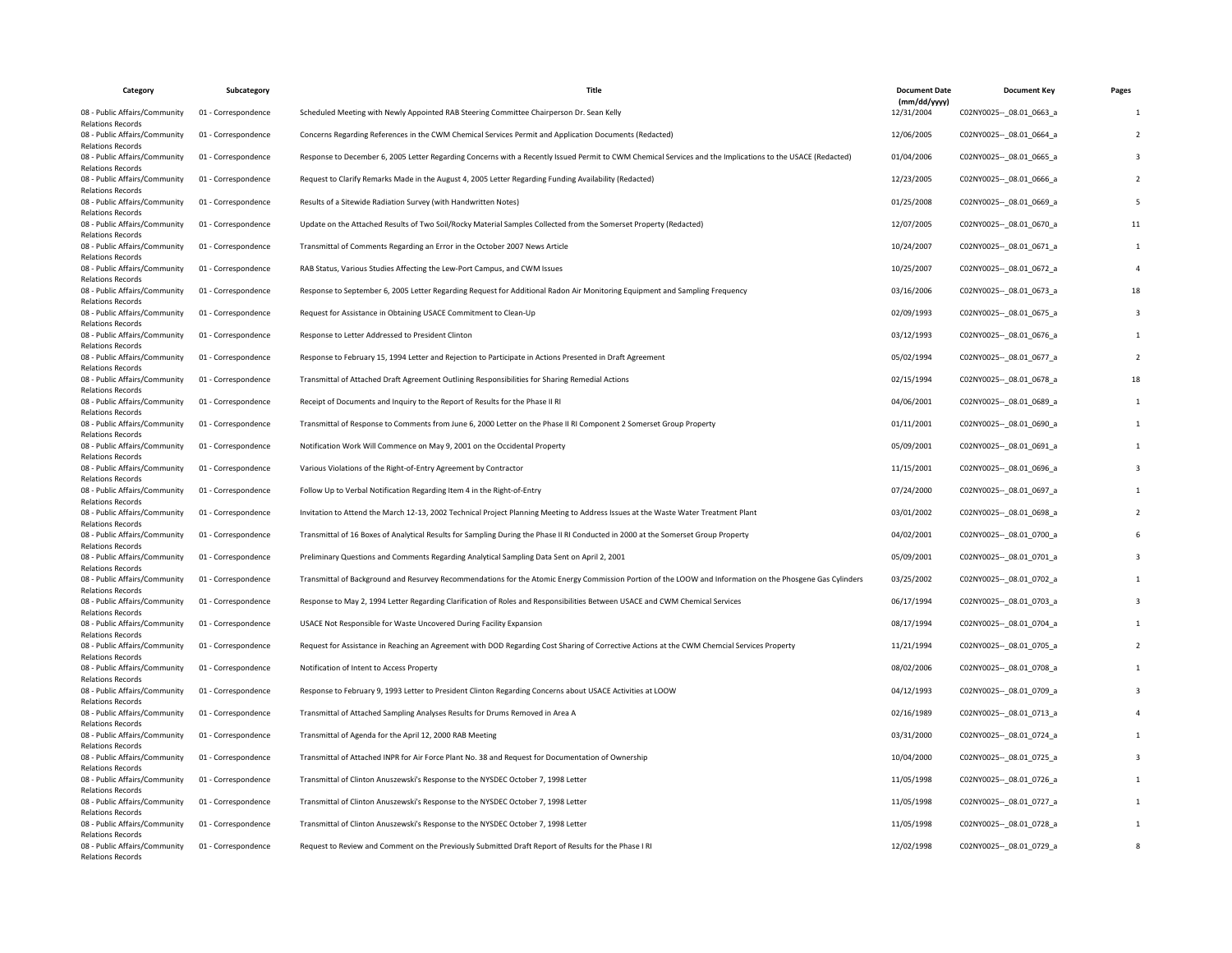| Category                                                  | Subcategory         | Title                                                                                                                                                      | <b>Document Date</b>       | <b>Document Key</b>         | Pages |
|-----------------------------------------------------------|---------------------|------------------------------------------------------------------------------------------------------------------------------------------------------------|----------------------------|-----------------------------|-------|
| 08 - Public Affairs/Community<br><b>Relations Records</b> | 01 - Correspondence | Scheduled Meeting with Newly Appointed RAB Steering Committee Chairperson Dr. Sean Kelly                                                                   | (mm/dd/yyyy)<br>12/31/2004 | C02NY0025 -- _ 08.01_0663_a |       |
| 08 - Public Affairs/Community<br><b>Relations Records</b> | 01 - Correspondence | Concerns Regarding References in the CWM Chemical Services Permit and Application Documents (Redacted)                                                     | 12/06/2005                 | C02NY0025 -- 08.01 0664 a   |       |
| 08 - Public Affairs/Community<br><b>Relations Records</b> | 01 - Correspondence | Response to December 6, 2005 Letter Regarding Concerns with a Recently Issued Permit to CWM Chemical Services and the Implications to the USACE (Redacted) | 01/04/2006                 | C02NY0025 -- 08.01 0665_a   |       |
| 08 - Public Affairs/Community<br><b>Relations Records</b> | 01 - Correspondence | Request to Clarify Remarks Made in the August 4, 2005 Letter Regarding Funding Availability (Redacted)                                                     | 12/23/2005                 | C02NY0025 -- 08.01 0666_a   |       |
| 08 - Public Affairs/Community<br><b>Relations Records</b> | 01 - Correspondence | Results of a Sitewide Radiation Survey (with Handwritten Notes)                                                                                            | 01/25/2008                 | C02NY0025 -- 08.01 0669 a   |       |
| 08 - Public Affairs/Community<br><b>Relations Records</b> | 01 - Correspondence | Update on the Attached Results of Two Soil/Rocky Material Samples Collected from the Somerset Property (Redacted)                                          | 12/07/2005                 | C02NY0025 -- _ 08.01_0670_a | 11    |
| 08 - Public Affairs/Community<br><b>Relations Records</b> | 01 - Correspondence | Transmittal of Comments Regarding an Error in the October 2007 News Article                                                                                | 10/24/2007                 | C02NY0025 -- 08.01 0671 a   |       |
| 08 - Public Affairs/Community<br><b>Relations Records</b> | 01 - Correspondence | RAB Status, Various Studies Affecting the Lew-Port Campus, and CWM Issues                                                                                  | 10/25/2007                 | C02NY0025 -- 08.01 0672 a   |       |
| 08 - Public Affairs/Community<br><b>Relations Records</b> | 01 - Correspondence | Response to September 6, 2005 Letter Regarding Request for Additional Radon Air Monitoring Equipment and Sampling Frequency                                | 03/16/2006                 | C02NY0025 -- 08.01 0673 a   |       |
| 08 - Public Affairs/Community<br><b>Relations Records</b> | 01 - Correspondence | Request for Assistance in Obtaining USACE Commitment to Clean-Up                                                                                           | 02/09/1993                 | C02NY0025 -- _ 08.01_0675_a |       |
| 08 - Public Affairs/Community<br><b>Relations Records</b> | 01 - Correspondence | Response to Letter Addressed to President Clinton                                                                                                          | 03/12/1993                 | C02NY0025 -- 08.01 0676 a   |       |
| 08 - Public Affairs/Community<br><b>Relations Records</b> | 01 - Correspondence | Response to February 15, 1994 Letter and Rejection to Participate in Actions Presented in Draft Agreement                                                  | 05/02/1994                 | C02NY0025 -- 08.01 0677_a   |       |
| 08 - Public Affairs/Community<br><b>Relations Records</b> | 01 - Correspondence | Transmittal of Attached Draft Agreement Outlining Responsibilities for Sharing Remedial Actions                                                            | 02/15/1994                 | C02NY0025 -- _ 08.01_0678_a | 18    |
| 08 - Public Affairs/Community<br><b>Relations Records</b> | 01 - Correspondence | Receipt of Documents and Inquiry to the Report of Results for the Phase II RI                                                                              | 04/06/2001                 | C02NY0025 -- 08.01 0689 a   |       |
| 08 - Public Affairs/Community<br><b>Relations Records</b> | 01 - Correspondence | Transmittal of Response to Comments from June 6, 2000 Letter on the Phase II RI Component 2 Somerset Group Property                                        | 01/11/2001                 | C02NY0025 -- 08.01 0690 a   |       |
| 08 - Public Affairs/Community<br><b>Relations Records</b> | 01 - Correspondence | Notification Work Will Commence on May 9, 2001 on the Occidental Property                                                                                  | 05/09/2001                 | C02NY0025 -- 08.01 0691 a   |       |
| 08 - Public Affairs/Community<br><b>Relations Records</b> | 01 - Correspondence | Various Violations of the Right-of-Entry Agreement by Contractor                                                                                           | 11/15/2001                 | C02NY0025 -- 08.01 0696 a   |       |
| 08 - Public Affairs/Community<br><b>Relations Records</b> | 01 - Correspondence | Follow Up to Verbal Notification Regarding Item 4 in the Right-of-Entry                                                                                    | 07/24/2000                 | C02NY0025 -- _ 08.01_0697_a |       |
| 08 - Public Affairs/Community<br><b>Relations Records</b> | 01 - Correspondence | Invitation to Attend the March 12-13, 2002 Technical Project Planning Meeting to Address Issues at the Waste Water Treatment Plant                         | 03/01/2002                 | C02NY0025 -- 08.01 0698 a   |       |
| 08 - Public Affairs/Community                             | 01 - Correspondence | Transmittal of 16 Boxes of Analytical Results for Sampling During the Phase II RI Conducted in 2000 at the Somerset Group Property                         | 04/02/2001                 | C02NY0025 -- 08.01 0700 a   |       |
| <b>Relations Records</b><br>08 - Public Affairs/Community | 01 - Correspondence | Preliminary Questions and Comments Regarding Analytical Sampling Data Sent on April 2, 2001                                                                | 05/09/2001                 | C02NY0025 -- 08.01 0701 a   |       |
| <b>Relations Records</b><br>08 - Public Affairs/Community | 01 - Correspondence | Transmittal of Background and Resurvey Recommendations for the Atomic Energy Commission Portion of the LOOW and Information on the Phosgene Gas Cylinders  | 03/25/2002                 | C02NY0025 -- _ 08.01_0702_a |       |
| <b>Relations Records</b><br>08 - Public Affairs/Community | 01 - Correspondence | Response to May 2, 1994 Letter Regarding Clarification of Roles and Responsibilities Between USACE and CWM Chemical Services                               | 06/17/1994                 | C02NY0025 -- 08.01 0703 a   |       |
| <b>Relations Records</b><br>08 - Public Affairs/Community | 01 - Correspondence | USACE Not Responsible for Waste Uncovered During Facility Expansion                                                                                        | 08/17/1994                 | C02NY0025 -- 08.01 0704 a   |       |
| <b>Relations Records</b><br>08 - Public Affairs/Community | 01 - Correspondence | Request for Assistance in Reaching an Agreement with DOD Regarding Cost Sharing of Corrective Actions at the CWM Chemcial Services Property                | 11/21/1994                 | C02NY0025 -- _ 08.01_0705_a |       |
| <b>Relations Records</b><br>08 - Public Affairs/Community | 01 - Correspondence | Notification of Intent to Access Property                                                                                                                  | 08/02/2006                 | C02NY0025 -- 08.01 0708 a   |       |
| <b>Relations Records</b><br>08 - Public Affairs/Community | 01 - Correspondence | Response to February 9, 1993 Letter to President Clinton Regarding Concerns about USACE Activities at LOOW                                                 | 04/12/1993                 | C02NY0025 -- 08.01 0709 a   |       |
| <b>Relations Records</b><br>08 - Public Affairs/Community | 01 - Correspondence | Transmittal of Attached Sampling Analyses Results for Drums Removed in Area A                                                                              | 02/16/1989                 | C02NY0025 -- 08.01 0713 a   |       |
| <b>Relations Records</b><br>08 - Public Affairs/Community | 01 - Correspondence | Transmittal of Agenda for the April 12, 2000 RAB Meeting                                                                                                   | 03/31/2000                 | C02NY0025 -- 08.01 0724 a   |       |
| <b>Relations Records</b><br>08 - Public Affairs/Community | 01 - Correspondence | Transmittal of Attached INPR for Air Force Plant No. 38 and Request for Documentation of Ownership                                                         | 10/04/2000                 | C02NY0025 -- _ 08.01_0725_a |       |
| <b>Relations Records</b><br>08 - Public Affairs/Community | 01 - Correspondence | Transmittal of Clinton Anuszewski's Response to the NYSDEC October 7, 1998 Letter                                                                          | 11/05/1998                 | C02NY0025 -- 08.01 0726 a   |       |
| <b>Relations Records</b><br>08 - Public Affairs/Community | 01 - Correspondence | Transmittal of Clinton Anuszewski's Response to the NYSDEC October 7, 1998 Letter                                                                          | 11/05/1998                 | C02NY0025 -- 08.01 0727 a   |       |
| <b>Relations Records</b><br>08 - Public Affairs/Community | 01 - Correspondence | Transmittal of Clinton Anuszewski's Response to the NYSDEC October 7, 1998 Letter                                                                          | 11/05/1998                 | C02NY0025 -- 08.01 0728 a   |       |
| <b>Relations Records</b><br>08 - Public Affairs/Community | 01 - Correspondence | Request to Review and Comment on the Previously Submitted Draft Report of Results for the Phase I RI                                                       | 12/02/1998                 | C02NY0025 -- _ 08.01_0729_a |       |
| <b>Relations Records</b>                                  |                     |                                                                                                                                                            |                            |                             |       |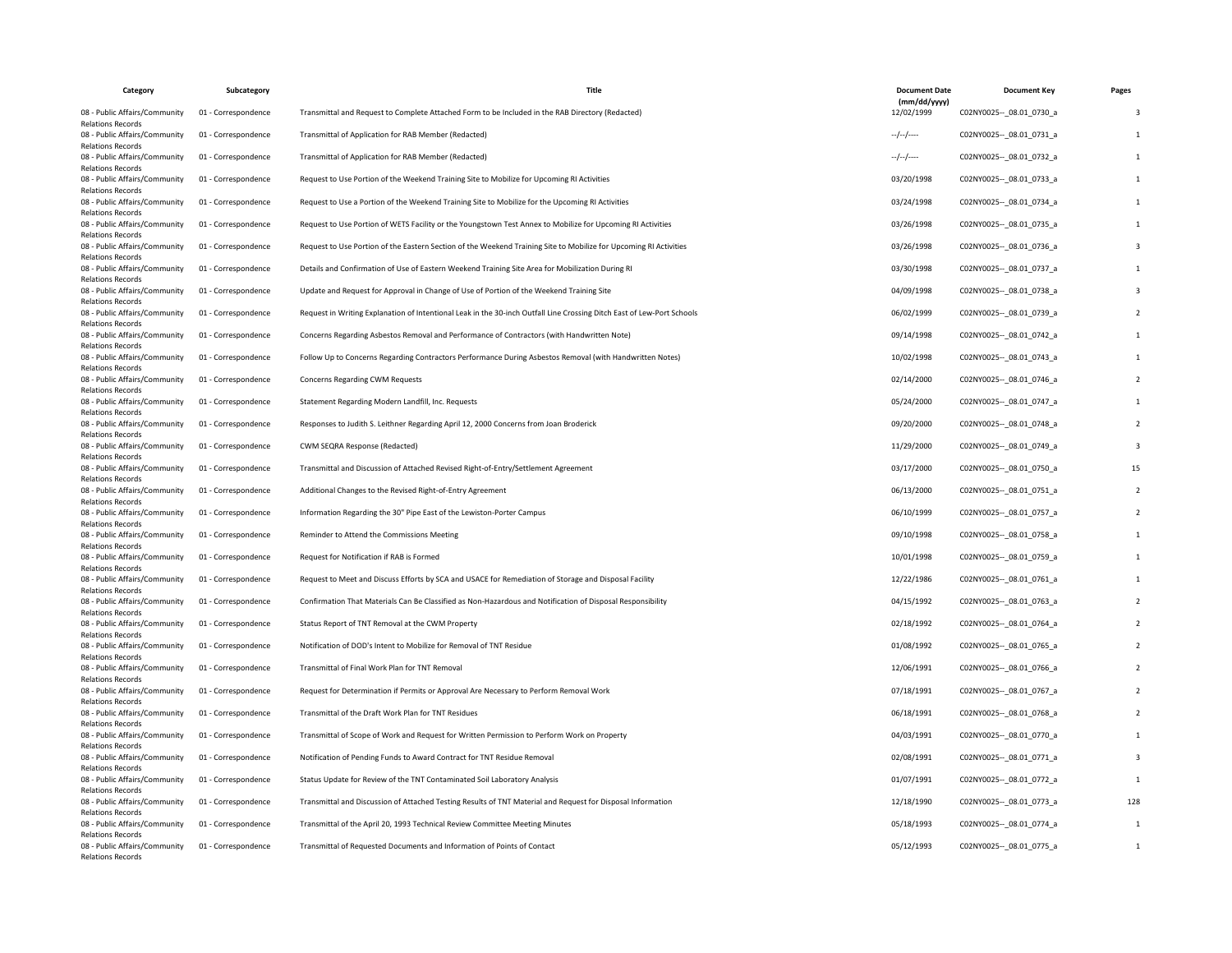| Category                                                                              | Subcategory         | Title                                                                                                                  | <b>Document Date</b>       | <b>Document Key</b>         | Pages |
|---------------------------------------------------------------------------------------|---------------------|------------------------------------------------------------------------------------------------------------------------|----------------------------|-----------------------------|-------|
| 08 - Public Affairs/Community<br><b>Relations Records</b>                             | 01 - Correspondence | Transmittal and Request to Complete Attached Form to be Included in the RAB Directory (Redacted)                       | (mm/dd/yyyy)<br>12/02/1999 | C02NY0025 -- _ 08.01_0730_a |       |
| 08 - Public Affairs/Community<br><b>Relations Records</b>                             | 01 - Correspondence | Transmittal of Application for RAB Member (Redacted)                                                                   | --/--/----                 | C02NY0025 -- 08.01 0731 a   |       |
| 08 - Public Affairs/Community<br><b>Relations Records</b>                             | 01 - Correspondence | Transmittal of Application for RAB Member (Redacted)                                                                   | $-/-/-/$                   | C02NY0025 -- 08.01 0732 a   |       |
| 08 - Public Affairs/Community<br><b>Relations Records</b>                             | 01 - Correspondence | Request to Use Portion of the Weekend Training Site to Mobilize for Upcoming RI Activities                             | 03/20/1998                 | C02NY0025 -- 08.01 0733 a   |       |
| 08 - Public Affairs/Community<br><b>Relations Records</b>                             | 01 - Correspondence | Request to Use a Portion of the Weekend Training Site to Mobilize for the Upcoming RI Activities                       | 03/24/1998                 | C02NY0025 -- 08.01 0734 a   |       |
| 08 - Public Affairs/Community<br><b>Relations Records</b>                             | 01 - Correspondence | Request to Use Portion of WETS Facility or the Youngstown Test Annex to Mobilize for Upcoming RI Activities            | 03/26/1998                 | C02NY0025 -- _ 08.01_0735_a |       |
| 08 - Public Affairs/Community<br><b>Relations Records</b>                             | 01 - Correspondence | Request to Use Portion of the Eastern Section of the Weekend Training Site to Mobilize for Upcoming RI Activities      | 03/26/1998                 | C02NY0025 -- 08.01 0736 a   |       |
| 08 - Public Affairs/Community<br><b>Relations Records</b>                             | 01 - Correspondence | Details and Confirmation of Use of Eastern Weekend Training Site Area for Mobilization During RI                       | 03/30/1998                 | C02NY0025 -- 08.01 0737 a   |       |
| 08 - Public Affairs/Community<br><b>Relations Records</b>                             | 01 - Correspondence | Update and Request for Approval in Change of Use of Portion of the Weekend Training Site                               | 04/09/1998                 | C02NY0025 -- 08.01 0738 a   |       |
| 08 - Public Affairs/Community<br><b>Relations Records</b>                             | 01 - Correspondence | Request in Writing Explanation of Intentional Leak in the 30-inch Outfall Line Crossing Ditch East of Lew-Port Schools | 06/02/1999                 | C02NY0025 -- 08.01 0739 a   |       |
| 08 - Public Affairs/Community<br><b>Relations Records</b>                             | 01 - Correspondence | Concerns Regarding Asbestos Removal and Performance of Contractors (with Handwritten Note)                             | 09/14/1998                 | C02NY0025 -- 08.01 0742 a   |       |
| 08 - Public Affairs/Community<br><b>Relations Records</b>                             | 01 - Correspondence | Follow Up to Concerns Regarding Contractors Performance During Asbestos Removal (with Handwritten Notes)               | 10/02/1998                 | C02NY0025 -- 08.01 0743 a   |       |
| 08 - Public Affairs/Community<br><b>Relations Records</b>                             | 01 - Correspondence | Concerns Regarding CWM Requests                                                                                        | 02/14/2000                 | C02NY0025 -- _ 08.01_0746_a |       |
| 08 - Public Affairs/Community<br><b>Relations Records</b>                             | 01 - Correspondence | Statement Regarding Modern Landfill, Inc. Requests                                                                     | 05/24/2000                 | C02NY0025 -- 08.01 0747 a   |       |
| 08 - Public Affairs/Community<br><b>Relations Records</b>                             | 01 - Correspondence | Responses to Judith S. Leithner Regarding April 12, 2000 Concerns from Joan Broderick                                  | 09/20/2000                 | C02NY0025 -- 08.01 0748 a   |       |
| 08 - Public Affairs/Community<br><b>Relations Records</b>                             | 01 - Correspondence | CWM SEQRA Response (Redacted)                                                                                          | 11/29/2000                 | C02NY0025 -- 08.01 0749 a   |       |
| 08 - Public Affairs/Community<br>Relations Records                                    | 01 - Correspondence | Transmittal and Discussion of Attached Revised Right-of-Entry/Settlement Agreement                                     | 03/17/2000                 | C02NY0025 -- 08.01 0750_a   | 15    |
| 08 - Public Affairs/Community<br><b>Relations Records</b>                             | 01 - Correspondence | Additional Changes to the Revised Right-of-Entry Agreement                                                             | 06/13/2000                 | C02NY0025 -- _ 08.01_0751_a |       |
| 08 - Public Affairs/Community<br><b>Relations Records</b>                             | 01 - Correspondence | Information Regarding the 30" Pipe East of the Lewiston-Porter Campus                                                  | 06/10/1999                 | C02NY0025 -- 08.01 0757_a   |       |
| 08 - Public Affairs/Community<br><b>Relations Records</b>                             | 01 - Correspondence | Reminder to Attend the Commissions Meeting                                                                             | 09/10/1998                 | C02NY0025 -- 08.01 0758 a   |       |
| 08 - Public Affairs/Community<br><b>Relations Records</b>                             | 01 - Correspondence | Request for Notification if RAB is Formed                                                                              | 10/01/1998                 | C02NY0025 -- 08.01 0759 a   |       |
| 08 - Public Affairs/Community<br><b>Relations Records</b>                             | 01 - Correspondence | Request to Meet and Discuss Efforts by SCA and USACE for Remediation of Storage and Disposal Facility                  | 12/22/1986                 | C02NY0025 -- _ 08.01_0761_a |       |
| 08 - Public Affairs/Community<br><b>Relations Records</b>                             | 01 - Correspondence | Confirmation That Materials Can Be Classified as Non-Hazardous and Notification of Disposal Responsibility             | 04/15/1992                 | C02NY0025 -- 08.01 0763 a   |       |
| 08 - Public Affairs/Community<br><b>Relations Records</b>                             | 01 - Correspondence | Status Report of TNT Removal at the CWM Property                                                                       | 02/18/1992                 | C02NY0025 -- 08.01 0764 a   |       |
| 08 - Public Affairs/Community                                                         | 01 - Correspondence | Notification of DOD's Intent to Mobilize for Removal of TNT Residue                                                    | 01/08/1992                 | C02NY0025 -- _ 08.01_0765_a |       |
| <b>Relations Records</b><br>08 - Public Affairs/Community<br><b>Relations Records</b> | 01 - Correspondence | Transmittal of Final Work Plan for TNT Removal                                                                         | 12/06/1991                 | C02NY0025 -- 08.01 0766 a   |       |
| 08 - Public Affairs/Community                                                         | 01 - Correspondence | Request for Determination if Permits or Approval Are Necessary to Perform Removal Work                                 | 07/18/1991                 | C02NY0025 -- 08.01 0767 a   |       |
| <b>Relations Records</b><br>08 - Public Affairs/Community                             | 01 - Correspondence | Transmittal of the Draft Work Plan for TNT Residues                                                                    | 06/18/1991                 | C02NY0025 -- 08.01 0768_a   |       |
| <b>Relations Records</b><br>08 - Public Affairs/Community                             | 01 - Correspondence | Transmittal of Scope of Work and Request for Written Permission to Perform Work on Property                            | 04/03/1991                 | C02NY0025 -- 08.01 0770 a   |       |
| <b>Relations Records</b><br>08 - Public Affairs/Community                             | 01 - Correspondence | Notification of Pending Funds to Award Contract for TNT Residue Removal                                                | 02/08/1991                 | C02NY0025 -- _ 08.01_0771_a |       |
| <b>Relations Records</b><br>08 - Public Affairs/Community                             | 01 - Correspondence | Status Update for Review of the TNT Contaminated Soil Laboratory Analysis                                              | 01/07/1991                 | C02NY0025 -- 08.01 0772 a   |       |
| <b>Relations Records</b><br>08 - Public Affairs/Community                             | 01 - Correspondence | Transmittal and Discussion of Attached Testing Results of TNT Material and Request for Disposal Information            | 12/18/1990                 | C02NY0025 -- 08.01 0773 a   | 128   |
| <b>Relations Records</b><br>08 - Public Affairs/Community                             | 01 - Correspondence | Transmittal of the April 20, 1993 Technical Review Committee Meeting Minutes                                           | 05/18/1993                 | C02NY0025 -- 08.01 0774 a   |       |
| <b>Relations Records</b><br>08 - Public Affairs/Community<br><b>Relations Records</b> | 01 - Correspondence | Transmittal of Requested Documents and Information of Points of Contact                                                | 05/12/1993                 | C02NY0025 -- _ 08.01_0775_a |       |
|                                                                                       |                     |                                                                                                                        |                            |                             |       |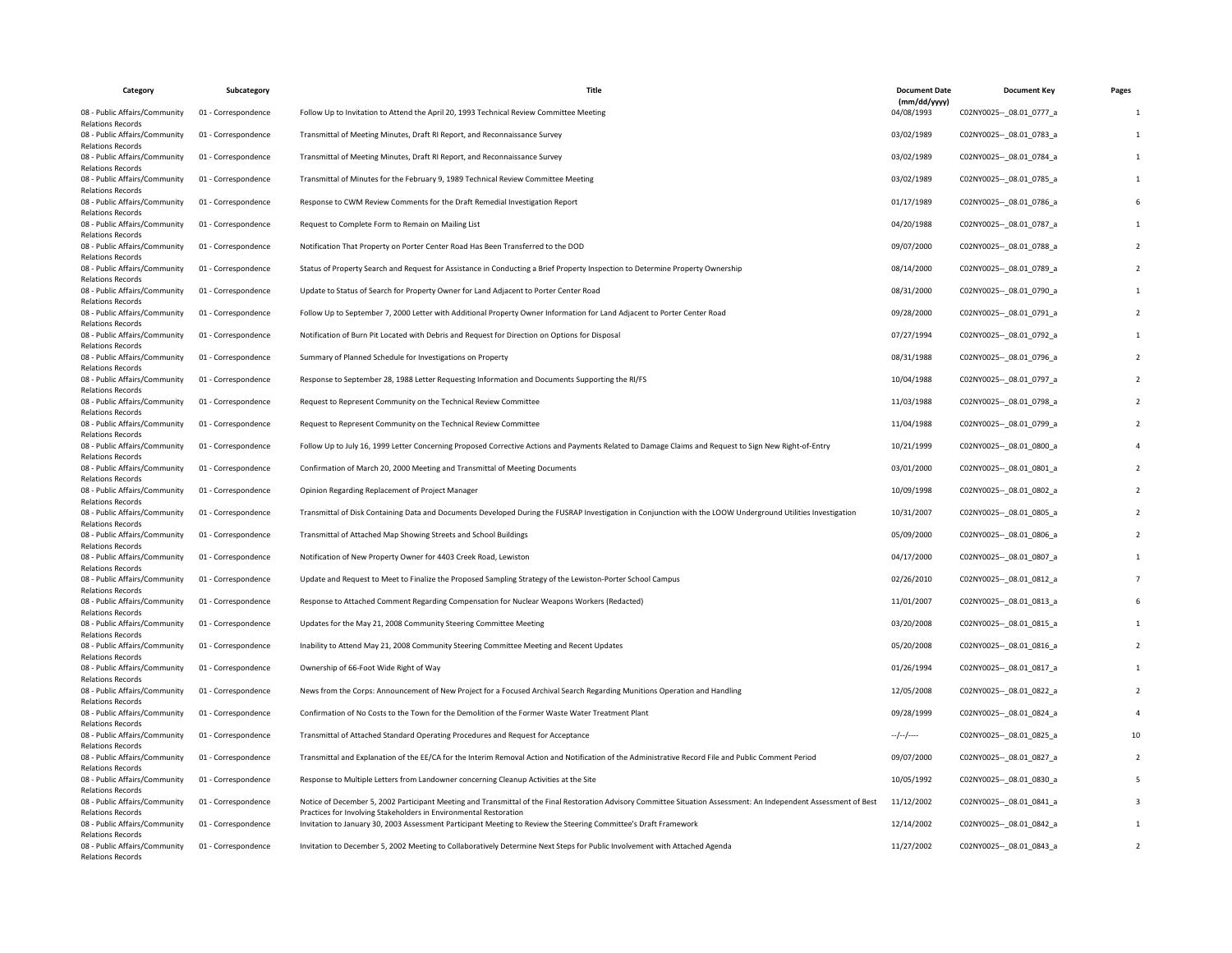| Category                                                  | Subcategory         | Title                                                                                                                                                                                                                                   | <b>Document Date</b>       | <b>Document Kev</b>         | Pages |
|-----------------------------------------------------------|---------------------|-----------------------------------------------------------------------------------------------------------------------------------------------------------------------------------------------------------------------------------------|----------------------------|-----------------------------|-------|
| 08 - Public Affairs/Community<br><b>Relations Records</b> | 01 - Correspondence | Follow Up to Invitation to Attend the April 20, 1993 Technical Review Committee Meeting                                                                                                                                                 | (mm/dd/yyyy)<br>04/08/1993 | C02NY0025 -- 08.01 0777 a   |       |
| 08 - Public Affairs/Community<br><b>Relations Records</b> | 01 - Correspondence | Transmittal of Meeting Minutes, Draft RI Report, and Reconnaissance Survey                                                                                                                                                              | 03/02/1989                 | C02NY0025 -- _ 08.01_0783_a |       |
| 08 - Public Affairs/Community<br><b>Relations Records</b> | 01 - Correspondence | Transmittal of Meeting Minutes, Draft RI Report, and Reconnaissance Survey                                                                                                                                                              | 03/02/1989                 | C02NY0025 -- 08.01 0784 a   |       |
| 08 - Public Affairs/Community<br><b>Relations Records</b> | 01 - Correspondence | Transmittal of Minutes for the February 9, 1989 Technical Review Committee Meeting                                                                                                                                                      | 03/02/1989                 | C02NY0025 -- 08.01 0785 a   |       |
| 08 - Public Affairs/Community<br><b>Relations Records</b> | 01 - Correspondence | Response to CWM Review Comments for the Draft Remedial Investigation Report                                                                                                                                                             | 01/17/1989                 | C02NY0025 -- 08.01 0786 a   |       |
| 08 - Public Affairs/Community<br><b>Relations Records</b> | 01 - Correspondence | Request to Complete Form to Remain on Mailing List                                                                                                                                                                                      | 04/20/1988                 | C02NY0025 -- 08.01 0787 a   |       |
| 08 - Public Affairs/Community<br><b>Relations Records</b> | 01 - Correspondence | Notification That Property on Porter Center Road Has Been Transferred to the DOD                                                                                                                                                        | 09/07/2000                 | C02NY0025 -- 08.01 0788 a   |       |
| 08 - Public Affairs/Community<br><b>Relations Records</b> | 01 - Correspondence | Status of Property Search and Request for Assistance in Conducting a Brief Property Inspection to Determine Property Ownership                                                                                                          | 08/14/2000                 | C02NY0025 -- 08.01 0789_a   |       |
| 08 - Public Affairs/Community<br><b>Relations Records</b> | 01 - Correspondence | Update to Status of Search for Property Owner for Land Adjacent to Porter Center Road                                                                                                                                                   | 08/31/2000                 | C02NY0025 -- 08.01 0790 a   |       |
| 08 - Public Affairs/Community<br><b>Relations Records</b> | 01 - Correspondence | Follow Up to September 7, 2000 Letter with Additional Property Owner Information for Land Adjacent to Porter Center Road                                                                                                                | 09/28/2000                 | C02NY0025 -- 08.01 0791 a   |       |
| 08 - Public Affairs/Community<br><b>Relations Records</b> | 01 - Correspondence | Notification of Burn Pit Located with Debris and Request for Direction on Options for Disposal                                                                                                                                          | 07/27/1994                 | C02NY0025 -- _ 08.01_0792_a |       |
| 08 - Public Affairs/Community<br><b>Relations Records</b> | 01 - Correspondence | Summary of Planned Schedule for Investigations on Property                                                                                                                                                                              | 08/31/1988                 | C02NY0025 -- 08.01 0796 a   |       |
| 08 - Public Affairs/Community<br><b>Relations Records</b> | 01 - Correspondence | Response to September 28, 1988 Letter Requesting Information and Documents Supporting the RI/FS                                                                                                                                         | 10/04/1988                 | C02NY0025 -- 08.01 0797 a   |       |
| 08 - Public Affairs/Community<br><b>Relations Records</b> | 01 - Correspondence | Request to Represent Community on the Technical Review Committee                                                                                                                                                                        | 11/03/1988                 | C02NY0025 -- 08.01 0798 a   |       |
| 08 - Public Affairs/Community<br><b>Relations Records</b> | 01 - Correspondence | Request to Represent Community on the Technical Review Committee                                                                                                                                                                        | 11/04/1988                 | C02NY0025 -- 08.01 0799_a   |       |
| 08 - Public Affairs/Community<br><b>Relations Records</b> | 01 - Correspondence | Follow Up to July 16, 1999 Letter Concerning Proposed Corrective Actions and Payments Related to Damage Claims and Request to Sign New Right-of-Entry                                                                                   | 10/21/1999                 | C02NY0025 -- _ 08.01_0800_a |       |
| 08 - Public Affairs/Community<br><b>Relations Records</b> | 01 - Correspondence | Confirmation of March 20, 2000 Meeting and Transmittal of Meeting Documents                                                                                                                                                             | 03/01/2000                 | C02NY0025 -- 08.01 0801 a   |       |
| 08 - Public Affairs/Community<br><b>Relations Records</b> | 01 - Correspondence | Opinion Regarding Replacement of Project Manager                                                                                                                                                                                        | 10/09/1998                 | C02NY0025 -- 08.01 0802 a   |       |
| 08 - Public Affairs/Community<br><b>Relations Records</b> | 01 - Correspondence | Transmittal of Disk Containing Data and Documents Developed During the FUSRAP Investigation in Conjunction with the LOOW Underground Utilities Investigation                                                                            | 10/31/2007                 | C02NY0025 -- 08.01 0805 a   |       |
| 08 - Public Affairs/Community<br><b>Relations Records</b> | 01 - Correspondence | Transmittal of Attached Map Showing Streets and School Buildings                                                                                                                                                                        | 05/09/2000                 | C02NY0025 -- _ 08.01_0806_a |       |
| 08 - Public Affairs/Community<br><b>Relations Records</b> | 01 - Correspondence | Notification of New Property Owner for 4403 Creek Road, Lewiston                                                                                                                                                                        | 04/17/2000                 | C02NY0025 -- 08.01 0807_a   |       |
| 08 - Public Affairs/Community<br><b>Relations Records</b> | 01 - Correspondence | Update and Request to Meet to Finalize the Proposed Sampling Strategy of the Lewiston-Porter School Campus                                                                                                                              | 02/26/2010                 | C02NY0025 -- 08.01 0812 a   |       |
| 08 - Public Affairs/Community<br><b>Relations Records</b> | 01 - Correspondence | Response to Attached Comment Regarding Compensation for Nuclear Weapons Workers (Redacted)                                                                                                                                              | 11/01/2007                 | C02NY0025 -- 08.01 0813 a   |       |
| 08 - Public Affairs/Community<br><b>Relations Records</b> | 01 - Correspondence | Updates for the May 21, 2008 Community Steering Committee Meeting                                                                                                                                                                       | 03/20/2008                 | C02NY0025 -- 08.01 0815 a   |       |
| 08 - Public Affairs/Community<br><b>Relations Records</b> | 01 - Correspondence | Inability to Attend May 21, 2008 Community Steering Committee Meeting and Recent Updates                                                                                                                                                | 05/20/2008                 | C02NY0025 -- _ 08.01_0816_a |       |
| 08 - Public Affairs/Community<br><b>Relations Records</b> | 01 - Correspondence | Ownership of 66-Foot Wide Right of Way                                                                                                                                                                                                  | 01/26/1994                 | C02NY0025 -- 08.01 0817 a   |       |
| 08 - Public Affairs/Community<br><b>Relations Records</b> | 01 - Correspondence | News from the Corps: Announcement of New Project for a Focused Archival Search Regarding Munitions Operation and Handling                                                                                                               | 12/05/2008                 | C02NY0025 -- 08.01 0822 a   |       |
| 08 - Public Affairs/Community<br><b>Relations Records</b> | 01 - Correspondence | Confirmation of No Costs to the Town for the Demolition of the Former Waste Water Treatment Plant                                                                                                                                       | 09/28/1999                 | C02NY0025 -- 08.01 0824 a   |       |
| 08 - Public Affairs/Community<br><b>Relations Records</b> | 01 - Correspondence | Transmittal of Attached Standard Operating Procedures and Request for Acceptance                                                                                                                                                        | $-/-/-$                    | C02NY0025 -- 08.01 0825 a   |       |
| 08 - Public Affairs/Community<br><b>Relations Records</b> | 01 - Correspondence | Transmittal and Explanation of the EE/CA for the Interim Removal Action and Notification of the Administrative Record File and Public Comment Period                                                                                    | 09/07/2000                 | C02NY0025 -- 08.01 0827 a   |       |
| 08 - Public Affairs/Community<br><b>Relations Records</b> | 01 - Correspondence | Response to Multiple Letters from Landowner concerning Cleanup Activities at the Site                                                                                                                                                   | 10/05/1992                 | C02NY0025 -- 08.01 0830 a   |       |
| 08 - Public Affairs/Community<br><b>Relations Records</b> | 01 - Correspondence | Notice of December 5, 2002 Participant Meeting and Transmittal of the Final Restoration Advisory Committee Situation Assessment: An Independent Assessment of Best<br>Practices for Involving Stakeholders in Environmental Restoration | 11/12/2002                 | C02NY0025 -- 08.01 0841 a   |       |
| 08 - Public Affairs/Community<br><b>Relations Records</b> | 01 - Correspondence | Invitation to January 30, 2003 Assessment Participant Meeting to Review the Steering Committee's Draft Framework                                                                                                                        | 12/14/2002                 | C02NY0025 -- 08.01 0842 a   |       |
| 08 - Public Affairs/Community<br><b>Relations Records</b> | 01 - Correspondence | Invitation to December 5, 2002 Meeting to Collaboratively Determine Next Steps for Public Involvement with Attached Agenda                                                                                                              | 11/27/2002                 | C02NY0025 -- _ 08.01_0843_a |       |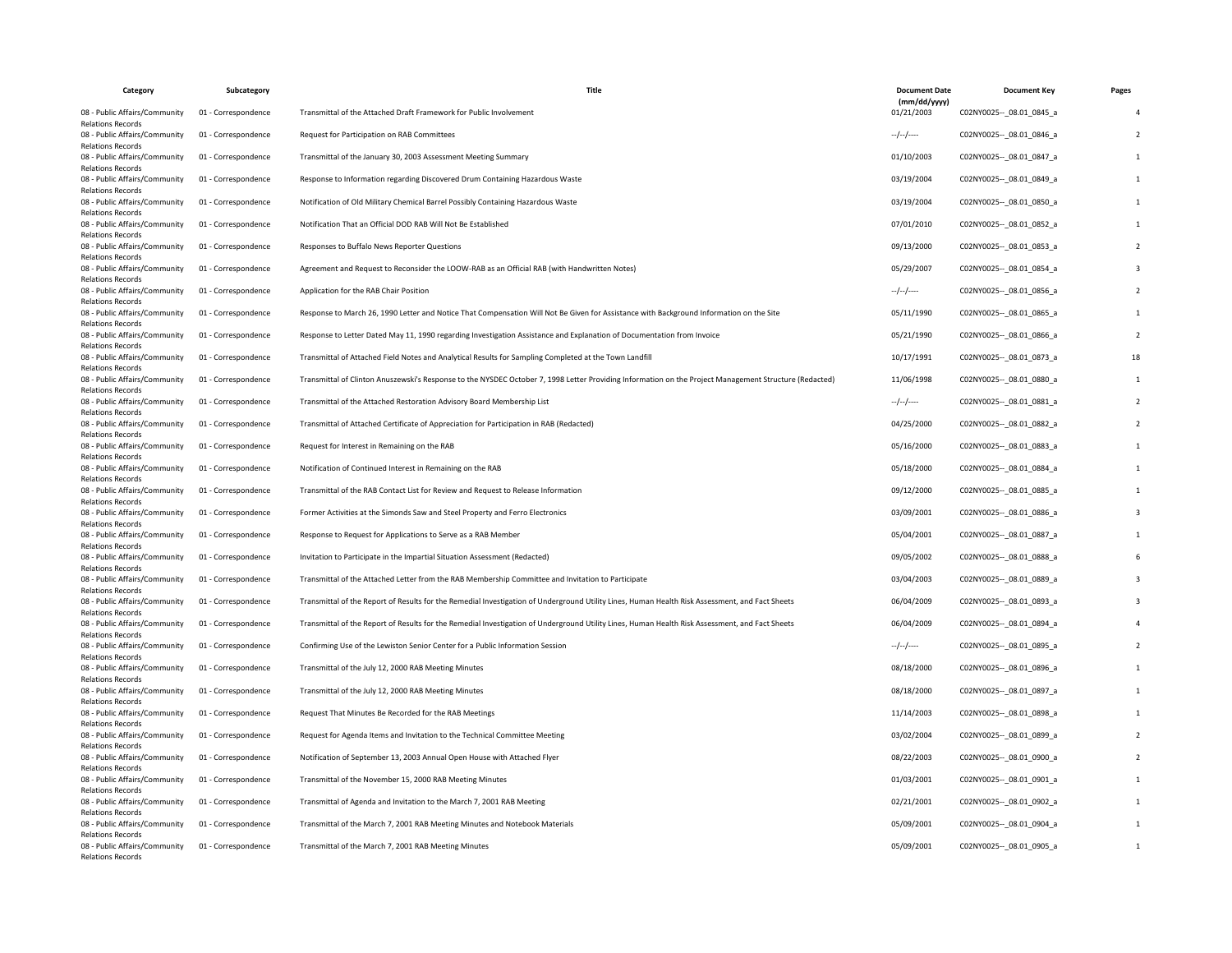| Category                                                  | Subcategory         | Title                                                                                                                                                  | <b>Document Date</b>       | <b>Document Key</b>         | Pages |
|-----------------------------------------------------------|---------------------|--------------------------------------------------------------------------------------------------------------------------------------------------------|----------------------------|-----------------------------|-------|
| 08 - Public Affairs/Community<br><b>Relations Records</b> | 01 - Correspondence | Transmittal of the Attached Draft Framework for Public Involvement                                                                                     | (mm/dd/yyyy)<br>01/21/2003 | C02NY0025 -- 08.01 0845 a   |       |
| 08 - Public Affairs/Community<br><b>Relations Records</b> | 01 - Correspondence | Request for Participation on RAB Committees                                                                                                            | $-/-/-$                    | C02NY0025 -- _ 08.01_0846_a |       |
| 08 - Public Affairs/Community<br><b>Relations Records</b> | 01 - Correspondence | Transmittal of the January 30, 2003 Assessment Meeting Summary                                                                                         | 01/10/2003                 | C02NY0025 -- 08.01 0847 a   |       |
| 08 - Public Affairs/Community<br><b>Relations Records</b> | 01 - Correspondence | Response to Information regarding Discovered Drum Containing Hazardous Waste                                                                           | 03/19/2004                 | C02NY0025 -- _ 08.01_0849_a |       |
| 08 - Public Affairs/Community<br><b>Relations Records</b> | 01 - Correspondence | Notification of Old Military Chemical Barrel Possibly Containing Hazardous Waste                                                                       | 03/19/2004                 | C02NY0025 -- 08.01 0850 a   |       |
| 08 - Public Affairs/Community<br><b>Relations Records</b> | 01 - Correspondence | Notification That an Official DOD RAB Will Not Be Established                                                                                          | 07/01/2010                 | C02NY0025 -- 08.01 0852 a   |       |
| 08 - Public Affairs/Community<br><b>Relations Records</b> | 01 - Correspondence | Responses to Buffalo News Reporter Questions                                                                                                           | 09/13/2000                 | C02NY0025 -- _ 08.01_0853_a |       |
| 08 - Public Affairs/Community<br><b>Relations Records</b> | 01 - Correspondence | Agreement and Request to Reconsider the LOOW-RAB as an Official RAB (with Handwritten Notes)                                                           | 05/29/2007                 | C02NY0025 -- 08.01 0854_a   |       |
| 08 - Public Affairs/Community<br><b>Relations Records</b> | 01 - Correspondence | Application for the RAB Chair Position                                                                                                                 | --/--/----                 | C02NY0025 -- _ 08.01_0856_a |       |
| 08 - Public Affairs/Community<br><b>Relations Records</b> | 01 - Correspondence | Response to March 26, 1990 Letter and Notice That Compensation Will Not Be Given for Assistance with Background Information on the Site                | 05/11/1990                 | C02NY0025 -- 08.01 0865 a   |       |
| 08 - Public Affairs/Community<br><b>Relations Records</b> | 01 - Correspondence | Response to Letter Dated May 11, 1990 regarding Investigation Assistance and Explanation of Documentation from Invoice                                 | 05/21/1990                 | C02NY0025 -- 08.01 0866 a   |       |
| 08 - Public Affairs/Community<br><b>Relations Records</b> | 01 - Correspondence | Transmittal of Attached Field Notes and Analytical Results for Sampling Completed at the Town Landfill                                                 | 10/17/1991                 | C02NY0025 -- 08.01 0873 a   | 18    |
| 08 - Public Affairs/Community<br><b>Relations Records</b> | 01 - Correspondence | Transmittal of Clinton Anuszewski's Response to the NYSDEC October 7, 1998 Letter Providing Information on the Project Management Structure (Redacted) | 11/06/1998                 | C02NY0025 -- 08.01 0880 a   |       |
| 08 - Public Affairs/Community<br><b>Relations Records</b> | 01 - Correspondence | Transmittal of the Attached Restoration Advisory Board Membership List                                                                                 | $-/-/-/---$                | C02NY0025 -- 08.01 0881 a   |       |
| 08 - Public Affairs/Community<br><b>Relations Records</b> | 01 - Correspondence | Transmittal of Attached Certificate of Appreciation for Participation in RAB (Redacted)                                                                | 04/25/2000                 | C02NY0025 -- 08.01 0882 a   |       |
| 08 - Public Affairs/Community<br><b>Relations Records</b> | 01 - Correspondence | Request for Interest in Remaining on the RAB                                                                                                           | 05/16/2000                 | C02NY0025 -- 08.01 0883 a   |       |
| 08 - Public Affairs/Community<br><b>Relations Records</b> | 01 - Correspondence | Notification of Continued Interest in Remaining on the RAB                                                                                             | 05/18/2000                 | C02NY0025 -- 08.01 0884 a   |       |
| 08 - Public Affairs/Community<br><b>Relations Records</b> | 01 - Correspondence | Transmittal of the RAB Contact List for Review and Request to Release Information                                                                      | 09/12/2000                 | C02NY0025 -- _ 08.01_0885_a |       |
| 08 - Public Affairs/Community<br><b>Relations Records</b> | 01 - Correspondence | Former Activities at the Simonds Saw and Steel Property and Ferro Electronics                                                                          | 03/09/2001                 | C02NY0025 -- 08.01 0886 a   |       |
| 08 - Public Affairs/Community<br><b>Relations Records</b> | 01 - Correspondence | Response to Request for Applications to Serve as a RAB Member                                                                                          | 05/04/2001                 | C02NY0025 -- 08.01 0887_a   |       |
| 08 - Public Affairs/Community<br><b>Relations Records</b> | 01 - Correspondence | Invitation to Participate in the Impartial Situation Assessment (Redacted)                                                                             | 09/05/2002                 | C02NY0025 -- 08.01 0888 a   |       |
| 08 - Public Affairs/Community<br><b>Relations Records</b> | 01 - Correspondence | Transmittal of the Attached Letter from the RAB Membership Committee and Invitation to Participate                                                     | 03/04/2003                 | C02NY0025 -- 08.01 0889 a   |       |
| 08 - Public Affairs/Community<br><b>Relations Records</b> | 01 - Correspondence | Transmittal of the Report of Results for the Remedial Investigation of Underground Utility Lines, Human Health Risk Assessment, and Fact Sheets        | 06/04/2009                 | C02NY0025 -- _ 08.01_0893_a |       |
| 08 - Public Affairs/Community<br><b>Relations Records</b> | 01 - Correspondence | Transmittal of the Report of Results for the Remedial Investigation of Underground Utility Lines, Human Health Risk Assessment, and Fact Sheets        | 06/04/2009                 | C02NY0025 -- 08.01 0894 a   |       |
| 08 - Public Affairs/Community<br><b>Relations Records</b> | 01 - Correspondence | Confirming Use of the Lewiston Senior Center for a Public Information Session                                                                          | --/--/----                 | C02NY0025 -- 08.01 0895 a   |       |
| 08 - Public Affairs/Community<br><b>Relations Records</b> | 01 - Correspondence | Transmittal of the July 12, 2000 RAB Meeting Minutes                                                                                                   | 08/18/2000                 | C02NY0025 -- 08.01 0896 a   |       |
| 08 - Public Affairs/Community<br><b>Relations Records</b> | 01 - Correspondence | Transmittal of the July 12, 2000 RAB Meeting Minutes                                                                                                   | 08/18/2000                 | C02NY0025 -- 08.01 0897 a   |       |
| 08 - Public Affairs/Community<br><b>Relations Records</b> | 01 - Correspondence | Request That Minutes Be Recorded for the RAB Meetings                                                                                                  | 11/14/2003                 | C02NY0025 -- 08.01 0898 a   |       |
| 08 - Public Affairs/Community<br><b>Relations Records</b> | 01 - Correspondence | Request for Agenda Items and Invitation to the Technical Committee Meeting                                                                             | 03/02/2004                 | C02NY0025 -- 08.01 0899 a   |       |
| 08 - Public Affairs/Community<br><b>Relations Records</b> | 01 - Correspondence | Notification of September 13, 2003 Annual Open House with Attached Flyer                                                                               | 08/22/2003                 | C02NY0025 -- 08.01 0900 a   |       |
| 08 - Public Affairs/Community<br><b>Relations Records</b> | 01 - Correspondence | Transmittal of the November 15, 2000 RAB Meeting Minutes                                                                                               | 01/03/2001                 | C02NY0025 -- 08.01 0901 a   |       |
| 08 - Public Affairs/Community<br><b>Relations Records</b> | 01 - Correspondence | Transmittal of Agenda and Invitation to the March 7, 2001 RAB Meeting                                                                                  | 02/21/2001                 | C02NY0025 -- 08.01 0902 a   |       |
| 08 - Public Affairs/Community<br><b>Relations Records</b> | 01 - Correspondence | Transmittal of the March 7, 2001 RAB Meeting Minutes and Notebook Materials                                                                            | 05/09/2001                 | C02NY0025 -- 08.01 0904 a   |       |
| 08 - Public Affairs/Community<br><b>Relations Records</b> | 01 - Correspondence | Transmittal of the March 7, 2001 RAB Meeting Minutes                                                                                                   | 05/09/2001                 | C02NY0025 -- _ 08.01_0905_a |       |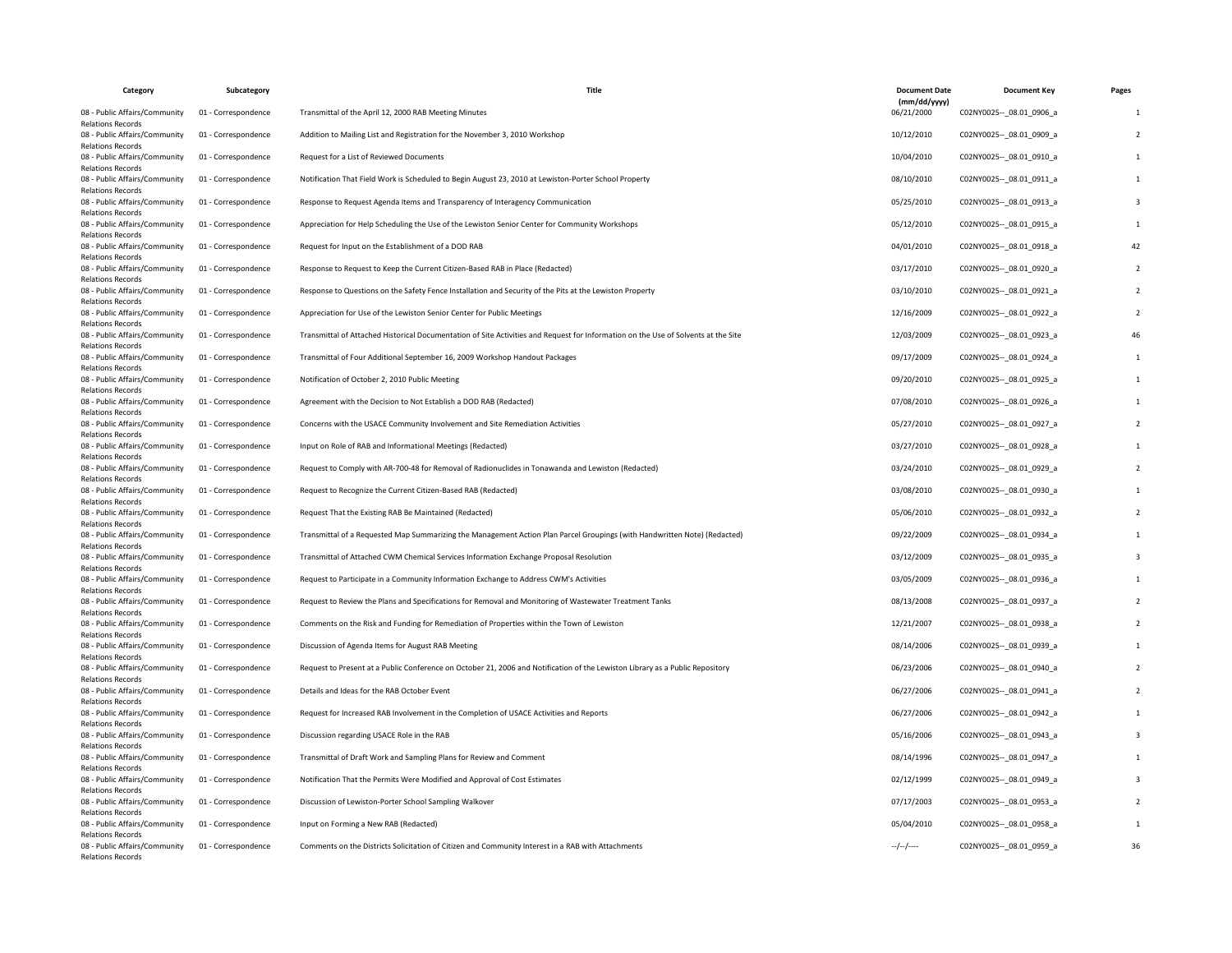| Category                                                  | Subcategory         | Title                                                                                                                              | <b>Document Date</b>       | <b>Document Key</b>         | Pages |
|-----------------------------------------------------------|---------------------|------------------------------------------------------------------------------------------------------------------------------------|----------------------------|-----------------------------|-------|
| 08 - Public Affairs/Community<br><b>Relations Records</b> | 01 - Correspondence | Transmittal of the April 12, 2000 RAB Meeting Minutes                                                                              | (mm/dd/yyyy)<br>06/21/2000 | C02NY0025 -- 08.01 0906_a   |       |
| 08 - Public Affairs/Community<br><b>Relations Records</b> | 01 - Correspondence | Addition to Mailing List and Registration for the November 3, 2010 Workshop                                                        | 10/12/2010                 | C02NY0025 -- 08.01 0909_a   |       |
| 08 - Public Affairs/Community<br><b>Relations Records</b> | 01 - Correspondence | Request for a List of Reviewed Documents                                                                                           | 10/04/2010                 | C02NY0025 -- 08.01 0910 a   |       |
| 08 - Public Affairs/Community<br><b>Relations Records</b> | 01 - Correspondence | Notification That Field Work is Scheduled to Begin August 23, 2010 at Lewiston-Porter School Property                              | 08/10/2010                 | C02NY0025 -- 08.01 0911 a   |       |
| 08 - Public Affairs/Community<br><b>Relations Records</b> | 01 - Correspondence | Response to Request Agenda Items and Transparency of Interagency Communication                                                     | 05/25/2010                 | C02NY0025 -- _ 08.01_0913_a |       |
| 08 - Public Affairs/Community<br><b>Relations Records</b> | 01 - Correspondence | Appreciation for Help Scheduling the Use of the Lewiston Senior Center for Community Workshops                                     | 05/12/2010                 | C02NY0025 -- 08.01 0915 a   |       |
| 08 - Public Affairs/Community<br><b>Relations Records</b> | 01 - Correspondence | Request for Input on the Establishment of a DOD RAB                                                                                | 04/01/2010                 | C02NY0025 -- 08.01 0918 a   |       |
| 08 - Public Affairs/Community<br><b>Relations Records</b> | 01 - Correspondence | Response to Request to Keep the Current Citizen-Based RAB in Place (Redacted)                                                      | 03/17/2010                 | C02NY0025 -- _ 08.01_0920_a |       |
| 08 - Public Affairs/Community<br><b>Relations Records</b> | 01 - Correspondence | Response to Questions on the Safety Fence Installation and Security of the Pits at the Lewiston Property                           | 03/10/2010                 | C02NY0025 -- 08.01 0921 a   |       |
| 08 - Public Affairs/Community<br><b>Relations Records</b> | 01 - Correspondence | Appreciation for Use of the Lewiston Senior Center for Public Meetings                                                             | 12/16/2009                 | C02NY0025 -- 08.01 0922 a   |       |
| 08 - Public Affairs/Community<br><b>Relations Records</b> | 01 - Correspondence | Transmittal of Attached Historical Documentation of Site Activities and Request for Information on the Use of Solvents at the Site | 12/03/2009                 | C02NY0025 -- 08.01 0923 a   | 46    |
| 08 - Public Affairs/Community<br><b>Relations Records</b> | 01 - Correspondence | Transmittal of Four Additional September 16, 2009 Workshop Handout Packages                                                        | 09/17/2009                 | C02NY0025 -- _ 08.01_0924_a |       |
| 08 - Public Affairs/Community<br><b>Relations Records</b> | 01 - Correspondence | Notification of October 2, 2010 Public Meeting                                                                                     | 09/20/2010                 | C02NY0025 -- 08.01 0925 a   |       |
| 08 - Public Affairs/Community<br><b>Relations Records</b> | 01 - Correspondence | Agreement with the Decision to Not Establish a DOD RAB (Redacted)                                                                  | 07/08/2010                 | C02NY0025 -- 08.01 0926 a   |       |
| 08 - Public Affairs/Community<br><b>Relations Records</b> | 01 - Correspondence | Concerns with the USACE Community Involvement and Site Remediation Activities                                                      | 05/27/2010                 | C02NY0025 -- _ 08.01_0927_a |       |
| 08 - Public Affairs/Community<br><b>Relations Records</b> | 01 - Correspondence | Input on Role of RAB and Informational Meetings (Redacted)                                                                         | 03/27/2010                 | C02NY0025 -- 08.01 0928 a   |       |
| 08 - Public Affairs/Community<br><b>Relations Records</b> | 01 - Correspondence | Request to Comply with AR-700-48 for Removal of Radionuclides in Tonawanda and Lewiston (Redacted)                                 | 03/24/2010                 | C02NY0025 -- 08.01 0929 a   |       |
| 08 - Public Affairs/Community<br><b>Relations Records</b> | 01 - Correspondence | Request to Recognize the Current Citizen-Based RAB (Redacted)                                                                      | 03/08/2010                 | C02NY0025 -- 08.01 0930 a   |       |
| 08 - Public Affairs/Community<br><b>Relations Records</b> | 01 - Correspondence | Request That the Existing RAB Be Maintained (Redacted)                                                                             | 05/06/2010                 | C02NY0025 -- 08.01 0932 a   |       |
| 08 - Public Affairs/Community<br><b>Relations Records</b> | 01 - Correspondence | Transmittal of a Requested Map Summarizing the Management Action Plan Parcel Groupings (with Handwritten Note) (Redacted)          | 09/22/2009                 | C02NY0025 -- 08.01 0934 a   |       |
| 08 - Public Affairs/Community<br><b>Relations Records</b> | 01 - Correspondence | Transmittal of Attached CWM Chemical Services Information Exchange Proposal Resolution                                             | 03/12/2009                 | C02NY0025 -- 08.01 0935 a   |       |
| 08 - Public Affairs/Community<br><b>Relations Records</b> | 01 - Correspondence | Request to Participate in a Community Information Exchange to Address CWM's Activities                                             | 03/05/2009                 | C02NY0025 -- 08.01 0936 a   |       |
| 08 - Public Affairs/Community<br><b>Relations Records</b> | 01 - Correspondence | Request to Review the Plans and Specifications for Removal and Monitoring of Wastewater Treatment Tanks                            | 08/13/2008                 | C02NY0025 -- 08.01 0937 a   |       |
| 08 - Public Affairs/Community<br><b>Relations Records</b> | 01 - Correspondence | Comments on the Risk and Funding for Remediation of Properties within the Town of Lewiston                                         | 12/21/2007                 | C02NY0025 -- 08.01 0938 a   |       |
| 08 - Public Affairs/Community<br><b>Relations Records</b> | 01 - Correspondence | Discussion of Agenda Items for August RAB Meeting                                                                                  | 08/14/2006                 | C02NY0025 -- 08.01 0939 a   |       |
| 08 - Public Affairs/Community<br><b>Relations Records</b> | 01 - Correspondence | Request to Present at a Public Conference on October 21, 2006 and Notification of the Lewiston Library as a Public Repository      | 06/23/2006                 | C02NY0025 -- 08.01 0940 a   |       |
| 08 - Public Affairs/Community<br><b>Relations Records</b> | 01 - Correspondence | Details and Ideas for the RAB October Event                                                                                        | 06/27/2006                 | C02NY0025 -- 08.01 0941 a   |       |
| 08 - Public Affairs/Community<br><b>Relations Records</b> | 01 - Correspondence | Request for Increased RAB Involvement in the Completion of USACE Activities and Reports                                            | 06/27/2006                 | C02NY0025 -- 08.01 0942 a   |       |
| 08 - Public Affairs/Community<br><b>Relations Records</b> | 01 - Correspondence | Discussion regarding USACE Role in the RAB                                                                                         | 05/16/2006                 | C02NY0025 -- 08.01 0943 a   |       |
| 08 - Public Affairs/Community<br><b>Relations Records</b> | 01 - Correspondence | Transmittal of Draft Work and Sampling Plans for Review and Comment                                                                | 08/14/1996                 | C02NY0025 -- _ 08.01_0947_a |       |
| 08 - Public Affairs/Community<br><b>Relations Records</b> | 01 - Correspondence | Notification That the Permits Were Modified and Approval of Cost Estimates                                                         | 02/12/1999                 | C02NY0025 -- 08.01 0949 a   |       |
| 08 - Public Affairs/Community<br><b>Relations Records</b> | 01 - Correspondence | Discussion of Lewiston-Porter School Sampling Walkover                                                                             | 07/17/2003                 | C02NY0025 -- 08.01 0953 a   |       |
| 08 - Public Affairs/Community<br><b>Relations Records</b> | 01 - Correspondence | Input on Forming a New RAB (Redacted)                                                                                              | 05/04/2010                 | C02NY0025 -- 08.01 0958 a   |       |
| 08 - Public Affairs/Community<br><b>Relations Records</b> | 01 - Correspondence | Comments on the Districts Solicitation of Citizen and Community Interest in a RAB with Attachments                                 | --/--/----                 | C02NY0025 -- _ 08.01_0959_a | 36    |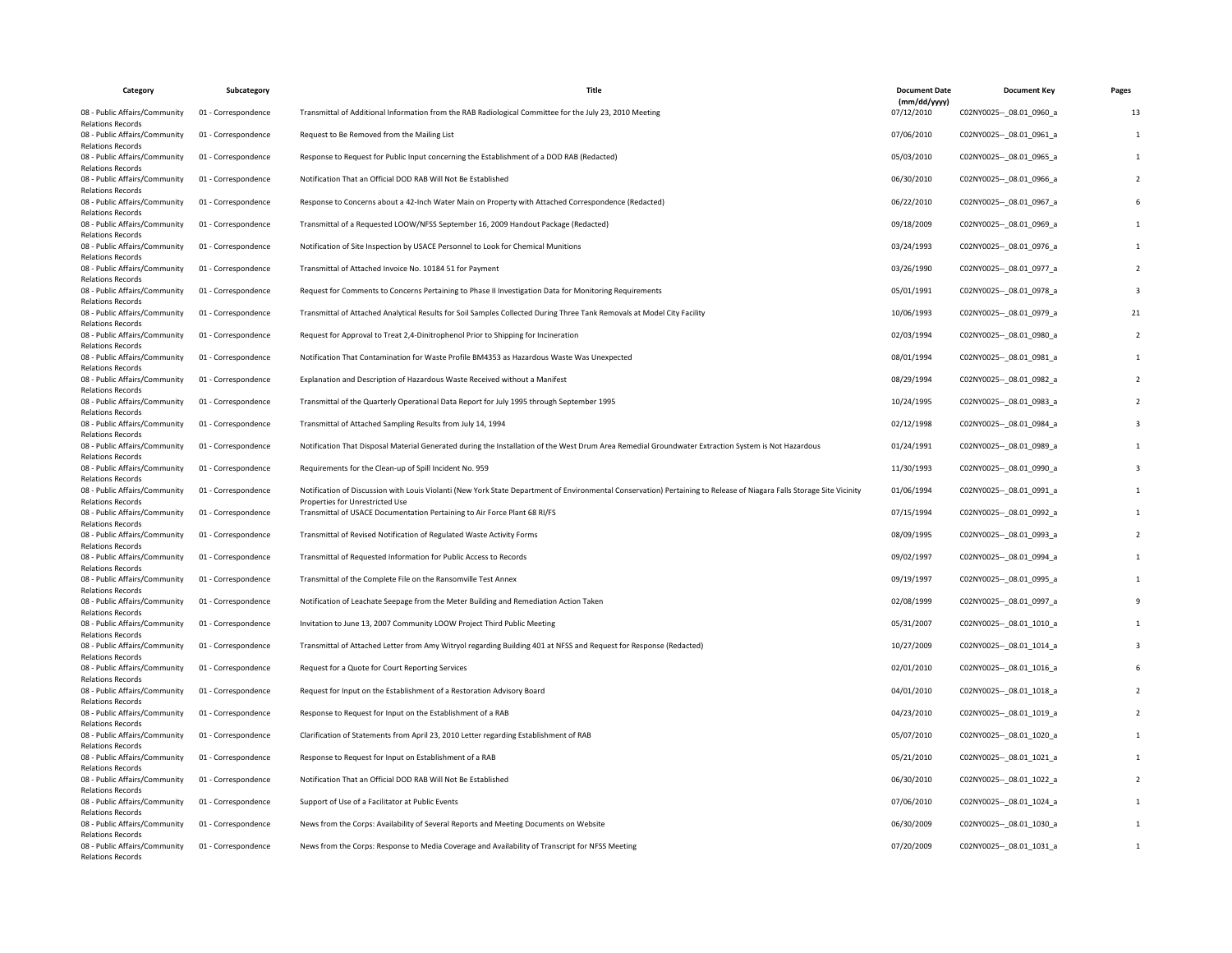| Category                                                  | Subcategory         | Title                                                                                                                                                                                                    | <b>Document Date</b>       | <b>Document Key</b>         | Pages |
|-----------------------------------------------------------|---------------------|----------------------------------------------------------------------------------------------------------------------------------------------------------------------------------------------------------|----------------------------|-----------------------------|-------|
| 08 - Public Affairs/Community<br><b>Relations Records</b> | 01 - Correspondence | Transmittal of Additional Information from the RAB Radiological Committee for the July 23, 2010 Meeting                                                                                                  | (mm/dd/yyyy)<br>07/12/2010 | C02NY0025 -- 08.01 0960 a   | 13    |
| 08 - Public Affairs/Community<br><b>Relations Records</b> | 01 - Correspondence | Request to Be Removed from the Mailing List                                                                                                                                                              | 07/06/2010                 | C02NY0025 -- _ 08.01_0961_a |       |
| 08 - Public Affairs/Community<br><b>Relations Records</b> | 01 - Correspondence | Response to Request for Public Input concerning the Establishment of a DOD RAB (Redacted)                                                                                                                | 05/03/2010                 | C02NY0025 -- 08.01 0965 a   |       |
| 08 - Public Affairs/Community<br><b>Relations Records</b> | 01 - Correspondence | Notification That an Official DOD RAB Will Not Be Established                                                                                                                                            | 06/30/2010                 | C02NY0025 -- _ 08.01_0966_a |       |
| 08 - Public Affairs/Community<br><b>Relations Records</b> | 01 - Correspondence | Response to Concerns about a 42-Inch Water Main on Property with Attached Correspondence (Redacted)                                                                                                      | 06/22/2010                 | C02NY0025 -- 08.01 0967_a   |       |
| 08 - Public Affairs/Community<br><b>Relations Records</b> | 01 - Correspondence | Transmittal of a Requested LOOW/NFSS September 16, 2009 Handout Package (Redacted)                                                                                                                       | 09/18/2009                 | C02NY0025 -- 08.01 0969_a   |       |
| 08 - Public Affairs/Community<br><b>Relations Records</b> | 01 - Correspondence | Notification of Site Inspection by USACE Personnel to Look for Chemical Munitions                                                                                                                        | 03/24/1993                 | C02NY0025 -- _ 08.01_0976_a |       |
| 08 - Public Affairs/Community<br><b>Relations Records</b> | 01 - Correspondence | Transmittal of Attached Invoice No. 10184 51 for Payment                                                                                                                                                 | 03/26/1990                 | C02NY0025 -- 08.01 0977_a   |       |
| 08 - Public Affairs/Community<br><b>Relations Records</b> | 01 - Correspondence | Request for Comments to Concerns Pertaining to Phase II Investigation Data for Monitoring Requirements                                                                                                   | 05/01/1991                 | C02NY0025 -- _ 08.01_0978_a |       |
| 08 - Public Affairs/Community<br><b>Relations Records</b> | 01 - Correspondence | Transmittal of Attached Analytical Results for Soil Samples Collected During Three Tank Removals at Model City Facility                                                                                  | 10/06/1993                 | C02NY0025 -- 08.01 0979 a   | 21    |
| 08 - Public Affairs/Community<br><b>Relations Records</b> | 01 - Correspondence | Request for Approval to Treat 2,4-Dinitrophenol Prior to Shipping for Incineration                                                                                                                       | 02/03/1994                 | C02NY0025 -- 08.01 0980 a   |       |
| 08 - Public Affairs/Community<br><b>Relations Records</b> | 01 - Correspondence | Notification That Contamination for Waste Profile BM4353 as Hazardous Waste Was Unexpected                                                                                                               | 08/01/1994                 | C02NY0025 -- 08.01 0981 a   |       |
| 08 - Public Affairs/Community<br><b>Relations Records</b> | 01 - Correspondence | Explanation and Description of Hazardous Waste Received without a Manifest                                                                                                                               | 08/29/1994                 | C02NY0025 -- 08.01 0982 a   |       |
| 08 - Public Affairs/Community<br><b>Relations Records</b> | 01 - Correspondence | Transmittal of the Quarterly Operational Data Report for July 1995 through September 1995                                                                                                                | 10/24/1995                 | C02NY0025 -- 08.01 0983 a   |       |
| 08 - Public Affairs/Community<br><b>Relations Records</b> | 01 - Correspondence | Transmittal of Attached Sampling Results from July 14, 1994                                                                                                                                              | 02/12/1998                 | C02NY0025 -- 08.01 0984 a   |       |
| 08 - Public Affairs/Community<br><b>Relations Records</b> | 01 - Correspondence | Notification That Disposal Material Generated during the Installation of the West Drum Area Remedial Groundwater Extraction System is Not Hazardous                                                      | 01/24/1991                 | C02NY0025 -- 08.01 0989 a   |       |
| 08 - Public Affairs/Community<br><b>Relations Records</b> | 01 - Correspondence | Requirements for the Clean-up of Spill Incident No. 959                                                                                                                                                  | 11/30/1993                 | C02NY0025 -- 08.01 0990 a   |       |
| 08 - Public Affairs/Community<br><b>Relations Records</b> | 01 - Correspondence | Notification of Discussion with Louis Violanti (New York State Department of Environmental Conservation) Pertaining to Release of Niagara Falls Storage Site Vicinity<br>Properties for Unrestricted Use | 01/06/1994                 | C02NY0025 -- _ 08.01_0991_a |       |
| 08 - Public Affairs/Community<br><b>Relations Records</b> | 01 - Correspondence | Transmittal of USACE Documentation Pertaining to Air Force Plant 68 RI/FS                                                                                                                                | 07/15/1994                 | C02NY0025 -- 08.01 0992 a   |       |
| 08 - Public Affairs/Community<br><b>Relations Records</b> | 01 - Correspondence | Transmittal of Revised Notification of Regulated Waste Activity Forms                                                                                                                                    | 08/09/1995                 | C02NY0025 -- 08.01 0993 a   |       |
| 08 - Public Affairs/Community<br><b>Relations Records</b> | 01 - Correspondence | Transmittal of Requested Information for Public Access to Records                                                                                                                                        | 09/02/1997                 | C02NY0025 -- 08.01 0994_a   |       |
| 08 - Public Affairs/Community<br><b>Relations Records</b> | 01 - Correspondence | Transmittal of the Complete File on the Ransomville Test Annex                                                                                                                                           | 09/19/1997                 | C02NY0025 -- 08.01 0995 a   |       |
| 08 - Public Affairs/Community<br><b>Relations Records</b> | 01 - Correspondence | Notification of Leachate Seepage from the Meter Building and Remediation Action Taken                                                                                                                    | 02/08/1999                 | C02NY0025 -- _ 08.01_0997_a |       |
| 08 - Public Affairs/Community<br><b>Relations Records</b> | 01 - Correspondence | Invitation to June 13, 2007 Community LOOW Project Third Public Meeting                                                                                                                                  | 05/31/2007                 | C02NY0025 -- 08.01 1010 a   |       |
| 08 - Public Affairs/Community<br><b>Relations Records</b> | 01 - Correspondence | Transmittal of Attached Letter from Amy Witryol regarding Building 401 at NFSS and Request for Response (Redacted)                                                                                       | 10/27/2009                 | C02NY0025 -- 08.01 1014 a   |       |
| 08 - Public Affairs/Community<br><b>Relations Records</b> | 01 - Correspondence | Request for a Quote for Court Reporting Services                                                                                                                                                         | 02/01/2010                 | C02NY0025 -- 08.01 1016 a   |       |
| 08 - Public Affairs/Community<br><b>Relations Records</b> | 01 - Correspondence | Request for Input on the Establishment of a Restoration Advisory Board                                                                                                                                   | 04/01/2010                 | C02NY0025 -- 08.01 1018 a   |       |
| 08 - Public Affairs/Community<br><b>Relations Records</b> | 01 - Correspondence | Response to Request for Input on the Establishment of a RAB                                                                                                                                              | 04/23/2010                 | C02NY0025 -- _ 08.01_1019_a |       |
| 08 - Public Affairs/Community<br><b>Relations Records</b> | 01 - Correspondence | Clarification of Statements from April 23, 2010 Letter regarding Establishment of RAB                                                                                                                    | 05/07/2010                 | C02NY0025 -- 08.01 1020 a   |       |
| 08 - Public Affairs/Community<br><b>Relations Records</b> | 01 - Correspondence | Response to Request for Input on Establishment of a RAB                                                                                                                                                  | 05/21/2010                 | C02NY0025 -- 08.01 1021 a   |       |
| 08 - Public Affairs/Community<br><b>Relations Records</b> | 01 - Correspondence | Notification That an Official DOD RAB Will Not Be Established                                                                                                                                            | 06/30/2010                 | C02NY0025 -- 08.01 1022 a   |       |
| 08 - Public Affairs/Community<br><b>Relations Records</b> | 01 - Correspondence | Support of Use of a Facilitator at Public Events                                                                                                                                                         | 07/06/2010                 | C02NY0025 -- 08.01 1024 a   |       |
| 08 - Public Affairs/Community<br><b>Relations Records</b> | 01 - Correspondence | News from the Corps: Availability of Several Reports and Meeting Documents on Website                                                                                                                    | 06/30/2009                 | C02NY0025 -- 08.01 1030 a   |       |
| 08 - Public Affairs/Community<br><b>Relations Records</b> | 01 - Correspondence | News from the Corps: Response to Media Coverage and Availability of Transcript for NFSS Meeting                                                                                                          | 07/20/2009                 | C02NY0025 -- _ 08.01_1031_a |       |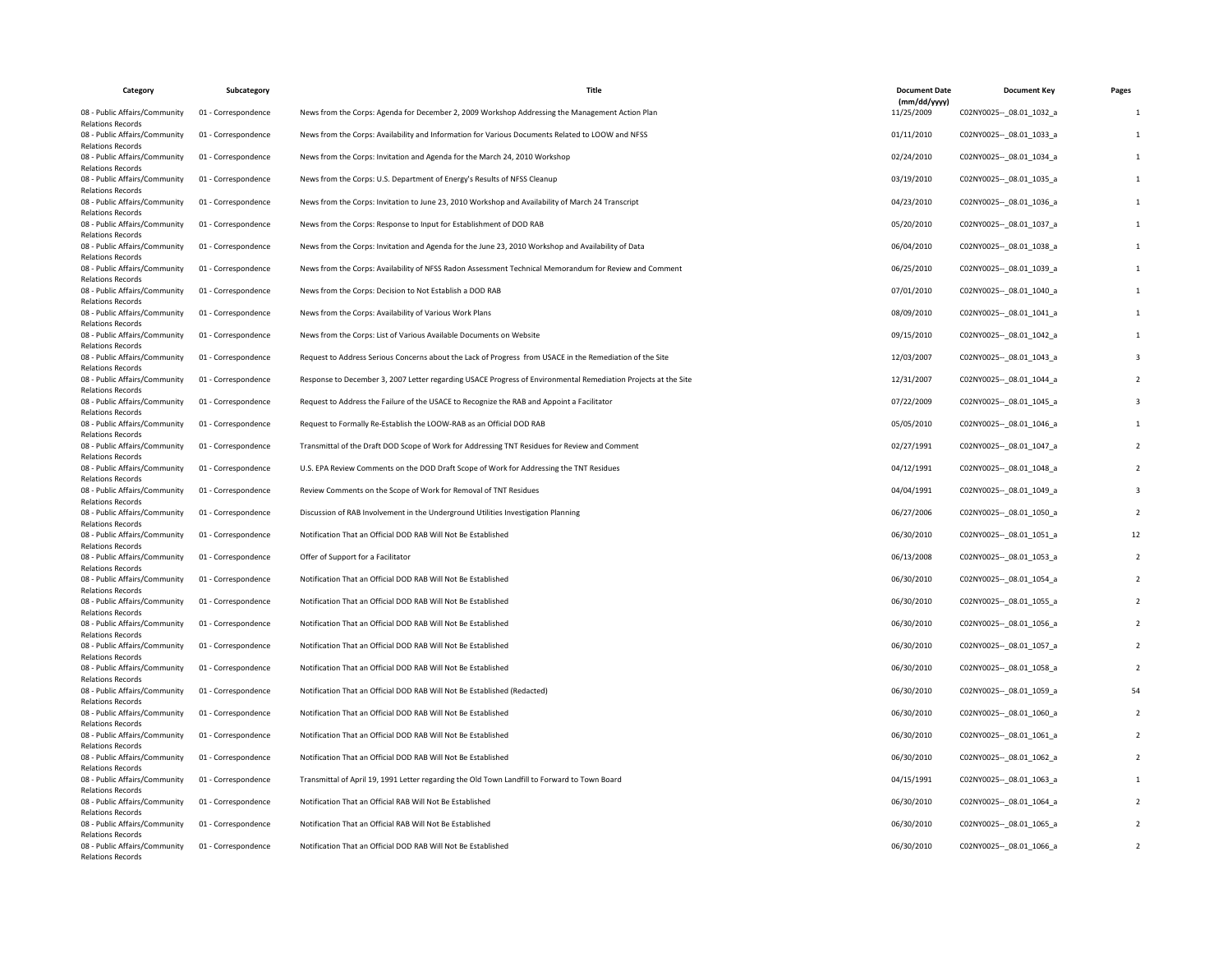| Category                                                  | Subcategory         | <b>Title</b>                                                                                                   | <b>Document Date</b>       | <b>Document Key</b>         | Pages |
|-----------------------------------------------------------|---------------------|----------------------------------------------------------------------------------------------------------------|----------------------------|-----------------------------|-------|
| 08 - Public Affairs/Community<br><b>Relations Records</b> | 01 - Correspondence | News from the Corps: Agenda for December 2, 2009 Workshop Addressing the Management Action Plan                | (mm/dd/yyyy)<br>11/25/2009 | C02NY0025 -- 08.01 1032 a   |       |
| 08 - Public Affairs/Community<br><b>Relations Records</b> | 01 - Correspondence | News from the Corps: Availability and Information for Various Documents Related to LOOW and NFSS               | 01/11/2010                 | C02NY0025 -- 08.01 1033 a   |       |
| 08 - Public Affairs/Community<br><b>Relations Records</b> | 01 - Correspondence | News from the Corps: Invitation and Agenda for the March 24, 2010 Workshop                                     | 02/24/2010                 | C02NY0025 -- 08.01 1034 a   |       |
| 08 - Public Affairs/Community<br><b>Relations Records</b> | 01 - Correspondence | News from the Corps: U.S. Department of Energy's Results of NFSS Cleanup                                       | 03/19/2010                 | C02NY0025 -- 08.01 1035 a   |       |
| 08 - Public Affairs/Community<br><b>Relations Records</b> | 01 - Correspondence | News from the Corps: Invitation to June 23, 2010 Workshop and Availability of March 24 Transcript              | 04/23/2010                 | C02NY0025 -- 08.01 1036 a   |       |
| 08 - Public Affairs/Community<br>Relations Records        | 01 - Correspondence | News from the Corps: Response to Input for Establishment of DOD RAB                                            | 05/20/2010                 | C02NY0025 -- 08.01 1037 a   |       |
| 08 - Public Affairs/Community<br><b>Relations Records</b> | 01 - Correspondence | News from the Corps: Invitation and Agenda for the June 23, 2010 Workshop and Availability of Data             | 06/04/2010                 | C02NY0025 -- 08.01 1038 a   |       |
| 08 - Public Affairs/Community<br><b>Relations Records</b> | 01 - Correspondence | News from the Corps: Availability of NFSS Radon Assessment Technical Memorandum for Review and Comment         | 06/25/2010                 | C02NY0025 -- 08.01 1039 a   |       |
| 08 - Public Affairs/Community<br><b>Relations Records</b> | 01 - Correspondence | News from the Corps: Decision to Not Establish a DOD RAB                                                       | 07/01/2010                 | C02NY0025 -- 08.01 1040 a   |       |
| 08 - Public Affairs/Community<br><b>Relations Records</b> | 01 - Correspondence | News from the Corps: Availability of Various Work Plans                                                        | 08/09/2010                 | C02NY0025 -- 08.01 1041 a   |       |
| 08 - Public Affairs/Community<br><b>Relations Records</b> | 01 - Correspondence | News from the Corps: List of Various Available Documents on Website                                            | 09/15/2010                 | C02NY0025 -- _ 08.01_1042_a |       |
| 08 - Public Affairs/Community<br><b>Relations Records</b> | 01 - Correspondence | Request to Address Serious Concerns about the Lack of Progress from USACE in the Remediation of the Site       | 12/03/2007                 | C02NY0025 -- 08.01 1043 a   |       |
| 08 - Public Affairs/Community<br><b>Relations Records</b> | 01 - Correspondence | Response to December 3, 2007 Letter regarding USACE Progress of Environmental Remediation Projects at the Site | 12/31/2007                 | C02NY0025 -- 08.01 1044 a   |       |
| 08 - Public Affairs/Community<br><b>Relations Records</b> | 01 - Correspondence | Request to Address the Failure of the USACE to Recognize the RAB and Appoint a Facilitator                     | 07/22/2009                 | C02NY0025 -- 08.01 1045 a   |       |
| 08 - Public Affairs/Community<br><b>Relations Records</b> | 01 - Correspondence | Request to Formally Re-Establish the LOOW-RAB as an Official DOD RAB                                           | 05/05/2010                 | C02NY0025 -- _ 08.01_1046_a |       |
| 08 - Public Affairs/Community<br><b>Relations Records</b> | 01 - Correspondence | Transmittal of the Draft DOD Scope of Work for Addressing TNT Residues for Review and Comment                  | 02/27/1991                 | C02NY0025 -- _ 08.01_1047_a |       |
| 08 - Public Affairs/Community<br><b>Relations Records</b> | 01 - Correspondence | U.S. EPA Review Comments on the DOD Draft Scope of Work for Addressing the TNT Residues                        | 04/12/1991                 | C02NY0025 -- 08.01 1048 a   |       |
| 08 - Public Affairs/Community<br><b>Relations Records</b> | 01 - Correspondence | Review Comments on the Scope of Work for Removal of TNT Residues                                               | 04/04/1991                 | C02NY0025 -- 08.01 1049 a   |       |
| 08 - Public Affairs/Community<br><b>Relations Records</b> | 01 - Correspondence | Discussion of RAB Involvement in the Underground Utilities Investigation Planning                              | 06/27/2006                 | C02NY0025 -- 08.01 1050 a   |       |
| 08 - Public Affairs/Community<br><b>Relations Records</b> | 01 - Correspondence | Notification That an Official DOD RAB Will Not Be Established                                                  | 06/30/2010                 | C02NY0025 -- _ 08.01_1051_a | 12    |
| 08 - Public Affairs/Community<br><b>Relations Records</b> | 01 - Correspondence | Offer of Support for a Facilitator                                                                             | 06/13/2008                 | C02NY0025 -- 08.01 1053 a   |       |
| 08 - Public Affairs/Community<br><b>Relations Records</b> | 01 - Correspondence | Notification That an Official DOD RAB Will Not Be Established                                                  | 06/30/2010                 | C02NY0025 -- 08.01 1054 a   |       |
| 08 - Public Affairs/Community<br><b>Relations Records</b> | 01 - Correspondence | Notification That an Official DOD RAB Will Not Be Established                                                  | 06/30/2010                 | C02NY0025 -- _ 08.01_1055_a |       |
| 08 - Public Affairs/Community<br><b>Relations Records</b> | 01 - Correspondence | Notification That an Official DOD RAB Will Not Be Established                                                  | 06/30/2010                 | C02NY0025 -- 08.01 1056 a   |       |
| 08 - Public Affairs/Community<br><b>Relations Records</b> | 01 - Correspondence | Notification That an Official DOD RAB Will Not Be Established                                                  | 06/30/2010                 | C02NY0025 -- _ 08.01_1057_a |       |
| 08 - Public Affairs/Community<br><b>Relations Records</b> | 01 - Correspondence | Notification That an Official DOD RAB Will Not Be Established                                                  | 06/30/2010                 | C02NY0025 -- 08.01 1058 a   |       |
| 08 - Public Affairs/Community<br><b>Relations Records</b> | 01 - Correspondence | Notification That an Official DOD RAB Will Not Be Established (Redacted)                                       | 06/30/2010                 | C02NY0025 -- 08.01 1059 a   |       |
| 08 - Public Affairs/Community<br><b>Relations Records</b> | 01 - Correspondence | Notification That an Official DOD RAB Will Not Be Established                                                  | 06/30/2010                 | C02NY0025 -- 08.01 1060 a   |       |
| 08 - Public Affairs/Community<br><b>Relations Records</b> | 01 - Correspondence | Notification That an Official DOD RAB Will Not Be Established                                                  | 06/30/2010                 | C02NY0025 -- 08.01 1061 a   |       |
| 08 - Public Affairs/Community<br><b>Relations Records</b> | 01 - Correspondence | Notification That an Official DOD RAB Will Not Be Established                                                  | 06/30/2010                 | C02NY0025 -- 08.01 1062 a   |       |
| 08 - Public Affairs/Community<br><b>Relations Records</b> | 01 - Correspondence | Transmittal of April 19, 1991 Letter regarding the Old Town Landfill to Forward to Town Board                  | 04/15/1991                 | C02NY0025 -- 08.01 1063 a   |       |
| 08 - Public Affairs/Community<br><b>Relations Records</b> | 01 - Correspondence | Notification That an Official RAB Will Not Be Established                                                      | 06/30/2010                 | C02NY0025 -- 08.01 1064 a   |       |
| 08 - Public Affairs/Community<br><b>Relations Records</b> | 01 - Correspondence | Notification That an Official RAB Will Not Be Established                                                      | 06/30/2010                 | C02NY0025 -- 08.01 1065 a   |       |
| 08 - Public Affairs/Community<br><b>Relations Records</b> | 01 - Correspondence | Notification That an Official DOD RAB Will Not Be Established                                                  | 06/30/2010                 | C02NY0025 -- _ 08.01_1066_a |       |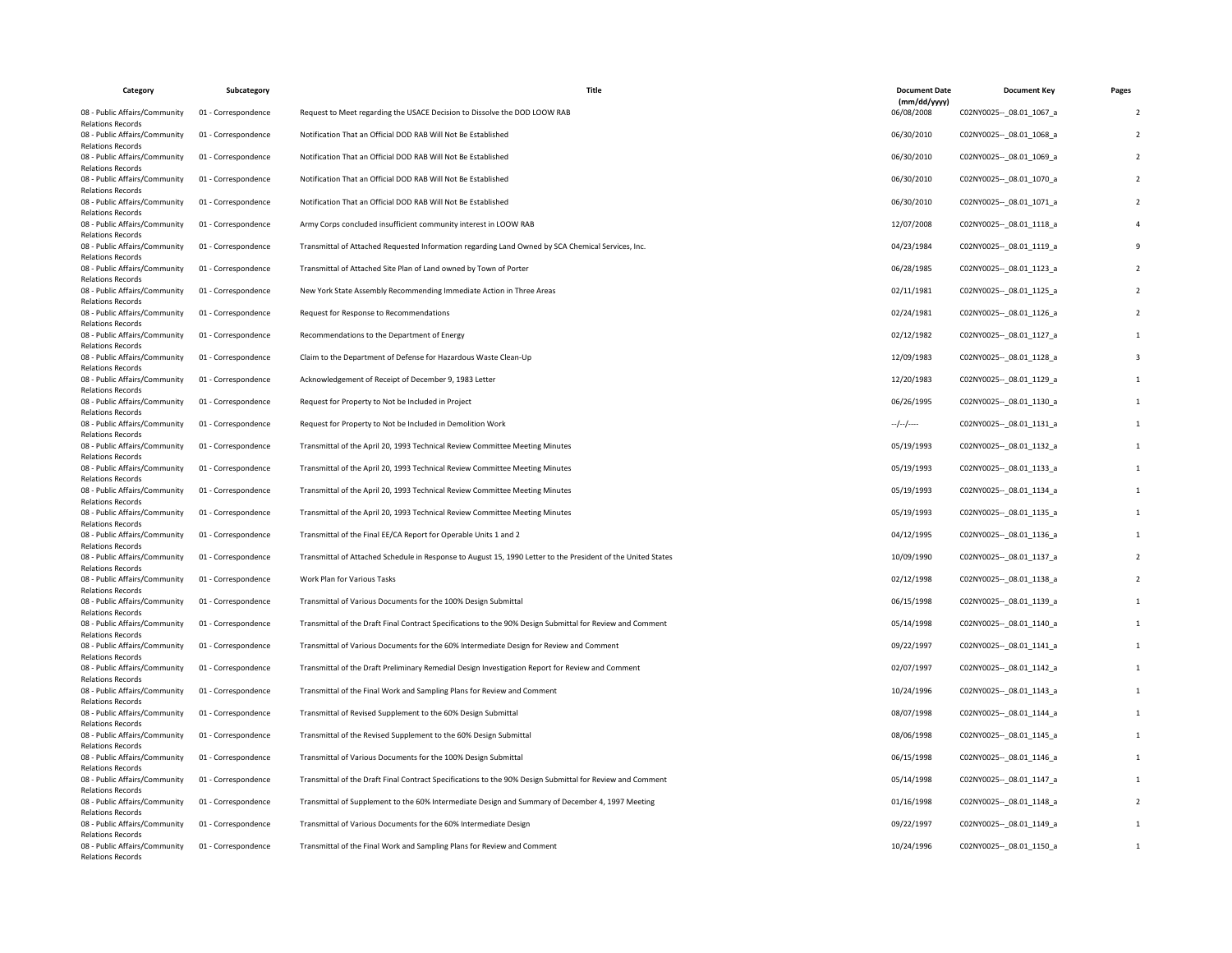| Category                                                  | Subcategory         | Title                                                                                                        | <b>Document Date</b>       | <b>Document Key</b>         | Pages                    |
|-----------------------------------------------------------|---------------------|--------------------------------------------------------------------------------------------------------------|----------------------------|-----------------------------|--------------------------|
| 08 - Public Affairs/Community<br><b>Relations Records</b> | 01 - Correspondence | Request to Meet regarding the USACE Decision to Dissolve the DOD LOOW RAB                                    | (mm/dd/yyyy)<br>06/08/2008 | C02NY0025 -- 08.01 1067 a   | $\overline{\phantom{0}}$ |
| 08 - Public Affairs/Community<br><b>Relations Records</b> | 01 - Correspondence | Notification That an Official DOD RAB Will Not Be Established                                                | 06/30/2010                 | C02NY0025 -- 08.01 1068 a   |                          |
| 08 - Public Affairs/Community<br><b>Relations Records</b> | 01 - Correspondence | Notification That an Official DOD RAB Will Not Be Established                                                | 06/30/2010                 | C02NY0025 -- _ 08.01_1069_a |                          |
| 08 - Public Affairs/Community<br><b>Relations Records</b> | 01 - Correspondence | Notification That an Official DOD RAB Will Not Be Established                                                | 06/30/2010                 | C02NY0025 -- 08.01 1070 a   |                          |
| 08 - Public Affairs/Community<br><b>Relations Records</b> | 01 - Correspondence | Notification That an Official DOD RAB Will Not Be Established                                                | 06/30/2010                 | C02NY0025 -- _ 08.01_1071_a |                          |
| 08 - Public Affairs/Community<br><b>Relations Records</b> | 01 - Correspondence | Army Corps concluded insufficient community interest in LOOW RAB                                             | 12/07/2008                 | C02NY0025 -- 08.01 1118 a   |                          |
| 08 - Public Affairs/Community<br><b>Relations Records</b> | 01 - Correspondence | Transmittal of Attached Requested Information regarding Land Owned by SCA Chemical Services, Inc.            | 04/23/1984                 | C02NY0025 -- 08.01 1119 a   |                          |
| 08 - Public Affairs/Community<br><b>Relations Records</b> | 01 - Correspondence | Transmittal of Attached Site Plan of Land owned by Town of Porter                                            | 06/28/1985                 | C02NY0025 -- _ 08.01_1123_a |                          |
| 08 - Public Affairs/Community<br><b>Relations Records</b> | 01 - Correspondence | New York State Assembly Recommending Immediate Action in Three Areas                                         | 02/11/1981                 | C02NY0025 -- 08.01 1125 a   |                          |
| 08 - Public Affairs/Community<br><b>Relations Records</b> | 01 - Correspondence | Request for Response to Recommendations                                                                      | 02/24/1981                 | C02NY0025 -- 08.01 1126 a   |                          |
| 08 - Public Affairs/Community<br><b>Relations Records</b> | 01 - Correspondence | Recommendations to the Department of Energy                                                                  | 02/12/1982                 | C02NY0025 -- _ 08.01_1127_a |                          |
| 08 - Public Affairs/Community<br><b>Relations Records</b> | 01 - Correspondence | Claim to the Department of Defense for Hazardous Waste Clean-Up                                              | 12/09/1983                 | C02NY0025 -- _ 08.01_1128_a |                          |
| 08 - Public Affairs/Community<br><b>Relations Records</b> | 01 - Correspondence | Acknowledgement of Receipt of December 9, 1983 Letter                                                        | 12/20/1983                 | C02NY0025 -- 08.01 1129 a   |                          |
| 08 - Public Affairs/Community<br><b>Relations Records</b> | 01 - Correspondence | Request for Property to Not be Included in Project                                                           | 06/26/1995                 | C02NY0025 -- 08.01 1130 a   |                          |
| 08 - Public Affairs/Community<br><b>Relations Records</b> | 01 - Correspondence | Request for Property to Not be Included in Demolition Work                                                   | $-/-/-$                    | C02NY0025 -- _ 08.01_1131_a |                          |
| 08 - Public Affairs/Community<br><b>Relations Records</b> | 01 - Correspondence | Transmittal of the April 20, 1993 Technical Review Committee Meeting Minutes                                 | 05/19/1993                 | C02NY0025 -- 08.01 1132 a   |                          |
| 08 - Public Affairs/Community<br><b>Relations Records</b> | 01 - Correspondence | Transmittal of the April 20, 1993 Technical Review Committee Meeting Minutes                                 | 05/19/1993                 | C02NY0025 -- 08.01 1133 a   |                          |
| 08 - Public Affairs/Community<br><b>Relations Records</b> | 01 - Correspondence | Transmittal of the April 20, 1993 Technical Review Committee Meeting Minutes                                 | 05/19/1993                 | C02NY0025 -- _ 08.01_1134_a |                          |
| 08 - Public Affairs/Community<br><b>Relations Records</b> | 01 - Correspondence | Transmittal of the April 20, 1993 Technical Review Committee Meeting Minutes                                 | 05/19/1993                 | C02NY0025 -- 08.01 1135 a   |                          |
| 08 - Public Affairs/Community<br><b>Relations Records</b> | 01 - Correspondence | Transmittal of the Final EE/CA Report for Operable Units 1 and 2                                             | 04/12/1995                 | C02NY0025 -- 08.01 1136 a   |                          |
| 08 - Public Affairs/Community<br><b>Relations Records</b> | 01 - Correspondence | Transmittal of Attached Schedule in Response to August 15, 1990 Letter to the President of the United States | 10/09/1990                 | C02NY0025 -- 08.01 1137 a   |                          |
| 08 - Public Affairs/Community<br><b>Relations Records</b> | 01 - Correspondence | Work Plan for Various Tasks                                                                                  | 02/12/1998                 | C02NY0025 -- 08.01 1138 a   |                          |
| 08 - Public Affairs/Community<br><b>Relations Records</b> | 01 - Correspondence | Transmittal of Various Documents for the 100% Design Submittal                                               | 06/15/1998                 | C02NY0025 -- _ 08.01_1139_a |                          |
| 08 - Public Affairs/Community<br><b>Relations Records</b> | 01 - Correspondence | Transmittal of the Draft Final Contract Specifications to the 90% Design Submittal for Review and Comment    | 05/14/1998                 | C02NY0025 -- 08.01 1140 a   |                          |
| 08 - Public Affairs/Community<br><b>Relations Records</b> | 01 - Correspondence | Transmittal of Various Documents for the 60% Intermediate Design for Review and Comment                      | 09/22/1997                 | C02NY0025 -- _ 08.01_1141_a |                          |
| 08 - Public Affairs/Community<br><b>Relations Records</b> | 01 - Correspondence | Transmittal of the Draft Preliminary Remedial Design Investigation Report for Review and Comment             | 02/07/1997                 | C02NY0025 -- 08.01 1142 a   |                          |
| 08 - Public Affairs/Community<br><b>Relations Records</b> | 01 - Correspondence | Transmittal of the Final Work and Sampling Plans for Review and Comment                                      | 10/24/1996                 | C02NY0025 -- 08.01 1143 a   |                          |
| 08 - Public Affairs/Community<br><b>Relations Records</b> | 01 - Correspondence | Transmittal of Revised Supplement to the 60% Design Submittal                                                | 08/07/1998                 | C02NY0025 -- 08.01 1144 a   |                          |
| 08 - Public Affairs/Community<br><b>Relations Records</b> | 01 - Correspondence | Transmittal of the Revised Supplement to the 60% Design Submittal                                            | 08/06/1998                 | C02NY0025 -- 08.01 1145 a   |                          |
| 08 - Public Affairs/Community<br><b>Relations Records</b> | 01 - Correspondence | Transmittal of Various Documents for the 100% Design Submittal                                               | 06/15/1998                 | C02NY0025 -- _ 08.01_1146_a |                          |
| 08 - Public Affairs/Community<br><b>Relations Records</b> | 01 - Correspondence | Transmittal of the Draft Final Contract Specifications to the 90% Design Submittal for Review and Comment    | 05/14/1998                 | C02NY0025 -- 08.01 1147 a   |                          |
| 08 - Public Affairs/Community<br><b>Relations Records</b> | 01 - Correspondence | Transmittal of Supplement to the 60% Intermediate Design and Summary of December 4, 1997 Meeting             | 01/16/1998                 | C02NY0025 -- 08.01 1148 a   |                          |
| 08 - Public Affairs/Community<br><b>Relations Records</b> | 01 - Correspondence | Transmittal of Various Documents for the 60% Intermediate Design                                             | 09/22/1997                 | C02NY0025 -- 08.01 1149 a   |                          |
| 08 - Public Affairs/Community<br><b>Relations Records</b> | 01 - Correspondence | Transmittal of the Final Work and Sampling Plans for Review and Comment                                      | 10/24/1996                 | C02NY0025 -- _ 08.01_1150_a |                          |
|                                                           |                     |                                                                                                              |                            |                             |                          |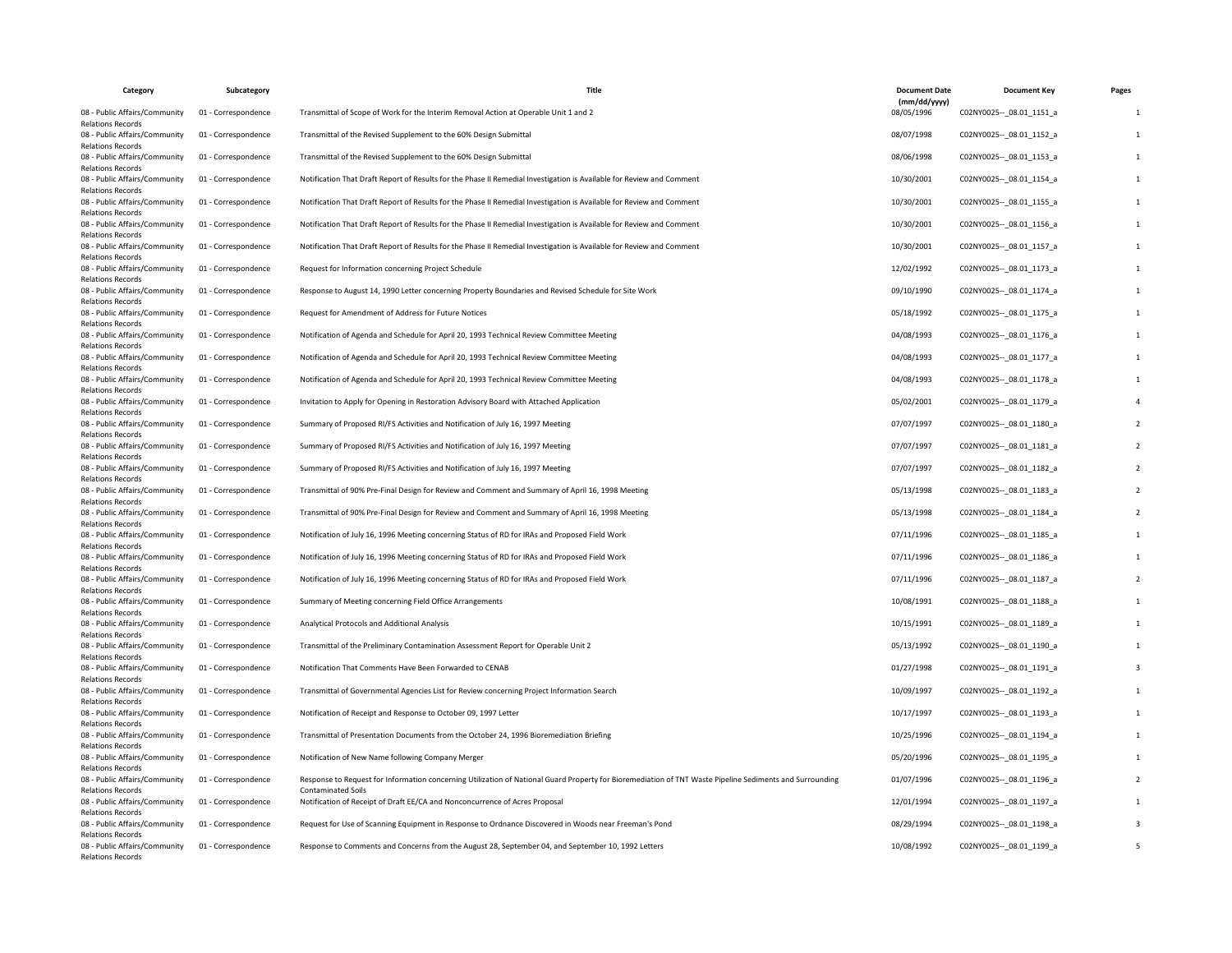| Category                                                                              | Subcategory         | Title                                                                                                                                                    | <b>Document Date</b>       | <b>Document Key</b>         | Pages |
|---------------------------------------------------------------------------------------|---------------------|----------------------------------------------------------------------------------------------------------------------------------------------------------|----------------------------|-----------------------------|-------|
| 08 - Public Affairs/Community<br><b>Relations Records</b>                             | 01 - Correspondence | Transmittal of Scope of Work for the Interim Removal Action at Operable Unit 1 and 2                                                                     | (mm/dd/yyyy)<br>08/05/1996 | C02NY0025 -- _ 08.01_1151_a |       |
| 08 - Public Affairs/Community<br><b>Relations Records</b>                             | 01 - Correspondence | Transmittal of the Revised Supplement to the 60% Design Submittal                                                                                        | 08/07/1998                 | C02NY0025 -- 08.01 1152 a   |       |
| 08 - Public Affairs/Community<br><b>Relations Records</b>                             | 01 - Correspondence | Transmittal of the Revised Supplement to the 60% Design Submittal                                                                                        | 08/06/1998                 | C02NY0025 -- 08.01 1153 a   |       |
| 08 - Public Affairs/Community<br><b>Relations Records</b>                             | 01 - Correspondence | Notification That Draft Report of Results for the Phase II Remedial Investigation is Available for Review and Comment                                    | 10/30/2001                 | C02NY0025 -- 08.01 1154 a   |       |
| 08 - Public Affairs/Community<br><b>Relations Records</b>                             | 01 - Correspondence | Notification That Draft Report of Results for the Phase II Remedial Investigation is Available for Review and Comment                                    | 10/30/2001                 | C02NY0025 -- 08.01 1155 a   |       |
| 08 - Public Affairs/Community<br><b>Relations Records</b>                             | 01 - Correspondence | Notification That Draft Report of Results for the Phase II Remedial Investigation is Available for Review and Comment                                    | 10/30/2001                 | C02NY0025 -- _ 08.01_1156_a |       |
| 08 - Public Affairs/Community<br><b>Relations Records</b>                             | 01 - Correspondence | Notification That Draft Report of Results for the Phase II Remedial Investigation is Available for Review and Comment                                    | 10/30/2001                 | C02NY0025 -- 08.01 1157 a   |       |
| 08 - Public Affairs/Community<br><b>Relations Records</b>                             | 01 - Correspondence | Request for Information concerning Project Schedule                                                                                                      | 12/02/1992                 | C02NY0025 -- 08.01 1173 a   |       |
| 08 - Public Affairs/Community<br><b>Relations Records</b>                             | 01 - Correspondence | Response to August 14, 1990 Letter concerning Property Boundaries and Revised Schedule for Site Work                                                     | 09/10/1990                 | C02NY0025 -- 08.01 1174 a   |       |
| 08 - Public Affairs/Community<br><b>Relations Records</b>                             | 01 - Correspondence | Request for Amendment of Address for Future Notices                                                                                                      | 05/18/1992                 | C02NY0025 -- 08.01 1175 a   |       |
| 08 - Public Affairs/Community<br><b>Relations Records</b>                             | 01 - Correspondence | Notification of Agenda and Schedule for April 20, 1993 Technical Review Committee Meeting                                                                | 04/08/1993                 | C02NY0025 -- 08.01 1176 a   |       |
| 08 - Public Affairs/Community<br><b>Relations Records</b>                             | 01 - Correspondence | Notification of Agenda and Schedule for April 20, 1993 Technical Review Committee Meeting                                                                | 04/08/1993                 | C02NY0025 -- 08.01 1177 a   |       |
| 08 - Public Affairs/Community<br><b>Relations Records</b>                             | 01 - Correspondence | Notification of Agenda and Schedule for April 20, 1993 Technical Review Committee Meeting                                                                | 04/08/1993                 | C02NY0025 -- _ 08.01_1178_a |       |
| 08 - Public Affairs/Community<br><b>Relations Records</b>                             | 01 - Correspondence | Invitation to Apply for Opening in Restoration Advisory Board with Attached Application                                                                  | 05/02/2001                 | C02NY0025 -- 08.01 1179 a   |       |
| 08 - Public Affairs/Community<br><b>Relations Records</b>                             | 01 - Correspondence | Summary of Proposed RI/FS Activities and Notification of July 16, 1997 Meeting                                                                           | 07/07/1997                 | C02NY0025 -- 08.01 1180 a   |       |
| 08 - Public Affairs/Community<br><b>Relations Records</b>                             | 01 - Correspondence | Summary of Proposed RI/FS Activities and Notification of July 16, 1997 Meeting                                                                           | 07/07/1997                 | C02NY0025 -- 08.01 1181 a   |       |
| 08 - Public Affairs/Community<br>Relations Records                                    | 01 - Correspondence | Summary of Proposed RI/FS Activities and Notification of July 16, 1997 Meeting                                                                           | 07/07/1997                 | C02NY0025 -- 08.01 1182 a   |       |
| 08 - Public Affairs/Community<br><b>Relations Records</b>                             | 01 - Correspondence | Transmittal of 90% Pre-Final Design for Review and Comment and Summary of April 16, 1998 Meeting                                                         | 05/13/1998                 | C02NY0025 -- _ 08.01_1183_a |       |
| 08 - Public Affairs/Community<br><b>Relations Records</b>                             | 01 - Correspondence | Transmittal of 90% Pre-Final Design for Review and Comment and Summary of April 16, 1998 Meeting                                                         | 05/13/1998                 | C02NY0025 -- 08.01 1184 a   |       |
| 08 - Public Affairs/Community<br><b>Relations Records</b>                             | 01 - Correspondence | Notification of July 16, 1996 Meeting concerning Status of RD for IRAs and Proposed Field Work                                                           | 07/11/1996                 | C02NY0025 -- 08.01 1185 a   |       |
| 08 - Public Affairs/Community<br><b>Relations Records</b>                             | 01 - Correspondence | Notification of July 16, 1996 Meeting concerning Status of RD for IRAs and Proposed Field Work                                                           | 07/11/1996                 | C02NY0025 -- 08.01 1186 a   |       |
| 08 - Public Affairs/Community<br><b>Relations Records</b>                             | 01 - Correspondence | Notification of July 16, 1996 Meeting concerning Status of RD for IRAs and Proposed Field Work                                                           | 07/11/1996                 | C02NY0025 -- _ 08.01_1187_a |       |
| 08 - Public Affairs/Community<br><b>Relations Records</b>                             | 01 - Correspondence | Summary of Meeting concerning Field Office Arrangements                                                                                                  | 10/08/1991                 | C02NY0025 -- 08.01 1188 a   |       |
| 08 - Public Affairs/Community<br><b>Relations Records</b>                             | 01 - Correspondence | Analytical Protocols and Additional Analysis                                                                                                             | 10/15/1991                 | C02NY0025 -- 08.01 1189 a   |       |
| 08 - Public Affairs/Community<br><b>Relations Records</b>                             | 01 - Correspondence | Transmittal of the Preliminary Contamination Assessment Report for Operable Unit 2                                                                       | 05/13/1992                 | C02NY0025 -- _ 08.01_1190_a |       |
| 08 - Public Affairs/Community<br><b>Relations Records</b>                             | 01 - Correspondence | Notification That Comments Have Been Forwarded to CENAB                                                                                                  | 01/27/1998                 | C02NY0025 -- 08.01 1191 a   |       |
| 08 - Public Affairs/Community<br><b>Relations Records</b>                             | 01 - Correspondence | Transmittal of Governmental Agencies List for Review concerning Project Information Search                                                               | 10/09/1997                 | C02NY0025 -- 08.01 1192 a   |       |
| 08 - Public Affairs/Community                                                         | 01 - Correspondence | Notification of Receipt and Response to October 09, 1997 Letter                                                                                          | 10/17/1997                 | C02NY0025 -- 08.01 1193 a   |       |
| <b>Relations Records</b><br>08 - Public Affairs/Community                             | 01 - Correspondence | Transmittal of Presentation Documents from the October 24, 1996 Bioremediation Briefing                                                                  | 10/25/1996                 | C02NY0025 -- 08.01 1194 a   |       |
| <b>Relations Records</b><br>08 - Public Affairs/Community                             | 01 - Correspondence | Notification of New Name following Company Merger                                                                                                        | 05/20/1996                 | C02NY0025 -- _ 08.01_1195_a |       |
| <b>Relations Records</b><br>08 - Public Affairs/Community                             | 01 - Correspondence | Response to Request for Information concerning Utilization of National Guard Property for Bioremediation of TNT Waste Pipeline Sediments and Surrounding | 01/07/1996                 | C02NY0025 -- 08.01 1196 a   |       |
| <b>Relations Records</b><br>08 - Public Affairs/Community                             | 01 - Correspondence | <b>Contaminated Soils</b><br>Notification of Receipt of Draft EE/CA and Nonconcurrence of Acres Proposal                                                 | 12/01/1994                 | C02NY0025 -- 08.01 1197 a   |       |
| <b>Relations Records</b><br>08 - Public Affairs/Community                             | 01 - Correspondence | Request for Use of Scanning Equipment in Response to Ordnance Discovered in Woods near Freeman's Pond                                                    | 08/29/1994                 | C02NY0025 -- 08.01 1198 a   |       |
| <b>Relations Records</b><br>08 - Public Affairs/Community<br><b>Relations Records</b> | 01 - Correspondence | Response to Comments and Concerns from the August 28, September 04, and September 10, 1992 Letters                                                       | 10/08/1992                 | C02NY0025 -- _ 08.01_1199_a |       |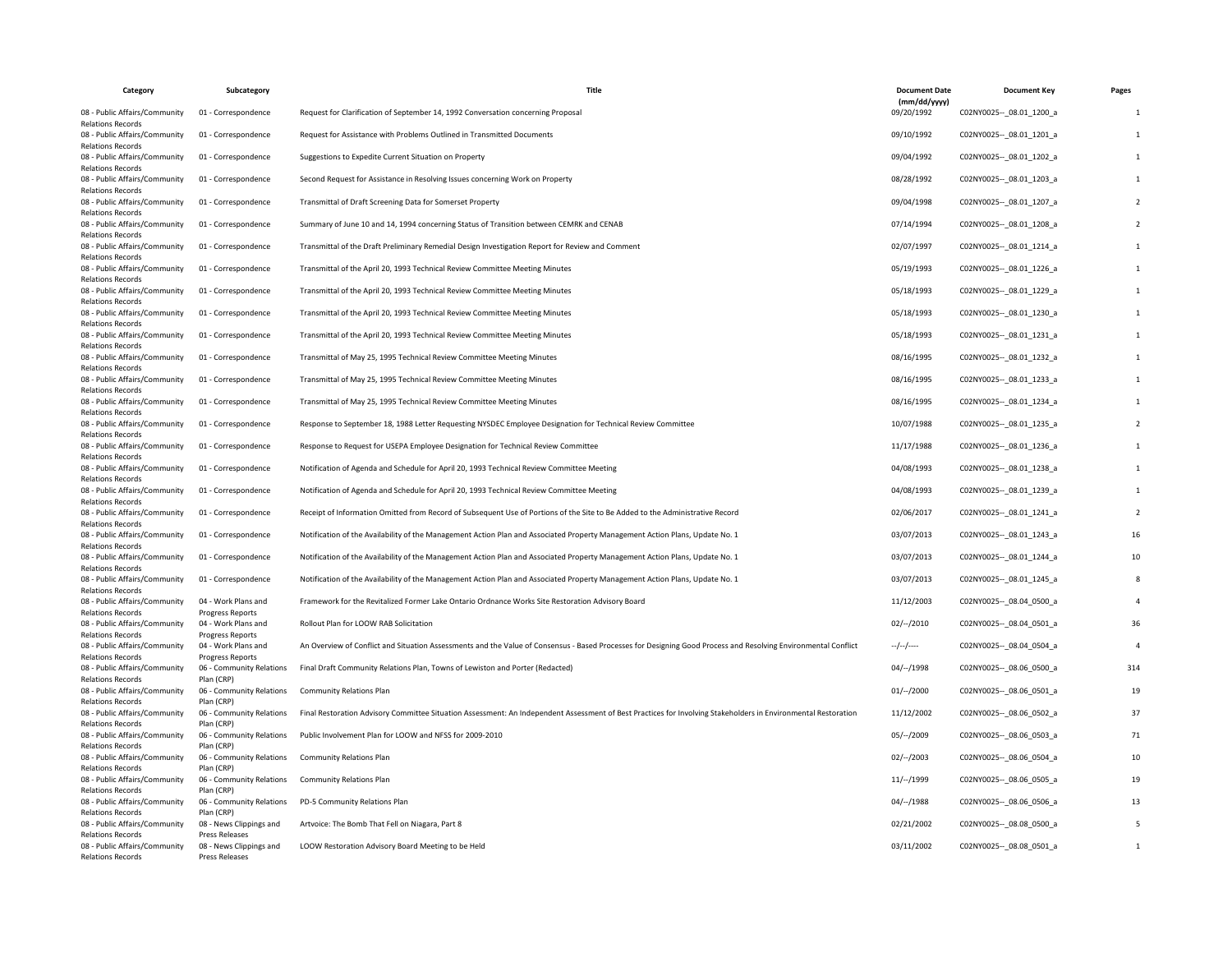| Category                                                                              | Subcategory                                    | Title                                                                                                                                                          | <b>Document Date</b>            | <b>Document Key</b>         | Pages |
|---------------------------------------------------------------------------------------|------------------------------------------------|----------------------------------------------------------------------------------------------------------------------------------------------------------------|---------------------------------|-----------------------------|-------|
| 08 - Public Affairs/Community                                                         | 01 - Correspondence                            | Request for Clarification of September 14, 1992 Conversation concerning Proposal                                                                               | (mm/dd/yyyy)<br>09/20/1992      | C02NY0025 -- _ 08.01_1200_a |       |
| <b>Relations Records</b><br>08 - Public Affairs/Community<br><b>Relations Records</b> | 01 - Correspondence                            | Request for Assistance with Problems Outlined in Transmitted Documents                                                                                         | 09/10/1992                      | C02NY0025 -- 08.01 1201 a   |       |
| 08 - Public Affairs/Community<br><b>Relations Records</b>                             | 01 - Correspondence                            | Suggestions to Expedite Current Situation on Property                                                                                                          | 09/04/1992                      | C02NY0025 -- 08.01 1202 a   |       |
| 08 - Public Affairs/Community<br>Relations Records                                    | 01 - Correspondence                            | Second Request for Assistance in Resolving Issues concerning Work on Property                                                                                  | 08/28/1992                      | C02NY0025 -- _ 08.01_1203_a |       |
| 08 - Public Affairs/Community<br><b>Relations Records</b>                             | 01 - Correspondence                            | Transmittal of Draft Screening Data for Somerset Property                                                                                                      | 09/04/1998                      | C02NY0025 -- 08.01 1207 a   |       |
| 08 - Public Affairs/Community<br><b>Relations Records</b>                             | 01 - Correspondence                            | Summary of June 10 and 14, 1994 concerning Status of Transition between CEMRK and CENAB                                                                        | 07/14/1994                      | C02NY0025 -- 08.01 1208 a   |       |
| 08 - Public Affairs/Community<br><b>Relations Records</b>                             | 01 - Correspondence                            | Transmittal of the Draft Preliminary Remedial Design Investigation Report for Review and Comment                                                               | 02/07/1997                      | C02NY0025 -- 08.01 1214 a   |       |
| 08 - Public Affairs/Community<br><b>Relations Records</b>                             | 01 - Correspondence                            | Transmittal of the April 20, 1993 Technical Review Committee Meeting Minutes                                                                                   | 05/19/1993                      | C02NY0025 -- _ 08.01_1226_a |       |
| 08 - Public Affairs/Community<br><b>Relations Records</b>                             | 01 - Correspondence                            | Transmittal of the April 20, 1993 Technical Review Committee Meeting Minutes                                                                                   | 05/18/1993                      | C02NY0025 -- _ 08.01_1229_a |       |
| 08 - Public Affairs/Community<br><b>Relations Records</b>                             | 01 - Correspondence                            | Transmittal of the April 20, 1993 Technical Review Committee Meeting Minutes                                                                                   | 05/18/1993                      | C02NY0025 -- 08.01 1230 a   |       |
| 08 - Public Affairs/Community<br><b>Relations Records</b>                             | 01 - Correspondence                            | Transmittal of the April 20, 1993 Technical Review Committee Meeting Minutes                                                                                   | 05/18/1993                      | C02NY0025 -- _ 08.01_1231_a |       |
| 08 - Public Affairs/Community<br><b>Relations Records</b>                             | 01 - Correspondence                            | Transmittal of May 25, 1995 Technical Review Committee Meeting Minutes                                                                                         | 08/16/1995                      | C02NY0025 -- 08.01 1232 a   |       |
| 08 - Public Affairs/Community<br><b>Relations Records</b>                             | 01 - Correspondence                            | Transmittal of May 25, 1995 Technical Review Committee Meeting Minutes                                                                                         | 08/16/1995                      | C02NY0025 -- 08.01 1233 a   |       |
| 08 - Public Affairs/Community<br><b>Relations Records</b>                             | 01 - Correspondence                            | Transmittal of May 25, 1995 Technical Review Committee Meeting Minutes                                                                                         | 08/16/1995                      | C02NY0025 -- 08.01 1234 a   |       |
| 08 - Public Affairs/Community<br><b>Relations Records</b>                             | 01 - Correspondence                            | Response to September 18, 1988 Letter Requesting NYSDEC Employee Designation for Technical Review Committee                                                    | 10/07/1988                      | C02NY0025 -- 08.01 1235 a   |       |
| 08 - Public Affairs/Community<br><b>Relations Records</b>                             | 01 - Correspondence                            | Response to Request for USEPA Employee Designation for Technical Review Committee                                                                              | 11/17/1988                      | C02NY0025 -- _ 08.01_1236_a |       |
| 08 - Public Affairs/Community<br><b>Relations Records</b>                             | 01 - Correspondence                            | Notification of Agenda and Schedule for April 20, 1993 Technical Review Committee Meeting                                                                      | 04/08/1993                      | C02NY0025 -- 08.01 1238 a   |       |
| 08 - Public Affairs/Community<br><b>Relations Records</b>                             | 01 - Correspondence                            | Notification of Agenda and Schedule for April 20, 1993 Technical Review Committee Meeting                                                                      | 04/08/1993                      | C02NY0025 -- 08.01 1239 a   |       |
| 08 - Public Affairs/Community<br><b>Relations Records</b>                             | 01 - Correspondence                            | Receipt of Information Omitted from Record of Subsequent Use of Portions of the Site to Be Added to the Administrative Record                                  | 02/06/2017                      | C02NY0025 -- 08.01 1241 a   |       |
| 08 - Public Affairs/Community<br><b>Relations Records</b>                             | 01 - Correspondence                            | Notification of the Availability of the Management Action Plan and Associated Property Management Action Plans, Update No. 1                                   | 03/07/2013                      | C02NY0025 -- _ 08.01_1243_a | 16    |
| 08 - Public Affairs/Community<br><b>Relations Records</b>                             | 01 - Correspondence                            | Notification of the Availability of the Management Action Plan and Associated Property Management Action Plans, Update No. 1                                   | 03/07/2013                      | C02NY0025 -- 08.01 1244 a   | 10    |
| 08 - Public Affairs/Community<br><b>Relations Records</b>                             | 01 - Correspondence                            | Notification of the Availability of the Management Action Plan and Associated Property Management Action Plans, Update No. 1                                   | 03/07/2013                      | C02NY0025 -- 08.01 1245 a   |       |
| 08 - Public Affairs/Community<br><b>Relations Records</b>                             | 04 - Work Plans and<br>Progress Reports        | Framework for the Revitalized Former Lake Ontario Ordnance Works Site Restoration Advisory Board                                                               | 11/12/2003                      | C02NY0025 -- _ 08.04_0500_a |       |
| 08 - Public Affairs/Community<br><b>Relations Records</b>                             | 04 - Work Plans and<br><b>Progress Reports</b> | Rollout Plan for LOOW RAB Solicitation                                                                                                                         | $02/-/2010$                     | C02NY0025 -- 08.04 0501 a   | 36    |
| 08 - Public Affairs/Community                                                         | 04 - Work Plans and                            | An Overview of Conflict and Situation Assessments and the Value of Consensus - Based Processes for Designing Good Process and Resolving Environmental Conflict | $-\frac{1}{2}$ - $-\frac{1}{2}$ | C02NY0025 -- 08.04 0504 a   |       |
| <b>Relations Records</b><br>08 - Public Affairs/Community                             | Progress Reports<br>06 - Community Relations   | Final Draft Community Relations Plan, Towns of Lewiston and Porter (Redacted)                                                                                  | 04/--/1998                      | C02NY0025 -- 08.06 0500 a   | 314   |
| <b>Relations Records</b><br>08 - Public Affairs/Community                             | Plan (CRP)<br>06 - Community Relations         | <b>Community Relations Plan</b>                                                                                                                                | 01/–/2000                       | C02NY0025 -- _ 08.06_0501_a | 19    |
| <b>Relations Records</b><br>08 - Public Affairs/Community                             | Plan (CRP)<br>06 - Community Relations         | Final Restoration Advisory Committee Situation Assessment: An Independent Assessment of Best Practices for Involving Stakeholders in Environmental Restoration | 11/12/2002                      | C02NY0025 -- 08.06 0502 a   | 37    |
| <b>Relations Records</b><br>08 - Public Affairs/Community                             | Plan (CRP)<br>06 - Community Relations         | Public Involvement Plan for LOOW and NFSS for 2009-2010                                                                                                        | $05/-/2009$                     | C02NY0025 -- 08.06 0503 a   | 71    |
| <b>Relations Records</b><br>08 - Public Affairs/Community                             | Plan (CRP)<br>06 - Community Relations         | <b>Community Relations Plan</b>                                                                                                                                | $02/-/2003$                     | C02NY0025 -- _ 08.06_0504_a | 10    |
| <b>Relations Records</b><br>08 - Public Affairs/Community                             | Plan (CRP)<br>06 - Community Relations         | <b>Community Relations Plan</b>                                                                                                                                | 11/–/1999                       | C02NY0025 -- _ 08.06_0505_a | 19    |
| <b>Relations Records</b><br>08 - Public Affairs/Community                             | Plan (CRP)<br>06 - Community Relations         | PD-5 Community Relations Plan                                                                                                                                  | $04/-/1988$                     | C02NY0025 -- 08.06 0506 a   | 13    |
| <b>Relations Records</b><br>08 - Public Affairs/Community                             | Plan (CRP)<br>08 - News Clippings and          | Artvoice: The Bomb That Fell on Niagara, Part 8                                                                                                                | 02/21/2002                      | C02NY0025 -- _ 08.08_0500_a |       |
| <b>Relations Records</b><br>08 - Public Affairs/Community                             | Press Releases<br>08 - News Clippings and      | LOOW Restoration Advisory Board Meeting to be Held                                                                                                             | 03/11/2002                      | C02NY0025 -- 08.08 0501_a   |       |
| <b>Relations Records</b>                                                              | <b>Press Releases</b>                          |                                                                                                                                                                |                                 |                             |       |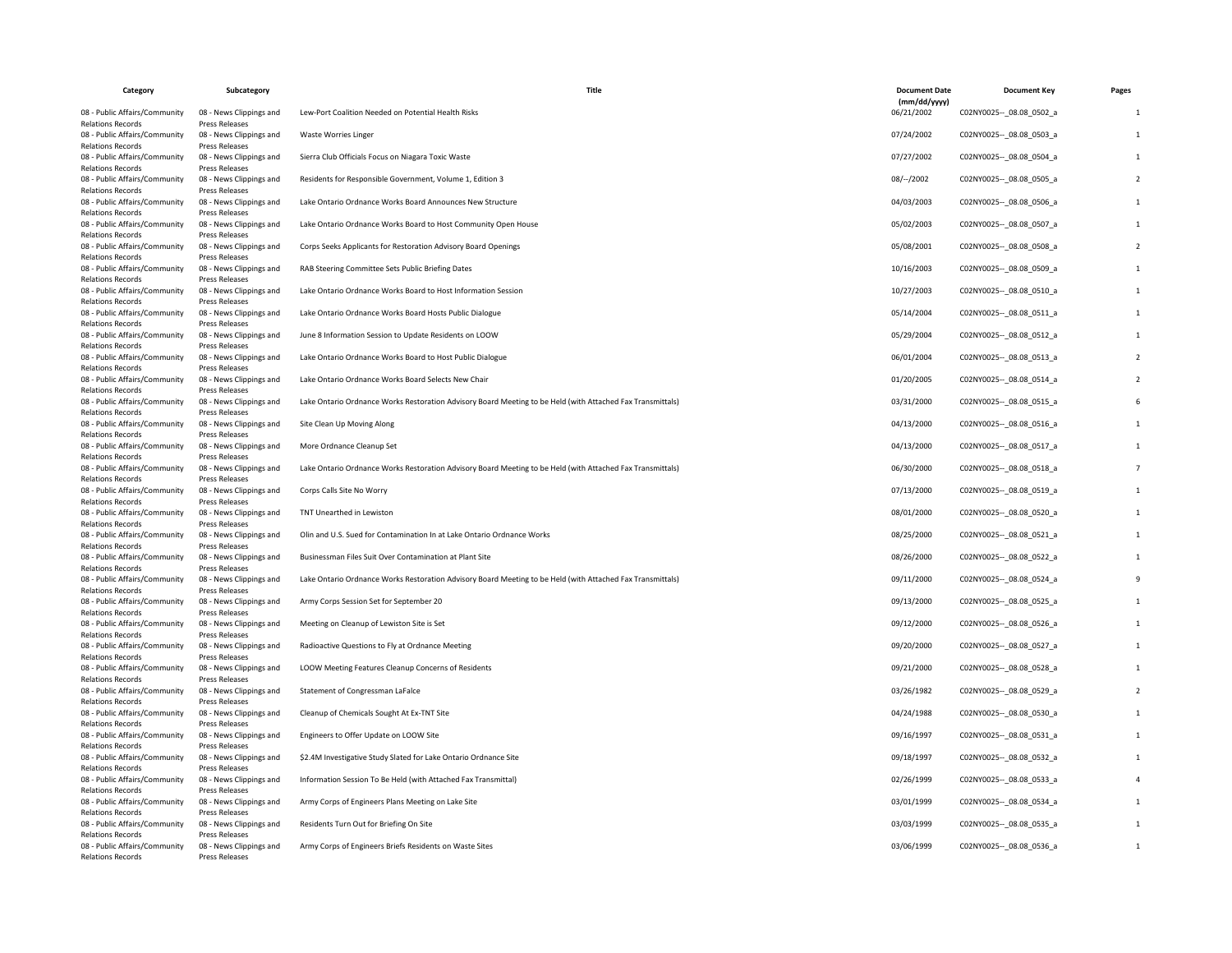| Category                                                                              | Subcategory                                                 | Title                                                                                                      | <b>Document Date</b>       | <b>Document Key</b>         | Pages |
|---------------------------------------------------------------------------------------|-------------------------------------------------------------|------------------------------------------------------------------------------------------------------------|----------------------------|-----------------------------|-------|
| 08 - Public Affairs/Community<br><b>Relations Records</b>                             | 08 - News Clippings and<br>Press Releases                   | Lew-Port Coalition Needed on Potential Health Risks                                                        | (mm/dd/yyyy)<br>06/21/2002 | C02NY0025 -- _ 08.08_0502_a |       |
| 08 - Public Affairs/Community<br><b>Relations Records</b>                             | 08 - News Clippings and<br>Press Releases                   | <b>Waste Worries Linger</b>                                                                                | 07/24/2002                 | C02NY0025 -- 08.08 0503 a   |       |
| 08 - Public Affairs/Community<br><b>Relations Records</b>                             | 08 - News Clippings and<br>Press Releases                   | Sierra Club Officials Focus on Niagara Toxic Waste                                                         | 07/27/2002                 | C02NY0025 -- 08.08 0504 a   |       |
| 08 - Public Affairs/Community<br><b>Relations Records</b>                             | 08 - News Clippings and<br>Press Releases                   | Residents for Responsible Government, Volume 1, Edition 3                                                  | 08/--/2002                 | C02NY0025 -- 08.08 0505 a   |       |
| 08 - Public Affairs/Community<br>Relations Records                                    | 08 - News Clippings and<br>Press Releases                   | Lake Ontario Ordnance Works Board Announces New Structure                                                  | 04/03/2003                 | C02NY0025 -- 08.08 0506 a   |       |
| 08 - Public Affairs/Community<br><b>Relations Records</b>                             | 08 - News Clippings and<br>Press Releases                   | Lake Ontario Ordnance Works Board to Host Community Open House                                             | 05/02/2003                 | C02NY0025 -- _ 08.08_0507_a |       |
| 08 - Public Affairs/Community<br><b>Relations Records</b>                             | 08 - News Clippings and<br>Press Releases                   | Corps Seeks Applicants for Restoration Advisory Board Openings                                             | 05/08/2001                 | C02NY0025 -- 08.08 0508 a   |       |
| 08 - Public Affairs/Community<br><b>Relations Records</b>                             | 08 - News Clippings and<br>Press Releases                   | RAB Steering Committee Sets Public Briefing Dates                                                          | 10/16/2003                 | C02NY0025 -- 08.08 0509 a   |       |
| 08 - Public Affairs/Community<br><b>Relations Records</b>                             | 08 - News Clippings and<br>Press Releases                   | Lake Ontario Ordnance Works Board to Host Information Session                                              | 10/27/2003                 | C02NY0025 -- 08.08 0510 a   |       |
| 08 - Public Affairs/Community<br><b>Relations Records</b>                             | 08 - News Clippings and<br>Press Releases                   | Lake Ontario Ordnance Works Board Hosts Public Dialogue                                                    | 05/14/2004                 | C02NY0025 -- _ 08.08_0511_a |       |
| 08 - Public Affairs/Community<br><b>Relations Records</b>                             | 08 - News Clippings and<br>Press Releases                   | June 8 Information Session to Update Residents on LOOW                                                     | 05/29/2004                 | C02NY0025 -- 08.08 0512 a   |       |
| 08 - Public Affairs/Community<br><b>Relations Records</b>                             | 08 - News Clippings and<br><b>Press Releases</b>            | Lake Ontario Ordnance Works Board to Host Public Dialogue                                                  | 06/01/2004                 | C02NY0025 -- 08.08 0513 a   |       |
| 08 - Public Affairs/Community<br>Relations Records                                    | 08 - News Clippings and<br>Press Releases                   | Lake Ontario Ordnance Works Board Selects New Chair                                                        | 01/20/2005                 | C02NY0025 -- _ 08.08_0514_a |       |
| 08 - Public Affairs/Community<br><b>Relations Records</b>                             | 08 - News Clippings and<br>Press Releases                   | Lake Ontario Ordnance Works Restoration Advisory Board Meeting to be Held (with Attached Fax Transmittals) | 03/31/2000                 | C02NY0025 -- 08.08 0515 a   |       |
| 08 - Public Affairs/Community<br><b>Relations Records</b>                             | 08 - News Clippings and<br>Press Releases                   | Site Clean Up Moving Along                                                                                 | 04/13/2000                 | C02NY0025 -- 08.08 0516 a   |       |
| 08 - Public Affairs/Community<br><b>Relations Records</b>                             | 08 - News Clippings and<br>Press Releases                   | More Ordnance Cleanup Set                                                                                  | 04/13/2000                 | C02NY0025 -- 08.08 0517_a   |       |
| 08 - Public Affairs/Community<br>Relations Records                                    | 08 - News Clippings and<br>Press Releases                   | Lake Ontario Ordnance Works Restoration Advisory Board Meeting to be Held (with Attached Fax Transmittals) | 06/30/2000                 | C02NY0025 -- 08.08 0518 a   |       |
| 08 - Public Affairs/Community<br><b>Relations Records</b>                             | 08 - News Clippings and<br>Press Releases                   | Corps Calls Site No Worry                                                                                  | 07/13/2000                 | C02NY0025 -- _ 08.08_0519_a |       |
| 08 - Public Affairs/Community<br><b>Relations Records</b>                             | 08 - News Clippings and<br>Press Releases                   | TNT Unearthed in Lewiston                                                                                  | 08/01/2000                 | C02NY0025 -- 08.08 0520 a   |       |
| 08 - Public Affairs/Community<br><b>Relations Records</b>                             | 08 - News Clippings and<br>Press Releases                   | Olin and U.S. Sued for Contamination In at Lake Ontario Ordnance Works                                     | 08/25/2000                 | C02NY0025 -- 08.08 0521 a   |       |
| 08 - Public Affairs/Community<br><b>Relations Records</b>                             | 08 - News Clippings and<br>Press Releases                   | Businessman Files Suit Over Contamination at Plant Site                                                    | 08/26/2000                 | C02NY0025 -- 08.08 0522 a   |       |
| 08 - Public Affairs/Community<br><b>Relations Records</b>                             | 08 - News Clippings and<br>Press Releases                   | Lake Ontario Ordnance Works Restoration Advisory Board Meeting to be Held (with Attached Fax Transmittals) | 09/11/2000                 | C02NY0025 -- _ 08.08_0524_a |       |
| 08 - Public Affairs/Community                                                         | 08 - News Clippings and                                     | Army Corps Session Set for September 20                                                                    | 09/13/2000                 | C02NY0025 -- 08.08 0525 a   |       |
| <b>Relations Records</b><br>08 - Public Affairs/Community<br><b>Relations Records</b> | Press Releases<br>08 - News Clippings and<br>Press Releases | Meeting on Cleanup of Lewiston Site is Set                                                                 | 09/12/2000                 | C02NY0025 -- 08.08 0526 a   |       |
| 08 - Public Affairs/Community                                                         | 08 - News Clippings and                                     | Radioactive Questions to Fly at Ordnance Meeting                                                           | 09/20/2000                 | C02NY0025 -- _ 08.08_0527_a |       |
| Relations Records<br>08 - Public Affairs/Community                                    | Press Releases<br>08 - News Clippings and                   | LOOW Meeting Features Cleanup Concerns of Residents                                                        | 09/21/2000                 | C02NY0025 -- 08.08 0528 a   |       |
| <b>Relations Records</b><br>08 - Public Affairs/Community                             | Press Releases<br>08 - News Clippings and                   | Statement of Congressman LaFalce                                                                           | 03/26/1982                 | C02NY0025 -- 08.08 0529 a   |       |
| <b>Relations Records</b><br>08 - Public Affairs/Community                             | Press Releases<br>08 - News Clippings and                   | Cleanup of Chemicals Sought At Ex-TNT Site                                                                 | 04/24/1988                 | C02NY0025 -- 08.08 0530 a   |       |
| <b>Relations Records</b><br>08 - Public Affairs/Community                             | Press Releases<br>08 - News Clippings and                   | Engineers to Offer Update on LOOW Site                                                                     | 09/16/1997                 | C02NY0025 -- 08.08 0531 a   |       |
| <b>Relations Records</b><br>08 - Public Affairs/Community                             | Press Releases<br>08 - News Clippings and                   | \$2.4M Investigative Study Slated for Lake Ontario Ordnance Site                                           | 09/18/1997                 | C02NY0025 -- _ 08.08_0532_a |       |
| <b>Relations Records</b><br>08 - Public Affairs/Community                             | Press Releases<br>08 - News Clippings and                   | Information Session To Be Held (with Attached Fax Transmittal)                                             | 02/26/1999                 | C02NY0025 -- 08.08 0533 a   |       |
| <b>Relations Records</b><br>08 - Public Affairs/Community                             | Press Releases<br>08 - News Clippings and                   | Army Corps of Engineers Plans Meeting on Lake Site                                                         | 03/01/1999                 | C02NY0025 -- 08.08 0534 a   |       |
| <b>Relations Records</b><br>08 - Public Affairs/Community                             | Press Releases<br>08 - News Clippings and                   | Residents Turn Out for Briefing On Site                                                                    | 03/03/1999                 | C02NY0025 -- 08.08 0535 a   |       |
| <b>Relations Records</b><br>08 - Public Affairs/Community                             | Press Releases<br>08 - News Clippings and                   | Army Corps of Engineers Briefs Residents on Waste Sites                                                    | 03/06/1999                 | C02NY0025 -- _ 08.08_0536_a |       |
| <b>Relations Records</b>                                                              | Press Releases                                              |                                                                                                            |                            |                             |       |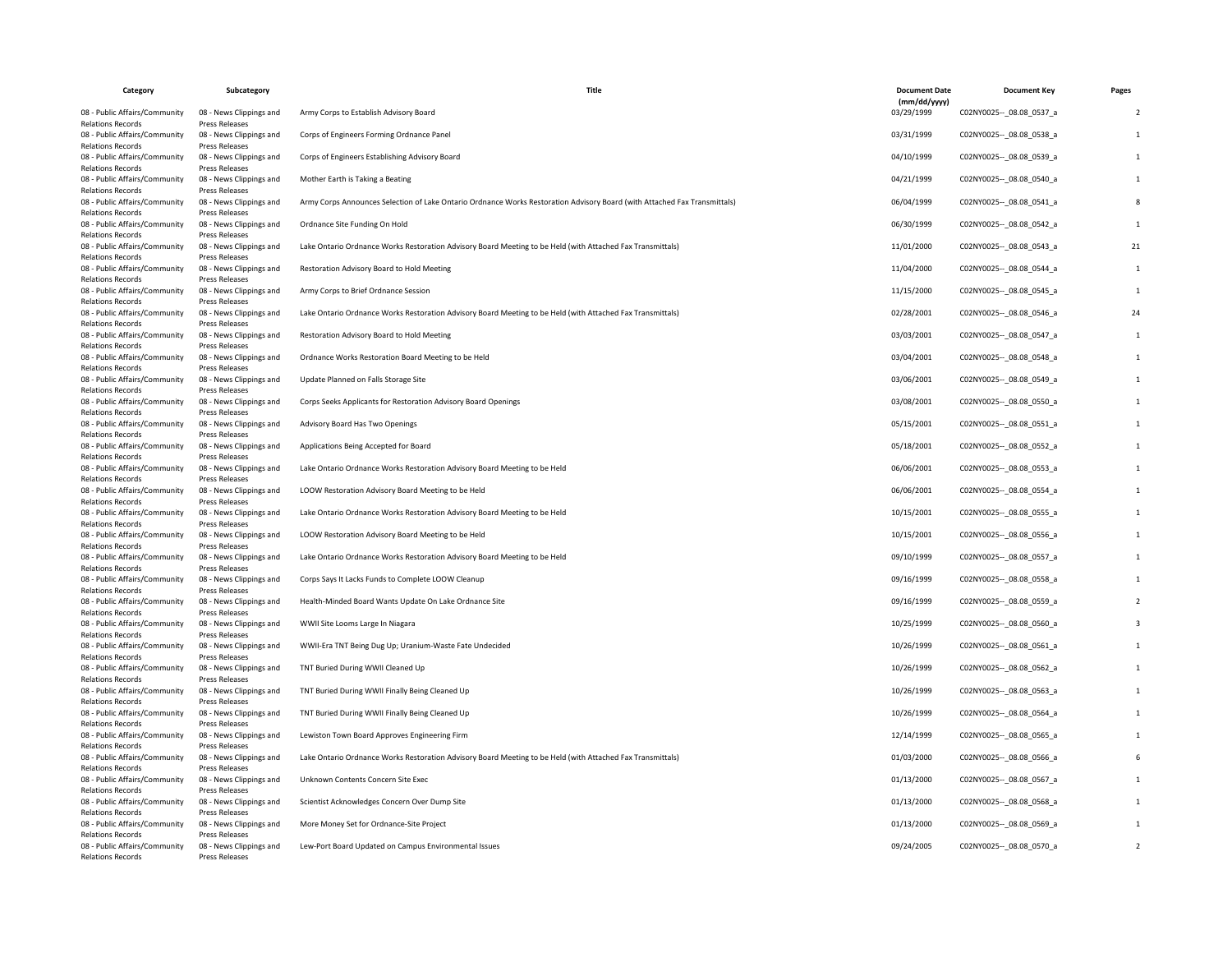| Category                                                                              | Subcategory                                                        | Title                                                                                                                     | <b>Document Date</b>       | <b>Document Key</b>         | Pages |
|---------------------------------------------------------------------------------------|--------------------------------------------------------------------|---------------------------------------------------------------------------------------------------------------------------|----------------------------|-----------------------------|-------|
| 08 - Public Affairs/Community                                                         | 08 - News Clippings and                                            | Army Corps to Establish Advisory Board                                                                                    | (mm/dd/yyyy)<br>03/29/1999 | C02NY0025 -- _ 08.08_0537_a |       |
| <b>Relations Records</b><br>08 - Public Affairs/Community<br><b>Relations Records</b> | Press Releases<br>08 - News Clippings and<br><b>Press Releases</b> | Corps of Engineers Forming Ordnance Panel                                                                                 | 03/31/1999                 | C02NY0025 -- 08.08 0538 a   |       |
| 08 - Public Affairs/Community<br><b>Relations Records</b>                             | 08 - News Clippings and<br>Press Releases                          | Corps of Engineers Establishing Advisory Board                                                                            | 04/10/1999                 | C02NY0025 -- 08.08 0539 a   |       |
| 08 - Public Affairs/Community<br><b>Relations Records</b>                             | 08 - News Clippings and<br>Press Releases                          | Mother Earth is Taking a Beating                                                                                          | 04/21/1999                 | C02NY0025 -- 08.08 0540 a   |       |
| 08 - Public Affairs/Community<br><b>Relations Records</b>                             | 08 - News Clippings and<br>Press Releases                          | Army Corps Announces Selection of Lake Ontario Ordnance Works Restoration Advisory Board (with Attached Fax Transmittals) | 06/04/1999                 | C02NY0025 -- 08.08 0541_a   |       |
| 08 - Public Affairs/Community<br><b>Relations Records</b>                             | 08 - News Clippings and<br><b>Press Releases</b>                   | Ordnance Site Funding On Hold                                                                                             | 06/30/1999                 | C02NY0025 -- 08.08 0542 a   |       |
| 08 - Public Affairs/Community<br><b>Relations Records</b>                             | 08 - News Clippings and<br>Press Releases                          | Lake Ontario Ordnance Works Restoration Advisory Board Meeting to be Held (with Attached Fax Transmittals)                | 11/01/2000                 | C02NY0025 -- 08.08 0543 a   | 21    |
| 08 - Public Affairs/Community<br><b>Relations Records</b>                             | 08 - News Clippings and<br>Press Releases                          | Restoration Advisory Board to Hold Meeting                                                                                | 11/04/2000                 | C02NY0025 -- 08.08 0544 a   |       |
| 08 - Public Affairs/Community<br><b>Relations Records</b>                             | 08 - News Clippings and<br>Press Releases                          | Army Corps to Brief Ordnance Session                                                                                      | 11/15/2000                 | C02NY0025 -- 08.08 0545 a   |       |
| 08 - Public Affairs/Community<br><b>Relations Records</b>                             | 08 - News Clippings and<br>Press Releases                          | Lake Ontario Ordnance Works Restoration Advisory Board Meeting to be Held (with Attached Fax Transmittals)                | 02/28/2001                 | C02NY0025 -- 08.08 0546 a   | 24    |
| 08 - Public Affairs/Community                                                         | 08 - News Clippings and                                            | Restoration Advisory Board to Hold Meeting                                                                                | 03/03/2001                 | C02NY0025 -- 08.08 0547 a   |       |
| <b>Relations Records</b><br>08 - Public Affairs/Community                             | Press Releases<br>08 - News Clippings and                          | Ordnance Works Restoration Board Meeting to be Held                                                                       | 03/04/2001                 | C02NY0025 -- 08.08 0548 a   |       |
| <b>Relations Records</b><br>08 - Public Affairs/Community                             | <b>Press Releases</b><br>08 - News Clippings and                   | Update Planned on Falls Storage Site                                                                                      | 03/06/2001                 | C02NY0025 -- 08.08 0549 a   |       |
| <b>Relations Records</b><br>08 - Public Affairs/Community                             | <b>Press Releases</b><br>08 - News Clippings and                   | Corps Seeks Applicants for Restoration Advisory Board Openings                                                            | 03/08/2001                 | C02NY0025 -- 08.08 0550 a   |       |
| <b>Relations Records</b><br>08 - Public Affairs/Community                             | Press Releases<br>08 - News Clippings and                          | Advisory Board Has Two Openings                                                                                           | 05/15/2001                 | C02NY0025 -- 08.08 0551 a   |       |
| <b>Relations Records</b><br>08 - Public Affairs/Community                             | Press Releases<br>08 - News Clippings and                          | Applications Being Accepted for Board                                                                                     | 05/18/2001                 | C02NY0025 -- _ 08.08_0552_a |       |
| <b>Relations Records</b><br>08 - Public Affairs/Community                             | Press Releases<br>08 - News Clippings and                          | Lake Ontario Ordnance Works Restoration Advisory Board Meeting to be Held                                                 | 06/06/2001                 | C02NY0025 -- 08.08 0553 a   |       |
| <b>Relations Records</b><br>08 - Public Affairs/Community                             | Press Releases<br>08 - News Clippings and                          | LOOW Restoration Advisory Board Meeting to be Held                                                                        | 06/06/2001                 | C02NY0025 -- 08.08 0554 a   |       |
| <b>Relations Records</b>                                                              | Press Releases                                                     |                                                                                                                           |                            |                             |       |
| 08 - Public Affairs/Community<br><b>Relations Records</b>                             | 08 - News Clippings and<br>Press Releases                          | Lake Ontario Ordnance Works Restoration Advisory Board Meeting to be Held                                                 | 10/15/2001                 | C02NY0025 -- 08.08 0555 a   |       |
| 08 - Public Affairs/Community<br><b>Relations Records</b>                             | 08 - News Clippings and<br>Press Releases                          | LOOW Restoration Advisory Board Meeting to be Held                                                                        | 10/15/2001                 | C02NY0025 -- _ 08.08_0556_a |       |
| 08 - Public Affairs/Community<br><b>Relations Records</b>                             | 08 - News Clippings and<br>Press Releases                          | Lake Ontario Ordnance Works Restoration Advisory Board Meeting to be Held                                                 | 09/10/1999                 | C02NY0025 -- 08.08 0557_a   |       |
| 08 - Public Affairs/Community<br><b>Relations Records</b>                             | 08 - News Clippings and<br><b>Press Releases</b>                   | Corps Says It Lacks Funds to Complete LOOW Cleanup                                                                        | 09/16/1999                 | C02NY0025 -- 08.08 0558 a   |       |
| 08 - Public Affairs/Community                                                         | 08 - News Clippings and                                            | Health-Minded Board Wants Update On Lake Ordnance Site                                                                    | 09/16/1999                 | C02NY0025 -- _ 08.08_0559_a |       |
| <b>Relations Records</b><br>08 - Public Affairs/Community                             | Press Releases<br>08 - News Clippings and                          | WWII Site Looms Large In Niagara                                                                                          | 10/25/1999                 | C02NY0025 -- 08.08 0560 a   |       |
| <b>Relations Records</b><br>08 - Public Affairs/Community                             | Press Releases<br>08 - News Clippings and                          | WWII-Era TNT Being Dug Up; Uranium-Waste Fate Undecided                                                                   | 10/26/1999                 | C02NY0025 -- 08.08 0561 a   |       |
| <b>Relations Records</b><br>08 - Public Affairs/Community                             | Press Releases<br>08 - News Clippings and                          | TNT Buried During WWII Cleaned Up                                                                                         | 10/26/1999                 | C02NY0025 -- 08.08 0562 a   |       |
| <b>Relations Records</b><br>08 - Public Affairs/Community                             | Press Releases<br>08 - News Clippings and                          | TNT Buried During WWII Finally Being Cleaned Up                                                                           | 10/26/1999                 | C02NY0025 -- _ 08.08_0563_a |       |
| <b>Relations Records</b><br>08 - Public Affairs/Community                             | Press Releases<br>08 - News Clippings and                          | TNT Buried During WWII Finally Being Cleaned Up                                                                           | 10/26/1999                 | C02NY0025 -- 08.08 0564_a   |       |
| <b>Relations Records</b>                                                              | Press Releases                                                     |                                                                                                                           |                            |                             |       |
| 08 - Public Affairs/Community<br><b>Relations Records</b>                             | 08 - News Clippings and<br>Press Releases                          | Lewiston Town Board Approves Engineering Firm                                                                             | 12/14/1999                 | C02NY0025 -- 08.08 0565_a   |       |
| 08 - Public Affairs/Community<br><b>Relations Records</b>                             | 08 - News Clippings and<br><b>Press Releases</b>                   | Lake Ontario Ordnance Works Restoration Advisory Board Meeting to be Held (with Attached Fax Transmittals)                | 01/03/2000                 | C02NY0025 -- _ 08.08_0566_a |       |
| 08 - Public Affairs/Community<br><b>Relations Records</b>                             | 08 - News Clippings and<br>Press Releases                          | Unknown Contents Concern Site Exec                                                                                        | 01/13/2000                 | C02NY0025 -- 08.08 0567_a   |       |
| 08 - Public Affairs/Community<br><b>Relations Records</b>                             | 08 - News Clippings and<br>Press Releases                          | Scientist Acknowledges Concern Over Dump Site                                                                             | 01/13/2000                 | C02NY0025 -- 08.08 0568 a   |       |
| 08 - Public Affairs/Community<br><b>Relations Records</b>                             | 08 - News Clippings and<br>Press Releases                          | More Money Set for Ordnance-Site Project                                                                                  | 01/13/2000                 | C02NY0025 -- _ 08.08_0569_a |       |
| 08 - Public Affairs/Community<br><b>Relations Records</b>                             | 08 - News Clippings and<br><b>Press Releases</b>                   | Lew-Port Board Updated on Campus Environmental Issues                                                                     | 09/24/2005                 | C02NY0025 -- 08.08 0570 a   |       |
|                                                                                       |                                                                    |                                                                                                                           |                            |                             |       |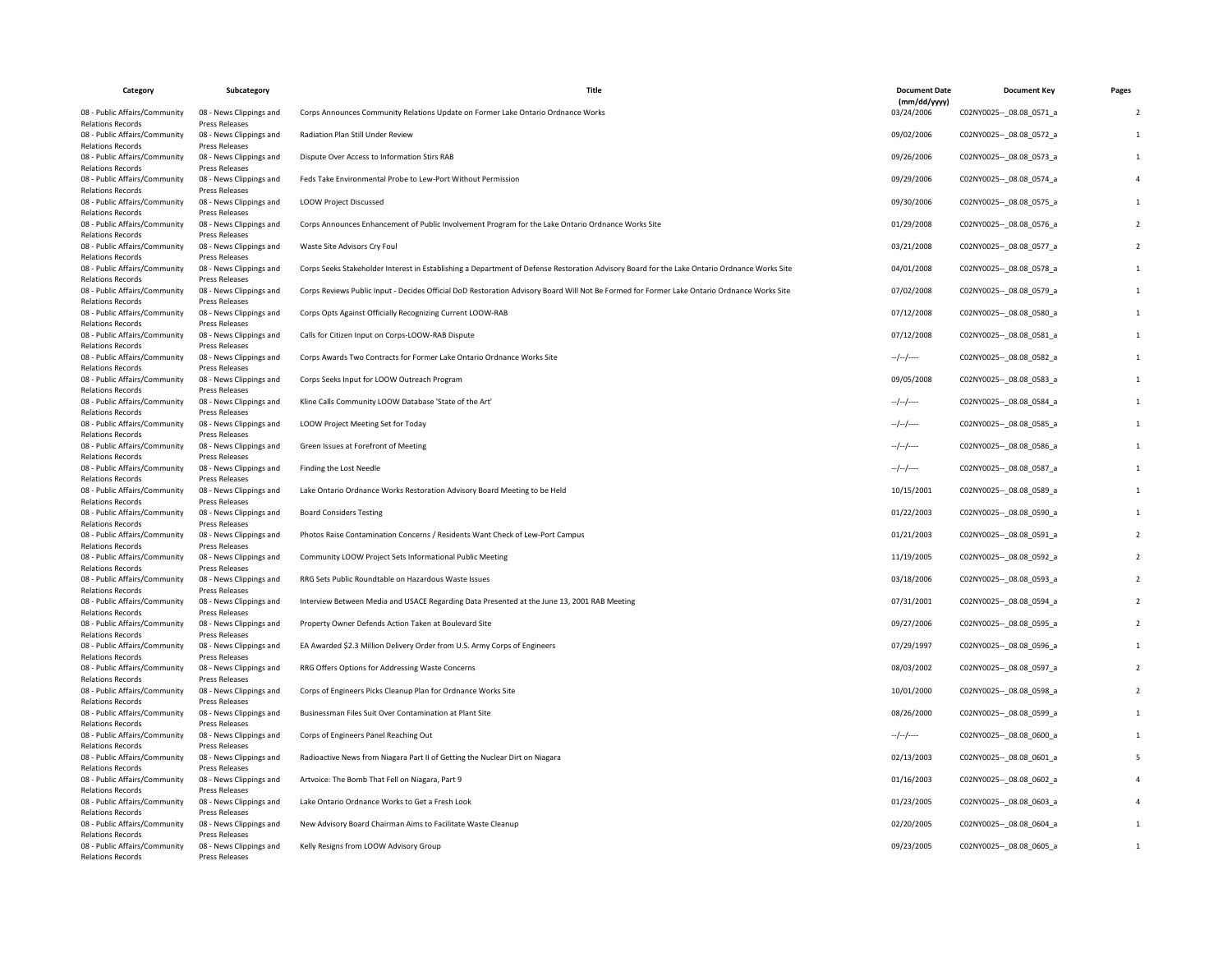| Category                                                                              | Subcategory                                                 | Title                                                                                                                                        | <b>Document Date</b>       | <b>Document Key</b>         | Pages |
|---------------------------------------------------------------------------------------|-------------------------------------------------------------|----------------------------------------------------------------------------------------------------------------------------------------------|----------------------------|-----------------------------|-------|
| 08 - Public Affairs/Community                                                         | 08 - News Clippings and                                     | Corps Announces Community Relations Update on Former Lake Ontario Ordnance Works                                                             | (mm/dd/yyyy)<br>03/24/2006 | C02NY0025 -- _ 08.08_0571_a |       |
| <b>Relations Records</b><br>08 - Public Affairs/Community<br><b>Relations Records</b> | Press Releases<br>08 - News Clippings and<br>Press Releases | Radiation Plan Still Under Review                                                                                                            | 09/02/2006                 | C02NY0025 -- 08.08 0572 a   |       |
| 08 - Public Affairs/Community<br><b>Relations Records</b>                             | 08 - News Clippings and<br>Press Releases                   | Dispute Over Access to Information Stirs RAB                                                                                                 | 09/26/2006                 | C02NY0025 -- 08.08 0573 a   |       |
| 08 - Public Affairs/Community<br><b>Relations Records</b>                             | 08 - News Clippings and<br>Press Releases                   | Feds Take Environmental Probe to Lew-Port Without Permission                                                                                 | 09/29/2006                 | C02NY0025 -- 08.08 0574 a   |       |
| 08 - Public Affairs/Community<br><b>Relations Records</b>                             | 08 - News Clippings and<br>Press Releases                   | <b>LOOW Project Discussed</b>                                                                                                                | 09/30/2006                 | C02NY0025 -- 08.08 0575_a   |       |
| 08 - Public Affairs/Community<br><b>Relations Records</b>                             | 08 - News Clippings and<br>Press Releases                   | Corps Announces Enhancement of Public Involvement Program for the Lake Ontario Ordnance Works Site                                           | 01/29/2008                 | C02NY0025 -- _ 08.08_0576_a |       |
| 08 - Public Affairs/Community<br><b>Relations Records</b>                             | 08 - News Clippings and<br><b>Press Releases</b>            | Waste Site Advisors Cry Foul                                                                                                                 | 03/21/2008                 | C02NY0025 -- 08.08 0577_a   |       |
| 08 - Public Affairs/Community<br><b>Relations Records</b>                             | 08 - News Clippings and<br>Press Releases                   | Corps Seeks Stakeholder Interest in Establishing a Department of Defense Restoration Advisory Board for the Lake Ontario Ordnance Works Site | 04/01/2008                 | C02NY0025 -- _ 08.08_0578_a |       |
| 08 - Public Affairs/Community<br><b>Relations Records</b>                             | 08 - News Clippings and<br>Press Releases                   | Corps Reviews Public Input - Decides Official DoD Restoration Advisory Board Will Not Be Formed for Former Lake Ontario Ordnance Works Site  | 07/02/2008                 | C02NY0025 -- 08.08 0579 a   |       |
| 08 - Public Affairs/Community<br><b>Relations Records</b>                             | 08 - News Clippings and<br>Press Releases                   | Corps Opts Against Officially Recognizing Current LOOW-RAB                                                                                   | 07/12/2008                 | C02NY0025 -- 08.08 0580 a   |       |
| 08 - Public Affairs/Community<br><b>Relations Records</b>                             | 08 - News Clippings and<br>Press Releases                   | Calls for Citizen Input on Corps-LOOW-RAB Dispute                                                                                            | 07/12/2008                 | C02NY0025 -- 08.08 0581 a   |       |
| 08 - Public Affairs/Community<br><b>Relations Records</b>                             | 08 - News Clippings and<br>Press Releases                   | Corps Awards Two Contracts for Former Lake Ontario Ordnance Works Site                                                                       | --/--/----                 | C02NY0025 -- _ 08.08_0582_a |       |
| 08 - Public Affairs/Community<br><b>Relations Records</b>                             | 08 - News Clippings and<br>Press Releases                   | Corps Seeks Input for LOOW Outreach Program                                                                                                  | 09/05/2008                 | C02NY0025 -- 08.08 0583 a   |       |
| 08 - Public Affairs/Community<br><b>Relations Records</b>                             | 08 - News Clippings and<br>Press Releases                   | Kline Calls Community LOOW Database 'State of the Art'                                                                                       | --/--/----                 | C02NY0025 -- 08.08 0584 a   |       |
| 08 - Public Affairs/Community<br><b>Relations Records</b>                             | 08 - News Clippings and<br>Press Releases                   | LOOW Project Meeting Set for Today                                                                                                           | --/--/----                 | C02NY0025 -- 08.08 0585 a   |       |
| 08 - Public Affairs/Community<br><b>Relations Records</b>                             | 08 - News Clippings and<br>Press Releases                   | Green Issues at Forefront of Meeting                                                                                                         | $-/-/-$                    | C02NY0025 -- 08.08 0586 a   |       |
| 08 - Public Affairs/Community<br><b>Relations Records</b>                             | 08 - News Clippings and<br>Press Releases                   | Finding the Lost Needle                                                                                                                      | --/--/----                 | C02NY0025 -- 08.08 0587_a   |       |
| 08 - Public Affairs/Community<br><b>Relations Records</b>                             | 08 - News Clippings and<br>Press Releases                   | Lake Ontario Ordnance Works Restoration Advisory Board Meeting to be Held                                                                    | 10/15/2001                 | C02NY0025 -- _ 08.08_0589_a |       |
| 08 - Public Affairs/Community<br><b>Relations Records</b>                             | 08 - News Clippings and<br>Press Releases                   | <b>Board Considers Testing</b>                                                                                                               | 01/22/2003                 | C02NY0025 -- 08.08 0590 a   |       |
| 08 - Public Affairs/Community<br><b>Relations Records</b>                             | 08 - News Clippings and<br>Press Releases                   | Photos Raise Contamination Concerns / Residents Want Check of Lew-Port Campus                                                                | 01/21/2003                 | C02NY0025 -- 08.08 0591 a   |       |
| 08 - Public Affairs/Community<br><b>Relations Records</b>                             | 08 - News Clippings and<br>Press Releases                   | Community LOOW Project Sets Informational Public Meeting                                                                                     | 11/19/2005                 | C02NY0025 -- 08.08 0592 a   |       |
| 08 - Public Affairs/Community<br><b>Relations Records</b>                             | 08 - News Clippings and<br>Press Releases                   | RRG Sets Public Roundtable on Hazardous Waste Issues                                                                                         | 03/18/2006                 | C02NY0025 -- _ 08.08_0593_a |       |
| 08 - Public Affairs/Community<br><b>Relations Records</b>                             | 08 - News Clippings and<br>Press Releases                   | Interview Between Media and USACE Regarding Data Presented at the June 13, 2001 RAB Meeting                                                  | 07/31/2001                 | C02NY0025 -- 08.08 0594 a   |       |
| 08 - Public Affairs/Community<br><b>Relations Records</b>                             | 08 - News Clippings and<br>Press Releases                   | Property Owner Defends Action Taken at Boulevard Site                                                                                        | 09/27/2006                 | C02NY0025 -- 08.08 0595 a   |       |
| 08 - Public Affairs/Community<br><b>Relations Records</b>                             | 08 - News Clippings and<br>Press Releases                   | EA Awarded \$2.3 Million Delivery Order from U.S. Army Corps of Engineers                                                                    | 07/29/1997                 | C02NY0025 -- 08.08 0596 a   |       |
| 08 - Public Affairs/Community<br><b>Relations Records</b>                             | 08 - News Clippings and<br>Press Releases                   | RRG Offers Options for Addressing Waste Concerns                                                                                             | 08/03/2002                 | C02NY0025 -- 08.08 0597 a   |       |
| 08 - Public Affairs/Community<br><b>Relations Records</b>                             | 08 - News Clippings and<br>Press Releases                   | Corps of Engineers Picks Cleanup Plan for Ordnance Works Site                                                                                | 10/01/2000                 | C02NY0025 -- 08.08 0598 a   |       |
| 08 - Public Affairs/Community<br><b>Relations Records</b>                             | 08 - News Clippings and<br>Press Releases                   | Businessman Files Suit Over Contamination at Plant Site                                                                                      | 08/26/2000                 | C02NY0025 -- 08.08 0599_a   |       |
| 08 - Public Affairs/Community<br><b>Relations Records</b>                             | 08 - News Clippings and<br>Press Releases                   | Corps of Engineers Panel Reaching Out                                                                                                        | $-$ / $-$ /----            | C02NY0025 -- 08.08 0600 a   |       |
| 08 - Public Affairs/Community<br><b>Relations Records</b>                             | 08 - News Clippings and<br>Press Releases                   | Radioactive News from Niagara Part II of Getting the Nuclear Dirt on Niagara                                                                 | 02/13/2003                 | C02NY0025 -- 08.08 0601_a   |       |
| 08 - Public Affairs/Community<br><b>Relations Records</b>                             | 08 - News Clippings and<br>Press Releases                   | Artvoice: The Bomb That Fell on Niagara, Part 9                                                                                              | 01/16/2003                 | C02NY0025 -- 08.08 0602 a   |       |
| 08 - Public Affairs/Community<br><b>Relations Records</b>                             | 08 - News Clippings and<br>Press Releases                   | Lake Ontario Ordnance Works to Get a Fresh Look                                                                                              | 01/23/2005                 | C02NY0025 -- _ 08.08_0603_a |       |
| 08 - Public Affairs/Community<br><b>Relations Records</b>                             | 08 - News Clippings and<br>Press Releases                   | New Advisory Board Chairman Aims to Facilitate Waste Cleanup                                                                                 | 02/20/2005                 | C02NY0025 -- _ 08.08_0604_a |       |
| 08 - Public Affairs/Community<br><b>Relations Records</b>                             | 08 - News Clippings and<br>Press Releases                   | Kelly Resigns from LOOW Advisory Group                                                                                                       | 09/23/2005                 | C02NY0025 -- 08.08 0605 a   |       |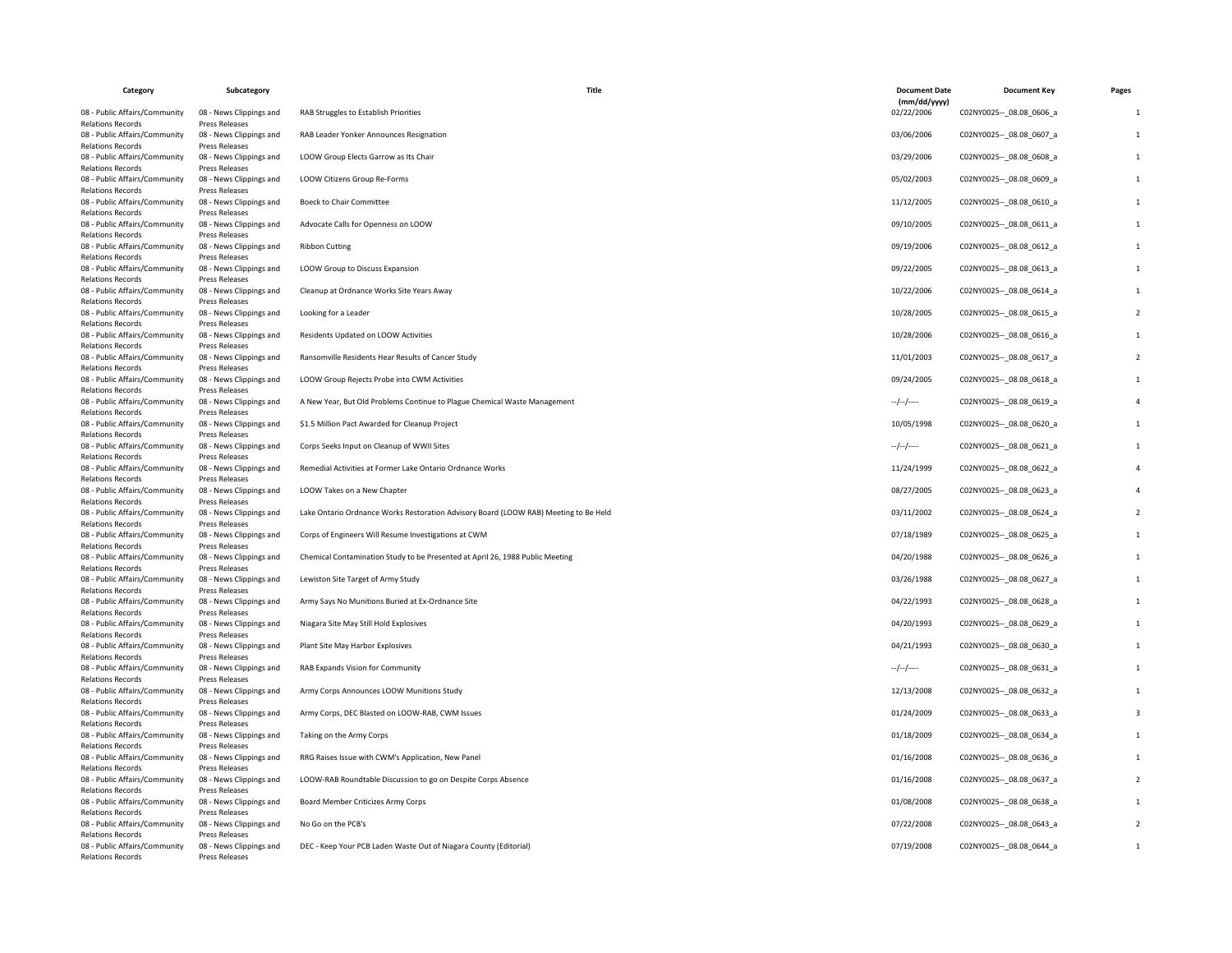| Category                                                  | Subcategory                                      | Title                                                                                | <b>Document Date</b><br>(mm/dd/yyyy) | <b>Document Key</b>         | Pages |
|-----------------------------------------------------------|--------------------------------------------------|--------------------------------------------------------------------------------------|--------------------------------------|-----------------------------|-------|
| 08 - Public Affairs/Community<br><b>Relations Records</b> | 08 - News Clippings and<br><b>Press Releases</b> | RAB Struggles to Establish Priorities                                                | 02/22/2006                           | C02NY0025 -- 08.08 0606 a   |       |
| 08 - Public Affairs/Community<br><b>Relations Records</b> | 08 - News Clippings and<br>Press Releases        | RAB Leader Yonker Announces Resignation                                              | 03/06/2006                           | C02NY0025 -- 08.08 0607_a   |       |
| 08 - Public Affairs/Community<br><b>Relations Records</b> | 08 - News Clippings and<br>Press Releases        | LOOW Group Elects Garrow as Its Chair                                                | 03/29/2006                           | C02NY0025 -- _ 08.08_0608_a |       |
| 08 - Public Affairs/Community<br><b>Relations Records</b> | 08 - News Clippings and<br>Press Releases        | LOOW Citizens Group Re-Forms                                                         | 05/02/2003                           | C02NY0025 -- 08.08 0609_a   |       |
| 08 - Public Affairs/Community<br><b>Relations Records</b> | 08 - News Clippings and<br><b>Press Releases</b> | <b>Boeck to Chair Committee</b>                                                      | 11/12/2005                           | C02NY0025 -- _ 08.08_0610_a |       |
| 08 - Public Affairs/Community<br><b>Relations Records</b> | 08 - News Clippings and<br>Press Releases        | Advocate Calls for Openness on LOOW                                                  | 09/10/2005                           | C02NY0025 -- 08.08 0611_a   |       |
| 08 - Public Affairs/Community<br><b>Relations Records</b> | 08 - News Clippings and<br><b>Press Releases</b> | <b>Ribbon Cutting</b>                                                                | 09/19/2006                           | C02NY0025 -- 08.08 0612 a   |       |
| 08 - Public Affairs/Community<br><b>Relations Records</b> | 08 - News Clippings and<br>Press Releases        | LOOW Group to Discuss Expansion                                                      | 09/22/2005                           | C02NY0025 -- _ 08.08_0613_a |       |
| 08 - Public Affairs/Community<br><b>Relations Records</b> | 08 - News Clippings and<br><b>Press Releases</b> | Cleanup at Ordnance Works Site Years Away                                            | 10/22/2006                           | C02NY0025 -- 08.08 0614 a   |       |
| 08 - Public Affairs/Community<br><b>Relations Records</b> | 08 - News Clippings and<br>Press Releases        | Looking for a Leader                                                                 | 10/28/2005                           | C02NY0025 -- 08.08 0615 a   |       |
| 08 - Public Affairs/Community<br><b>Relations Records</b> | 08 - News Clippings and<br>Press Releases        | Residents Updated on LOOW Activities                                                 | 10/28/2006                           | C02NY0025 -- 08.08 0616 a   |       |
| 08 - Public Affairs/Community<br><b>Relations Records</b> | 08 - News Clippings and<br>Press Releases        | Ransomville Residents Hear Results of Cancer Study                                   | 11/01/2003                           | C02NY0025 -- _ 08.08_0617_a |       |
| 08 - Public Affairs/Community<br><b>Relations Records</b> | 08 - News Clippings and<br>Press Releases        | LOOW Group Rejects Probe into CWM Activities                                         | 09/24/2005                           | C02NY0025 -- 08.08 0618 a   |       |
| 08 - Public Affairs/Community<br><b>Relations Records</b> | 08 - News Clippings and<br><b>Press Releases</b> | A New Year, But Old Problems Continue to Plague Chemical Waste Management            | $-/-/-$                              | C02NY0025 -- 08.08 0619 a   |       |
| 08 - Public Affairs/Community<br><b>Relations Records</b> | 08 - News Clippings and<br>Press Releases        | \$1.5 Million Pact Awarded for Cleanup Project                                       | 10/05/1998                           | C02NY0025 -- _ 08.08_0620_a |       |
| 08 - Public Affairs/Community<br><b>Relations Records</b> | 08 - News Clippings and<br>Press Releases        | Corps Seeks Input on Cleanup of WWII Sites                                           | $-/-/-$                              | C02NY0025 -- 08.08 0621 a   |       |
| 08 - Public Affairs/Community<br><b>Relations Records</b> | 08 - News Clippings and<br>Press Releases        | Remedial Activities at Former Lake Ontario Ordnance Works                            | 11/24/1999                           | C02NY0025 -- 08.08 0622 a   |       |
| 08 - Public Affairs/Community<br><b>Relations Records</b> | 08 - News Clippings and<br>Press Releases        | LOOW Takes on a New Chapter                                                          | 08/27/2005                           | C02NY0025 -- _ 08.08_0623_a |       |
| 08 - Public Affairs/Community<br><b>Relations Records</b> | 08 - News Clippings and<br>Press Releases        | Lake Ontario Ordnance Works Restoration Advisory Board (LOOW RAB) Meeting to Be Held | 03/11/2002                           | C02NY0025 -- 08.08 0624 a   |       |
| 08 - Public Affairs/Community<br><b>Relations Records</b> | 08 - News Clippings and<br><b>Press Releases</b> | Corps of Engineers Will Resume Investigations at CWM                                 | 07/18/1989                           | C02NY0025 -- 08.08 0625 a   |       |
| 08 - Public Affairs/Community<br><b>Relations Records</b> | 08 - News Clippings and<br>Press Releases        | Chemical Contamination Study to be Presented at April 26, 1988 Public Meeting        | 04/20/1988                           | C02NY0025 -- 08.08 0626 a   |       |
| 08 - Public Affairs/Community<br><b>Relations Records</b> | 08 - News Clippings and<br>Press Releases        | Lewiston Site Target of Army Study                                                   | 03/26/1988                           | C02NY0025 -- _ 08.08_0627_a |       |
| 08 - Public Affairs/Community<br><b>Relations Records</b> | 08 - News Clippings and<br>Press Releases        | Army Says No Munitions Buried at Ex-Ordnance Site                                    | 04/22/1993                           | C02NY0025 -- _ 08.08_0628_a |       |
| 08 - Public Affairs/Community<br><b>Relations Records</b> | 08 - News Clippings and<br>Press Releases        | Niagara Site May Still Hold Explosives                                               | 04/20/1993                           | C02NY0025 -- 08.08 0629_a   |       |
| 08 - Public Affairs/Community<br><b>Relations Records</b> | 08 - News Clippings and<br>Press Releases        | Plant Site May Harbor Explosives                                                     | 04/21/1993                           | C02NY0025 -- _ 08.08_0630_a |       |
| 08 - Public Affairs/Community<br><b>Relations Records</b> | 08 - News Clippings and<br>Press Releases        | RAB Expands Vision for Community                                                     | $-/-/-$                              | C02NY0025 -- 08.08 0631 a   |       |
| 08 - Public Affairs/Community<br><b>Relations Records</b> | 08 - News Clippings and<br><b>Press Releases</b> | Army Corps Announces LOOW Munitions Study                                            | 12/13/2008                           | C02NY0025 -- 08.08 0632 a   |       |
| 08 - Public Affairs/Community<br><b>Relations Records</b> | 08 - News Clippings and<br>Press Releases        | Army Corps, DEC Blasted on LOOW-RAB, CWM Issues                                      | 01/24/2009                           | C02NY0025 -- 08.08 0633_a   |       |
| 08 - Public Affairs/Community<br><b>Relations Records</b> | 08 - News Clippings and<br>Press Releases        | Taking on the Army Corps                                                             | 01/18/2009                           | C02NY0025 -- 08.08 0634_a   |       |
| 08 - Public Affairs/Community<br><b>Relations Records</b> | 08 - News Clippings and<br>Press Releases        | RRG Raises Issue with CWM's Application, New Panel                                   | 01/16/2008                           | C02NY0025 -- _ 08.08_0636_a |       |
| 08 - Public Affairs/Community<br><b>Relations Records</b> | 08 - News Clippings and<br>Press Releases        | LOOW-RAB Roundtable Discussion to go on Despite Corps Absence                        | 01/16/2008                           | C02NY0025 -- 08.08 0637_a   |       |
| 08 - Public Affairs/Community<br><b>Relations Records</b> | 08 - News Clippings and<br>Press Releases        | Board Member Criticizes Army Corps                                                   | 01/08/2008                           | C02NY0025 -- 08.08 0638 a   |       |
| 08 - Public Affairs/Community<br><b>Relations Records</b> | 08 - News Clippings and<br>Press Releases        | No Go on the PCB's                                                                   | 07/22/2008                           | C02NY0025 -- 08.08 0643 a   |       |
| 08 - Public Affairs/Community<br><b>Relations Records</b> | 08 - News Clippings and<br>Press Releases        | DEC - Keep Your PCB Laden Waste Out of Niagara County (Editorial)                    | 07/19/2008                           | C02NY0025 -- _ 08.08_0644_a |       |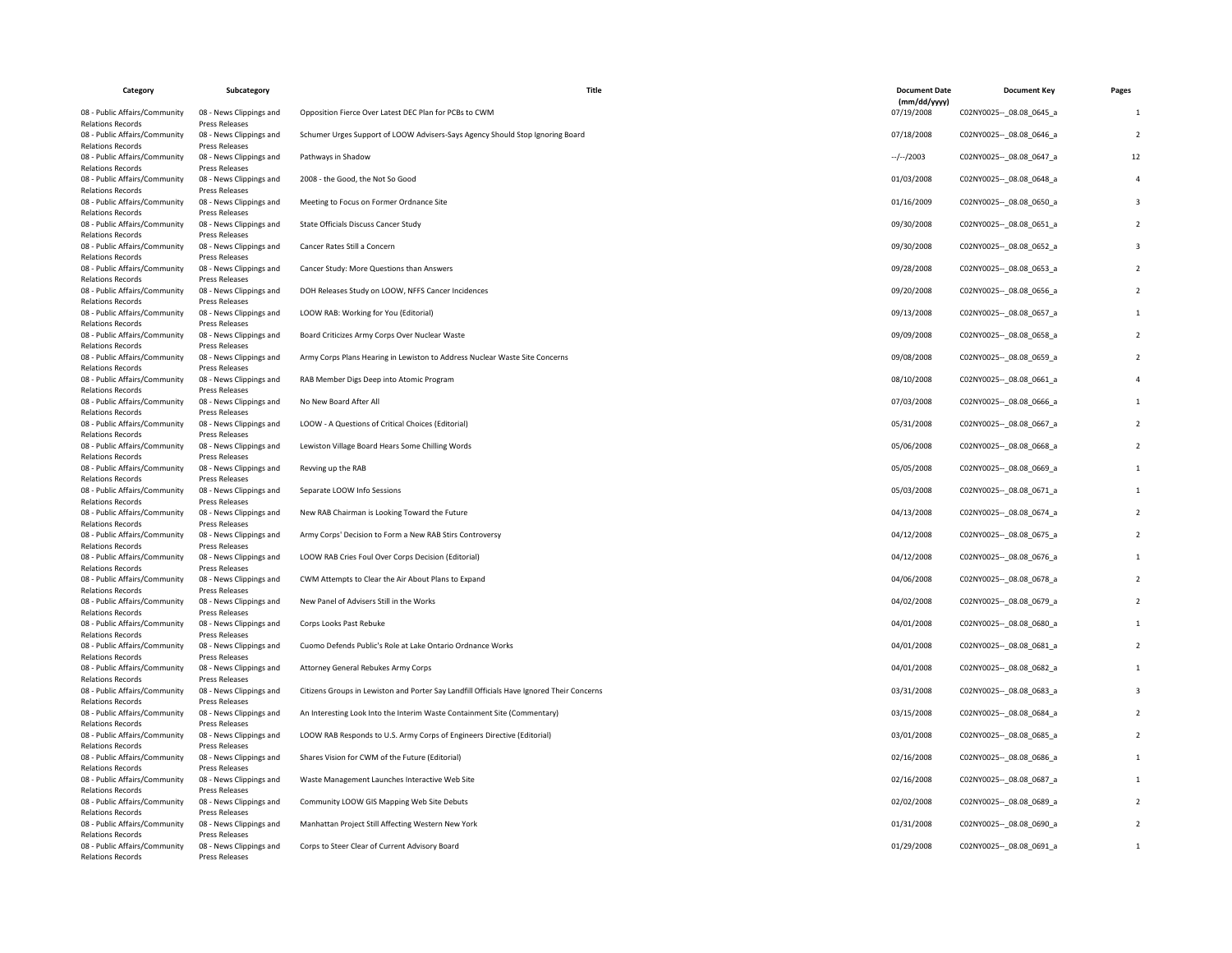| Category                                                                              | Subcategory                                                 | Title                                                                                     | <b>Document Date</b>       | <b>Document Key</b>           | Pages          |
|---------------------------------------------------------------------------------------|-------------------------------------------------------------|-------------------------------------------------------------------------------------------|----------------------------|-------------------------------|----------------|
| 08 - Public Affairs/Community                                                         | 08 - News Clippings and                                     | Opposition Fierce Over Latest DEC Plan for PCBs to CWM                                    | (mm/dd/yyyy)<br>07/19/2008 | C02NY0025 -- 08.08 0645 a     | -1             |
| <b>Relations Records</b><br>08 - Public Affairs/Community<br><b>Relations Records</b> | Press Releases<br>08 - News Clippings and<br>Press Releases | Schumer Urges Support of LOOW Advisers-Says Agency Should Stop Ignoring Board             | 07/18/2008                 | C02NY0025 -- 08.08 0646 a     | $\overline{2}$ |
| 08 - Public Affairs/Community<br><b>Relations Records</b>                             | 08 - News Clippings and<br>Press Releases                   | Pathways in Shadow                                                                        | $-/-/2003$                 | C02NY0025 -- _ 08.08_0647_a   | 12             |
| 08 - Public Affairs/Community<br><b>Relations Records</b>                             | 08 - News Clippings and<br>Press Releases                   | 2008 - the Good, the Not So Good                                                          | 01/03/2008                 | C02NY0025 -- 08.08 0648 a     |                |
| 08 - Public Affairs/Community<br><b>Relations Records</b>                             | 08 - News Clippings and<br>Press Releases                   | Meeting to Focus on Former Ordnance Site                                                  | 01/16/2009                 | C02NY0025 -- _ 08.08_0650_a   |                |
| 08 - Public Affairs/Community<br><b>Relations Records</b>                             | 08 - News Clippings and<br>Press Releases                   | State Officials Discuss Cancer Study                                                      | 09/30/2008                 | C02NY0025 -- 08.08 0651_a     |                |
| 08 - Public Affairs/Community<br><b>Relations Records</b>                             | 08 - News Clippings and<br>Press Releases                   | Cancer Rates Still a Concern                                                              | 09/30/2008                 | C02NY0025 -- 08.08 0652 a     |                |
| 08 - Public Affairs/Community<br>Relations Records                                    | 08 - News Clippings and<br>Press Releases                   | Cancer Study: More Questions than Answers                                                 | 09/28/2008                 | C02NY0025 -- _ 08.08_0653_a   |                |
| 08 - Public Affairs/Community<br><b>Relations Records</b>                             | 08 - News Clippings and<br>Press Releases                   | DOH Releases Study on LOOW, NFFS Cancer Incidences                                        | 09/20/2008                 | C02NY0025 -- 08.08 0656 a     |                |
| 08 - Public Affairs/Community<br><b>Relations Records</b>                             | 08 - News Clippings and<br>Press Releases                   | LOOW RAB: Working for You (Editorial)                                                     | 09/13/2008                 | C02NY0025 -- 08.08 0657 a     |                |
| 08 - Public Affairs/Community<br><b>Relations Records</b>                             | 08 - News Clippings and<br>Press Releases                   | Board Criticizes Army Corps Over Nuclear Waste                                            | 09/09/2008                 | C02NY0025 -- 08.08 0658 a     |                |
| 08 - Public Affairs/Community<br><b>Relations Records</b>                             | 08 - News Clippings and<br>Press Releases                   | Army Corps Plans Hearing in Lewiston to Address Nuclear Waste Site Concerns               | 09/08/2008                 | C02NY0025 -- _ 08.08_0659_a   |                |
| 08 - Public Affairs/Community<br><b>Relations Records</b>                             | 08 - News Clippings and<br>Press Releases                   | RAB Member Digs Deep into Atomic Program                                                  | 08/10/2008                 | C02NY0025 -- 08.08 0661_a     |                |
| 08 - Public Affairs/Community<br><b>Relations Records</b>                             | 08 - News Clippings and<br>Press Releases                   | No New Board After All                                                                    | 07/03/2008                 | C02NY0025 -- 08.08 0666 a     |                |
| 08 - Public Affairs/Community<br>Relations Records                                    | 08 - News Clippings and<br>Press Releases                   | LOOW - A Questions of Critical Choices (Editorial)                                        | 05/31/2008                 | C02NY0025 -- _ 08.08_0667_a   |                |
| 08 - Public Affairs/Community<br><b>Relations Records</b>                             | 08 - News Clippings and<br>Press Releases                   | Lewiston Village Board Hears Some Chilling Words                                          | 05/06/2008                 | C02NY0025 -- 08.08 0668 a     |                |
| 08 - Public Affairs/Community<br><b>Relations Records</b>                             | 08 - News Clippings and<br>Press Releases                   | Revving up the RAB                                                                        | 05/05/2008                 | C02NY0025 -- 08.08 0669 a     |                |
| 08 - Public Affairs/Community<br><b>Relations Records</b>                             | 08 - News Clippings and<br>Press Releases                   | Separate LOOW Info Sessions                                                               | 05/03/2008                 | C02NY0025 -- _ 08.08 _ 0671_a |                |
| 08 - Public Affairs/Community<br><b>Relations Records</b>                             | 08 - News Clippings and<br><b>Press Releases</b>            | New RAB Chairman is Looking Toward the Future                                             | 04/13/2008                 | C02NY0025 -- 08.08 0674 a     |                |
| 08 - Public Affairs/Community<br><b>Relations Records</b>                             | 08 - News Clippings and<br>Press Releases                   | Army Corps' Decision to Form a New RAB Stirs Controversy                                  | 04/12/2008                 | C02NY0025 -- 08.08 0675_a     |                |
| 08 - Public Affairs/Community<br><b>Relations Records</b>                             | 08 - News Clippings and<br>Press Releases                   | LOOW RAB Cries Foul Over Corps Decision (Editorial)                                       | 04/12/2008                 | C02NY0025 -- 08.08 0676 a     |                |
| 08 - Public Affairs/Community<br>Relations Records                                    | 08 - News Clippings and<br>Press Releases                   | CWM Attempts to Clear the Air About Plans to Expand                                       | 04/06/2008                 | C02NY0025 -- 08.08 0678 a     |                |
| 08 - Public Affairs/Community<br><b>Relations Records</b>                             | 08 - News Clippings and<br>Press Releases                   | New Panel of Advisers Still in the Works                                                  | 04/02/2008                 | C02NY0025 -- _ 08.08_0679_a   |                |
| 08 - Public Affairs/Community<br><b>Relations Records</b>                             | 08 - News Clippings and<br>Press Releases                   | Corps Looks Past Rebuke                                                                   | 04/01/2008                 | C02NY0025 -- 08.08 0680 a     |                |
| 08 - Public Affairs/Community<br><b>Relations Records</b>                             | 08 - News Clippings and<br>Press Releases                   | Cuomo Defends Public's Role at Lake Ontario Ordnance Works                                | 04/01/2008                 | C02NY0025 -- _ 08.08_0681_a   |                |
| 08 - Public Affairs/Community<br><b>Relations Records</b>                             | 08 - News Clippings and<br>Press Releases                   | Attorney General Rebukes Army Corps                                                       | 04/01/2008                 | C02NY0025 -- 08.08 0682 a     |                |
| 08 - Public Affairs/Community<br><b>Relations Records</b>                             | 08 - News Clippings and<br>Press Releases                   | Citizens Groups in Lewiston and Porter Say Landfill Officials Have Ignored Their Concerns | 03/31/2008                 | C02NY0025 -- 08.08 0683 a     |                |
| 08 - Public Affairs/Community<br><b>Relations Records</b>                             | 08 - News Clippings and<br>Press Releases                   | An Interesting Look Into the Interim Waste Containment Site (Commentary)                  | 03/15/2008                 | C02NY0025 -- 08.08 0684 a     |                |
| 08 - Public Affairs/Community<br><b>Relations Records</b>                             | 08 - News Clippings and<br>Press Releases                   | LOOW RAB Responds to U.S. Army Corps of Engineers Directive (Editorial)                   | 03/01/2008                 | C02NY0025 -- 08.08 0685 a     |                |
| 08 - Public Affairs/Community<br><b>Relations Records</b>                             | 08 - News Clippings and<br>Press Releases                   | Shares Vision for CWM of the Future (Editorial)                                           | 02/16/2008                 | C02NY0025 -- _ 08.08_0686_a   |                |
| 08 - Public Affairs/Community<br><b>Relations Records</b>                             | 08 - News Clippings and<br>Press Releases                   | Waste Management Launches Interactive Web Site                                            | 02/16/2008                 | C02NY0025 -- 08.08 0687 a     |                |
| 08 - Public Affairs/Community<br><b>Relations Records</b>                             | 08 - News Clippings and<br>Press Releases                   | Community LOOW GIS Mapping Web Site Debuts                                                | 02/02/2008                 | C02NY0025 -- 08.08 0689 a     |                |
| 08 - Public Affairs/Community<br><b>Relations Records</b>                             | 08 - News Clippings and<br>Press Releases                   | Manhattan Project Still Affecting Western New York                                        | 01/31/2008                 | C02NY0025 -- 08.08 0690 a     |                |
| 08 - Public Affairs/Community<br><b>Relations Records</b>                             | 08 - News Clippings and<br>Press Releases                   | Corps to Steer Clear of Current Advisory Board                                            | 01/29/2008                 | C02NY0025 -- _ 08.08_0691_a   |                |
|                                                                                       |                                                             |                                                                                           |                            |                               |                |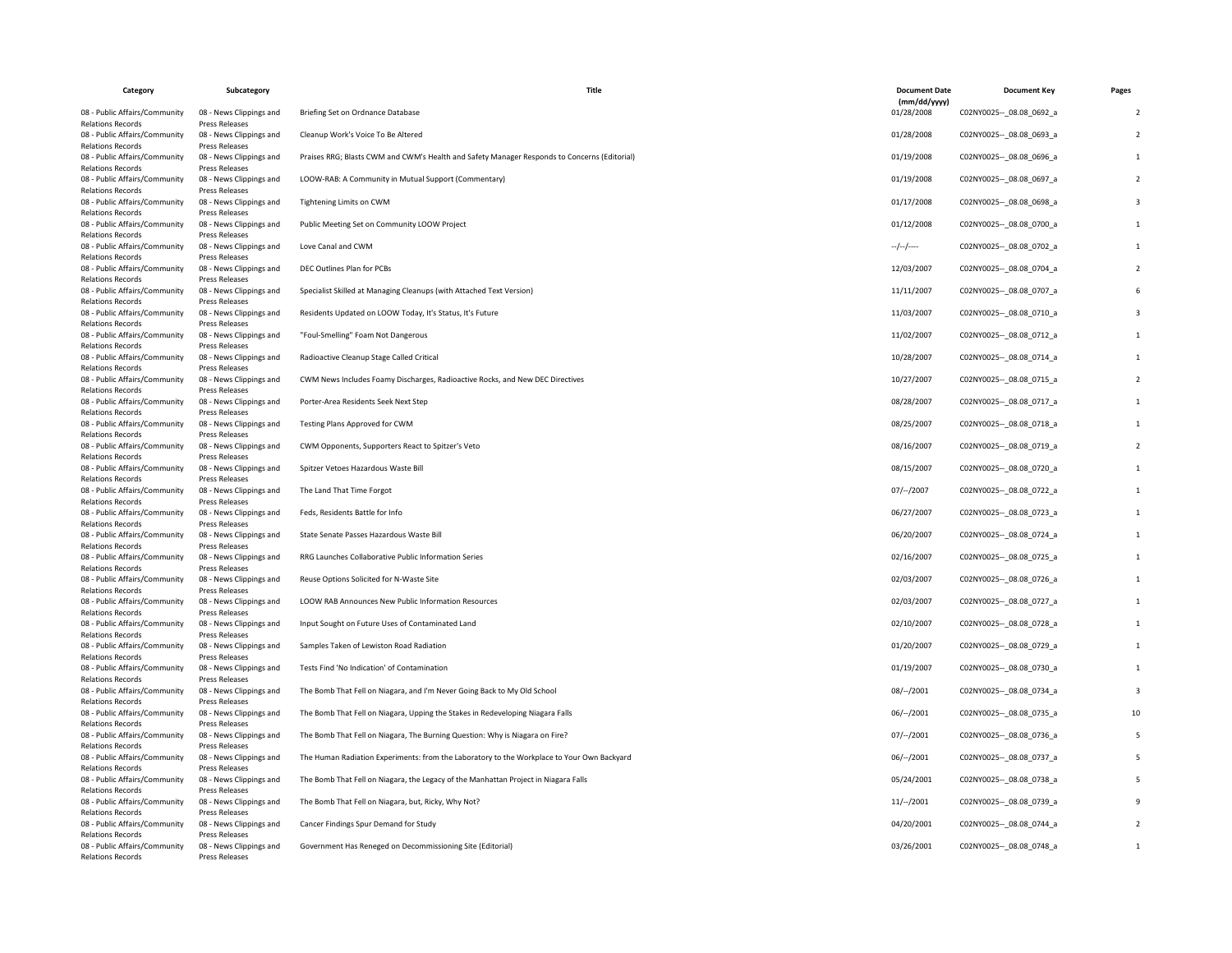| Category                                                                              | Subcategory                                                        | <b>Title</b>                                                                                 | <b>Document Date</b>       | <b>Document Kev</b>         | Pages |
|---------------------------------------------------------------------------------------|--------------------------------------------------------------------|----------------------------------------------------------------------------------------------|----------------------------|-----------------------------|-------|
| 08 - Public Affairs/Community                                                         | 08 - News Clippings and                                            | Briefing Set on Ordnance Database                                                            | (mm/dd/yyyy)<br>01/28/2008 | C02NY0025 -- 08.08 0692 a   |       |
| <b>Relations Records</b><br>08 - Public Affairs/Community<br><b>Relations Records</b> | Press Releases<br>08 - News Clippings and<br><b>Press Releases</b> | Cleanup Work's Voice To Be Altered                                                           | 01/28/2008                 | C02NY0025 -- 08.08 0693 a   |       |
| 08 - Public Affairs/Community<br><b>Relations Records</b>                             | 08 - News Clippings and<br>Press Releases                          | Praises RRG; Blasts CWM and CWM's Health and Safety Manager Responds to Concerns (Editorial) | 01/19/2008                 | C02NY0025 -- 08.08 0696 a   |       |
| 08 - Public Affairs/Community<br><b>Relations Records</b>                             | 08 - News Clippings and<br>Press Releases                          | LOOW-RAB: A Community in Mutual Support (Commentary)                                         | 01/19/2008                 | C02NY0025 -- 08.08 0697_a   |       |
| 08 - Public Affairs/Community<br><b>Relations Records</b>                             | 08 - News Clippings and<br><b>Press Releases</b>                   | Tightening Limits on CWM                                                                     | 01/17/2008                 | C02NY0025 -- 08.08 0698 a   |       |
| 08 - Public Affairs/Community<br><b>Relations Records</b>                             | 08 - News Clippings and<br>Press Releases                          | Public Meeting Set on Community LOOW Project                                                 | 01/12/2008                 | C02NY0025 -- 08.08 0700 a   |       |
| 08 - Public Affairs/Community<br><b>Relations Records</b>                             | 08 - News Clippings and<br>Press Releases                          | Love Canal and CWM                                                                           | $-/-/-/---$                | C02NY0025 -- 08.08 0702 a   |       |
| 08 - Public Affairs/Community<br><b>Relations Records</b>                             | 08 - News Clippings and<br>Press Releases                          | DEC Outlines Plan for PCBs                                                                   | 12/03/2007                 | C02NY0025 -- 08.08 0704 a   |       |
| 08 - Public Affairs/Community<br><b>Relations Records</b>                             | 08 - News Clippings and<br>Press Releases                          | Specialist Skilled at Managing Cleanups (with Attached Text Version)                         | 11/11/2007                 | C02NY0025 -- 08.08 0707_a   |       |
| 08 - Public Affairs/Community<br><b>Relations Records</b>                             | 08 - News Clippings and<br>Press Releases                          | Residents Updated on LOOW Today, It's Status, It's Future                                    | 11/03/2007                 | C02NY0025 -- 08.08 0710 a   |       |
| 08 - Public Affairs/Community<br><b>Relations Records</b>                             | 08 - News Clippings and<br>Press Releases                          | "Foul-Smelling" Foam Not Dangerous                                                           | 11/02/2007                 | C02NY0025 -- _ 08.08_0712_a |       |
| 08 - Public Affairs/Community<br><b>Relations Records</b>                             | 08 - News Clippings and<br><b>Press Releases</b>                   | Radioactive Cleanup Stage Called Critical                                                    | 10/28/2007                 | C02NY0025 -- 08.08 0714 a   |       |
| 08 - Public Affairs/Community<br><b>Relations Records</b>                             | 08 - News Clippings and<br>Press Releases                          | CWM News Includes Foamy Discharges, Radioactive Rocks, and New DEC Directives                | 10/27/2007                 | C02NY0025 -- 08.08 0715 a   |       |
| 08 - Public Affairs/Community<br><b>Relations Records</b>                             | 08 - News Clippings and<br>Press Releases                          | Porter-Area Residents Seek Next Step                                                         | 08/28/2007                 | C02NY0025 -- 08.08 0717 a   |       |
| 08 - Public Affairs/Community<br><b>Relations Records</b>                             | 08 - News Clippings and<br>Press Releases                          | Testing Plans Approved for CWM                                                               | 08/25/2007                 | C02NY0025 -- _ 08.08_0718_a |       |
| 08 - Public Affairs/Community<br><b>Relations Records</b>                             | 08 - News Clippings and<br>Press Releases                          | CWM Opponents, Supporters React to Spitzer's Veto                                            | 08/16/2007                 | C02NY0025 -- _ 08.08_0719_a |       |
| 08 - Public Affairs/Community<br><b>Relations Records</b>                             | 08 - News Clippings and<br>Press Releases                          | Spitzer Vetoes Hazardous Waste Bill                                                          | 08/15/2007                 | C02NY0025 -- 08.08 0720 a   |       |
| 08 - Public Affairs/Community<br><b>Relations Records</b>                             | 08 - News Clippings and<br>Press Releases                          | The Land That Time Forgot                                                                    | 07/--/2007                 | C02NY0025 -- 08.08 0722 a   |       |
| 08 - Public Affairs/Community<br><b>Relations Records</b>                             | 08 - News Clippings and<br>Press Releases                          | Feds, Residents Battle for Info                                                              | 06/27/2007                 | C02NY0025 -- 08.08 0723 a   |       |
| 08 - Public Affairs/Community<br><b>Relations Records</b>                             | 08 - News Clippings and<br>Press Releases                          | State Senate Passes Hazardous Waste Bill                                                     | 06/20/2007                 | C02NY0025 -- _ 08.08_0724_a |       |
| 08 - Public Affairs/Community<br><b>Relations Records</b>                             | 08 - News Clippings and<br>Press Releases                          | RRG Launches Collaborative Public Information Series                                         | 02/16/2007                 | C02NY0025 -- 08.08 0725 a   |       |
| 08 - Public Affairs/Community<br><b>Relations Records</b>                             | 08 - News Clippings and<br><b>Press Releases</b>                   | Reuse Options Solicited for N-Waste Site                                                     | 02/03/2007                 | C02NY0025 -- 08.08 0726 a   |       |
| 08 - Public Affairs/Community<br><b>Relations Records</b>                             | 08 - News Clippings and<br>Press Releases                          | <b>LOOW RAB Announces New Public Information Resources</b>                                   | 02/03/2007                 | C02NY0025 -- _ 08.08_0727_a |       |
| 08 - Public Affairs/Community<br><b>Relations Records</b>                             | 08 - News Clippings and<br>Press Releases                          | Input Sought on Future Uses of Contaminated Land                                             | 02/10/2007                 | C02NY0025 -- 08.08 0728 a   |       |
| 08 - Public Affairs/Community<br><b>Relations Records</b>                             | 08 - News Clippings and<br><b>Press Releases</b>                   | Samples Taken of Lewiston Road Radiation                                                     | 01/20/2007                 | C02NY0025 -- _ 08.08_0729_a |       |
| 08 - Public Affairs/Community<br><b>Relations Records</b>                             | 08 - News Clippings and<br><b>Press Releases</b>                   | Tests Find 'No Indication' of Contamination                                                  | 01/19/2007                 | C02NY0025 -- 08.08 0730 a   |       |
| 08 - Public Affairs/Community<br><b>Relations Records</b>                             | 08 - News Clippings and<br>Press Releases                          | The Bomb That Fell on Niagara, and I'm Never Going Back to My Old School                     | 08/--/2001                 | C02NY0025 -- 08.08 0734 a   |       |
| 08 - Public Affairs/Community<br><b>Relations Records</b>                             | 08 - News Clippings and<br>Press Releases                          | The Bomb That Fell on Niagara, Upping the Stakes in Redeveloping Niagara Falls               | $06/-/2001$                | C02NY0025 -- 08.08 0735 a   |       |
| 08 - Public Affairs/Community<br><b>Relations Records</b>                             | 08 - News Clippings and<br>Press Releases                          | The Bomb That Fell on Niagara, The Burning Question: Why is Niagara on Fire?                 | 07/–/2001                  | C02NY0025 -- 08.08 0736 a   |       |
| 08 - Public Affairs/Community<br><b>Relations Records</b>                             | 08 - News Clippings and<br>Press Releases                          | The Human Radiation Experiments: from the Laboratory to the Workplace to Your Own Backyard   | $06/-/2001$                | C02NY0025 -- 08.08 0737_a   |       |
| 08 - Public Affairs/Community<br><b>Relations Records</b>                             | 08 - News Clippings and<br>Press Releases                          | The Bomb That Fell on Niagara, the Legacy of the Manhattan Project in Niagara Falls          | 05/24/2001                 | C02NY0025 -- 08.08 0738 a   |       |
| 08 - Public Affairs/Community<br><b>Relations Records</b>                             | 08 - News Clippings and<br>Press Releases                          | The Bomb That Fell on Niagara, but, Ricky, Why Not?                                          | $11/-/2001$                | C02NY0025 -- 08.08 0739 a   |       |
| 08 - Public Affairs/Community<br><b>Relations Records</b>                             | 08 - News Clippings and<br>Press Releases                          | Cancer Findings Spur Demand for Study                                                        | 04/20/2001                 | C02NY0025 -- 08.08 0744 a   |       |
| 08 - Public Affairs/Community<br><b>Relations Records</b>                             | 08 - News Clippings and<br>Press Releases                          | Government Has Reneged on Decommissioning Site (Editorial)                                   | 03/26/2001                 | C02NY0025 -- _ 08.08_0748_a |       |
|                                                                                       |                                                                    |                                                                                              |                            |                             |       |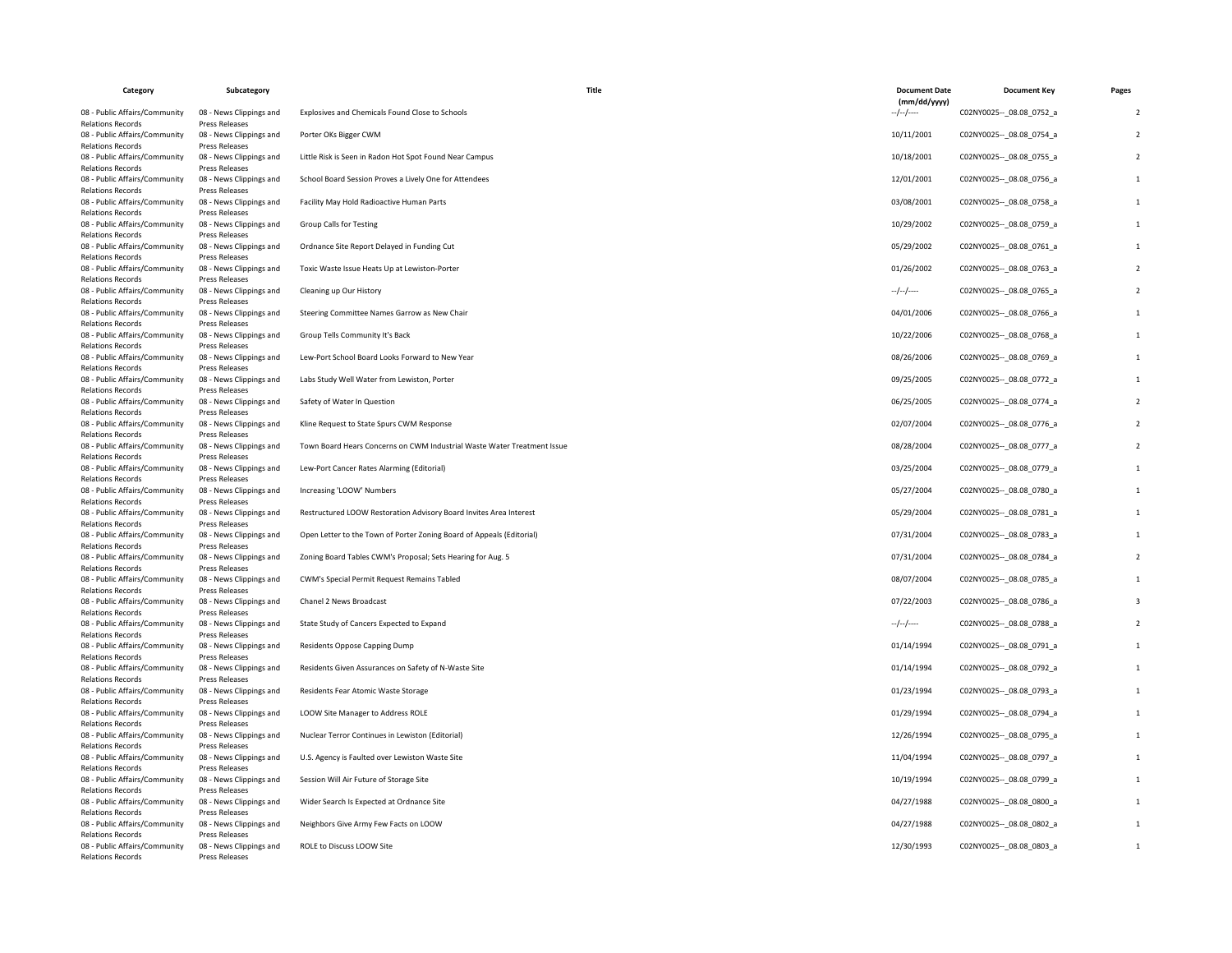| Category                                                                              | Subcategory                                                 | Title                                                                   | <b>Document Date</b><br>(mm/dd/yyyy) | <b>Document Key</b>         | Pages          |
|---------------------------------------------------------------------------------------|-------------------------------------------------------------|-------------------------------------------------------------------------|--------------------------------------|-----------------------------|----------------|
| 08 - Public Affairs/Community<br><b>Relations Records</b>                             | 08 - News Clippings and<br><b>Press Releases</b>            | Explosives and Chemicals Found Close to Schools                         | $-/-/-$                              | C02NY0025 -- 08.08 0752 a   |                |
| 08 - Public Affairs/Community                                                         | 08 - News Clippings and                                     | Porter OKs Bigger CWM                                                   | 10/11/2001                           | C02NY0025 -- 08.08 0754 a   | $\overline{z}$ |
| <b>Relations Records</b><br>08 - Public Affairs/Community<br><b>Relations Records</b> | Press Releases<br>08 - News Clippings and<br>Press Releases | Little Risk is Seen in Radon Hot Spot Found Near Campus                 | 10/18/2001                           | C02NY0025 -- 08.08 0755_a   |                |
| 08 - Public Affairs/Community<br><b>Relations Records</b>                             | 08 - News Clippings and<br>Press Releases                   | School Board Session Proves a Lively One for Attendees                  | 12/01/2001                           | C02NY0025 -- 08.08 0756 a   |                |
| 08 - Public Affairs/Community<br><b>Relations Records</b>                             | 08 - News Clippings and<br>Press Releases                   | Facility May Hold Radioactive Human Parts                               | 03/08/2001                           | C02NY0025 -- 08.08 0758 a   | 1              |
| 08 - Public Affairs/Community<br><b>Relations Records</b>                             | 08 - News Clippings and<br>Press Releases                   | Group Calls for Testing                                                 | 10/29/2002                           | C02NY0025 -- 08.08 0759 a   |                |
| 08 - Public Affairs/Community<br><b>Relations Records</b>                             | 08 - News Clippings and<br>Press Releases                   | Ordnance Site Report Delayed in Funding Cut                             | 05/29/2002                           | C02NY0025 -- _ 08.08_0761_a |                |
| 08 - Public Affairs/Community<br><b>Relations Records</b>                             | 08 - News Clippings and<br>Press Releases                   | Toxic Waste Issue Heats Up at Lewiston-Porter                           | 01/26/2002                           | C02NY0025 -- _ 08.08_0763_a |                |
| 08 - Public Affairs/Community<br><b>Relations Records</b>                             | 08 - News Clippings and<br><b>Press Releases</b>            | Cleaning up Our History                                                 | $-/-/-$                              | C02NY0025 -- 08.08 0765 a   |                |
| 08 - Public Affairs/Community<br><b>Relations Records</b>                             | 08 - News Clippings and<br>Press Releases                   | Steering Committee Names Garrow as New Chair                            | 04/01/2006                           | C02NY0025 -- _ 08.08_0766_a |                |
| 08 - Public Affairs/Community<br><b>Relations Records</b>                             | 08 - News Clippings and<br>Press Releases                   | Group Tells Community It's Back                                         | 10/22/2006                           | C02NY0025 -- 08.08 0768 a   |                |
| 08 - Public Affairs/Community<br><b>Relations Records</b>                             | 08 - News Clippings and<br>Press Releases                   | Lew-Port School Board Looks Forward to New Year                         | 08/26/2006                           | C02NY0025 -- 08.08 0769 a   | 1              |
| 08 - Public Affairs/Community<br><b>Relations Records</b>                             | 08 - News Clippings and<br>Press Releases                   | Labs Study Well Water from Lewiston, Porter                             | 09/25/2005                           | C02NY0025 -- 08.08 0772_a   |                |
| 08 - Public Affairs/Community<br><b>Relations Records</b>                             | 08 - News Clippings and<br>Press Releases                   | Safety of Water In Question                                             | 06/25/2005                           | C02NY0025 -- _ 08.08_0774_a |                |
| 08 - Public Affairs/Community                                                         | 08 - News Clippings and                                     | Kline Request to State Spurs CWM Response                               | 02/07/2004                           | C02NY0025 -- 08.08 0776 a   |                |
| <b>Relations Records</b><br>08 - Public Affairs/Community<br><b>Relations Records</b> | Press Releases<br>08 - News Clippings and<br>Press Releases | Town Board Hears Concerns on CWM Industrial Waste Water Treatment Issue | 08/28/2004                           | C02NY0025 -- 08.08 0777_a   |                |
| 08 - Public Affairs/Community<br><b>Relations Records</b>                             | 08 - News Clippings and<br>Press Releases                   | Lew-Port Cancer Rates Alarming (Editorial)                              | 03/25/2004                           | C02NY0025 -- _ 08.08_0779_a |                |
| 08 - Public Affairs/Community<br><b>Relations Records</b>                             | 08 - News Clippings and<br>Press Releases                   | Increasing 'LOOW' Numbers                                               | 05/27/2004                           | C02NY0025 -- 08.08 0780 a   | $\mathbf{1}$   |
| 08 - Public Affairs/Community<br><b>Relations Records</b>                             | 08 - News Clippings and<br><b>Press Releases</b>            | Restructured LOOW Restoration Advisory Board Invites Area Interest      | 05/29/2004                           | C02NY0025 -- 08.08 0781 a   |                |
| 08 - Public Affairs/Community<br><b>Relations Records</b>                             | 08 - News Clippings and<br>Press Releases                   | Open Letter to the Town of Porter Zoning Board of Appeals (Editorial)   | 07/31/2004                           | C02NY0025 -- _ 08.08_0783_a |                |
| 08 - Public Affairs/Community<br><b>Relations Records</b>                             | 08 - News Clippings and<br><b>Press Releases</b>            | Zoning Board Tables CWM's Proposal; Sets Hearing for Aug. 5             | 07/31/2004                           | C02NY0025 -- 08.08 0784 a   |                |
| 08 - Public Affairs/Community<br><b>Relations Records</b>                             | 08 - News Clippings and<br>Press Releases                   | CWM's Special Permit Request Remains Tabled                             | 08/07/2004                           | C02NY0025 -- 08.08 0785 a   |                |
| 08 - Public Affairs/Community<br><b>Relations Records</b>                             | 08 - News Clippings and<br>Press Releases                   | Chanel 2 News Broadcast                                                 | 07/22/2003                           | C02NY0025 -- 08.08 0786 a   |                |
| 08 - Public Affairs/Community<br><b>Relations Records</b>                             | 08 - News Clippings and<br>Press Releases                   | State Study of Cancers Expected to Expand                               | $-/-/-/$                             | C02NY0025 -- _ 08.08_0788_a |                |
| 08 - Public Affairs/Community<br><b>Relations Records</b>                             | 08 - News Clippings and<br>Press Releases                   | Residents Oppose Capping Dump                                           | 01/14/1994                           | C02NY0025 -- 08.08 0791 a   | $\mathbf{1}$   |
| 08 - Public Affairs/Community<br><b>Relations Records</b>                             | 08 - News Clippings and<br><b>Press Releases</b>            | Residents Given Assurances on Safety of N-Waste Site                    | 01/14/1994                           | C02NY0025 -- 08.08 0792 a   |                |
| 08 - Public Affairs/Community<br><b>Relations Records</b>                             | 08 - News Clippings and<br><b>Press Releases</b>            | Residents Fear Atomic Waste Storage                                     | 01/23/1994                           | C02NY0025 -- _ 08.08_0793_a |                |
| 08 - Public Affairs/Community<br><b>Relations Records</b>                             | 08 - News Clippings and<br><b>Press Releases</b>            | LOOW Site Manager to Address ROLE                                       | 01/29/1994                           | C02NY0025 -- 08.08 0794 a   |                |
| 08 - Public Affairs/Community<br><b>Relations Records</b>                             | 08 - News Clippings and<br>Press Releases                   | Nuclear Terror Continues in Lewiston (Editorial)                        | 12/26/1994                           | C02NY0025 -- 08.08 0795 a   |                |
| 08 - Public Affairs/Community<br><b>Relations Records</b>                             | 08 - News Clippings and<br>Press Releases                   | U.S. Agency is Faulted over Lewiston Waste Site                         | 11/04/1994                           | C02NY0025 -- _ 08.08_0797_a |                |
| 08 - Public Affairs/Community<br><b>Relations Records</b>                             | 08 - News Clippings and<br>Press Releases                   | Session Will Air Future of Storage Site                                 | 10/19/1994                           | C02NY0025 -- 08.08 0799 a   |                |
| 08 - Public Affairs/Community<br><b>Relations Records</b>                             | 08 - News Clippings and<br>Press Releases                   | Wider Search Is Expected at Ordnance Site                               | 04/27/1988                           | C02NY0025 -- 08.08 0800 a   |                |
| 08 - Public Affairs/Community                                                         | 08 - News Clippings and                                     | Neighbors Give Army Few Facts on LOOW                                   | 04/27/1988                           | C02NY0025 -- 08.08 0802 a   |                |
| <b>Relations Records</b><br>08 - Public Affairs/Community<br><b>Relations Records</b> | Press Releases<br>08 - News Clippings and<br>Press Releases | ROLE to Discuss LOOW Site                                               | 12/30/1993                           | C02NY0025 -- _ 08.08_0803_a | $\overline{1}$ |
|                                                                                       |                                                             |                                                                         |                                      |                             |                |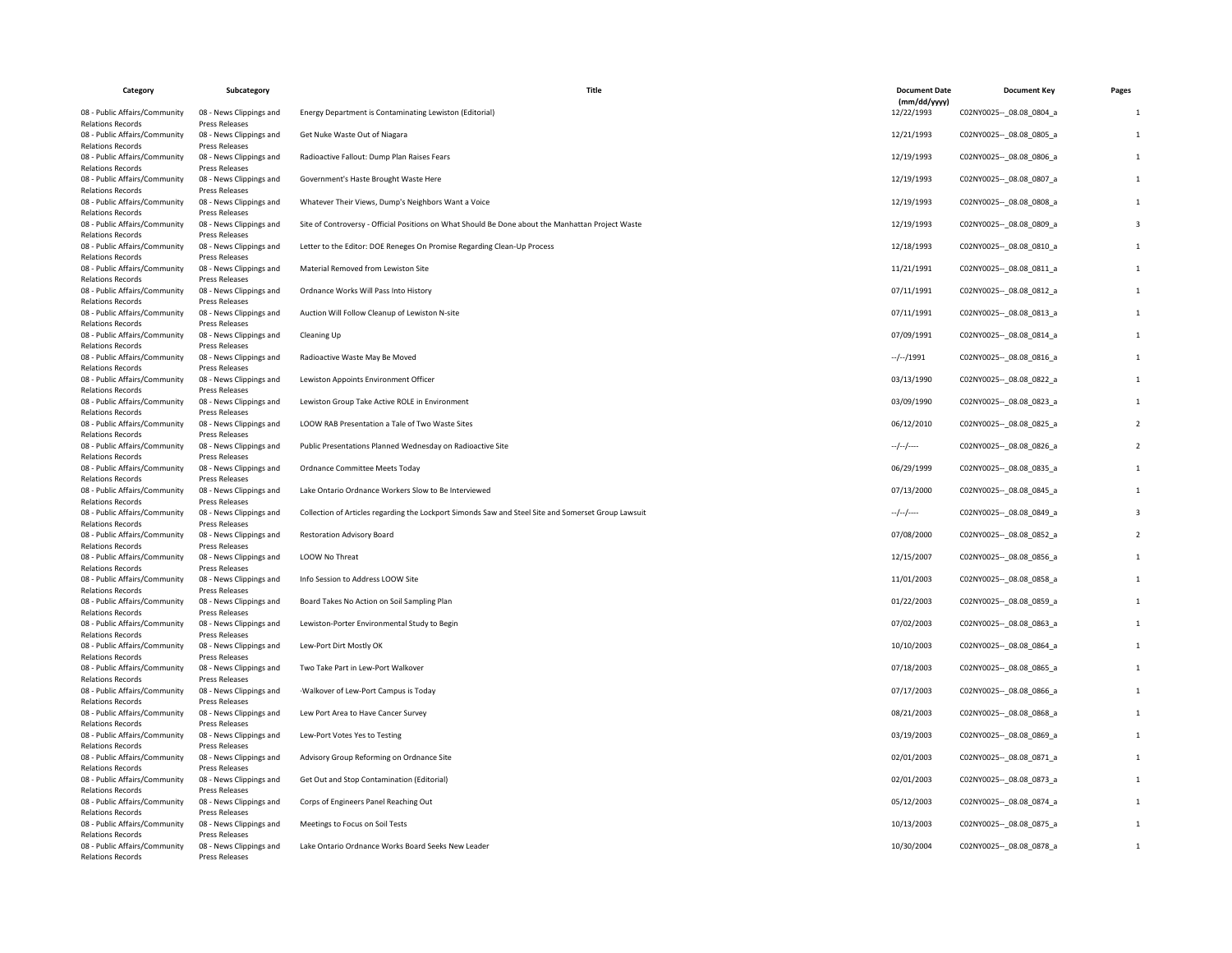| Category                                                                              | Subcategory                                                        | Title                                                                                               | <b>Document Date</b>       | <b>Document Key</b>         | Pages |
|---------------------------------------------------------------------------------------|--------------------------------------------------------------------|-----------------------------------------------------------------------------------------------------|----------------------------|-----------------------------|-------|
| 08 - Public Affairs/Community                                                         | 08 - News Clippings and                                            | Energy Department is Contaminating Lewiston (Editorial)                                             | (mm/dd/yyyy)<br>12/22/1993 | C02NY0025 -- _ 08.08_0804_a |       |
| <b>Relations Records</b><br>08 - Public Affairs/Community<br><b>Relations Records</b> | Press Releases<br>08 - News Clippings and<br><b>Press Releases</b> | Get Nuke Waste Out of Niagara                                                                       | 12/21/1993                 | C02NY0025 -- 08.08 0805 a   |       |
| 08 - Public Affairs/Community<br><b>Relations Records</b>                             | 08 - News Clippings and<br><b>Press Releases</b>                   | Radioactive Fallout: Dump Plan Raises Fears                                                         | 12/19/1993                 | C02NY0025 -- 08.08 0806 a   |       |
| 08 - Public Affairs/Community<br><b>Relations Records</b>                             | 08 - News Clippings and<br>Press Releases                          | Government's Haste Brought Waste Here                                                               | 12/19/1993                 | C02NY0025 -- 08.08 0807_a   |       |
| 08 - Public Affairs/Community<br><b>Relations Records</b>                             | 08 - News Clippings and<br>Press Releases                          | Whatever Their Views, Dump's Neighbors Want a Voice                                                 | 12/19/1993                 | C02NY0025 -- 08.08 0808 a   |       |
| 08 - Public Affairs/Community<br><b>Relations Records</b>                             | 08 - News Clippings and<br><b>Press Releases</b>                   | Site of Controversy - Official Positions on What Should Be Done about the Manhattan Project Waste   | 12/19/1993                 | C02NY0025 -- _ 08.08_0809_a |       |
| 08 - Public Affairs/Community<br><b>Relations Records</b>                             | 08 - News Clippings and<br>Press Releases                          | Letter to the Editor: DOE Reneges On Promise Regarding Clean-Up Process                             | 12/18/1993                 | C02NY0025 -- 08.08 0810 a   |       |
| 08 - Public Affairs/Community<br><b>Relations Records</b>                             | 08 - News Clippings and<br>Press Releases                          | Material Removed from Lewiston Site                                                                 | 11/21/1991                 | C02NY0025 -- 08.08 0811 a   |       |
| 08 - Public Affairs/Community<br><b>Relations Records</b>                             | 08 - News Clippings and<br>Press Releases                          | Ordnance Works Will Pass Into History                                                               | 07/11/1991                 | C02NY0025 -- 08.08 0812 a   |       |
| 08 - Public Affairs/Community<br><b>Relations Records</b>                             | 08 - News Clippings and<br>Press Releases                          | Auction Will Follow Cleanup of Lewiston N-site                                                      | 07/11/1991                 | C02NY0025 -- _ 08.08_0813_a |       |
| 08 - Public Affairs/Community                                                         | 08 - News Clippings and                                            | Cleaning Up                                                                                         | 07/09/1991                 | C02NY0025 -- 08.08 0814 a   |       |
| <b>Relations Records</b><br>08 - Public Affairs/Community                             | Press Releases<br>08 - News Clippings and                          | Radioactive Waste May Be Moved                                                                      | $-/-/1991$                 | C02NY0025 -- 08.08 0816 a   |       |
| <b>Relations Records</b><br>08 - Public Affairs/Community                             | <b>Press Releases</b><br>08 - News Clippings and                   | Lewiston Appoints Environment Officer                                                               | 03/13/1990                 | C02NY0025 -- _ 08.08_0822_a |       |
| <b>Relations Records</b><br>08 - Public Affairs/Community                             | Press Releases<br>08 - News Clippings and                          | Lewiston Group Take Active ROLE in Environment                                                      | 03/09/1990                 | C02NY0025 -- 08.08 0823 a   |       |
| <b>Relations Records</b><br>08 - Public Affairs/Community                             | <b>Press Releases</b><br>08 - News Clippings and                   | LOOW RAB Presentation a Tale of Two Waste Sites                                                     | 06/12/2010                 | C02NY0025 -- 08.08 0825 a   |       |
| <b>Relations Records</b>                                                              | Press Releases                                                     |                                                                                                     |                            |                             |       |
| 08 - Public Affairs/Community<br><b>Relations Records</b>                             | 08 - News Clippings and<br>Press Releases                          | Public Presentations Planned Wednesday on Radioactive Site                                          | --/--/----                 | C02NY0025 -- 08.08 0826 a   |       |
| 08 - Public Affairs/Community<br>Relations Records                                    | 08 - News Clippings and<br>Press Releases                          | Ordnance Committee Meets Today                                                                      | 06/29/1999                 | C02NY0025 -- 08.08 0835 a   |       |
| 08 - Public Affairs/Community<br><b>Relations Records</b>                             | 08 - News Clippings and<br>Press Releases                          | Lake Ontario Ordnance Workers Slow to Be Interviewed                                                | 07/13/2000                 | C02NY0025 -- _ 08.08_0845_a |       |
| 08 - Public Affairs/Community<br><b>Relations Records</b>                             | 08 - News Clippings and<br><b>Press Releases</b>                   | Collection of Articles regarding the Lockport Simonds Saw and Steel Site and Somerset Group Lawsuit | --/--/----                 | C02NY0025 -- 08.08 0849 a   |       |
| 08 - Public Affairs/Community<br><b>Relations Records</b>                             | 08 - News Clippings and<br>Press Releases                          | <b>Restoration Advisory Board</b>                                                                   | 07/08/2000                 | C02NY0025 -- 08.08 0852 a   |       |
| 08 - Public Affairs/Community                                                         | 08 - News Clippings and                                            | LOOW No Threat                                                                                      | 12/15/2007                 | C02NY0025 -- 08.08 0856 a   |       |
| <b>Relations Records</b><br>08 - Public Affairs/Community                             | Press Releases<br>08 - News Clippings and                          | Info Session to Address LOOW Site                                                                   | 11/01/2003                 | C02NY0025 -- _ 08.08_0858_a |       |
| <b>Relations Records</b><br>08 - Public Affairs/Community                             | Press Releases<br>08 - News Clippings and                          | Board Takes No Action on Soil Sampling Plan                                                         | 01/22/2003                 | C02NY0025 -- 08.08 0859 a   |       |
| <b>Relations Records</b><br>08 - Public Affairs/Community                             | Press Releases<br>08 - News Clippings and                          | Lewiston-Porter Environmental Study to Begin                                                        | 07/02/2003                 | C02NY0025 -- 08.08 0863 a   |       |
| <b>Relations Records</b><br>08 - Public Affairs/Community                             | Press Releases<br>08 - News Clippings and                          | Lew-Port Dirt Mostly OK                                                                             | 10/10/2003                 | C02NY0025 -- _ 08.08_0864_a |       |
| Relations Records<br>08 - Public Affairs/Community                                    | Press Releases<br>08 - News Clippings and                          | Two Take Part in Lew-Port Walkover                                                                  | 07/18/2003                 | C02NY0025 -- 08.08 0865 a   |       |
| <b>Relations Records</b>                                                              | <b>Press Releases</b>                                              |                                                                                                     |                            |                             |       |
| 08 - Public Affairs/Community<br><b>Relations Records</b>                             | 08 - News Clippings and<br><b>Press Releases</b>                   | ·Walkover of Lew-Port Campus is Today                                                               | 07/17/2003                 | C02NY0025 -- 08.08 0866 a   |       |
| 08 - Public Affairs/Community<br><b>Relations Records</b>                             | 08 - News Clippings and<br>Press Releases                          | Lew Port Area to Have Cancer Survey                                                                 | 08/21/2003                 | C02NY0025 -- 08.08 0868 a   |       |
| 08 - Public Affairs/Community<br><b>Relations Records</b>                             | 08 - News Clippings and<br>Press Releases                          | Lew-Port Votes Yes to Testing                                                                       | 03/19/2003                 | C02NY0025 -- 08.08 0869 a   |       |
| 08 - Public Affairs/Community<br><b>Relations Records</b>                             | 08 - News Clippings and<br>Press Releases                          | Advisory Group Reforming on Ordnance Site                                                           | 02/01/2003                 | C02NY0025 -- _ 08.08_0871_a |       |
| 08 - Public Affairs/Community<br><b>Relations Records</b>                             | 08 - News Clippings and<br>Press Releases                          | Get Out and Stop Contamination (Editorial)                                                          | 02/01/2003                 | C02NY0025 -- 08.08 0873 a   |       |
| 08 - Public Affairs/Community                                                         | 08 - News Clippings and                                            | Corps of Engineers Panel Reaching Out                                                               | 05/12/2003                 | C02NY0025 -- 08.08 0874 a   |       |
| <b>Relations Records</b><br>08 - Public Affairs/Community                             | Press Releases<br>08 - News Clippings and                          | Meetings to Focus on Soil Tests                                                                     | 10/13/2003                 | C02NY0025 -- 08.08 0875 a   |       |
| <b>Relations Records</b><br>08 - Public Affairs/Community                             | Press Releases<br>08 - News Clippings and                          | Lake Ontario Ordnance Works Board Seeks New Leader                                                  | 10/30/2004                 | C02NY0025 -- _ 08.08_0878_a |       |
| <b>Relations Records</b>                                                              | Press Releases                                                     |                                                                                                     |                            |                             |       |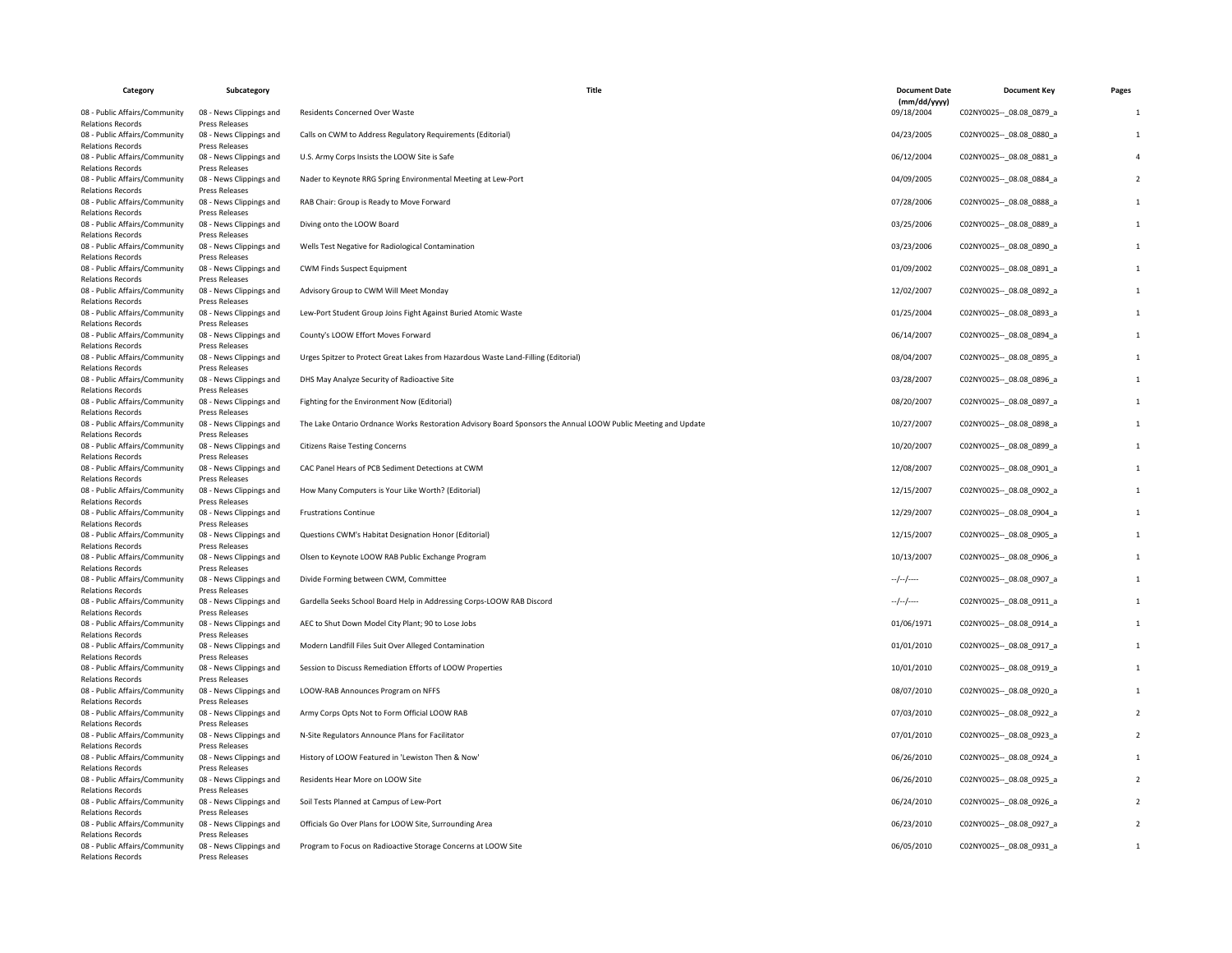| Category                                                                                   | Subcategory                                                          | Title                                                                                                         | <b>Document Date</b>       | <b>Document Key</b>                                      | Pages          |
|--------------------------------------------------------------------------------------------|----------------------------------------------------------------------|---------------------------------------------------------------------------------------------------------------|----------------------------|----------------------------------------------------------|----------------|
| 08 - Public Affairs/Community                                                              | 08 - News Clippings and                                              | Residents Concerned Over Waste                                                                                | (mm/dd/yyyy)<br>09/18/2004 | C02NY0025 -- 08.08 0879 a                                |                |
| <b>Relations Records</b><br>08 - Public Affairs/Community                                  | <b>Press Releases</b><br>08 - News Clippings and                     | Calls on CWM to Address Regulatory Requirements (Editorial)                                                   | 04/23/2005                 | C02NY0025 -- 08.08 0880 a                                | $\overline{1}$ |
| <b>Relations Records</b><br>08 - Public Affairs/Community<br><b>Relations Records</b>      | Press Releases<br>08 - News Clippings and<br>Press Releases          | U.S. Army Corps Insists the LOOW Site is Safe                                                                 | 06/12/2004                 | C02NY0025 -- 08.08 0881 a                                |                |
| 08 - Public Affairs/Community<br><b>Relations Records</b>                                  | 08 - News Clippings and<br>Press Releases                            | Nader to Keynote RRG Spring Environmental Meeting at Lew-Port                                                 | 04/09/2005                 | C02NY0025 -- 08.08 0884 a                                |                |
| 08 - Public Affairs/Community<br><b>Relations Records</b>                                  | 08 - News Clippings and<br>Press Releases                            | RAB Chair: Group is Ready to Move Forward                                                                     | 07/28/2006                 | C02NY0025 -- _ 08.08_0888_a                              |                |
| 08 - Public Affairs/Community<br><b>Relations Records</b>                                  | 08 - News Clippings and<br><b>Press Releases</b>                     | Diving onto the LOOW Board                                                                                    | 03/25/2006                 | C02NY0025 -- 08.08 0889 a                                |                |
| 08 - Public Affairs/Community<br><b>Relations Records</b>                                  | 08 - News Clippings and<br>Press Releases                            | Wells Test Negative for Radiological Contamination                                                            | 03/23/2006                 | C02NY0025 -- 08.08 0890 a                                |                |
| 08 - Public Affairs/Community<br><b>Relations Records</b>                                  | 08 - News Clippings and<br>Press Releases                            | CWM Finds Suspect Equipment                                                                                   | 01/09/2002                 | C02NY0025 -- 08.08 0891 a                                |                |
| 08 - Public Affairs/Community<br><b>Relations Records</b>                                  | 08 - News Clippings and<br>Press Releases                            | Advisory Group to CWM Will Meet Monday                                                                        | 12/02/2007                 | C02NY0025 -- _ 08.08_0892_a                              |                |
| 08 - Public Affairs/Community<br><b>Relations Records</b>                                  | 08 - News Clippings and<br>Press Releases                            | Lew-Port Student Group Joins Fight Against Buried Atomic Waste                                                | 01/25/2004                 | C02NY0025 -- 08.08 0893 a                                |                |
| 08 - Public Affairs/Community<br><b>Relations Records</b>                                  | 08 - News Clippings and<br>Press Releases                            | County's LOOW Effort Moves Forward                                                                            | 06/14/2007                 | C02NY0025 -- 08.08 0894 a                                |                |
| 08 - Public Affairs/Community<br><b>Relations Records</b>                                  | 08 - News Clippings and<br>Press Releases                            | Urges Spitzer to Protect Great Lakes from Hazardous Waste Land-Filling (Editorial)                            | 08/04/2007                 | C02NY0025 -- _ 08.08_0895_a                              | 1              |
| 08 - Public Affairs/Community<br><b>Relations Records</b>                                  | 08 - News Clippings and<br><b>Press Releases</b>                     | DHS May Analyze Security of Radioactive Site                                                                  | 03/28/2007                 | C02NY0025 -- 08.08 0896 a                                |                |
| 08 - Public Affairs/Community<br><b>Relations Records</b>                                  | 08 - News Clippings and<br>Press Releases                            | Fighting for the Environment Now (Editorial)                                                                  | 08/20/2007                 | C02NY0025 -- 08.08 0897_a                                |                |
| 08 - Public Affairs/Community<br><b>Relations Records</b>                                  | 08 - News Clippings and<br>Press Releases                            | The Lake Ontario Ordnance Works Restoration Advisory Board Sponsors the Annual LOOW Public Meeting and Update | 10/27/2007                 | C02NY0025 -- 08.08 0898 a                                |                |
| 08 - Public Affairs/Community<br><b>Relations Records</b>                                  | 08 - News Clippings and<br>Press Releases                            | <b>Citizens Raise Testing Concerns</b>                                                                        | 10/20/2007                 | C02NY0025 -- 08.08 0899 a                                |                |
| 08 - Public Affairs/Community<br><b>Relations Records</b>                                  | 08 - News Clippings and<br>Press Releases                            | CAC Panel Hears of PCB Sediment Detections at CWM                                                             | 12/08/2007                 | C02NY0025 -- _ 08.08_0901_a                              |                |
| 08 - Public Affairs/Community<br><b>Relations Records</b>                                  | 08 - News Clippings and<br>Press Releases                            | How Many Computers is Your Like Worth? (Editorial)                                                            | 12/15/2007                 | C02NY0025 -- 08.08 0902 a                                |                |
| 08 - Public Affairs/Community<br><b>Relations Records</b>                                  | 08 - News Clippings and<br>Press Releases                            | <b>Frustrations Continue</b>                                                                                  | 12/29/2007                 | C02NY0025 -- 08.08 0904 a                                |                |
| 08 - Public Affairs/Community<br><b>Relations Records</b>                                  | 08 - News Clippings and<br>Press Releases                            | Questions CWM's Habitat Designation Honor (Editorial)                                                         | 12/15/2007                 | C02NY0025 -- 08.08 0905 a                                |                |
| 08 - Public Affairs/Community<br><b>Relations Records</b>                                  | 08 - News Clippings and<br>Press Releases                            | Olsen to Keynote LOOW RAB Public Exchange Program                                                             | 10/13/2007                 | C02NY0025 -- _ 08.08_0906_a                              |                |
| 08 - Public Affairs/Community<br><b>Relations Records</b>                                  | 08 - News Clippings and<br>Press Releases                            | Divide Forming between CWM, Committee                                                                         | $-/-/-$                    | C02NY0025 -- 08.08 0907_a                                |                |
| 08 - Public Affairs/Community<br><b>Relations Records</b>                                  | 08 - News Clippings and<br><b>Press Releases</b>                     | Gardella Seeks School Board Help in Addressing Corps-LOOW RAB Discord                                         | $-/-/-$                    | C02NY0025 -- 08.08 0911_a                                |                |
| 08 - Public Affairs/Community<br><b>Relations Records</b>                                  | 08 - News Clippings and<br>Press Releases                            | AEC to Shut Down Model City Plant; 90 to Lose Jobs                                                            | 01/06/1971                 | C02NY0025 -- _ 08.08_0914_a                              |                |
| 08 - Public Affairs/Community<br><b>Relations Records</b>                                  | 08 - News Clippings and<br><b>Press Releases</b>                     | Modern Landfill Files Suit Over Alleged Contamination                                                         | 01/01/2010                 | C02NY0025 -- 08.08 0917 a                                |                |
| 08 - Public Affairs/Community<br><b>Relations Records</b><br>08 - Public Affairs/Community | 08 - News Clippings and<br><b>Press Releases</b>                     | Session to Discuss Remediation Efforts of LOOW Properties<br>LOOW-RAB Announces Program on NFFS               | 10/01/2010                 | C02NY0025 -- 08.08 0919 a                                |                |
| <b>Relations Records</b>                                                                   | 08 - News Clippings and<br>Press Releases                            |                                                                                                               | 08/07/2010                 | C02NY0025 -- 08.08 0920 a                                |                |
| 08 - Public Affairs/Community<br><b>Relations Records</b>                                  | 08 - News Clippings and<br>Press Releases                            | Army Corps Opts Not to Form Official LOOW RAB                                                                 | 07/03/2010                 | C02NY0025 -- _ 08.08_0922_a                              |                |
| 08 - Public Affairs/Community<br><b>Relations Records</b><br>08 - Public Affairs/Community | 08 - News Clippings and<br>Press Releases<br>08 - News Clippings and | N-Site Regulators Announce Plans for Facilitator<br>History of LOOW Featured in 'Lewiston Then & Now'         | 07/01/2010<br>06/26/2010   | C02NY0025 -- _ 08.08_0923_a<br>C02NY0025 -- 08.08 0924 a |                |
| <b>Relations Records</b><br>08 - Public Affairs/Community                                  | <b>Press Releases</b><br>08 - News Clippings and                     | Residents Hear More on LOOW Site                                                                              | 06/26/2010                 | C02NY0025 -- 08.08 0925 a                                |                |
| <b>Relations Records</b><br>08 - Public Affairs/Community                                  | Press Releases<br>08 - News Clippings and                            | Soil Tests Planned at Campus of Lew-Port                                                                      | 06/24/2010                 | C02NY0025 -- 08.08 0926 a                                |                |
| <b>Relations Records</b><br>08 - Public Affairs/Community                                  | Press Releases<br>08 - News Clippings and                            | Officials Go Over Plans for LOOW Site, Surrounding Area                                                       | 06/23/2010                 | C02NY0025 -- _ 08.08_0927_a                              |                |
| <b>Relations Records</b><br>08 - Public Affairs/Community                                  | Press Releases<br>08 - News Clippings and                            | Program to Focus on Radioactive Storage Concerns at LOOW Site                                                 | 06/05/2010                 | C02NY0025 -- 08.08 0931 a                                | $\overline{1}$ |
| <b>Relations Records</b>                                                                   | Press Releases                                                       |                                                                                                               |                            |                                                          |                |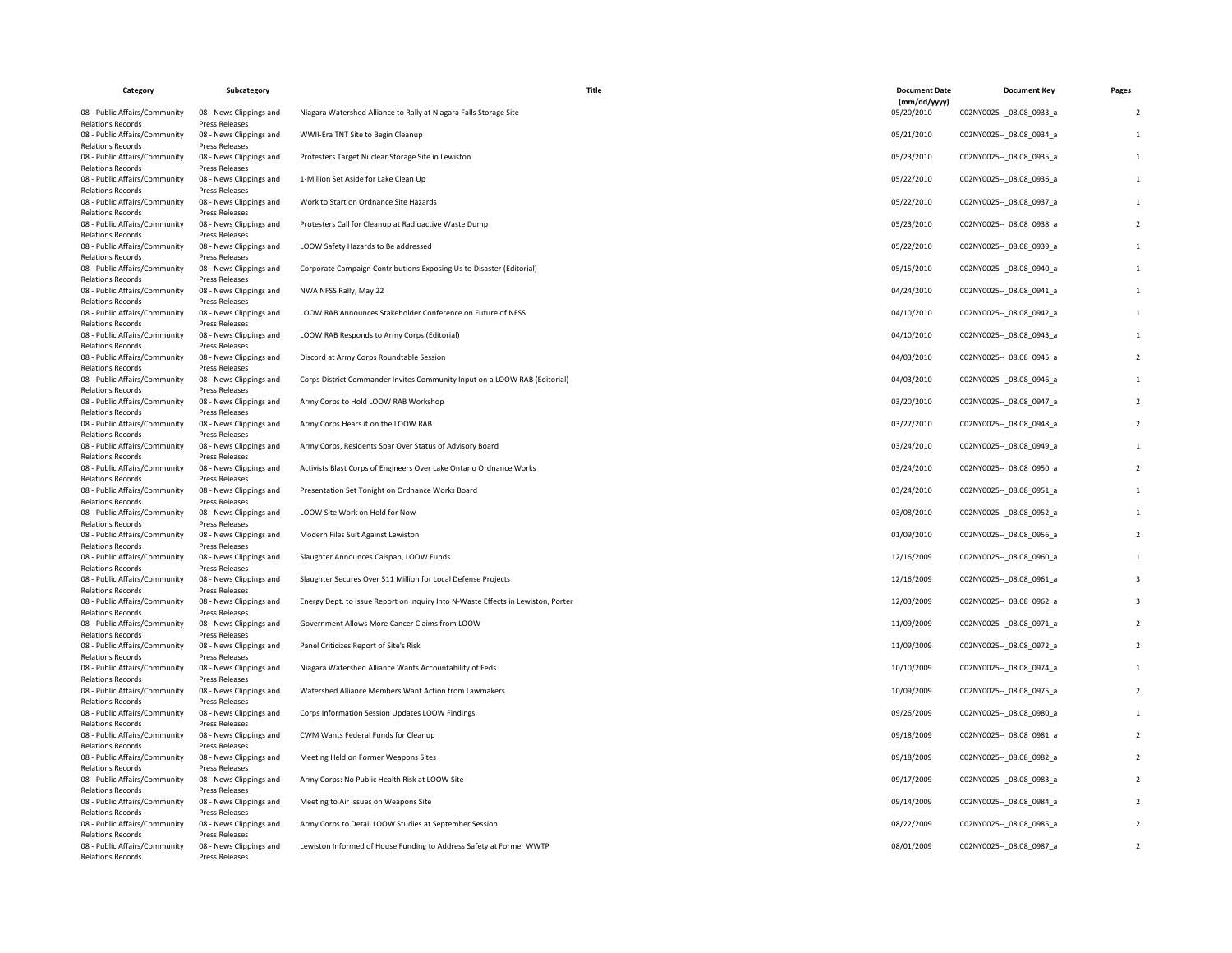| Category                                                                                   | Subcategory                                                                 | Title                                                                                                                         | <b>Document Date</b>       | <b>Document Key</b>                                      | Pages |
|--------------------------------------------------------------------------------------------|-----------------------------------------------------------------------------|-------------------------------------------------------------------------------------------------------------------------------|----------------------------|----------------------------------------------------------|-------|
| 08 - Public Affairs/Community                                                              | 08 - News Clippings and                                                     | Niagara Watershed Alliance to Rally at Niagara Falls Storage Site                                                             | (mm/dd/yyyy)<br>05/20/2010 | C02NY0025 -- 08.08 0933 a                                |       |
| <b>Relations Records</b><br>08 - Public Affairs/Community                                  | <b>Press Releases</b><br>08 - News Clippings and                            | WWII-Era TNT Site to Begin Cleanup                                                                                            | 05/21/2010                 | C02NY0025 -- 08.08 0934 a                                |       |
| <b>Relations Records</b><br>08 - Public Affairs/Community<br><b>Relations Records</b>      | <b>Press Releases</b><br>08 - News Clippings and<br>Press Releases          | Protesters Target Nuclear Storage Site in Lewiston                                                                            | 05/23/2010                 | C02NY0025 -- 08.08 0935 a                                |       |
| 08 - Public Affairs/Community<br><b>Relations Records</b>                                  | 08 - News Clippings and<br>Press Releases                                   | 1-Million Set Aside for Lake Clean Up                                                                                         | 05/22/2010                 | C02NY0025 -- 08.08 0936 a                                |       |
| 08 - Public Affairs/Community<br><b>Relations Records</b>                                  | 08 - News Clippings and<br>Press Releases                                   | Work to Start on Ordnance Site Hazards                                                                                        | 05/22/2010                 | C02NY0025 -- _ 08.08_0937_a                              |       |
| 08 - Public Affairs/Community<br><b>Relations Records</b>                                  | 08 - News Clippings and<br><b>Press Releases</b>                            | Protesters Call for Cleanup at Radioactive Waste Dump                                                                         | 05/23/2010                 | C02NY0025 -- 08.08 0938 a                                |       |
| 08 - Public Affairs/Community<br><b>Relations Records</b>                                  | 08 - News Clippings and<br>Press Releases                                   | LOOW Safety Hazards to Be addressed                                                                                           | 05/22/2010                 | C02NY0025 -- 08.08 0939 a                                |       |
| 08 - Public Affairs/Community<br><b>Relations Records</b>                                  | 08 - News Clippings and<br>Press Releases                                   | Corporate Campaign Contributions Exposing Us to Disaster (Editorial)                                                          | 05/15/2010                 | C02NY0025 -- 08.08 0940_a                                |       |
| 08 - Public Affairs/Community<br><b>Relations Records</b>                                  | 08 - News Clippings and<br>Press Releases                                   | NWA NFSS Rally, May 22                                                                                                        | 04/24/2010                 | C02NY0025 -- _ 08.08_0941_a                              |       |
| 08 - Public Affairs/Community<br><b>Relations Records</b>                                  | 08 - News Clippings and<br>Press Releases                                   | LOOW RAB Announces Stakeholder Conference on Future of NFSS                                                                   | 04/10/2010                 | C02NY0025 -- 08.08 0942 a                                |       |
| 08 - Public Affairs/Community<br><b>Relations Records</b>                                  | 08 - News Clippings and<br>Press Releases                                   | LOOW RAB Responds to Army Corps (Editorial)                                                                                   | 04/10/2010                 | C02NY0025 -- 08.08 0943 a                                |       |
| 08 - Public Affairs/Community<br>Relations Records                                         | 08 - News Clippings and<br>Press Releases                                   | Discord at Army Corps Roundtable Session<br>Corps District Commander Invites Community Input on a LOOW RAB (Editorial)        | 04/03/2010<br>04/03/2010   | C02NY0025 -- _ 08.08_0945_a                              |       |
| 08 - Public Affairs/Community<br><b>Relations Records</b><br>08 - Public Affairs/Community | 08 - News Clippings and<br><b>Press Releases</b><br>08 - News Clippings and | Army Corps to Hold LOOW RAB Workshop                                                                                          | 03/20/2010                 | C02NY0025 -- 08.08 0946 a<br>C02NY0025 -- 08.08 0947_a   |       |
| <b>Relations Records</b><br>08 - Public Affairs/Community                                  | <b>Press Releases</b><br>08 - News Clippings and                            | Army Corps Hears it on the LOOW RAB                                                                                           | 03/27/2010                 | C02NY0025 -- 08.08 0948 a                                |       |
| <b>Relations Records</b><br>08 - Public Affairs/Community                                  | Press Releases<br>08 - News Clippings and                                   | Army Corps, Residents Spar Over Status of Advisory Board                                                                      | 03/24/2010                 | C02NY0025 -- _ 08.08_0949_a                              |       |
| <b>Relations Records</b><br>08 - Public Affairs/Community                                  | Press Releases<br>08 - News Clippings and                                   | Activists Blast Corps of Engineers Over Lake Ontario Ordnance Works                                                           | 03/24/2010                 | C02NY0025 -- _ 08.08_0950_a                              |       |
| <b>Relations Records</b><br>08 - Public Affairs/Community                                  | Press Releases<br>08 - News Clippings and                                   | Presentation Set Tonight on Ordnance Works Board                                                                              | 03/24/2010                 | C02NY0025 -- 08.08 0951_a                                |       |
| <b>Relations Records</b><br>08 - Public Affairs/Community                                  | Press Releases<br>08 - News Clippings and                                   | LOOW Site Work on Hold for Now                                                                                                | 03/08/2010                 | C02NY0025 -- 08.08 0952 a                                |       |
| <b>Relations Records</b><br>08 - Public Affairs/Community                                  | Press Releases<br>08 - News Clippings and                                   | Modern Files Suit Against Lewiston                                                                                            | 01/09/2010                 | C02NY0025 -- 08.08 0956 a                                |       |
| <b>Relations Records</b><br>08 - Public Affairs/Community                                  | Press Releases<br>08 - News Clippings and                                   | Slaughter Announces Calspan, LOOW Funds                                                                                       | 12/16/2009                 | C02NY0025 -- _ 08.08_0960_a                              |       |
| <b>Relations Records</b><br>08 - Public Affairs/Community                                  | Press Releases<br>08 - News Clippings and                                   | Slaughter Secures Over \$11 Million for Local Defense Projects                                                                | 12/16/2009                 | C02NY0025 -- 08.08 0961_a                                |       |
| <b>Relations Records</b><br>08 - Public Affairs/Community<br><b>Relations Records</b>      | Press Releases<br>08 - News Clippings and<br><b>Press Releases</b>          | Energy Dept. to Issue Report on Inquiry Into N-Waste Effects in Lewiston, Porter                                              | 12/03/2009                 | C02NY0025 -- 08.08 0962 a                                |       |
| 08 - Public Affairs/Community<br><b>Relations Records</b>                                  | 08 - News Clippings and<br>Press Releases                                   | Government Allows More Cancer Claims from LOOW                                                                                | 11/09/2009                 | C02NY0025 -- _ 08.08_0971_a                              |       |
| 08 - Public Affairs/Community<br><b>Relations Records</b>                                  | 08 - News Clippings and<br>Press Releases                                   | Panel Criticizes Report of Site's Risk                                                                                        | 11/09/2009                 | C02NY0025 -- 08.08 0972 a                                |       |
| 08 - Public Affairs/Community<br><b>Relations Records</b>                                  | 08 - News Clippings and<br>Press Releases                                   | Niagara Watershed Alliance Wants Accountability of Feds                                                                       | 10/10/2009                 | C02NY0025 -- 08.08 0974 a                                |       |
| 08 - Public Affairs/Community<br><b>Relations Records</b>                                  | 08 - News Clippings and<br>Press Releases                                   | Watershed Alliance Members Want Action from Lawmakers                                                                         | 10/09/2009                 | C02NY0025 -- 08.08 0975 a                                |       |
| 08 - Public Affairs/Community<br><b>Relations Records</b>                                  | 08 - News Clippings and<br>Press Releases                                   | Corps Information Session Updates LOOW Findings                                                                               | 09/26/2009                 | C02NY0025 -- 08.08 0980 a                                |       |
| 08 - Public Affairs/Community<br><b>Relations Records</b>                                  | 08 - News Clippings and<br>Press Releases                                   | CWM Wants Federal Funds for Cleanup                                                                                           | 09/18/2009                 | C02NY0025 -- _ 08.08_0981_a                              |       |
| 08 - Public Affairs/Community<br><b>Relations Records</b>                                  | 08 - News Clippings and<br><b>Press Releases</b>                            | Meeting Held on Former Weapons Sites                                                                                          | 09/18/2009                 | C02NY0025 -- 08.08 0982 a                                |       |
| 08 - Public Affairs/Community<br><b>Relations Records</b>                                  | 08 - News Clippings and<br>Press Releases                                   | Army Corps: No Public Health Risk at LOOW Site                                                                                | 09/17/2009                 | C02NY0025 -- 08.08 0983 a                                |       |
| 08 - Public Affairs/Community<br><b>Relations Records</b>                                  | 08 - News Clippings and<br>Press Releases                                   | Meeting to Air Issues on Weapons Site                                                                                         | 09/14/2009                 | C02NY0025 -- _ 08.08_0984_a                              |       |
| 08 - Public Affairs/Community<br><b>Relations Records</b><br>08 - Public Affairs/Community | 08 - News Clippings and<br>Press Releases<br>08 - News Clippings and        | Army Corps to Detail LOOW Studies at September Session<br>Lewiston Informed of House Funding to Address Safety at Former WWTP | 08/22/2009<br>08/01/2009   | C02NY0025 -- _ 08.08_0985_a<br>C02NY0025 -- 08.08 0987_a |       |
| <b>Relations Records</b>                                                                   | Press Releases                                                              |                                                                                                                               |                            |                                                          |       |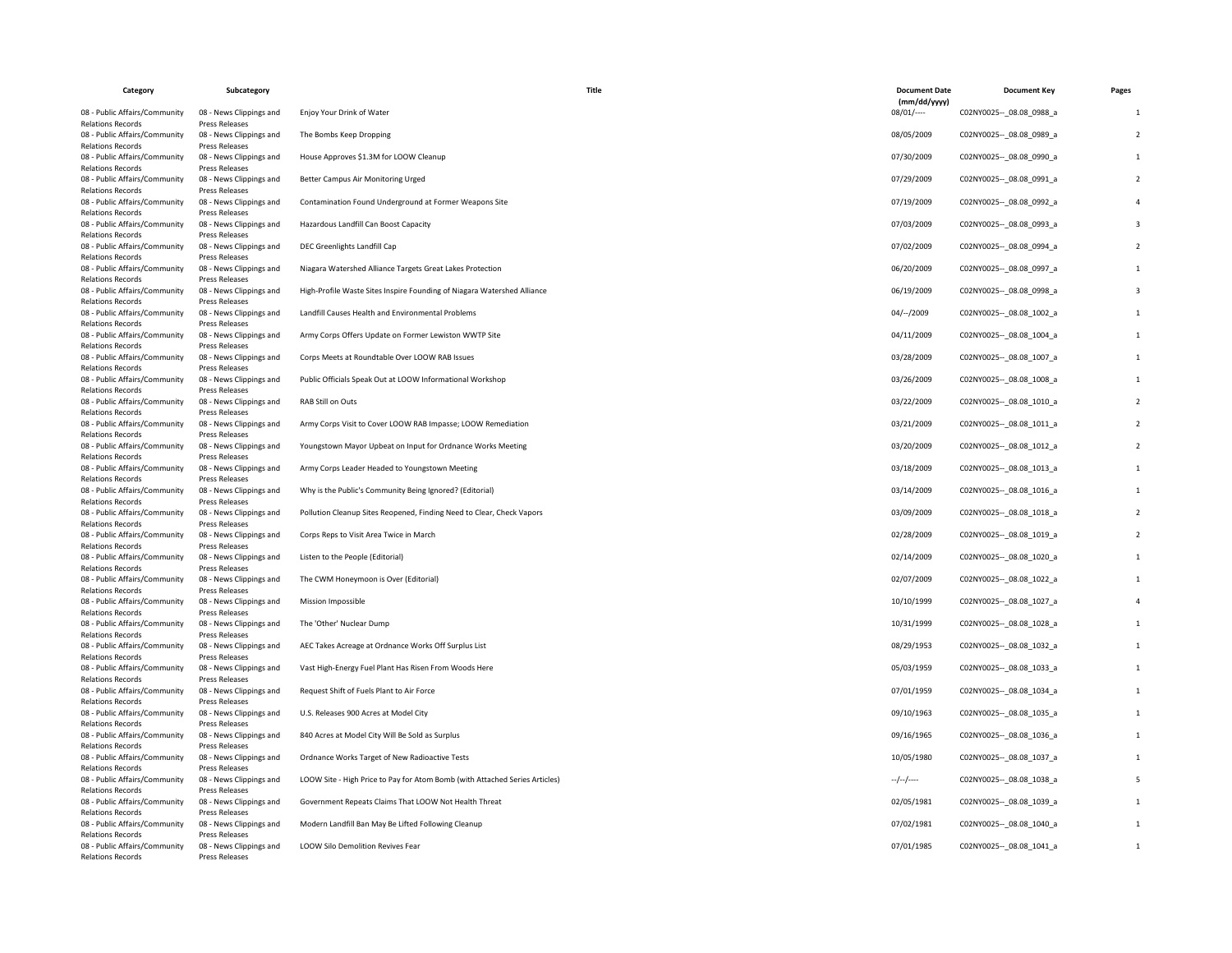| Category                                                  | Subcategory                               | Title                                                                       | <b>Document Date</b><br>(mm/dd/yyyy) | <b>Document Key</b>         | Pages        |
|-----------------------------------------------------------|-------------------------------------------|-----------------------------------------------------------------------------|--------------------------------------|-----------------------------|--------------|
| 08 - Public Affairs/Community<br><b>Relations Records</b> | 08 - News Clippings and<br>Press Releases | Enjoy Your Drink of Water                                                   | $08/01$ /----                        | C02NY0025 -- _ 08.08_0988_a | -1           |
| 08 - Public Affairs/Community<br><b>Relations Records</b> | 08 - News Clippings and<br>Press Releases | The Bombs Keep Dropping                                                     | 08/05/2009                           | C02NY0025 -- 08.08 0989 a   |              |
| 08 - Public Affairs/Community<br><b>Relations Records</b> | 08 - News Clippings and<br>Press Releases | House Approves \$1.3M for LOOW Cleanup                                      | 07/30/2009                           | C02NY0025 -- 08.08 0990 a   |              |
| 08 - Public Affairs/Community<br><b>Relations Records</b> | 08 - News Clippings and<br>Press Releases | Better Campus Air Monitoring Urged                                          | 07/29/2009                           | C02NY0025 -- 08.08 0991 a   |              |
| 08 - Public Affairs/Community<br>Relations Records        | 08 - News Clippings and<br>Press Releases | Contamination Found Underground at Former Weapons Site                      | 07/19/2009                           | C02NY0025 -- 08.08 0992 a   |              |
| 08 - Public Affairs/Community<br><b>Relations Records</b> | 08 - News Clippings and<br>Press Releases | Hazardous Landfill Can Boost Capacity                                       | 07/03/2009                           | C02NY0025 -- _ 08.08_0993_a |              |
| 08 - Public Affairs/Community<br><b>Relations Records</b> | 08 - News Clippings and<br>Press Releases | DEC Greenlights Landfill Cap                                                | 07/02/2009                           | C02NY0025 -- 08.08 0994 a   |              |
| 08 - Public Affairs/Community<br><b>Relations Records</b> | 08 - News Clippings and<br>Press Releases | Niagara Watershed Alliance Targets Great Lakes Protection                   | 06/20/2009                           | C02NY0025 -- 08.08 0997 a   |              |
| 08 - Public Affairs/Community<br><b>Relations Records</b> | 08 - News Clippings and<br>Press Releases | High-Profile Waste Sites Inspire Founding of Niagara Watershed Alliance     | 06/19/2009                           | C02NY0025 -- 08.08 0998 a   |              |
| 08 - Public Affairs/Community<br><b>Relations Records</b> | 08 - News Clippings and<br>Press Releases | Landfill Causes Health and Environmental Problems                           | $04/-/2009$                          | C02NY0025 -- _ 08.08_1002_a |              |
| 08 - Public Affairs/Community<br><b>Relations Records</b> | 08 - News Clippings and<br>Press Releases | Army Corps Offers Update on Former Lewiston WWTP Site                       | 04/11/2009                           | C02NY0025 -- 08.08 1004 a   | $\mathbf{1}$ |
| 08 - Public Affairs/Community<br><b>Relations Records</b> | 08 - News Clippings and<br>Press Releases | Corps Meets at Roundtable Over LOOW RAB Issues                              | 03/28/2009                           | C02NY0025 -- 08.08 1007 a   |              |
| 08 - Public Affairs/Community<br>Relations Records        | 08 - News Clippings and<br>Press Releases | Public Officials Speak Out at LOOW Informational Workshop                   | 03/26/2009                           | C02NY0025 -- _ 08.08_1008_a |              |
| 08 - Public Affairs/Community<br><b>Relations Records</b> | 08 - News Clippings and<br>Press Releases | RAB Still on Outs                                                           | 03/22/2009                           | C02NY0025 -- 08.08 1010 a   |              |
| 08 - Public Affairs/Community<br><b>Relations Records</b> | 08 - News Clippings and<br>Press Releases | Army Corps Visit to Cover LOOW RAB Impasse; LOOW Remediation                | 03/21/2009                           | C02NY0025 -- 08.08 1011 a   |              |
| 08 - Public Affairs/Community<br><b>Relations Records</b> | 08 - News Clippings and<br>Press Releases | Youngstown Mayor Upbeat on Input for Ordnance Works Meeting                 | 03/20/2009                           | C02NY0025 -- 08.08 1012 a   |              |
| 08 - Public Affairs/Community<br>Relations Records        | 08 - News Clippings and<br>Press Releases | Army Corps Leader Headed to Youngstown Meeting                              | 03/18/2009                           | C02NY0025 -- 08.08 1013 a   |              |
| 08 - Public Affairs/Community<br><b>Relations Records</b> | 08 - News Clippings and<br>Press Releases | Why is the Public's Community Being Ignored? (Editorial)                    | 03/14/2009                           | C02NY0025 -- _ 08.08_1016_a |              |
| 08 - Public Affairs/Community<br><b>Relations Records</b> | 08 - News Clippings and<br>Press Releases | Pollution Cleanup Sites Reopened, Finding Need to Clear, Check Vapors       | 03/09/2009                           | C02NY0025 -- 08.08 1018 a   |              |
| 08 - Public Affairs/Community                             | 08 - News Clippings and                   | Corps Reps to Visit Area Twice in March                                     | 02/28/2009                           | C02NY0025 -- 08.08 1019 a   |              |
| <b>Relations Records</b><br>08 - Public Affairs/Community | Press Releases<br>08 - News Clippings and | Listen to the People (Editorial)                                            | 02/14/2009                           | C02NY0025 -- 08.08 1020 a   |              |
| <b>Relations Records</b><br>08 - Public Affairs/Community | Press Releases<br>08 - News Clippings and | The CWM Honeymoon is Over (Editorial)                                       | 02/07/2009                           | C02NY0025 -- _ 08.08_1022_a |              |
| <b>Relations Records</b><br>08 - Public Affairs/Community | Press Releases<br>08 - News Clippings and | Mission Impossible                                                          | 10/10/1999                           | C02NY0025 -- 08.08 1027 a   |              |
| <b>Relations Records</b><br>08 - Public Affairs/Community | Press Releases<br>08 - News Clippings and | The 'Other' Nuclear Dump                                                    | 10/31/1999                           | C02NY0025 -- 08.08 1028 a   |              |
| <b>Relations Records</b><br>08 - Public Affairs/Community | Press Releases<br>08 - News Clippings and | AEC Takes Acreage at Ordnance Works Off Surplus List                        | 08/29/1953                           | C02NY0025 -- _ 08.08_1032_a | $\mathbf{1}$ |
| Relations Records<br>08 - Public Affairs/Community        | Press Releases<br>08 - News Clippings and | Vast High-Energy Fuel Plant Has Risen From Woods Here                       | 05/03/1959                           | C02NY0025 -- 08.08 1033 a   |              |
| <b>Relations Records</b><br>08 - Public Affairs/Community | Press Releases<br>08 - News Clippings and | Request Shift of Fuels Plant to Air Force                                   | 07/01/1959                           | C02NY0025 -- 08.08 1034 a   |              |
| <b>Relations Records</b><br>08 - Public Affairs/Community | Press Releases<br>08 - News Clippings and | U.S. Releases 900 Acres at Model City                                       | 09/10/1963                           | C02NY0025 -- 08.08 1035 a   |              |
| <b>Relations Records</b><br>08 - Public Affairs/Community | Press Releases<br>08 - News Clippings and | 840 Acres at Model City Will Be Sold as Surplus                             | 09/16/1965                           | C02NY0025 -- 08.08 1036 a   |              |
| <b>Relations Records</b><br>08 - Public Affairs/Community | Press Releases<br>08 - News Clippings and | Ordnance Works Target of New Radioactive Tests                              | 10/05/1980                           | C02NY0025 -- _ 08.08_1037_a |              |
| <b>Relations Records</b><br>08 - Public Affairs/Community | Press Releases<br>08 - News Clippings and | LOOW Site - High Price to Pay for Atom Bomb (with Attached Series Articles) | $-/-/-$                              | C02NY0025 -- 08.08 1038 a   |              |
| <b>Relations Records</b><br>08 - Public Affairs/Community | Press Releases<br>08 - News Clippings and | Government Repeats Claims That LOOW Not Health Threat                       | 02/05/1981                           | C02NY0025 -- 08.08 1039 a   |              |
| <b>Relations Records</b><br>08 - Public Affairs/Community | Press Releases<br>08 - News Clippings and | Modern Landfill Ban May Be Lifted Following Cleanup                         | 07/02/1981                           | C02NY0025 -- 08.08 1040 a   |              |
| <b>Relations Records</b><br>08 - Public Affairs/Community | Press Releases<br>08 - News Clippings and | LOOW Silo Demolition Revives Fear                                           | 07/01/1985                           | C02NY0025 -- _ 08.08_1041_a |              |
| <b>Relations Records</b>                                  | Press Releases                            |                                                                             |                                      |                             |              |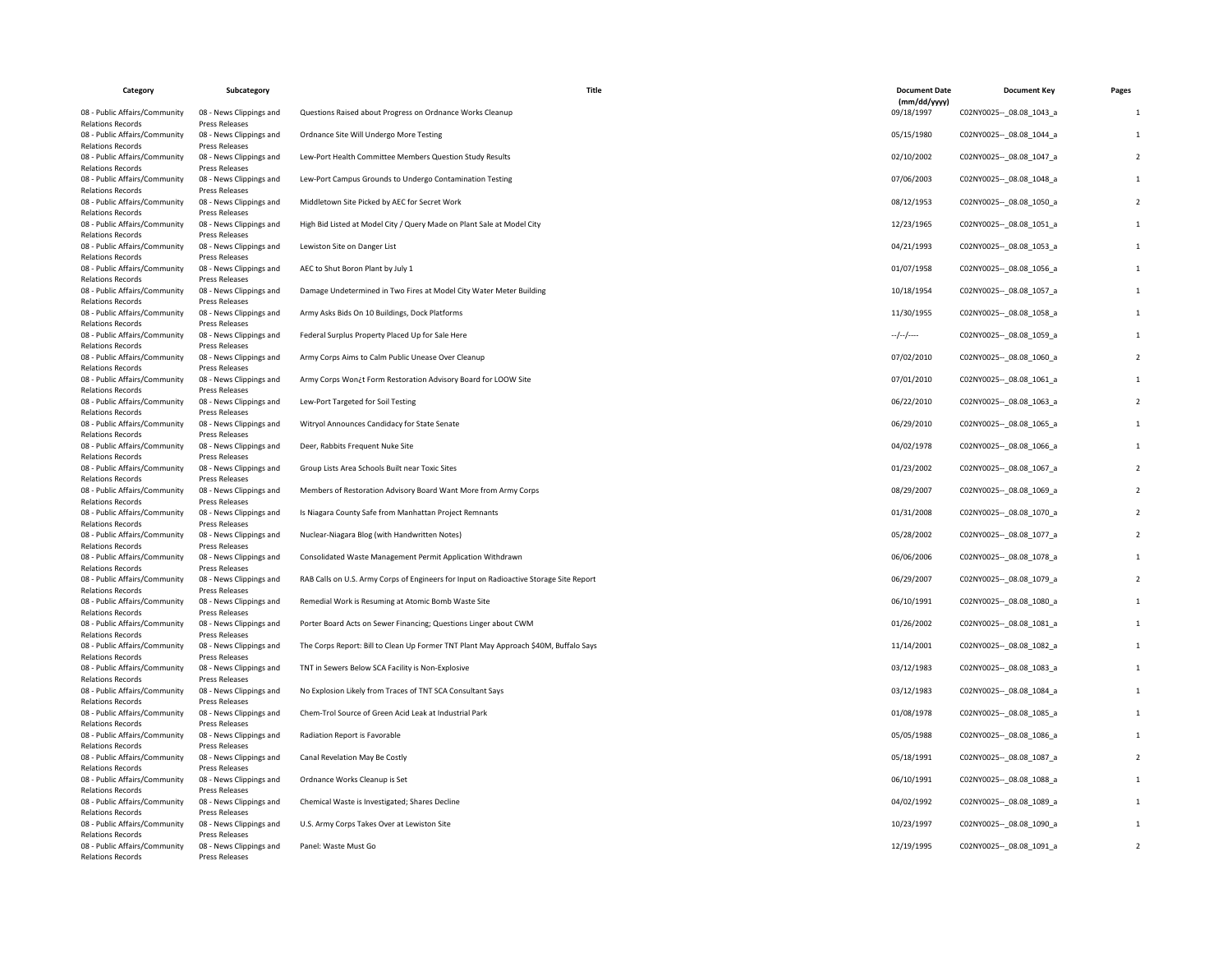| Category                                                                              | Subcategory                                                 | Title                                                                                  | <b>Document Date</b>       | <b>Document Key</b>         | Pages |
|---------------------------------------------------------------------------------------|-------------------------------------------------------------|----------------------------------------------------------------------------------------|----------------------------|-----------------------------|-------|
| 08 - Public Affairs/Community<br><b>Relations Records</b>                             | 08 - News Clippings and<br><b>Press Releases</b>            | Questions Raised about Progress on Ordnance Works Cleanup                              | (mm/dd/yyyy)<br>09/18/1997 | C02NY0025 -- 08.08 1043 a   |       |
| 08 - Public Affairs/Community                                                         | 08 - News Clippings and                                     | Ordnance Site Will Undergo More Testing                                                | 05/15/1980                 | C02NY0025 -- 08.08 1044 a   |       |
| <b>Relations Records</b><br>08 - Public Affairs/Community<br><b>Relations Records</b> | Press Releases<br>08 - News Clippings and<br>Press Releases | Lew-Port Health Committee Members Question Study Results                               | 02/10/2002                 | C02NY0025 -- 08.08 1047 a   |       |
| 08 - Public Affairs/Community<br><b>Relations Records</b>                             | 08 - News Clippings and<br>Press Releases                   | Lew-Port Campus Grounds to Undergo Contamination Testing                               | 07/06/2003                 | C02NY0025 -- 08.08 1048 a   |       |
| 08 - Public Affairs/Community<br><b>Relations Records</b>                             | 08 - News Clippings and<br>Press Releases                   | Middletown Site Picked by AEC for Secret Work                                          | 08/12/1953                 | C02NY0025 -- 08.08 1050 a   |       |
| 08 - Public Affairs/Community<br><b>Relations Records</b>                             | 08 - News Clippings and<br>Press Releases                   | High Bid Listed at Model City / Query Made on Plant Sale at Model City                 | 12/23/1965                 | C02NY0025 -- 08.08 1051 a   |       |
| 08 - Public Affairs/Community<br><b>Relations Records</b>                             | 08 - News Clippings and<br>Press Releases                   | Lewiston Site on Danger List                                                           | 04/21/1993                 | C02NY0025 -- _ 08.08_1053_a |       |
| 08 - Public Affairs/Community<br><b>Relations Records</b>                             | 08 - News Clippings and<br>Press Releases                   | AEC to Shut Boron Plant by July 1                                                      | 01/07/1958                 | C02NY0025 -- _ 08.08_1056_a |       |
| 08 - Public Affairs/Community<br><b>Relations Records</b>                             | 08 - News Clippings and<br>Press Releases                   | Damage Undetermined in Two Fires at Model City Water Meter Building                    | 10/18/1954                 | C02NY0025 -- 08.08 1057 a   |       |
| 08 - Public Affairs/Community<br><b>Relations Records</b>                             | 08 - News Clippings and<br>Press Releases                   | Army Asks Bids On 10 Buildings, Dock Platforms                                         | 11/30/1955                 | C02NY0025 -- _ 08.08_1058_a |       |
| 08 - Public Affairs/Community<br><b>Relations Records</b>                             | 08 - News Clippings and<br><b>Press Releases</b>            | Federal Surplus Property Placed Up for Sale Here                                       | --/--/----                 | C02NY0025 -- 08.08 1059 a   |       |
| 08 - Public Affairs/Community<br><b>Relations Records</b>                             | 08 - News Clippings and<br><b>Press Releases</b>            | Army Corps Aims to Calm Public Unease Over Cleanup                                     | 07/02/2010                 | C02NY0025 -- 08.08 1060 a   |       |
| 08 - Public Affairs/Community<br><b>Relations Records</b>                             | 08 - News Clippings and<br>Press Releases                   | Army Corps Won¿t Form Restoration Advisory Board for LOOW Site                         | 07/01/2010                 | C02NY0025 -- 08.08 1061 a   |       |
| 08 - Public Affairs/Community<br><b>Relations Records</b>                             | 08 - News Clippings and<br>Press Releases                   | Lew-Port Targeted for Soil Testing                                                     | 06/22/2010                 | C02NY0025 -- _ 08.08_1063_a |       |
| 08 - Public Affairs/Community<br><b>Relations Records</b>                             | 08 - News Clippings and<br>Press Releases                   | Witryol Announces Candidacy for State Senate                                           | 06/29/2010                 | C02NY0025 -- 08.08 1065 a   |       |
| 08 - Public Affairs/Community<br><b>Relations Records</b>                             | 08 - News Clippings and<br><b>Press Releases</b>            | Deer, Rabbits Frequent Nuke Site                                                       | 04/02/1978                 | C02NY0025 -- 08.08 1066 a   |       |
| 08 - Public Affairs/Community<br><b>Relations Records</b>                             | 08 - News Clippings and<br><b>Press Releases</b>            | Group Lists Area Schools Built near Toxic Sites                                        | 01/23/2002                 | C02NY0025 -- _ 08.08_1067_a |       |
| 08 - Public Affairs/Community<br><b>Relations Records</b>                             | 08 - News Clippings and<br>Press Releases                   | Members of Restoration Advisory Board Want More from Army Corps                        | 08/29/2007                 | C02NY0025 -- 08.08 1069 a   |       |
| 08 - Public Affairs/Community<br><b>Relations Records</b>                             | 08 - News Clippings and<br>Press Releases                   | Is Niagara County Safe from Manhattan Project Remnants                                 | 01/31/2008                 | C02NY0025 -- 08.08 1070 a   |       |
| 08 - Public Affairs/Community<br><b>Relations Records</b>                             | 08 - News Clippings and<br>Press Releases                   | Nuclear-Niagara Blog (with Handwritten Notes)                                          | 05/28/2002                 | C02NY0025 -- _ 08.08_1077_a |       |
| 08 - Public Affairs/Community<br><b>Relations Records</b>                             | 08 - News Clippings and<br><b>Press Releases</b>            | Consolidated Waste Management Permit Application Withdrawn                             | 06/06/2006                 | C02NY0025 -- 08.08 1078 a   |       |
| 08 - Public Affairs/Community<br><b>Relations Records</b>                             | 08 - News Clippings and<br>Press Releases                   | RAB Calls on U.S. Army Corps of Engineers for Input on Radioactive Storage Site Report | 06/29/2007                 | C02NY0025 -- 08.08 1079 a   |       |
| 08 - Public Affairs/Community<br><b>Relations Records</b>                             | 08 - News Clippings and<br>Press Releases                   | Remedial Work is Resuming at Atomic Bomb Waste Site                                    | 06/10/1991                 | C02NY0025 -- 08.08 1080 a   |       |
| 08 - Public Affairs/Community<br><b>Relations Records</b>                             | 08 - News Clippings and<br>Press Releases                   | Porter Board Acts on Sewer Financing; Questions Linger about CWM                       | 01/26/2002                 | C02NY0025 -- _ 08.08_1081_a |       |
| 08 - Public Affairs/Community<br><b>Relations Records</b>                             | 08 - News Clippings and<br>Press Releases                   | The Corps Report: Bill to Clean Up Former TNT Plant May Approach \$40M, Buffalo Says   | 11/14/2001                 | C02NY0025 -- 08.08 1082 a   |       |
| 08 - Public Affairs/Community<br><b>Relations Records</b>                             | 08 - News Clippings and<br><b>Press Releases</b>            | TNT in Sewers Below SCA Facility is Non-Explosive                                      | 03/12/1983                 | C02NY0025 -- 08.08 1083 a   |       |
| 08 - Public Affairs/Community<br><b>Relations Records</b>                             | 08 - News Clippings and<br><b>Press Releases</b>            | No Explosion Likely from Traces of TNT SCA Consultant Says                             | 03/12/1983                 | C02NY0025 -- _ 08.08_1084_a |       |
| 08 - Public Affairs/Community<br><b>Relations Records</b>                             | 08 - News Clippings and<br><b>Press Releases</b>            | Chem-Trol Source of Green Acid Leak at Industrial Park                                 | 01/08/1978                 | C02NY0025 -- 08.08 1085 a   |       |
| 08 - Public Affairs/Community<br><b>Relations Records</b>                             | 08 - News Clippings and<br>Press Releases                   | Radiation Report is Favorable                                                          | 05/05/1988                 | C02NY0025 -- 08.08 1086 a   |       |
| 08 - Public Affairs/Community<br><b>Relations Records</b>                             | 08 - News Clippings and<br>Press Releases                   | Canal Revelation May Be Costly                                                         | 05/18/1991                 | C02NY0025 -- _ 08.08_1087_a |       |
| 08 - Public Affairs/Community<br><b>Relations Records</b>                             | 08 - News Clippings and<br><b>Press Releases</b>            | Ordnance Works Cleanup is Set                                                          | 06/10/1991                 | C02NY0025 -- 08.08 1088 a   |       |
| 08 - Public Affairs/Community<br><b>Relations Records</b>                             | 08 - News Clippings and<br>Press Releases                   | Chemical Waste is Investigated; Shares Decline                                         | 04/02/1992                 | C02NY0025 -- 08.08 1089 a   |       |
| 08 - Public Affairs/Community<br><b>Relations Records</b>                             | 08 - News Clippings and<br>Press Releases                   | U.S. Army Corps Takes Over at Lewiston Site                                            | 10/23/1997                 | C02NY0025 -- 08.08 1090 a   |       |
| 08 - Public Affairs/Community<br><b>Relations Records</b>                             | 08 - News Clippings and<br>Press Releases                   | Panel: Waste Must Go                                                                   | 12/19/1995                 | C02NY0025 -- _ 08.08_1091_a |       |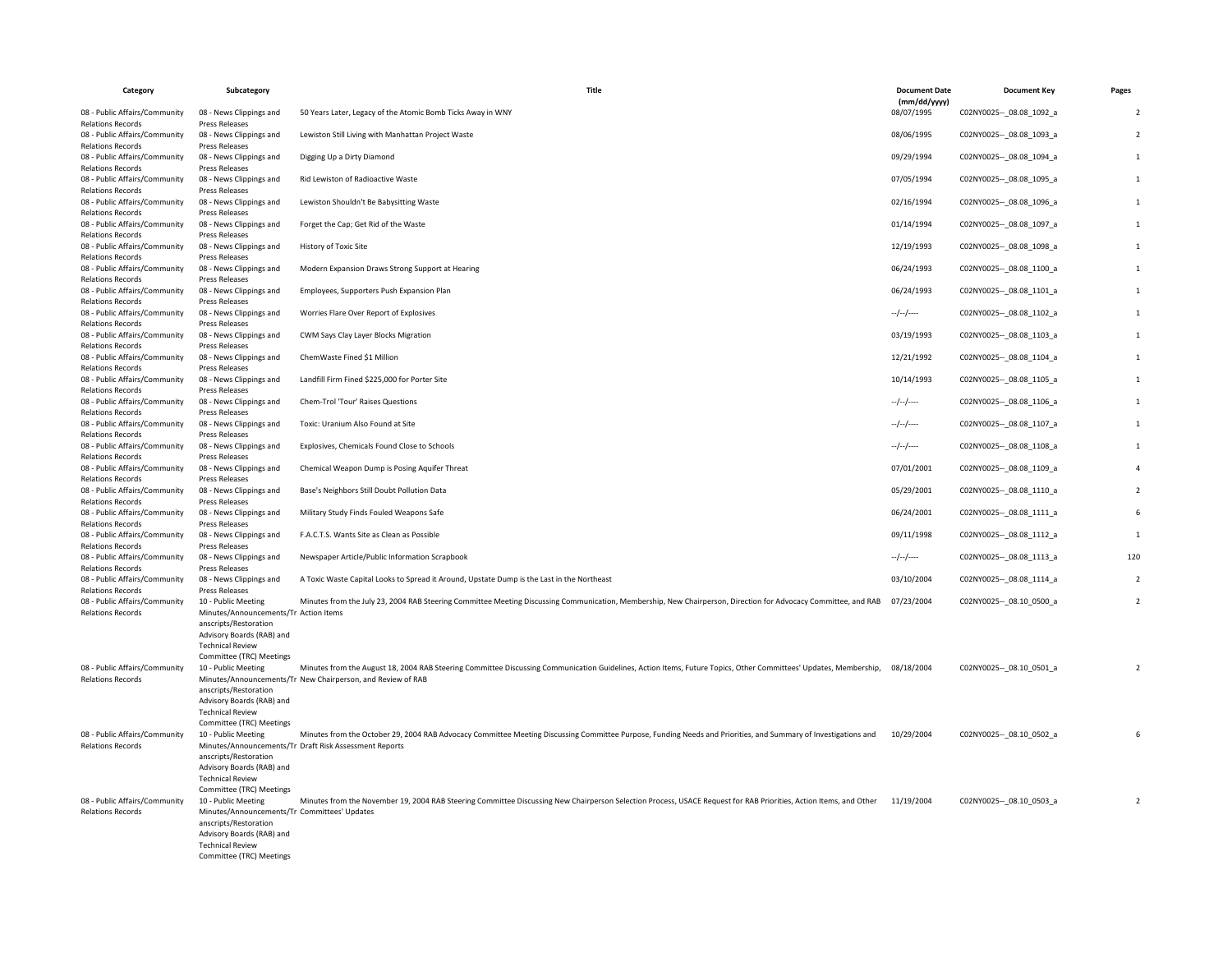| Category                                                                              | Subcategory                                                           | Title                                                                                                                                                             | <b>Document Date</b>       | <b>Document Key</b>         | Pages                    |
|---------------------------------------------------------------------------------------|-----------------------------------------------------------------------|-------------------------------------------------------------------------------------------------------------------------------------------------------------------|----------------------------|-----------------------------|--------------------------|
| 08 - Public Affairs/Community<br><b>Relations Records</b>                             | 08 - News Clippings and<br>Press Releases                             | 50 Years Later, Legacy of the Atomic Bomb Ticks Away in WNY                                                                                                       | (mm/dd/yyyy)<br>08/07/1995 | C02NY0025 -- 08.08 1092 a   | $\overline{\phantom{0}}$ |
| 08 - Public Affairs/Community<br><b>Relations Records</b>                             | 08 - News Clippings and<br>Press Releases                             | Lewiston Still Living with Manhattan Project Waste                                                                                                                | 08/06/1995                 | C02NY0025 -- 08.08 1093 a   | $\overline{2}$           |
| 08 - Public Affairs/Community<br><b>Relations Records</b>                             | 08 - News Clippings and<br>Press Releases                             | Digging Up a Dirty Diamond                                                                                                                                        | 09/29/1994                 | C02NY0025 -- 08.08 1094 a   |                          |
| 08 - Public Affairs/Community<br><b>Relations Records</b>                             | 08 - News Clippings and<br>Press Releases                             | Rid Lewiston of Radioactive Waste                                                                                                                                 | 07/05/1994                 | C02NY0025 -- 08.08 1095 a   |                          |
| 08 - Public Affairs/Community<br><b>Relations Records</b>                             | 08 - News Clippings and<br>Press Releases                             | Lewiston Shouldn't Be Babysitting Waste                                                                                                                           | 02/16/1994                 | C02NY0025 -- _ 08.08_1096_a | $\mathbf{1}$             |
| 08 - Public Affairs/Community<br><b>Relations Records</b>                             | 08 - News Clippings and<br>Press Releases                             | Forget the Cap; Get Rid of the Waste                                                                                                                              | 01/14/1994                 | C02NY0025 -- 08.08 1097 a   | $\mathbf{1}$             |
| 08 - Public Affairs/Community<br><b>Relations Records</b>                             | 08 - News Clippings and<br>Press Releases                             | History of Toxic Site                                                                                                                                             | 12/19/1993                 | C02NY0025 -- _ 08.08_1098_a | $\mathbf{1}$             |
| 08 - Public Affairs/Community<br><b>Relations Records</b>                             | 08 - News Clippings and<br>Press Releases                             | Modern Expansion Draws Strong Support at Hearing                                                                                                                  | 06/24/1993                 | C02NY0025 -- _ 08.08_1100_a | -1                       |
| 08 - Public Affairs/Community<br><b>Relations Records</b>                             | 08 - News Clippings and<br>Press Releases                             | Employees, Supporters Push Expansion Plan                                                                                                                         | 06/24/1993                 | C02NY0025 -- 08.08 1101 a   |                          |
| 08 - Public Affairs/Community<br><b>Relations Records</b>                             | 08 - News Clippings and<br>Press Releases                             | Worries Flare Over Report of Explosives                                                                                                                           | $-/-/-$                    | C02NY0025 -- _ 08.08_1102_a |                          |
| 08 - Public Affairs/Community<br><b>Relations Records</b>                             | 08 - News Clippings and<br><b>Press Releases</b>                      | CWM Says Clay Layer Blocks Migration                                                                                                                              | 03/19/1993                 | C02NY0025 -- 08.08 1103 a   |                          |
| 08 - Public Affairs/Community<br><b>Relations Records</b>                             | 08 - News Clippings and<br>Press Releases                             | ChemWaste Fined \$1 Million                                                                                                                                       | 12/21/1992                 | C02NY0025 -- _ 08.08_1104_a | $\mathbf{1}$             |
| 08 - Public Affairs/Community<br><b>Relations Records</b>                             | 08 - News Clippings and<br>Press Releases                             | Landfill Firm Fined \$225,000 for Porter Site                                                                                                                     | 10/14/1993                 | C02NY0025 -- 08.08 1105 a   | $\mathbf{1}$             |
| 08 - Public Affairs/Community<br><b>Relations Records</b>                             | 08 - News Clippings and<br>Press Releases                             | Chem-Trol 'Tour' Raises Questions                                                                                                                                 | --/--/----                 | C02NY0025 -- _ 08.08_1106_a | $\mathbf{1}$             |
| 08 - Public Affairs/Community<br><b>Relations Records</b>                             | 08 - News Clippings and<br>Press Releases                             | Toxic: Uranium Also Found at Site                                                                                                                                 | $-/-/-/$                   | C02NY0025 -- _ 08.08_1107_a | -1                       |
| 08 - Public Affairs/Community<br><b>Relations Records</b>                             | 08 - News Clippings and<br>Press Releases                             | Explosives, Chemicals Found Close to Schools                                                                                                                      | $-/-/-$                    | C02NY0025 -- 08.08 1108 a   |                          |
| 08 - Public Affairs/Community<br><b>Relations Records</b>                             | 08 - News Clippings and<br>Press Releases                             | Chemical Weapon Dump is Posing Aquifer Threat                                                                                                                     | 07/01/2001                 | C02NY0025 -- 08.08 1109 a   |                          |
| 08 - Public Affairs/Community                                                         | 08 - News Clippings and                                               | Base's Neighbors Still Doubt Pollution Data                                                                                                                       | 05/29/2001                 | C02NY0025 -- 08.08 1110 a   | $\overline{2}$           |
| <b>Relations Records</b><br>08 - Public Affairs/Community<br><b>Relations Records</b> | Press Releases<br>08 - News Clippings and<br>Press Releases           | Military Study Finds Fouled Weapons Safe                                                                                                                          | 06/24/2001                 | C02NY0025 -- _ 08.08_1111_a | 6                        |
| 08 - Public Affairs/Community                                                         | 08 - News Clippings and                                               | F.A.C.T.S. Wants Site as Clean as Possible                                                                                                                        | 09/11/1998                 | C02NY0025 -- 08.08 1112 a   | $\overline{1}$           |
| <b>Relations Records</b><br>08 - Public Affairs/Community<br><b>Relations Records</b> | Press Releases<br>08 - News Clippings and<br><b>Press Releases</b>    | Newspaper Article/Public Information Scrapbook                                                                                                                    | $-/-/-$                    | C02NY0025 -- 08.08 1113 a   | 120                      |
| 08 - Public Affairs/Community                                                         | 08 - News Clippings and                                               | A Toxic Waste Capital Looks to Spread it Around, Upstate Dump is the Last in the Northeast                                                                        | 03/10/2004                 | C02NY0025 -- _ 08.08_1114_a | $\overline{2}$           |
| <b>Relations Records</b><br>08 - Public Affairs/Community                             | Press Releases<br>10 - Public Meeting                                 | Minutes from the July 23, 2004 RAB Steering Committee Meeting Discussing Communication, Membership, New Chairperson, Direction for Advocacy Committee, and RAB    | 07/23/2004                 | C02NY0025 -- 08.10 0500 a   | $\overline{2}$           |
| <b>Relations Records</b>                                                              | Minutes/Announcements/Tr Action Items<br>anscripts/Restoration        |                                                                                                                                                                   |                            |                             |                          |
|                                                                                       | Advisory Boards (RAB) and<br><b>Technical Review</b>                  |                                                                                                                                                                   |                            |                             |                          |
| 08 - Public Affairs/Community                                                         | Committee (TRC) Meetings<br>10 - Public Meeting                       | Minutes from the August 18, 2004 RAB Steering Committee Discussing Communication Guidelines, Action Items, Future Topics, Other Committees' Updates, Membership,  | 08/18/2004                 | C02NY0025 -- _ 08.10_0501_a |                          |
| <b>Relations Records</b>                                                              | anscripts/Restoration                                                 | Minutes/Announcements/Tr New Chairperson, and Review of RAB                                                                                                       |                            |                             |                          |
|                                                                                       | Advisory Boards (RAB) and<br><b>Technical Review</b>                  |                                                                                                                                                                   |                            |                             |                          |
| 08 - Public Affairs/Community                                                         | Committee (TRC) Meetings<br>10 - Public Meeting                       | Minutes from the October 29, 2004 RAB Advocacy Committee Meeting Discussing Committee Purpose, Funding Needs and Priorities, and Summary of Investigations and    | 10/29/2004                 | C02NY0025 -- _ 08.10_0502_a |                          |
| <b>Relations Records</b>                                                              | anscripts/Restoration                                                 | Minutes/Announcements/Tr Draft Risk Assessment Reports                                                                                                            |                            |                             |                          |
|                                                                                       | Advisory Boards (RAB) and<br><b>Technical Review</b>                  |                                                                                                                                                                   |                            |                             |                          |
| 08 - Public Affairs/Community                                                         | Committee (TRC) Meetings<br>10 - Public Meeting                       | Minutes from the November 19, 2004 RAB Steering Committee Discussing New Chairperson Selection Process, USACE Request for RAB Priorities, Action Items, and Other | 11/19/2004                 | C02NY0025 -- 08.10 0503_a   |                          |
| <b>Relations Records</b>                                                              | Minutes/Announcements/Tr Committees' Updates<br>anscripts/Restoration |                                                                                                                                                                   |                            |                             |                          |
|                                                                                       | Advisory Boards (RAB) and<br><b>Technical Review</b>                  |                                                                                                                                                                   |                            |                             |                          |
|                                                                                       | Committee (TRC) Meetings                                              |                                                                                                                                                                   |                            |                             |                          |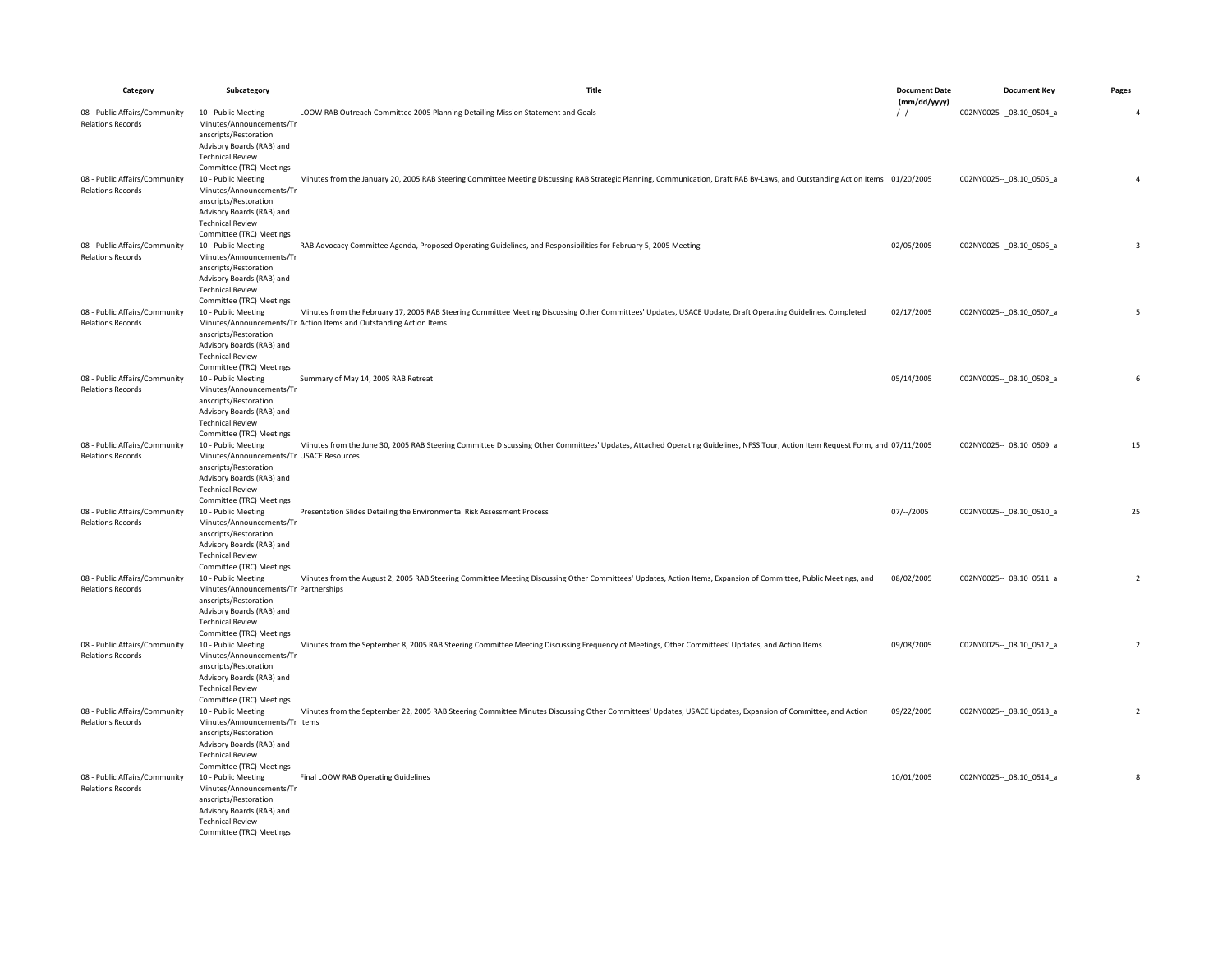| Category                                                  | Subcategory                                                                                                                                                                  | Title                                                                                                                                                                                                                             | <b>Document Date</b>    | <b>Document Key</b>         | Pages          |
|-----------------------------------------------------------|------------------------------------------------------------------------------------------------------------------------------------------------------------------------------|-----------------------------------------------------------------------------------------------------------------------------------------------------------------------------------------------------------------------------------|-------------------------|-----------------------------|----------------|
| 08 - Public Affairs/Community                             | 10 - Public Meeting                                                                                                                                                          | LOOW RAB Outreach Committee 2005 Planning Detailing Mission Statement and Goals                                                                                                                                                   | (mm/dd/yyyy)<br>$-/-/-$ | C02NY0025 -- _ 08.10_0504_a | $\overline{4}$ |
| <b>Relations Records</b>                                  | Minutes/Announcements/Tr<br>anscripts/Restoration<br>Advisory Boards (RAB) and<br><b>Technical Review</b><br>Committee (TRC) Meetings                                        |                                                                                                                                                                                                                                   |                         |                             |                |
| 08 - Public Affairs/Community<br><b>Relations Records</b> | 10 - Public Meeting<br>Minutes/Announcements/Tr<br>anscripts/Restoration<br>Advisory Boards (RAB) and<br><b>Technical Review</b><br>Committee (TRC) Meetings                 | Minutes from the January 20, 2005 RAB Steering Committee Meeting Discussing RAB Strategic Planning, Communication, Draft RAB By-Laws, and Outstanding Action Items 01/20/2005                                                     |                         | C02NY0025 -- _ 08.10_0505_a | $\overline{a}$ |
| 08 - Public Affairs/Community<br><b>Relations Records</b> | 10 - Public Meeting<br>Minutes/Announcements/Tr<br>anscripts/Restoration<br>Advisory Boards (RAB) and<br><b>Technical Review</b><br>Committee (TRC) Meetings                 | RAB Advocacy Committee Agenda, Proposed Operating Guidelines, and Responsibilities for February 5, 2005 Meeting                                                                                                                   | 02/05/2005              | C02NY0025 -- _ 08.10_0506_a | $\overline{3}$ |
| 08 - Public Affairs/Community<br><b>Relations Records</b> | 10 - Public Meeting<br>anscripts/Restoration<br>Advisory Boards (RAB) and<br><b>Technical Review</b><br>Committee (TRC) Meetings                                             | Minutes from the February 17, 2005 RAB Steering Committee Meeting Discussing Other Committees' Updates, USACE Update, Draft Operating Guidelines, Completed<br>Minutes/Announcements/Tr Action Items and Outstanding Action Items | 02/17/2005              | C02NY0025 -- _ 08.10_0507_a | 5              |
| 08 - Public Affairs/Community<br><b>Relations Records</b> | 10 - Public Meeting<br>Minutes/Announcements/Tr<br>anscripts/Restoration<br>Advisory Boards (RAB) and<br><b>Technical Review</b><br>Committee (TRC) Meetings                 | Summary of May 14, 2005 RAB Retreat                                                                                                                                                                                               | 05/14/2005              | C02NY0025 -- 08.10 0508 a   | 6              |
| 08 - Public Affairs/Community<br><b>Relations Records</b> | 10 - Public Meeting<br>Minutes/Announcements/Tr USACE Resources<br>anscripts/Restoration<br>Advisory Boards (RAB) and<br><b>Technical Review</b><br>Committee (TRC) Meetings | Minutes from the June 30, 2005 RAB Steering Committee Discussing Other Committees' Updates, Attached Operating Guidelines, NFSS Tour, Action Item Request Form, and 07/11/2005                                                    |                         | C02NY0025 -- _ 08.10_0509_a | 15             |
| 08 - Public Affairs/Community<br><b>Relations Records</b> | 10 - Public Meeting<br>Minutes/Announcements/Tr<br>anscripts/Restoration<br>Advisory Boards (RAB) and<br><b>Technical Review</b><br>Committee (TRC) Meetings                 | Presentation Slides Detailing the Environmental Risk Assessment Process                                                                                                                                                           | $07/-/2005$             | C02NY0025 -- 08.10 0510 a   | 25             |
| 08 - Public Affairs/Community<br><b>Relations Records</b> | 10 - Public Meeting<br>Minutes/Announcements/Tr Partnerships<br>anscripts/Restoration<br>Advisory Boards (RAB) and<br><b>Technical Review</b><br>Committee (TRC) Meetings    | Minutes from the August 2, 2005 RAB Steering Committee Meeting Discussing Other Committees' Updates, Action Items, Expansion of Committee, Public Meetings, and                                                                   | 08/02/2005              | C02NY0025 -- _ 08.10_0511_a | $\overline{2}$ |
| 08 - Public Affairs/Community<br><b>Relations Records</b> | 10 - Public Meeting<br>Minutes/Announcements/Tr<br>anscripts/Restoration<br>Advisory Boards (RAB) and<br><b>Technical Review</b><br>Committee (TRC) Meetings                 | Minutes from the September 8, 2005 RAB Steering Committee Meeting Discussing Frequency of Meetings, Other Committees' Updates, and Action Items                                                                                   | 09/08/2005              | C02NY0025 -- 08.10 0512 a   | $\overline{2}$ |
| 08 - Public Affairs/Community<br><b>Relations Records</b> | 10 - Public Meeting<br>Minutes/Announcements/Tr Items<br>anscripts/Restoration<br>Advisory Boards (RAB) and<br><b>Technical Review</b><br>Committee (TRC) Meetings           | Minutes from the September 22, 2005 RAB Steering Committee Minutes Discussing Other Committees' Updates, USACE Updates, Expansion of Committee, and Action                                                                        | 09/22/2005              | C02NY0025 -- 08.10 0513 a   | $\sqrt{2}$     |
| 08 - Public Affairs/Community<br><b>Relations Records</b> | 10 - Public Meeting<br>Minutes/Announcements/Tr<br>anscripts/Restoration<br>Advisory Boards (RAB) and<br><b>Technical Review</b><br>Committee (TRC) Meetings                 | Final LOOW RAB Operating Guidelines                                                                                                                                                                                               | 10/01/2005              | C02NY0025 -- 08.10 0514 a   | 8              |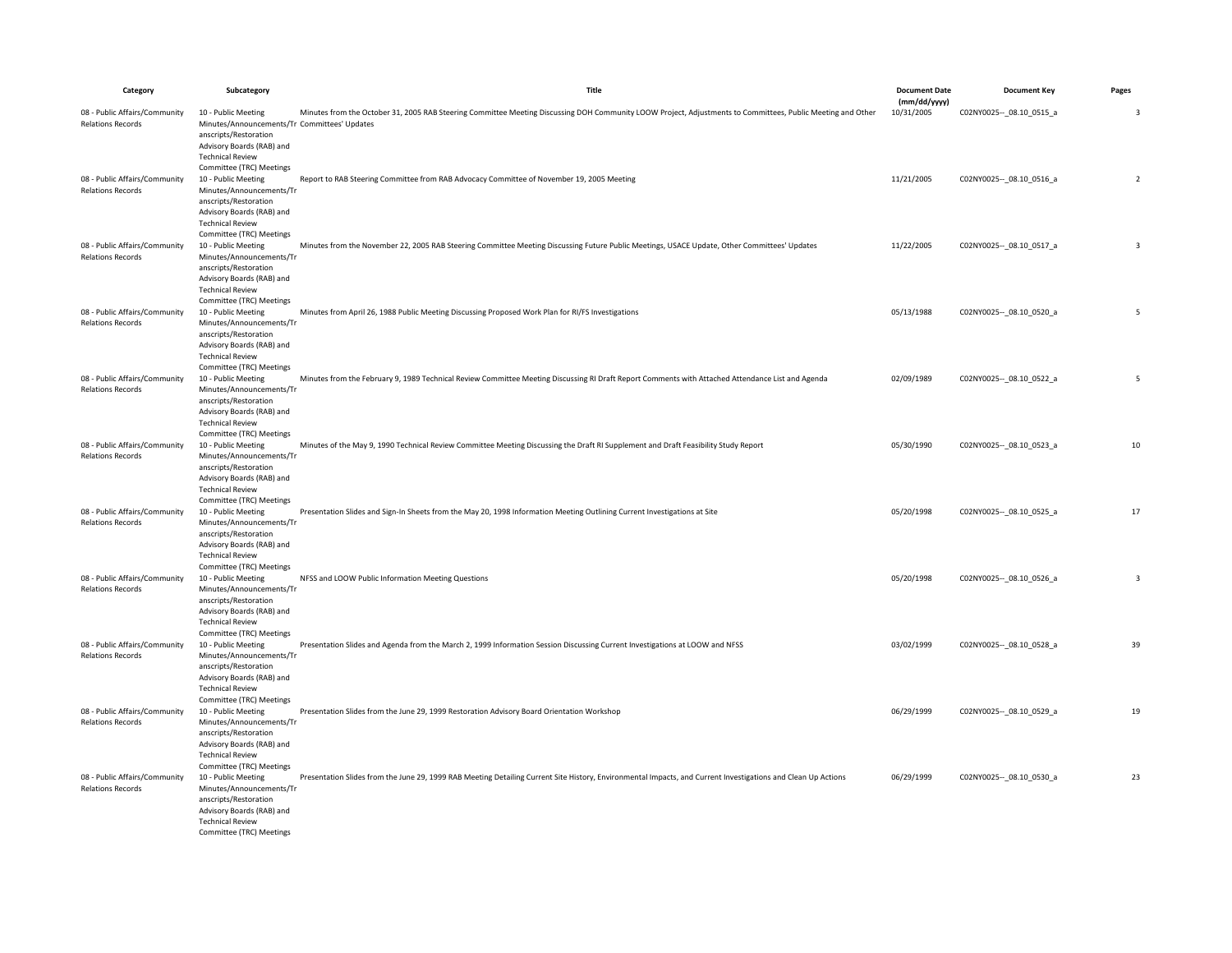| Category                                                  | Subcategory                                                                                                                                                                                                          | Title                                                                                                                                                         | <b>Document Date</b>       | <b>Document Key</b>         | Pages          |
|-----------------------------------------------------------|----------------------------------------------------------------------------------------------------------------------------------------------------------------------------------------------------------------------|---------------------------------------------------------------------------------------------------------------------------------------------------------------|----------------------------|-----------------------------|----------------|
| 08 - Public Affairs/Community<br><b>Relations Records</b> | 10 - Public Meeting<br>Minutes/Announcements/Tr Committees' Updates<br>anscripts/Restoration                                                                                                                         | Minutes from the October 31, 2005 RAB Steering Committee Meeting Discussing DOH Community LOOW Project, Adjustments to Committees, Public Meeting and Other   | (mm/dd/yyyy)<br>10/31/2005 | C02NY0025 -- _ 08.10_0515_a | 3              |
| 08 - Public Affairs/Community<br><b>Relations Records</b> | Advisory Boards (RAB) and<br><b>Technical Review</b><br>Committee (TRC) Meetings<br>10 - Public Meeting<br>Minutes/Announcements/Tr<br>anscripts/Restoration<br>Advisory Boards (RAB) and<br><b>Technical Review</b> | Report to RAB Steering Committee from RAB Advocacy Committee of November 19, 2005 Meeting                                                                     | 11/21/2005                 | C02NY0025 -- 08.10 0516 a   | $\overline{2}$ |
| 08 - Public Affairs/Community<br><b>Relations Records</b> | Committee (TRC) Meetings<br>10 - Public Meeting<br>Minutes/Announcements/Tr<br>anscripts/Restoration<br>Advisory Boards (RAB) and<br><b>Technical Review</b>                                                         | Minutes from the November 22, 2005 RAB Steering Committee Meeting Discussing Future Public Meetings, USACE Update, Other Committees' Updates                  | 11/22/2005                 | C02NY0025 -- _ 08.10_0517_a | $\overline{3}$ |
| 08 - Public Affairs/Community<br><b>Relations Records</b> | Committee (TRC) Meetings<br>10 - Public Meeting<br>Minutes/Announcements/Tr<br>anscripts/Restoration<br>Advisory Boards (RAB) and<br><b>Technical Review</b>                                                         | Minutes from April 26, 1988 Public Meeting Discussing Proposed Work Plan for RI/FS Investigations                                                             | 05/13/1988                 | C02NY0025 -- 08.10 0520 a   | 5              |
| 08 - Public Affairs/Community<br><b>Relations Records</b> | Committee (TRC) Meetings<br>10 - Public Meeting<br>Minutes/Announcements/Tr<br>anscripts/Restoration<br>Advisory Boards (RAB) and<br><b>Technical Review</b>                                                         | Minutes from the February 9, 1989 Technical Review Committee Meeting Discussing RI Draft Report Comments with Attached Attendance List and Agenda             | 02/09/1989                 | C02NY0025 -- 08.10 0522 a   | 5              |
| 08 - Public Affairs/Community<br><b>Relations Records</b> | Committee (TRC) Meetings<br>10 - Public Meeting<br>Minutes/Announcements/Tr<br>anscripts/Restoration<br>Advisory Boards (RAB) and<br><b>Technical Review</b>                                                         | Minutes of the May 9, 1990 Technical Review Committee Meeting Discussing the Draft RI Supplement and Draft Feasibility Study Report                           | 05/30/1990                 | C02NY0025 -- 08.10 0523 a   | 10             |
| 08 - Public Affairs/Community<br><b>Relations Records</b> | Committee (TRC) Meetings<br>10 - Public Meeting<br>Minutes/Announcements/Tr<br>anscripts/Restoration<br>Advisory Boards (RAB) and<br><b>Technical Review</b>                                                         | Presentation Slides and Sign-In Sheets from the May 20, 1998 Information Meeting Outlining Current Investigations at Site                                     | 05/20/1998                 | C02NY0025 -- 08.10 0525 a   | 17             |
| 08 - Public Affairs/Community<br><b>Relations Records</b> | Committee (TRC) Meetings<br>10 - Public Meeting<br>Minutes/Announcements/Tr<br>anscripts/Restoration<br>Advisory Boards (RAB) and<br><b>Technical Review</b>                                                         | NFSS and LOOW Public Information Meeting Questions                                                                                                            | 05/20/1998                 | C02NY0025 -- _ 08.10_0526_a | $\overline{3}$ |
| 08 - Public Affairs/Community<br><b>Relations Records</b> | Committee (TRC) Meetings<br>10 - Public Meeting<br>Minutes/Announcements/Tr<br>anscripts/Restoration<br>Advisory Boards (RAB) and<br><b>Technical Review</b>                                                         | Presentation Slides and Agenda from the March 2, 1999 Information Session Discussing Current Investigations at LOOW and NFSS                                  | 03/02/1999                 | C02NY0025 -- 08.10 0528 a   | 39             |
| 08 - Public Affairs/Community<br><b>Relations Records</b> | Committee (TRC) Meetings<br>10 - Public Meeting<br>Minutes/Announcements/Tr<br>anscripts/Restoration<br>Advisory Boards (RAB) and<br><b>Technical Review</b>                                                         | Presentation Slides from the June 29, 1999 Restoration Advisory Board Orientation Workshop                                                                    | 06/29/1999                 | C02NY0025 -- 08.10 0529 a   | 19             |
| 08 - Public Affairs/Community<br><b>Relations Records</b> | Committee (TRC) Meetings<br>10 - Public Meeting<br>Minutes/Announcements/Tr<br>anscripts/Restoration<br>Advisory Boards (RAB) and<br><b>Technical Review</b><br>Committee (TRC) Meetings                             | Presentation Slides from the June 29, 1999 RAB Meeting Detailing Current Site History, Environmental Impacts, and Current Investigations and Clean Up Actions | 06/29/1999                 | C02NY0025 -- 08.10 0530 a   | 23             |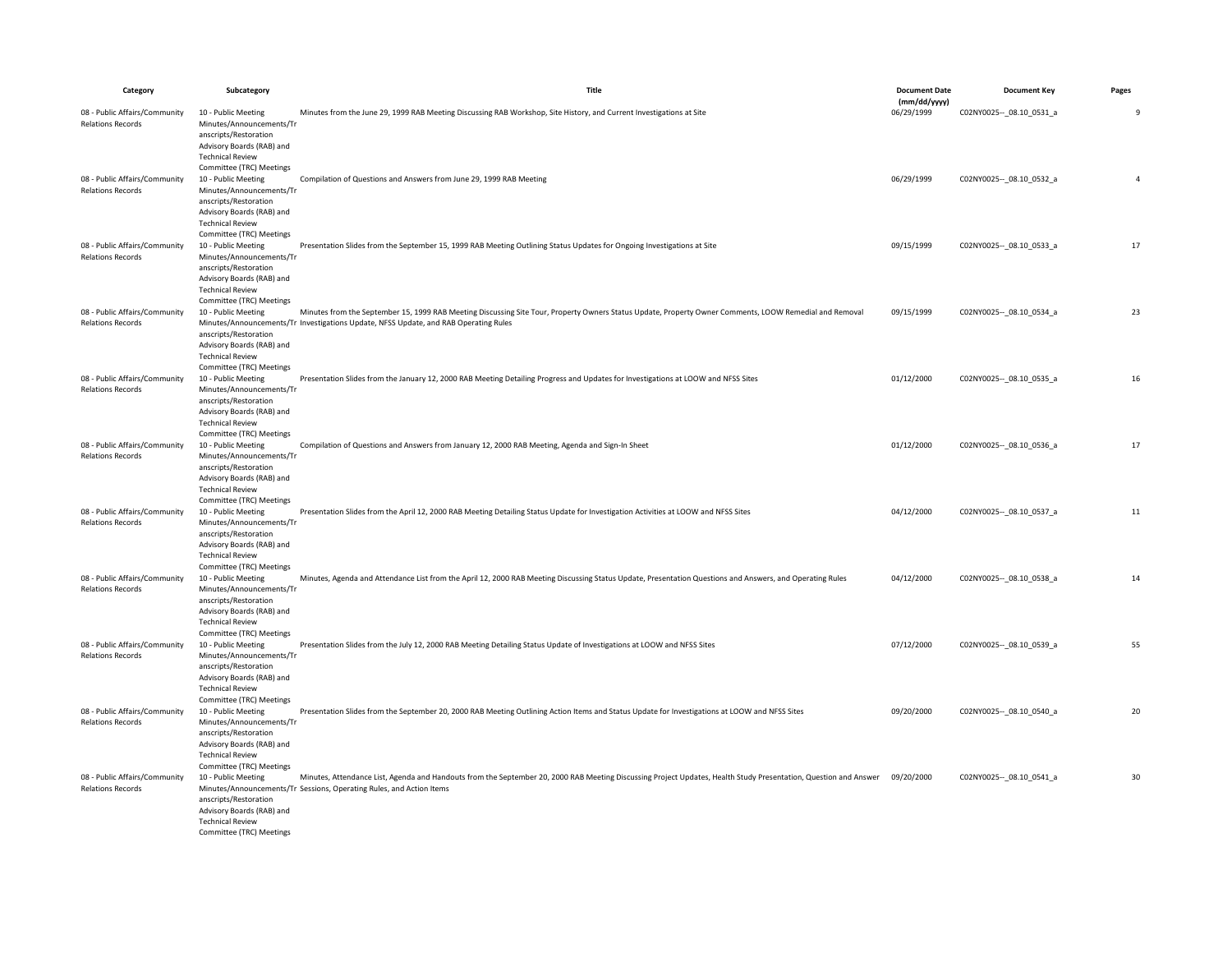| Category                                                  | Subcategory                                                                                                                                                                              | <b>Title</b>                                                                                                                                                                                                                                    | <b>Document Date</b>       | <b>Document Key</b>         | Pages          |
|-----------------------------------------------------------|------------------------------------------------------------------------------------------------------------------------------------------------------------------------------------------|-------------------------------------------------------------------------------------------------------------------------------------------------------------------------------------------------------------------------------------------------|----------------------------|-----------------------------|----------------|
| 08 - Public Affairs/Community                             | 10 - Public Meeting                                                                                                                                                                      | Minutes from the June 29, 1999 RAB Meeting Discussing RAB Workshop, Site History, and Current Investigations at Site                                                                                                                            | (mm/dd/yyyy)<br>06/29/1999 | C02NY0025 -- 08.10 0531 a   | 9              |
| <b>Relations Records</b>                                  | Minutes/Announcements/Tr<br>anscripts/Restoration<br>Advisory Boards (RAB) and<br><b>Technical Review</b><br>Committee (TRC) Meetings                                                    |                                                                                                                                                                                                                                                 |                            |                             |                |
| 08 - Public Affairs/Community<br><b>Relations Records</b> | 10 - Public Meeting<br>Minutes/Announcements/Tr<br>anscripts/Restoration<br>Advisory Boards (RAB) and<br><b>Technical Review</b>                                                         | Compilation of Questions and Answers from June 29, 1999 RAB Meeting                                                                                                                                                                             | 06/29/1999                 | C02NY0025 -- _ 08.10_0532_a | $\overline{4}$ |
| 08 - Public Affairs/Community<br><b>Relations Records</b> | Committee (TRC) Meetings<br>10 - Public Meeting<br>Minutes/Announcements/Tr<br>anscripts/Restoration<br>Advisory Boards (RAB) and<br><b>Technical Review</b>                             | Presentation Slides from the September 15, 1999 RAB Meeting Outlining Status Updates for Ongoing Investigations at Site                                                                                                                         | 09/15/1999                 | C02NY0025 -- 08.10 0533_a   | 17             |
| 08 - Public Affairs/Community<br><b>Relations Records</b> | Committee (TRC) Meetings<br>10 - Public Meeting<br>anscripts/Restoration<br>Advisory Boards (RAB) and<br><b>Technical Review</b>                                                         | Minutes from the September 15, 1999 RAB Meeting Discussing Site Tour, Property Owners Status Update, Property Owner Comments, LOOW Remedial and Removal<br>Minutes/Announcements/Tr Investigations Update, NFSS Update, and RAB Operating Rules | 09/15/1999                 | C02NY0025 -- 08.10 0534 a   | 23             |
| 08 - Public Affairs/Community<br><b>Relations Records</b> | Committee (TRC) Meetings<br>10 - Public Meeting<br>Minutes/Announcements/Tr<br>anscripts/Restoration<br>Advisory Boards (RAB) and<br><b>Technical Review</b>                             | Presentation Slides from the January 12, 2000 RAB Meeting Detailing Progress and Updates for Investigations at LOOW and NFSS Sites                                                                                                              | 01/12/2000                 | C02NY0025 -- 08.10 0535_a   | 16             |
| 08 - Public Affairs/Community<br><b>Relations Records</b> | Committee (TRC) Meetings<br>10 - Public Meeting<br>Minutes/Announcements/Tr<br>anscripts/Restoration<br>Advisory Boards (RAB) and<br><b>Technical Review</b><br>Committee (TRC) Meetings | Compilation of Questions and Answers from January 12, 2000 RAB Meeting, Agenda and Sign-In Sheet                                                                                                                                                | 01/12/2000                 | C02NY0025 -- _ 08.10_0536_a | 17             |
| 08 - Public Affairs/Community<br><b>Relations Records</b> | 10 - Public Meeting<br>Minutes/Announcements/Tr<br>anscripts/Restoration<br>Advisory Boards (RAB) and<br><b>Technical Review</b><br>Committee (TRC) Meetings                             | Presentation Slides from the April 12, 2000 RAB Meeting Detailing Status Update for Investigation Activities at LOOW and NFSS Sites                                                                                                             | 04/12/2000                 | C02NY0025 -- 08.10 0537_a   | 11             |
| 08 - Public Affairs/Community<br><b>Relations Records</b> | 10 - Public Meeting<br>Minutes/Announcements/Tr<br>anscripts/Restoration<br>Advisory Boards (RAB) and<br><b>Technical Review</b><br>Committee (TRC) Meetings                             | Minutes, Agenda and Attendance List from the April 12, 2000 RAB Meeting Discussing Status Update, Presentation Questions and Answers, and Operating Rules                                                                                       | 04/12/2000                 | C02NY0025 -- _ 08.10_0538_a | 14             |
| 08 - Public Affairs/Community<br><b>Relations Records</b> | 10 - Public Meeting<br>Minutes/Announcements/Tr<br>anscripts/Restoration<br>Advisory Boards (RAB) and<br><b>Technical Review</b><br>Committee (TRC) Meetings                             | Presentation Slides from the July 12, 2000 RAB Meeting Detailing Status Update of Investigations at LOOW and NFSS Sites                                                                                                                         | 07/12/2000                 | C02NY0025 -- _ 08.10_0539_a | 55             |
| 08 - Public Affairs/Community<br><b>Relations Records</b> | 10 - Public Meeting<br>Minutes/Announcements/Tr<br>anscripts/Restoration<br>Advisory Boards (RAB) and<br><b>Technical Review</b><br>Committee (TRC) Meetings                             | Presentation Slides from the September 20, 2000 RAB Meeting Outlining Action Items and Status Update for Investigations at LOOW and NFSS Sites                                                                                                  | 09/20/2000                 | C02NY0025 -- _ 08.10_0540_a | 20             |
| 08 - Public Affairs/Community<br><b>Relations Records</b> | 10 - Public Meeting<br>anscripts/Restoration<br>Advisory Boards (RAB) and<br><b>Technical Review</b><br>Committee (TRC) Meetings                                                         | Minutes, Attendance List, Agenda and Handouts from the September 20, 2000 RAB Meeting Discussing Project Updates, Health Study Presentation, Question and Answer<br>Minutes/Announcements/Tr Sessions, Operating Rules, and Action Items        | 09/20/2000                 | C02NY0025 -- 08.10 0541 a   | 30             |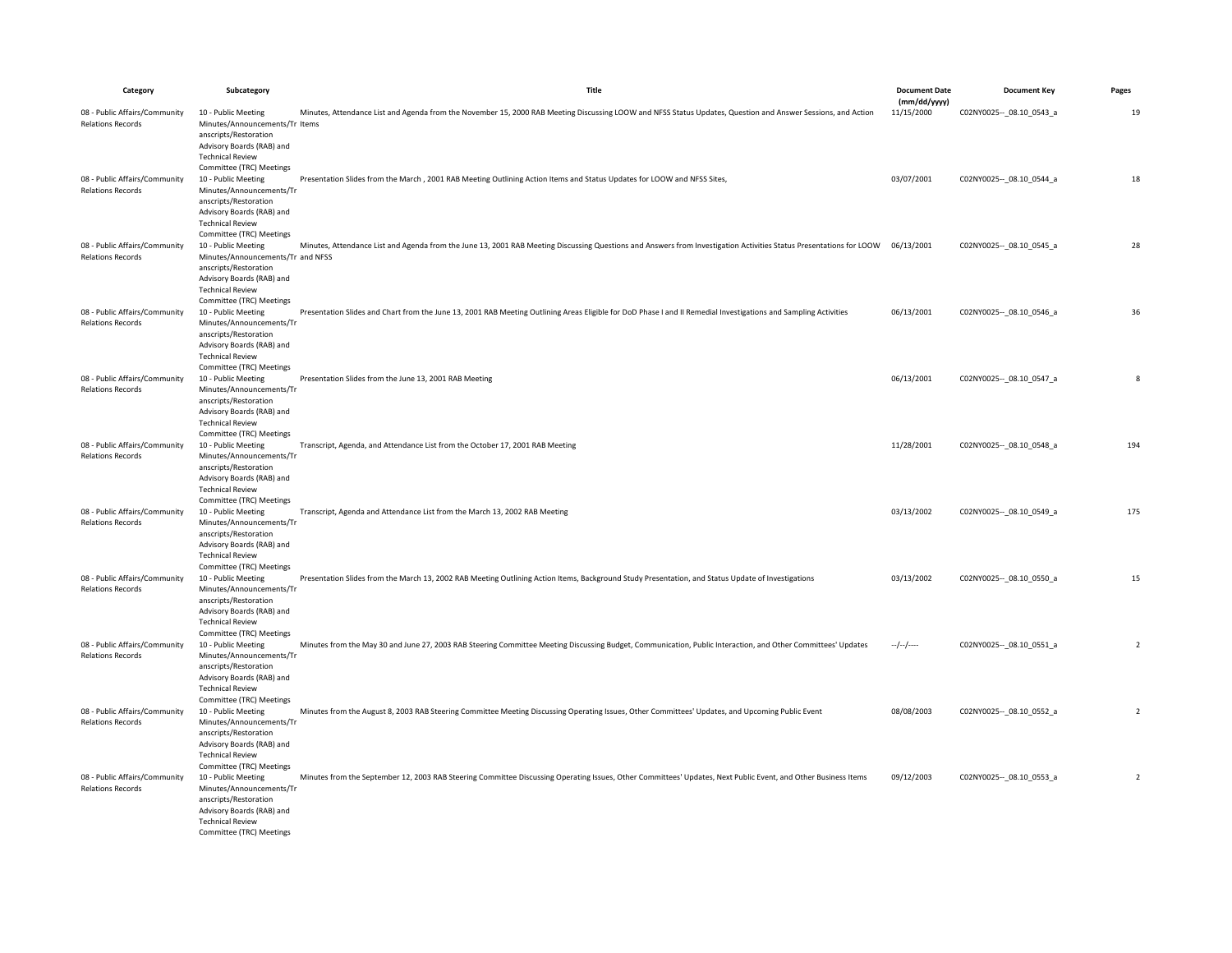| Category                                                                              | Subcategory                                                                                                                                                                                                                                                                     | Title                                                                                                                                                                          | <b>Document Date</b>       | <b>Document Key</b>         | Pages          |
|---------------------------------------------------------------------------------------|---------------------------------------------------------------------------------------------------------------------------------------------------------------------------------------------------------------------------------------------------------------------------------|--------------------------------------------------------------------------------------------------------------------------------------------------------------------------------|----------------------------|-----------------------------|----------------|
| 08 - Public Affairs/Community                                                         | 10 - Public Meeting                                                                                                                                                                                                                                                             | Minutes, Attendance List and Agenda from the November 15, 2000 RAB Meeting Discussing LOOW and NFSS Status Updates, Question and Answer Sessions, and Action                   | (mm/dd/yyyy)<br>11/15/2000 | C02NY0025 -- _ 08.10_0543_a | 19             |
| <b>Relations Records</b><br>08 - Public Affairs/Community<br><b>Relations Records</b> | Minutes/Announcements/Tr Items<br>anscripts/Restoration<br>Advisory Boards (RAB) and<br><b>Technical Review</b><br>Committee (TRC) Meetings<br>10 - Public Meeting<br>Minutes/Announcements/Tr<br>anscripts/Restoration<br>Advisory Boards (RAB) and<br><b>Technical Review</b> | Presentation Slides from the March , 2001 RAB Meeting Outlining Action Items and Status Updates for LOOW and NFSS Sites,                                                       | 03/07/2001                 | C02NY0025 -- 08.10 0544 a   | 18             |
| 08 - Public Affairs/Community<br><b>Relations Records</b>                             | Committee (TRC) Meetings<br>10 - Public Meeting<br>Minutes/Announcements/Tr and NFSS<br>anscripts/Restoration<br>Advisory Boards (RAB) and<br><b>Technical Review</b>                                                                                                           | Minutes, Attendance List and Agenda from the June 13, 2001 RAB Meeting Discussing Questions and Answers from Investigation Activities Status Presentations for LOOW 06/13/2001 |                            | C02NY0025 -- 08.10 0545_a   | 28             |
| 08 - Public Affairs/Community<br><b>Relations Records</b>                             | Committee (TRC) Meetings<br>10 - Public Meeting<br>Minutes/Announcements/Tr<br>anscripts/Restoration<br>Advisory Boards (RAB) and<br><b>Technical Review</b>                                                                                                                    | Presentation Slides and Chart from the June 13, 2001 RAB Meeting Outlining Areas Eligible for DoD Phase I and II Remedial Investigations and Sampling Activities               | 06/13/2001                 | C02NY0025 -- _ 08.10_0546_a | 36             |
| 08 - Public Affairs/Community<br><b>Relations Records</b>                             | Committee (TRC) Meetings<br>10 - Public Meeting<br>Minutes/Announcements/Tr<br>anscripts/Restoration<br>Advisory Boards (RAB) and<br><b>Technical Review</b><br>Committee (TRC) Meetings                                                                                        | Presentation Slides from the June 13, 2001 RAB Meeting                                                                                                                         | 06/13/2001                 | C02NY0025 -- 08.10 0547_a   | 8              |
| 08 - Public Affairs/Community<br><b>Relations Records</b>                             | 10 - Public Meeting<br>Minutes/Announcements/Tr<br>anscripts/Restoration<br>Advisory Boards (RAB) and<br><b>Technical Review</b><br>Committee (TRC) Meetings                                                                                                                    | Transcript, Agenda, and Attendance List from the October 17, 2001 RAB Meeting                                                                                                  | 11/28/2001                 | C02NY0025 -- 08.10 0548_a   | 194            |
| 08 - Public Affairs/Community<br><b>Relations Records</b>                             | 10 - Public Meeting<br>Minutes/Announcements/Tr<br>anscripts/Restoration<br>Advisory Boards (RAB) and<br><b>Technical Review</b><br>Committee (TRC) Meetings                                                                                                                    | Transcript, Agenda and Attendance List from the March 13, 2002 RAB Meeting                                                                                                     | 03/13/2002                 | C02NY0025 -- 08.10 0549_a   | 175            |
| 08 - Public Affairs/Community<br><b>Relations Records</b>                             | 10 - Public Meeting<br>Minutes/Announcements/Tr<br>anscripts/Restoration<br>Advisory Boards (RAB) and<br><b>Technical Review</b><br>Committee (TRC) Meetings                                                                                                                    | Presentation Slides from the March 13, 2002 RAB Meeting Outlining Action Items, Background Study Presentation, and Status Update of Investigations                             | 03/13/2002                 | C02NY0025 -- 08.10 0550 a   | 15             |
| 08 - Public Affairs/Community<br><b>Relations Records</b>                             | 10 - Public Meeting<br>Minutes/Announcements/Tr<br>anscripts/Restoration<br>Advisory Boards (RAB) and<br><b>Technical Review</b><br>Committee (TRC) Meetings                                                                                                                    | Minutes from the May 30 and June 27, 2003 RAB Steering Committee Meeting Discussing Budget, Communication, Public Interaction, and Other Committees' Updates                   | $-/-/$                     | C02NY0025 -- _ 08.10_0551_a | $\overline{2}$ |
| 08 - Public Affairs/Community<br><b>Relations Records</b>                             | 10 - Public Meeting<br>Minutes/Announcements/Tr<br>anscripts/Restoration<br>Advisory Boards (RAB) and<br><b>Technical Review</b><br>Committee (TRC) Meetings                                                                                                                    | Minutes from the August 8, 2003 RAB Steering Committee Meeting Discussing Operating Issues, Other Committees' Updates, and Upcoming Public Event                               | 08/08/2003                 | C02NY0025 -- 08.10 0552 a   | $\overline{2}$ |
| 08 - Public Affairs/Community<br><b>Relations Records</b>                             | 10 - Public Meeting<br>Minutes/Announcements/Tr<br>anscripts/Restoration<br>Advisory Boards (RAB) and<br><b>Technical Review</b><br>Committee (TRC) Meetings                                                                                                                    | Minutes from the September 12, 2003 RAB Steering Committee Discussing Operating Issues, Other Committees' Updates, Next Public Event, and Other Business Items                 | 09/12/2003                 | C02NY0025 -- 08.10 0553_a   | $\overline{2}$ |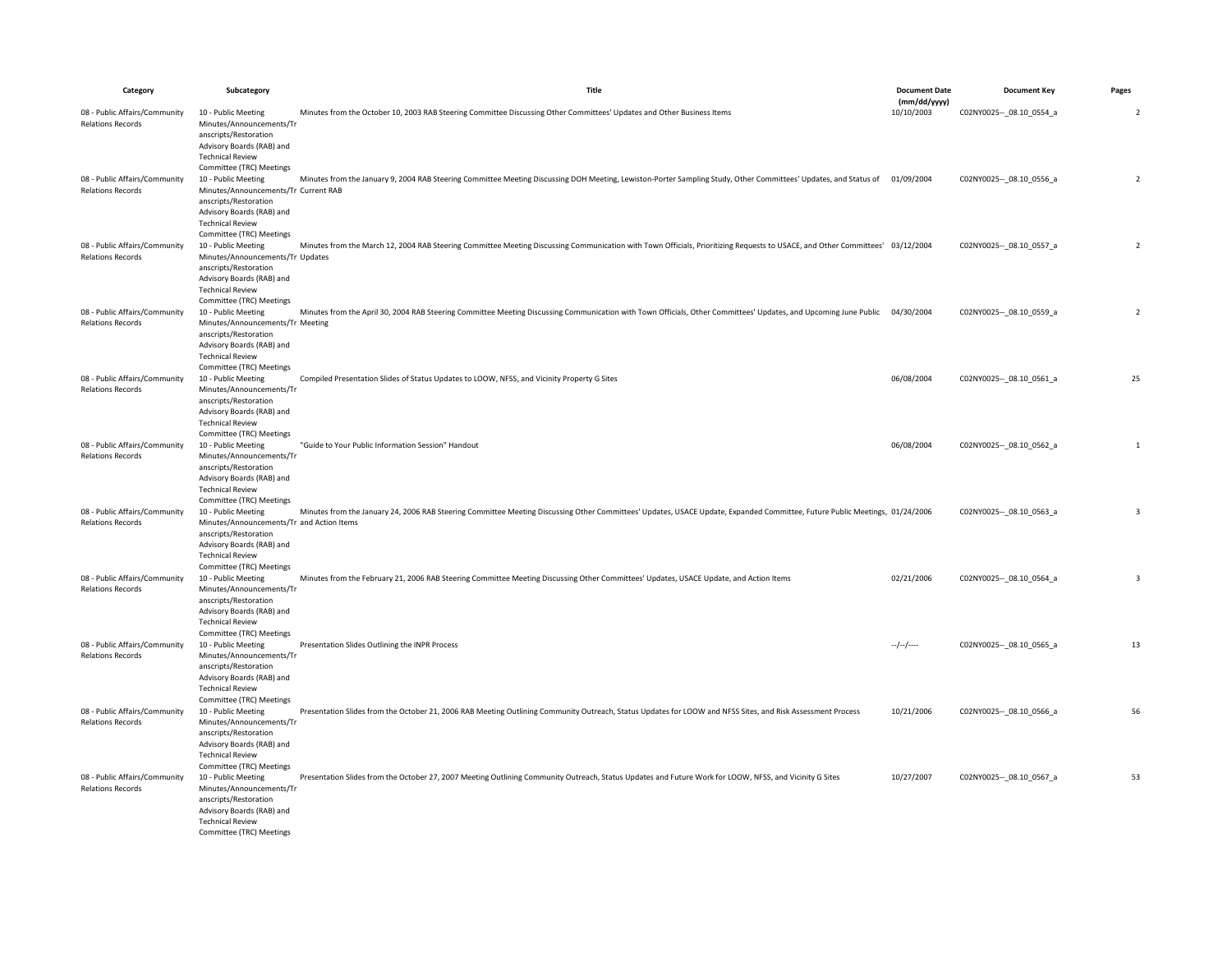| Category                                                                              | Subcategory                                                                                                                                                                                                                                                                           | Title                                                                                                                                                                         | <b>Document Date</b>       | <b>Document Key</b>         | Pages                    |
|---------------------------------------------------------------------------------------|---------------------------------------------------------------------------------------------------------------------------------------------------------------------------------------------------------------------------------------------------------------------------------------|-------------------------------------------------------------------------------------------------------------------------------------------------------------------------------|----------------------------|-----------------------------|--------------------------|
| 08 - Public Affairs/Community                                                         | 10 - Public Meeting                                                                                                                                                                                                                                                                   | Minutes from the October 10, 2003 RAB Steering Committee Discussing Other Committees' Updates and Other Business Items                                                        | (mm/dd/yyyy)<br>10/10/2003 | C02NY0025 -- 08.10 0554 a   | $\overline{\phantom{a}}$ |
| <b>Relations Records</b><br>08 - Public Affairs/Community<br><b>Relations Records</b> | Minutes/Announcements/Tr<br>anscripts/Restoration<br>Advisory Boards (RAB) and<br><b>Technical Review</b><br>Committee (TRC) Meetings<br>10 - Public Meeting<br>Minutes/Announcements/Tr Current RAB<br>anscripts/Restoration<br>Advisory Boards (RAB) and<br><b>Technical Review</b> | Minutes from the January 9, 2004 RAB Steering Committee Meeting Discussing DOH Meeting, Lewiston-Porter Sampling Study, Other Committees' Updates, and Status of 01/09/2004   |                            | C02NY0025 -- _ 08.10_0556_a | $\overline{2}$           |
| 08 - Public Affairs/Community<br><b>Relations Records</b>                             | Committee (TRC) Meetings<br>10 - Public Meeting<br>Minutes/Announcements/Tr Updates<br>anscripts/Restoration<br>Advisory Boards (RAB) and<br><b>Technical Review</b>                                                                                                                  | Minutes from the March 12, 2004 RAB Steering Committee Meeting Discussing Communication with Town Officials, Prioritizing Requests to USACE, and Other Committees' 03/12/2004 |                            | C02NY0025 -- _ 08.10_0557_a | $\overline{2}$           |
| 08 - Public Affairs/Community<br><b>Relations Records</b>                             | Committee (TRC) Meetings<br>10 - Public Meeting<br>Minutes/Announcements/Tr Meeting<br>anscripts/Restoration<br>Advisory Boards (RAB) and<br><b>Technical Review</b>                                                                                                                  | Minutes from the April 30, 2004 RAB Steering Committee Meeting Discussing Communication with Town Officials, Other Committees' Updates, and Upcoming June Public 04/30/2004   |                            | C02NY0025 -- 08.10 0559 a   | $\overline{2}$           |
| 08 - Public Affairs/Community<br><b>Relations Records</b>                             | Committee (TRC) Meetings<br>10 - Public Meeting<br>Minutes/Announcements/Tr<br>anscripts/Restoration<br>Advisory Boards (RAB) and<br><b>Technical Review</b>                                                                                                                          | Compiled Presentation Slides of Status Updates to LOOW, NFSS, and Vicinity Property G Sites                                                                                   | 06/08/2004                 | C02NY0025 -- 08.10 0561 a   | 25                       |
| 08 - Public Affairs/Community<br><b>Relations Records</b>                             | Committee (TRC) Meetings<br>10 - Public Meeting<br>Minutes/Announcements/Tr<br>anscripts/Restoration<br>Advisory Boards (RAB) and<br><b>Technical Review</b><br>Committee (TRC) Meetings                                                                                              | "Guide to Your Public Information Session" Handout                                                                                                                            | 06/08/2004                 | C02NY0025 -- 08.10 0562 a   | $\mathbf{1}$             |
| 08 - Public Affairs/Community<br><b>Relations Records</b>                             | 10 - Public Meeting<br>Minutes/Announcements/Tr and Action Items<br>anscripts/Restoration<br>Advisory Boards (RAB) and<br><b>Technical Review</b><br>Committee (TRC) Meetings                                                                                                         | Minutes from the January 24, 2006 RAB Steering Committee Meeting Discussing Other Committees' Updates, USACE Update, Expanded Committee, Future Public Meetings, 01/24/2006   |                            | C02NY0025 -- 08.10 0563 a   | $\overline{3}$           |
| 08 - Public Affairs/Community<br><b>Relations Records</b>                             | 10 - Public Meeting<br>Minutes/Announcements/Tr<br>anscripts/Restoration<br>Advisory Boards (RAB) and<br><b>Technical Review</b><br>Committee (TRC) Meetings                                                                                                                          | Minutes from the February 21, 2006 RAB Steering Committee Meeting Discussing Other Committees' Updates, USACE Update, and Action Items                                        | 02/21/2006                 | C02NY0025 -- 08.10 0564 a   | $\overline{3}$           |
| 08 - Public Affairs/Community<br><b>Relations Records</b>                             | 10 - Public Meeting<br>Minutes/Announcements/Tr<br>anscripts/Restoration<br>Advisory Boards (RAB) and<br><b>Technical Review</b><br>Committee (TRC) Meetings                                                                                                                          | Presentation Slides Outlining the INPR Process                                                                                                                                | $-/-/-$                    | C02NY0025 -- 08.10 0565 a   | 13                       |
| 08 - Public Affairs/Community<br><b>Relations Records</b>                             | 10 - Public Meeting<br>Minutes/Announcements/Tr<br>anscripts/Restoration<br>Advisory Boards (RAB) and<br><b>Technical Review</b><br>Committee (TRC) Meetings                                                                                                                          | Presentation Slides from the October 21, 2006 RAB Meeting Outlining Community Outreach, Status Updates for LOOW and NFSS Sites, and Risk Assessment Process                   | 10/21/2006                 | C02NY0025 -- _ 08.10_0566_a | 56                       |
| 08 - Public Affairs/Community<br><b>Relations Records</b>                             | 10 - Public Meeting<br>Minutes/Announcements/Tr<br>anscripts/Restoration<br>Advisory Boards (RAB) and<br><b>Technical Review</b><br>Committee (TRC) Meetings                                                                                                                          | Presentation Slides from the October 27, 2007 Meeting Outlining Community Outreach, Status Updates and Future Work for LOOW, NFSS, and Vicinity G Sites                       | 10/27/2007                 | C02NY0025 -- 08.10 0567_a   | 53                       |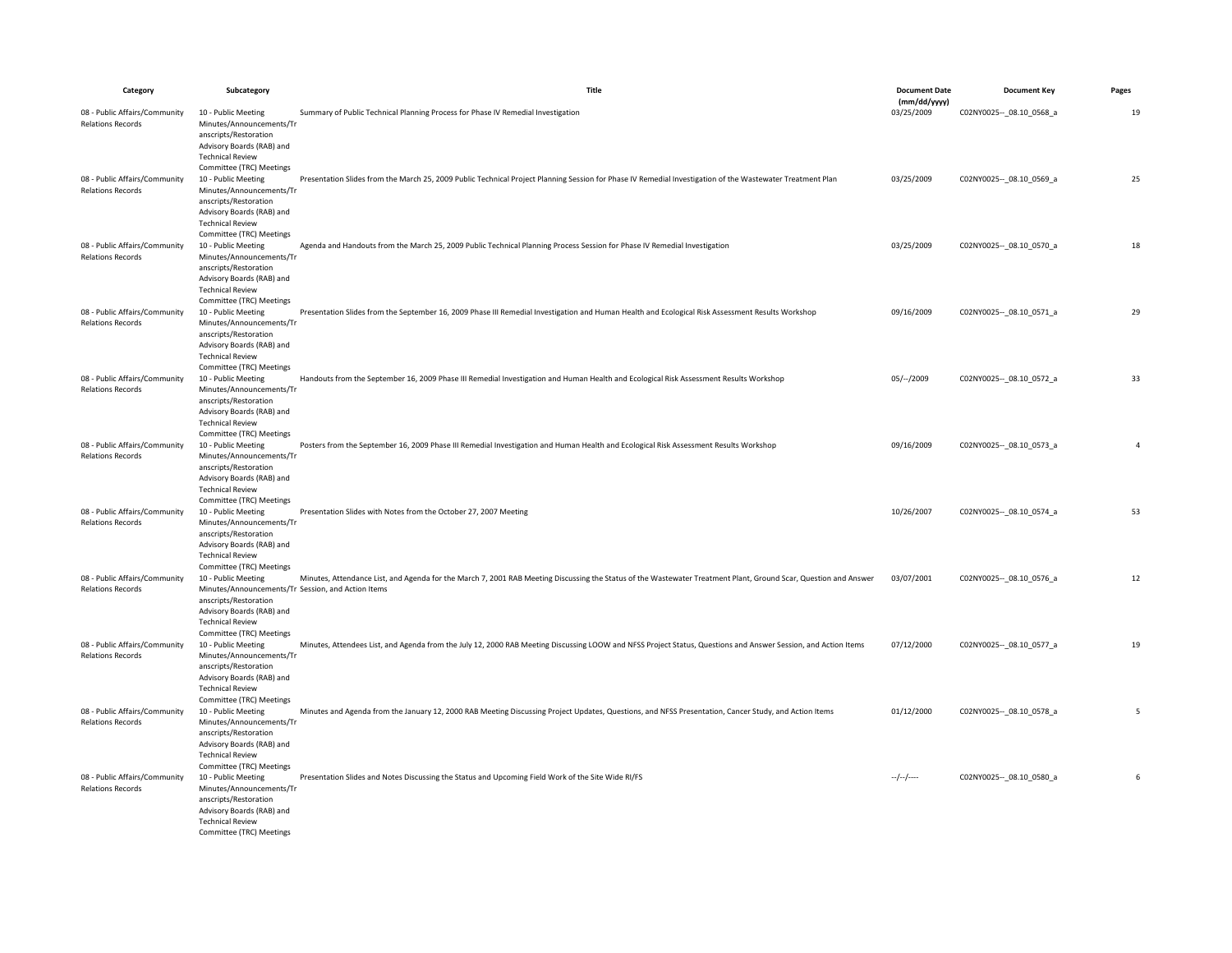| Category                                                                              | Subcategory                                                                                                                                                                                                                                                               | Title                                                                                                                                                            | <b>Document Date</b>       | <b>Document Key</b>         | Pages          |
|---------------------------------------------------------------------------------------|---------------------------------------------------------------------------------------------------------------------------------------------------------------------------------------------------------------------------------------------------------------------------|------------------------------------------------------------------------------------------------------------------------------------------------------------------|----------------------------|-----------------------------|----------------|
| 08 - Public Affairs/Community                                                         | 10 - Public Meeting                                                                                                                                                                                                                                                       | Summary of Public Technical Planning Process for Phase IV Remedial Investigation                                                                                 | (mm/dd/yyyy)<br>03/25/2009 | C02NY0025 -- 08.10 0568_a   | 19             |
| <b>Relations Records</b><br>08 - Public Affairs/Community<br><b>Relations Records</b> | Minutes/Announcements/Tr<br>anscripts/Restoration<br>Advisory Boards (RAB) and<br><b>Technical Review</b><br>Committee (TRC) Meetings<br>10 - Public Meeting<br>Minutes/Announcements/Tr<br>anscripts/Restoration<br>Advisory Boards (RAB) and<br><b>Technical Review</b> | Presentation Slides from the March 25, 2009 Public Technical Project Planning Session for Phase IV Remedial Investigation of the Wastewater Treatment Plan       | 03/25/2009                 | C02NY0025 -- 08.10 0569 a   | 25             |
| 08 - Public Affairs/Community<br><b>Relations Records</b>                             | Committee (TRC) Meetings<br>10 - Public Meeting<br>Minutes/Announcements/Tr<br>anscripts/Restoration<br>Advisory Boards (RAB) and<br><b>Technical Review</b>                                                                                                              | Agenda and Handouts from the March 25, 2009 Public Technical Planning Process Session for Phase IV Remedial Investigation                                        | 03/25/2009                 | C02NY0025 -- _ 08.10_0570_a | 18             |
| 08 - Public Affairs/Community<br><b>Relations Records</b>                             | Committee (TRC) Meetings<br>10 - Public Meeting<br>Minutes/Announcements/Tr<br>anscripts/Restoration<br>Advisory Boards (RAB) and<br><b>Technical Review</b>                                                                                                              | Presentation Slides from the September 16, 2009 Phase III Remedial Investigation and Human Health and Ecological Risk Assessment Results Workshop                | 09/16/2009                 | C02NY0025 -- _ 08.10_0571_a | 29             |
| 08 - Public Affairs/Community<br><b>Relations Records</b>                             | Committee (TRC) Meetings<br>10 - Public Meeting<br>Minutes/Announcements/Tr<br>anscripts/Restoration<br>Advisory Boards (RAB) and<br><b>Technical Review</b>                                                                                                              | Handouts from the September 16, 2009 Phase III Remedial Investigation and Human Health and Ecological Risk Assessment Results Workshop                           | $05/-/2009$                | C02NY0025 -- _ 08.10_0572_a | 33             |
| 08 - Public Affairs/Community<br><b>Relations Records</b>                             | Committee (TRC) Meetings<br>10 - Public Meeting<br>Minutes/Announcements/Tr<br>anscripts/Restoration<br>Advisory Boards (RAB) and<br><b>Technical Review</b>                                                                                                              | Posters from the September 16, 2009 Phase III Remedial Investigation and Human Health and Ecological Risk Assessment Results Workshop                            | 09/16/2009                 | C02NY0025 -- _ 08.10_0573_a | $\overline{4}$ |
| 08 - Public Affairs/Community<br><b>Relations Records</b>                             | Committee (TRC) Meetings<br>10 - Public Meeting<br>Minutes/Announcements/Tr<br>anscripts/Restoration<br>Advisory Boards (RAB) and<br><b>Technical Review</b>                                                                                                              | Presentation Slides with Notes from the October 27, 2007 Meeting                                                                                                 | 10/26/2007                 | C02NY0025 -- 08.10 0574_a   | 53             |
| 08 - Public Affairs/Community<br><b>Relations Records</b>                             | Committee (TRC) Meetings<br>10 - Public Meeting<br>Minutes/Announcements/Tr Session, and Action Items<br>anscripts/Restoration<br>Advisory Boards (RAB) and<br><b>Technical Review</b><br>Committee (TRC) Meetings                                                        | Minutes, Attendance List, and Agenda for the March 7, 2001 RAB Meeting Discussing the Status of the Wastewater Treatment Plant, Ground Scar, Question and Answer | 03/07/2001                 | C02NY0025 -- _ 08.10_0576_a | 12             |
| 08 - Public Affairs/Community<br><b>Relations Records</b>                             | 10 - Public Meeting<br>Minutes/Announcements/Tr<br>anscripts/Restoration<br>Advisory Boards (RAB) and<br><b>Technical Review</b><br>Committee (TRC) Meetings                                                                                                              | Minutes, Attendees List, and Agenda from the July 12, 2000 RAB Meeting Discussing LOOW and NFSS Project Status, Questions and Answer Session, and Action Items   | 07/12/2000                 | C02NY0025 -- 08.10 0577_a   | 19             |
| 08 - Public Affairs/Community<br><b>Relations Records</b>                             | 10 - Public Meeting<br>Minutes/Announcements/Tr<br>anscripts/Restoration<br>Advisory Boards (RAB) and<br><b>Technical Review</b><br>Committee (TRC) Meetings                                                                                                              | Minutes and Agenda from the January 12, 2000 RAB Meeting Discussing Project Updates, Questions, and NFSS Presentation, Cancer Study, and Action Items            | 01/12/2000                 | C02NY0025 -- _ 08.10_0578_a | 5              |
| 08 - Public Affairs/Community<br><b>Relations Records</b>                             | 10 - Public Meeting<br>Minutes/Announcements/Tr<br>anscripts/Restoration<br>Advisory Boards (RAB) and<br><b>Technical Review</b><br>Committee (TRC) Meetings                                                                                                              | Presentation Slides and Notes Discussing the Status and Upcoming Field Work of the Site Wide RI/FS                                                               | $-/-/-/$                   | C02NY0025 -- 08.10 0580_a   | 6              |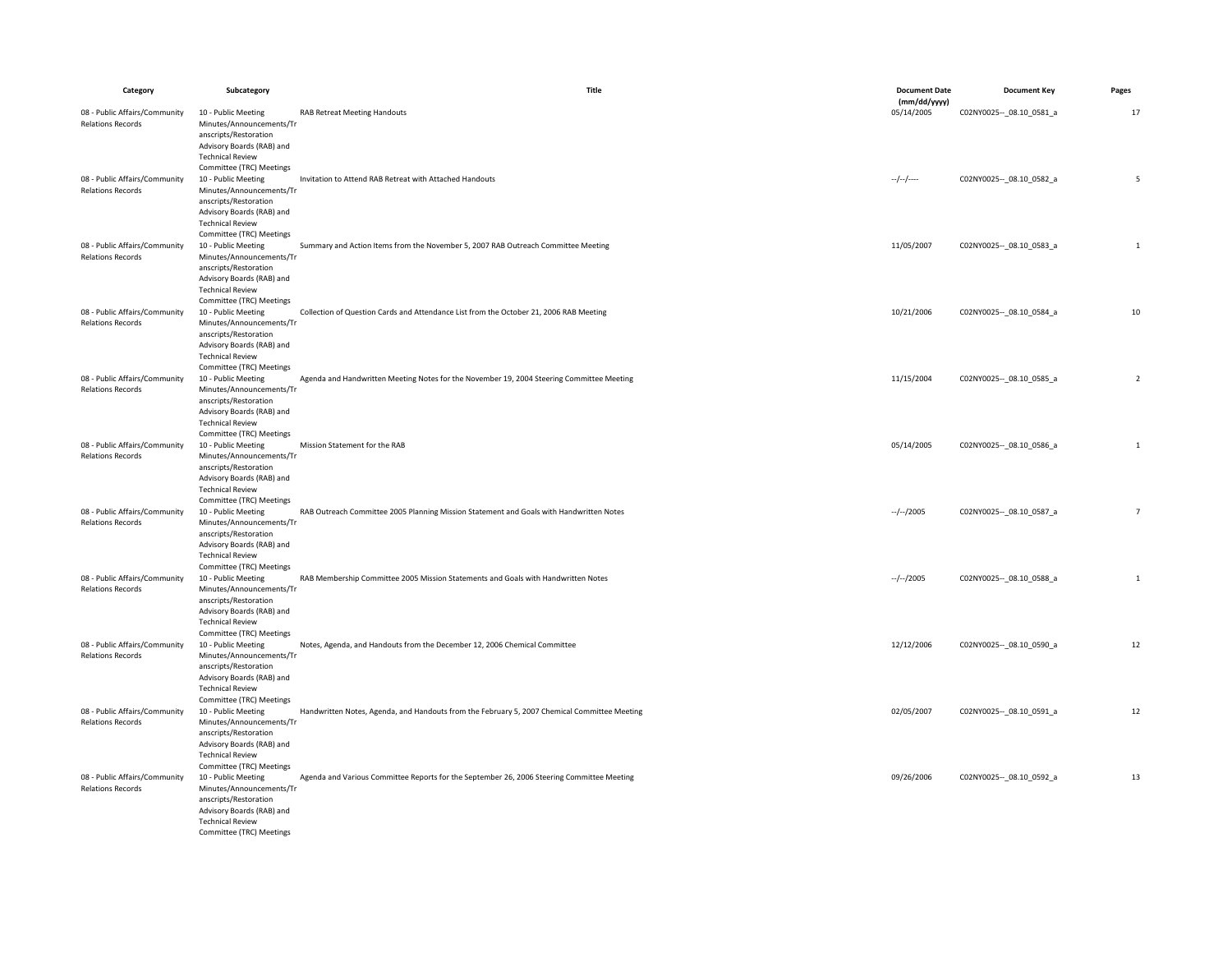| Category                                                  | Subcategory                                          | Title                                                                                        | <b>Document Date</b>       | <b>Document Key</b>         | Pages          |
|-----------------------------------------------------------|------------------------------------------------------|----------------------------------------------------------------------------------------------|----------------------------|-----------------------------|----------------|
| 08 - Public Affairs/Community                             | 10 - Public Meeting                                  | <b>RAB Retreat Meeting Handouts</b>                                                          | (mm/dd/yyyy)<br>05/14/2005 | C02NY0025 -- 08.10 0581 a   | 17             |
| <b>Relations Records</b>                                  | Minutes/Announcements/Tr                             |                                                                                              |                            |                             |                |
|                                                           | anscripts/Restoration                                |                                                                                              |                            |                             |                |
|                                                           | Advisory Boards (RAB) and                            |                                                                                              |                            |                             |                |
|                                                           | <b>Technical Review</b>                              |                                                                                              |                            |                             |                |
|                                                           | Committee (TRC) Meetings                             |                                                                                              |                            |                             |                |
| 08 - Public Affairs/Community                             | 10 - Public Meeting                                  | Invitation to Attend RAB Retreat with Attached Handouts                                      | $-/-/-$                    | C02NY0025 -- 08.10 0582 a   | 5              |
| <b>Relations Records</b>                                  | Minutes/Announcements/Tr<br>anscripts/Restoration    |                                                                                              |                            |                             |                |
|                                                           | Advisory Boards (RAB) and                            |                                                                                              |                            |                             |                |
|                                                           | <b>Technical Review</b>                              |                                                                                              |                            |                             |                |
|                                                           | Committee (TRC) Meetings                             |                                                                                              |                            |                             |                |
| 08 - Public Affairs/Community                             | 10 - Public Meeting                                  | Summary and Action Items from the November 5, 2007 RAB Outreach Committee Meeting            | 11/05/2007                 | C02NY0025 -- 08.10 0583 a   | $\mathbf{1}$   |
| <b>Relations Records</b>                                  | Minutes/Announcements/Tr                             |                                                                                              |                            |                             |                |
|                                                           | anscripts/Restoration<br>Advisory Boards (RAB) and   |                                                                                              |                            |                             |                |
|                                                           | <b>Technical Review</b>                              |                                                                                              |                            |                             |                |
|                                                           | Committee (TRC) Meetings                             |                                                                                              |                            |                             |                |
| 08 - Public Affairs/Community                             | 10 - Public Meeting                                  | Collection of Question Cards and Attendance List from the October 21, 2006 RAB Meeting       | 10/21/2006                 | C02NY0025 -- 08.10 0584 a   | 10             |
| <b>Relations Records</b>                                  | Minutes/Announcements/Tr                             |                                                                                              |                            |                             |                |
|                                                           | anscripts/Restoration                                |                                                                                              |                            |                             |                |
|                                                           | Advisory Boards (RAB) and                            |                                                                                              |                            |                             |                |
|                                                           | <b>Technical Review</b><br>Committee (TRC) Meetings  |                                                                                              |                            |                             |                |
| 08 - Public Affairs/Community                             | 10 - Public Meeting                                  | Agenda and Handwritten Meeting Notes for the November 19, 2004 Steering Committee Meeting    | 11/15/2004                 | C02NY0025 -- _ 08.10_0585_a | $\overline{2}$ |
| <b>Relations Records</b>                                  | Minutes/Announcements/Tr                             |                                                                                              |                            |                             |                |
|                                                           | anscripts/Restoration                                |                                                                                              |                            |                             |                |
|                                                           | Advisory Boards (RAB) and                            |                                                                                              |                            |                             |                |
|                                                           | <b>Technical Review</b>                              |                                                                                              |                            |                             |                |
|                                                           | Committee (TRC) Meetings                             |                                                                                              |                            |                             |                |
| 08 - Public Affairs/Community<br><b>Relations Records</b> | 10 - Public Meeting<br>Minutes/Announcements/Tr      | Mission Statement for the RAB                                                                | 05/14/2005                 | C02NY0025 -- _ 08.10_0586_a | $\mathbf{1}$   |
|                                                           | anscripts/Restoration                                |                                                                                              |                            |                             |                |
|                                                           | Advisory Boards (RAB) and                            |                                                                                              |                            |                             |                |
|                                                           | <b>Technical Review</b>                              |                                                                                              |                            |                             |                |
|                                                           | Committee (TRC) Meetings                             |                                                                                              |                            |                             |                |
| 08 - Public Affairs/Community                             | 10 - Public Meeting                                  | RAB Outreach Committee 2005 Planning Mission Statement and Goals with Handwritten Notes      | $-/-/2005$                 | C02NY0025 -- 08.10 0587_a   | $\overline{7}$ |
| <b>Relations Records</b>                                  | Minutes/Announcements/Tr<br>anscripts/Restoration    |                                                                                              |                            |                             |                |
|                                                           | Advisory Boards (RAB) and                            |                                                                                              |                            |                             |                |
|                                                           | <b>Technical Review</b>                              |                                                                                              |                            |                             |                |
|                                                           | Committee (TRC) Meetings                             |                                                                                              |                            |                             |                |
| 08 - Public Affairs/Community                             | 10 - Public Meeting                                  | RAB Membership Committee 2005 Mission Statements and Goals with Handwritten Notes            | $-/-/2005$                 | C02NY0025 -- _ 08.10_0588_a | 1              |
| <b>Relations Records</b>                                  | Minutes/Announcements/Tr                             |                                                                                              |                            |                             |                |
|                                                           | anscripts/Restoration<br>Advisory Boards (RAB) and   |                                                                                              |                            |                             |                |
|                                                           | <b>Technical Review</b>                              |                                                                                              |                            |                             |                |
|                                                           | Committee (TRC) Meetings                             |                                                                                              |                            |                             |                |
| 08 - Public Affairs/Community                             | 10 - Public Meeting                                  | Notes, Agenda, and Handouts from the December 12, 2006 Chemical Committee                    | 12/12/2006                 | C02NY0025 -- 08.10 0590 a   | 12             |
| <b>Relations Records</b>                                  | Minutes/Announcements/Tr                             |                                                                                              |                            |                             |                |
|                                                           | anscripts/Restoration                                |                                                                                              |                            |                             |                |
|                                                           | Advisory Boards (RAB) and<br><b>Technical Review</b> |                                                                                              |                            |                             |                |
|                                                           | Committee (TRC) Meetings                             |                                                                                              |                            |                             |                |
| 08 - Public Affairs/Community                             | 10 - Public Meeting                                  | Handwritten Notes, Agenda, and Handouts from the February 5, 2007 Chemical Committee Meeting | 02/05/2007                 | C02NY0025 -- _ 08.10_0591_a | 12             |
| <b>Relations Records</b>                                  | Minutes/Announcements/Tr                             |                                                                                              |                            |                             |                |
|                                                           | anscripts/Restoration                                |                                                                                              |                            |                             |                |
|                                                           | Advisory Boards (RAB) and                            |                                                                                              |                            |                             |                |
|                                                           | <b>Technical Review</b>                              |                                                                                              |                            |                             |                |
| 08 - Public Affairs/Community                             | Committee (TRC) Meetings<br>10 - Public Meeting      | Agenda and Various Committee Reports for the September 26, 2006 Steering Committee Meeting   | 09/26/2006                 | C02NY0025 -- _ 08.10_0592_a | 13             |
| <b>Relations Records</b>                                  | Minutes/Announcements/Tr                             |                                                                                              |                            |                             |                |
|                                                           | anscripts/Restoration                                |                                                                                              |                            |                             |                |
|                                                           | Advisory Boards (RAB) and                            |                                                                                              |                            |                             |                |
|                                                           | <b>Technical Review</b>                              |                                                                                              |                            |                             |                |
|                                                           | Committee (TRC) Meetings                             |                                                                                              |                            |                             |                |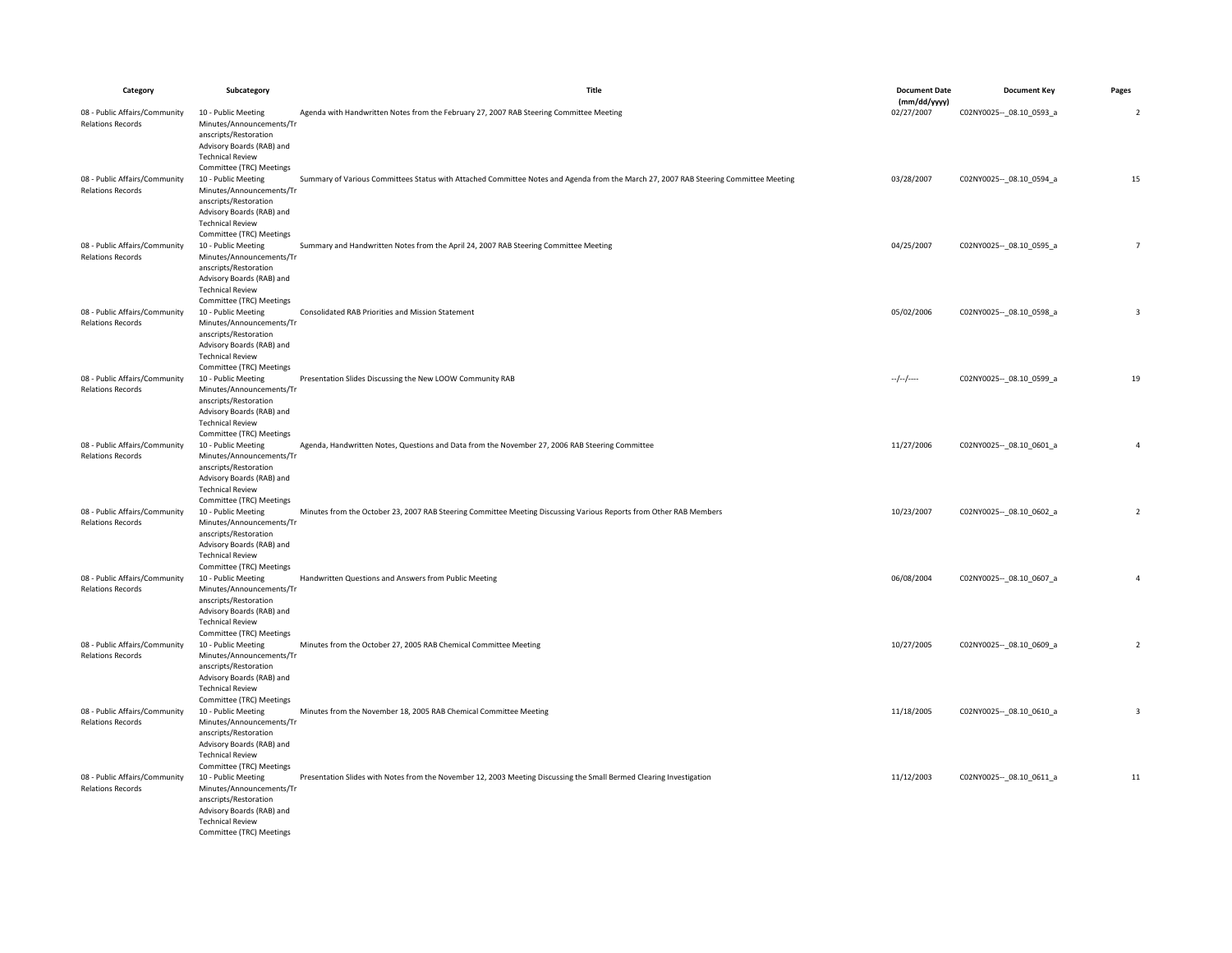| Category                                                  | Subcategory                                                                                                                                                                              | Title                                                                                                                                | <b>Document Date</b>       | <b>Document Key</b>         | Pages                    |
|-----------------------------------------------------------|------------------------------------------------------------------------------------------------------------------------------------------------------------------------------------------|--------------------------------------------------------------------------------------------------------------------------------------|----------------------------|-----------------------------|--------------------------|
| 08 - Public Affairs/Community                             | 10 - Public Meeting                                                                                                                                                                      | Agenda with Handwritten Notes from the February 27, 2007 RAB Steering Committee Meeting                                              | (mm/dd/yyyy)<br>02/27/2007 | C02NY0025 -- _ 08.10_0593_a | $\overline{\phantom{a}}$ |
| <b>Relations Records</b>                                  | Minutes/Announcements/Tr<br>anscripts/Restoration<br>Advisory Boards (RAB) and<br><b>Technical Review</b><br>Committee (TRC) Meetings                                                    |                                                                                                                                      |                            |                             |                          |
| 08 - Public Affairs/Community<br><b>Relations Records</b> | 10 - Public Meeting<br>Minutes/Announcements/Tr<br>anscripts/Restoration<br>Advisory Boards (RAB) and<br><b>Technical Review</b>                                                         | Summary of Various Committees Status with Attached Committee Notes and Agenda from the March 27, 2007 RAB Steering Committee Meeting | 03/28/2007                 | C02NY0025 -- 08.10 0594 a   | 15                       |
| 08 - Public Affairs/Community<br><b>Relations Records</b> | Committee (TRC) Meetings<br>10 - Public Meeting<br>Minutes/Announcements/Tr<br>anscripts/Restoration<br>Advisory Boards (RAB) and<br><b>Technical Review</b>                             | Summary and Handwritten Notes from the April 24, 2007 RAB Steering Committee Meeting                                                 | 04/25/2007                 | C02NY0025 -- _ 08.10_0595_a | $\overline{7}$           |
| 08 - Public Affairs/Community<br><b>Relations Records</b> | Committee (TRC) Meetings<br>10 - Public Meeting<br>Minutes/Announcements/Tr<br>anscripts/Restoration<br>Advisory Boards (RAB) and<br><b>Technical Review</b><br>Committee (TRC) Meetings | Consolidated RAB Priorities and Mission Statement                                                                                    | 05/02/2006                 | C02NY0025 -- 08.10 0598 a   | 3                        |
| 08 - Public Affairs/Community<br><b>Relations Records</b> | 10 - Public Meeting<br>Minutes/Announcements/Tr<br>anscripts/Restoration<br>Advisory Boards (RAB) and<br><b>Technical Review</b><br>Committee (TRC) Meetings                             | Presentation Slides Discussing the New LOOW Community RAB                                                                            | $-/-/-$                    | C02NY0025 -- _ 08.10_0599_a | 19                       |
| 08 - Public Affairs/Community<br><b>Relations Records</b> | 10 - Public Meeting<br>Minutes/Announcements/Tr<br>anscripts/Restoration<br>Advisory Boards (RAB) and<br><b>Technical Review</b><br>Committee (TRC) Meetings                             | Agenda, Handwritten Notes, Questions and Data from the November 27, 2006 RAB Steering Committee                                      | 11/27/2006                 | C02NY0025 -- _ 08.10_0601_a | $\overline{4}$           |
| 08 - Public Affairs/Community<br><b>Relations Records</b> | 10 - Public Meeting<br>Minutes/Announcements/Tr<br>anscripts/Restoration<br>Advisory Boards (RAB) and<br><b>Technical Review</b><br>Committee (TRC) Meetings                             | Minutes from the October 23, 2007 RAB Steering Committee Meeting Discussing Various Reports from Other RAB Members                   | 10/23/2007                 | C02NY0025 -- 08.10 0602_a   | $\overline{2}$           |
| 08 - Public Affairs/Community<br><b>Relations Records</b> | 10 - Public Meeting<br>Minutes/Announcements/Tr<br>anscripts/Restoration<br>Advisory Boards (RAB) and<br><b>Technical Review</b><br>Committee (TRC) Meetings                             | Handwritten Questions and Answers from Public Meeting                                                                                | 06/08/2004                 | C02NY0025 -- _ 08.10_0607_a | $\overline{a}$           |
| 08 - Public Affairs/Community<br><b>Relations Records</b> | 10 - Public Meeting<br>Minutes/Announcements/Tr<br>anscripts/Restoration<br>Advisory Boards (RAB) and<br><b>Technical Review</b><br>Committee (TRC) Meetings                             | Minutes from the October 27, 2005 RAB Chemical Committee Meeting                                                                     | 10/27/2005                 | C02NY0025 -- 08.10 0609 a   | $\overline{\mathbf{2}}$  |
| 08 - Public Affairs/Community<br><b>Relations Records</b> | 10 - Public Meeting<br>Minutes/Announcements/Tr<br>anscripts/Restoration<br>Advisory Boards (RAB) and<br><b>Technical Review</b><br>Committee (TRC) Meetings                             | Minutes from the November 18, 2005 RAB Chemical Committee Meeting                                                                    | 11/18/2005                 | C02NY0025 -- _ 08.10_0610_a | 3                        |
| 08 - Public Affairs/Community<br><b>Relations Records</b> | 10 - Public Meeting<br>Minutes/Announcements/Tr<br>anscripts/Restoration<br>Advisory Boards (RAB) and<br><b>Technical Review</b><br>Committee (TRC) Meetings                             | Presentation Slides with Notes from the November 12, 2003 Meeting Discussing the Small Bermed Clearing Investigation                 | 11/12/2003                 | C02NY0025 -- 08.10 0611 a   | 11                       |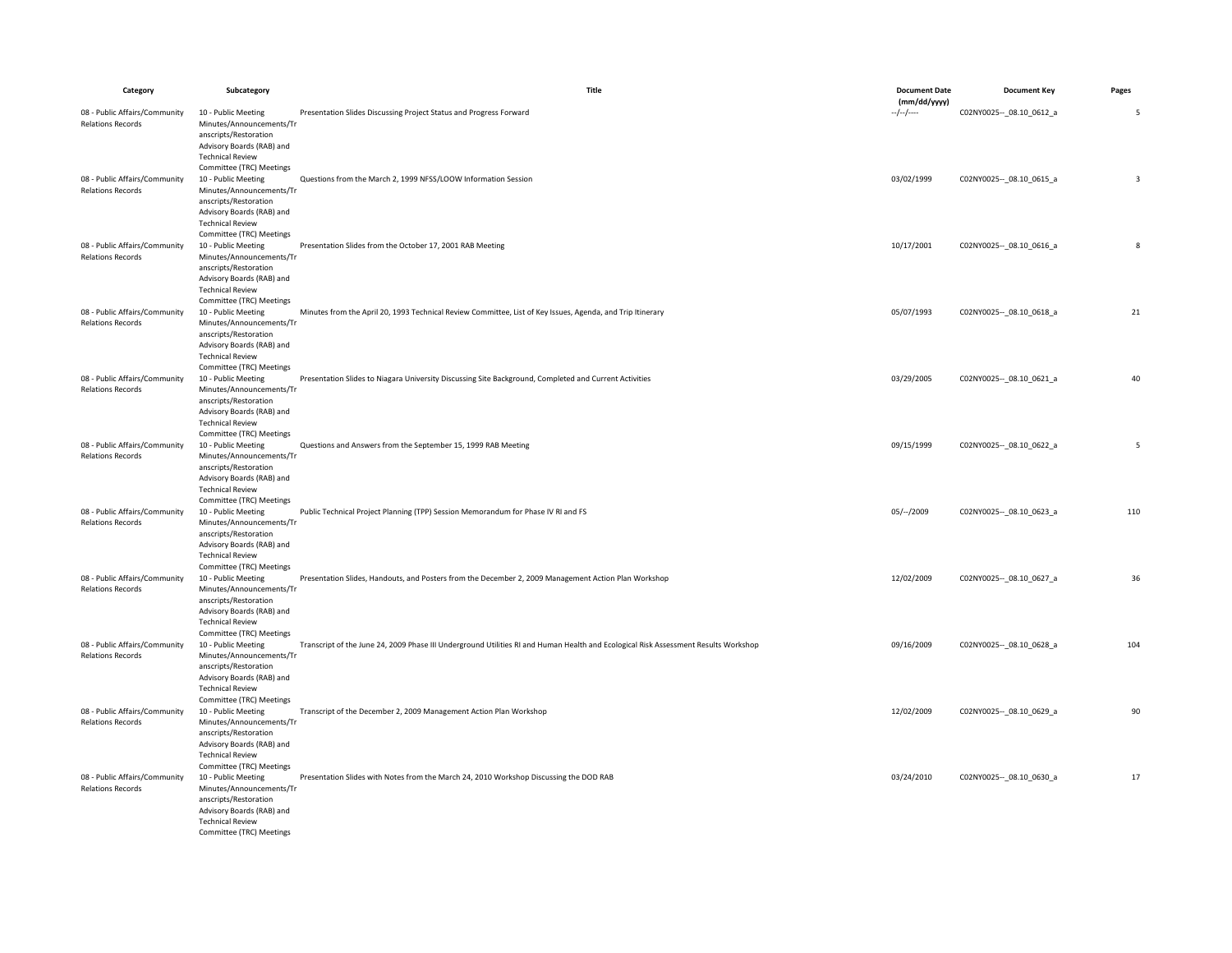| Category                                                  | Subcategory                                                                                                                                                  | Title                                                                                                                               | <b>Document Date</b>       | <b>Document Key</b>         | Pages                   |
|-----------------------------------------------------------|--------------------------------------------------------------------------------------------------------------------------------------------------------------|-------------------------------------------------------------------------------------------------------------------------------------|----------------------------|-----------------------------|-------------------------|
| 08 - Public Affairs/Community                             | 10 - Public Meeting                                                                                                                                          | Presentation Slides Discussing Project Status and Progress Forward                                                                  | (mm/dd/yyyy)<br>--/--/---- | C02NY0025 -- _ 08.10_0612_a | 5                       |
| <b>Relations Records</b>                                  | Minutes/Announcements/Tr<br>anscripts/Restoration<br>Advisory Boards (RAB) and<br><b>Technical Review</b><br>Committee (TRC) Meetings                        |                                                                                                                                     |                            |                             |                         |
| 08 - Public Affairs/Community<br><b>Relations Records</b> | 10 - Public Meeting<br>Minutes/Announcements/Tr<br>anscripts/Restoration<br>Advisory Boards (RAB) and<br><b>Technical Review</b><br>Committee (TRC) Meetings | Questions from the March 2, 1999 NFSS/LOOW Information Session                                                                      | 03/02/1999                 | C02NY0025 -- _ 08.10_0615_a | $\overline{\mathbf{3}}$ |
| 08 - Public Affairs/Community<br><b>Relations Records</b> | 10 - Public Meeting<br>Minutes/Announcements/Tr<br>anscripts/Restoration<br>Advisory Boards (RAB) and<br><b>Technical Review</b><br>Committee (TRC) Meetings | Presentation Slides from the October 17, 2001 RAB Meeting                                                                           | 10/17/2001                 | C02NY0025 -- _ 08.10_0616_a | 8                       |
| 08 - Public Affairs/Community<br><b>Relations Records</b> | 10 - Public Meeting<br>Minutes/Announcements/Tr<br>anscripts/Restoration<br>Advisory Boards (RAB) and<br><b>Technical Review</b><br>Committee (TRC) Meetings | Minutes from the April 20, 1993 Technical Review Committee, List of Key Issues, Agenda, and Trip Itinerary                          | 05/07/1993                 | C02NY0025 -- _ 08.10_0618_a | 21                      |
| 08 - Public Affairs/Community<br><b>Relations Records</b> | 10 - Public Meeting<br>Minutes/Announcements/Tr<br>anscripts/Restoration<br>Advisory Boards (RAB) and<br><b>Technical Review</b><br>Committee (TRC) Meetings | Presentation Slides to Niagara University Discussing Site Background, Completed and Current Activities                              | 03/29/2005                 | C02NY0025 -- 08.10 0621 a   | 40                      |
| 08 - Public Affairs/Community<br><b>Relations Records</b> | 10 - Public Meeting<br>Minutes/Announcements/Tr<br>anscripts/Restoration<br>Advisory Boards (RAB) and<br><b>Technical Review</b><br>Committee (TRC) Meetings | Questions and Answers from the September 15, 1999 RAB Meeting                                                                       | 09/15/1999                 | C02NY0025 -- _ 08.10_0622_a | 5                       |
| 08 - Public Affairs/Community<br><b>Relations Records</b> | 10 - Public Meeting<br>Minutes/Announcements/Tr<br>anscripts/Restoration<br>Advisory Boards (RAB) and<br><b>Technical Review</b><br>Committee (TRC) Meetings | Public Technical Project Planning (TPP) Session Memorandum for Phase IV RI and FS                                                   | $05/--/2009$               | C02NY0025 -- 08.10 0623_a   | 110                     |
| 08 - Public Affairs/Community<br><b>Relations Records</b> | 10 - Public Meeting<br>Minutes/Announcements/Tr<br>anscripts/Restoration<br>Advisory Boards (RAB) and<br><b>Technical Review</b><br>Committee (TRC) Meetings | Presentation Slides, Handouts, and Posters from the December 2, 2009 Management Action Plan Workshop                                | 12/02/2009                 | C02NY0025 -- _ 08.10_0627_a | 36                      |
| 08 - Public Affairs/Community<br><b>Relations Records</b> | 10 - Public Meeting<br>Minutes/Announcements/Tr<br>anscripts/Restoration<br>Advisory Boards (RAB) and<br><b>Technical Review</b><br>Committee (TRC) Meetings | Transcript of the June 24, 2009 Phase III Underground Utilities RI and Human Health and Ecological Risk Assessment Results Workshop | 09/16/2009                 | C02NY0025 -- 08.10 0628 a   | 104                     |
| 08 - Public Affairs/Community<br><b>Relations Records</b> | 10 - Public Meeting<br>Minutes/Announcements/Tr<br>anscripts/Restoration<br>Advisory Boards (RAB) and<br><b>Technical Review</b><br>Committee (TRC) Meetings | Transcript of the December 2, 2009 Management Action Plan Workshop                                                                  | 12/02/2009                 | C02NY0025 -- 08.10 0629 a   | 90                      |
| 08 - Public Affairs/Community<br><b>Relations Records</b> | 10 - Public Meeting<br>Minutes/Announcements/Tr<br>anscripts/Restoration<br>Advisory Boards (RAB) and<br><b>Technical Review</b><br>Committee (TRC) Meetings | Presentation Slides with Notes from the March 24, 2010 Workshop Discussing the DOD RAB                                              | 03/24/2010                 | C02NY0025 -- 08.10 0630 a   | 17                      |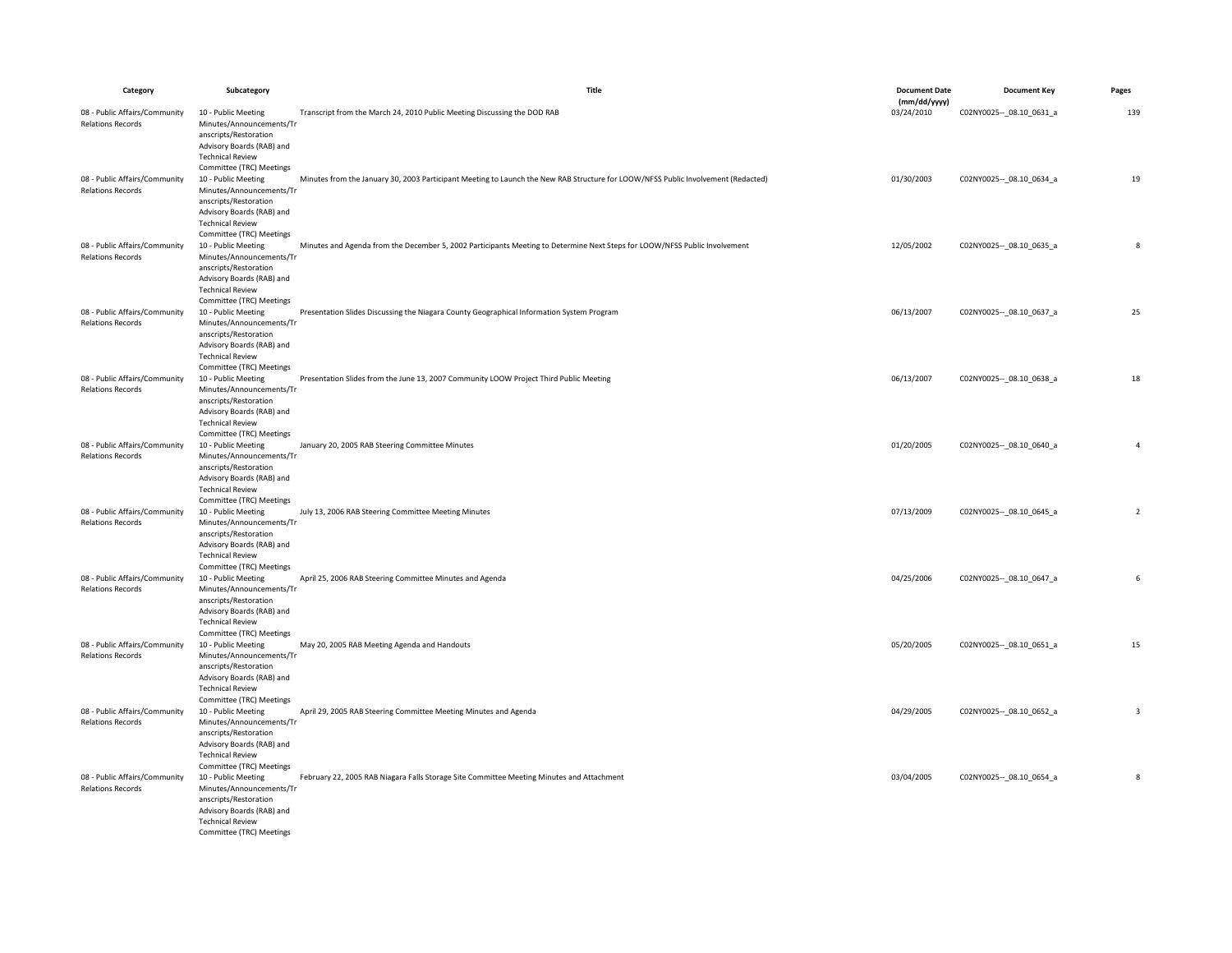| Category                                                  | Subcategory                                                                                                                                                                              | Title                                                                                                                             | <b>Document Date</b>       | <b>Document Key</b>         | Pages                   |
|-----------------------------------------------------------|------------------------------------------------------------------------------------------------------------------------------------------------------------------------------------------|-----------------------------------------------------------------------------------------------------------------------------------|----------------------------|-----------------------------|-------------------------|
| 08 - Public Affairs/Community                             | 10 - Public Meeting                                                                                                                                                                      | Transcript from the March 24, 2010 Public Meeting Discussing the DOD RAB                                                          | (mm/dd/yyyy)<br>03/24/2010 | C02NY0025 -- _ 08.10_0631_a | 139                     |
| <b>Relations Records</b>                                  | Minutes/Announcements/Tr<br>anscripts/Restoration<br>Advisory Boards (RAB) and<br><b>Technical Review</b><br>Committee (TRC) Meetings                                                    |                                                                                                                                   |                            |                             |                         |
| 08 - Public Affairs/Community<br><b>Relations Records</b> | 10 - Public Meeting<br>Minutes/Announcements/Tr<br>anscripts/Restoration<br>Advisory Boards (RAB) and<br><b>Technical Review</b>                                                         | Minutes from the January 30, 2003 Participant Meeting to Launch the New RAB Structure for LOOW/NFSS Public Involvement (Redacted) | 01/30/2003                 | C02NY0025 -- 08.10 0634 a   | 19                      |
| 08 - Public Affairs/Community<br><b>Relations Records</b> | Committee (TRC) Meetings<br>10 - Public Meeting<br>Minutes/Announcements/Tr<br>anscripts/Restoration<br>Advisory Boards (RAB) and<br><b>Technical Review</b><br>Committee (TRC) Meetings | Minutes and Agenda from the December 5, 2002 Participants Meeting to Determine Next Steps for LOOW/NFSS Public Involvement        | 12/05/2002                 | C02NY0025 -- _ 08.10_0635_a | 8                       |
| 08 - Public Affairs/Community<br><b>Relations Records</b> | 10 - Public Meeting<br>Minutes/Announcements/Tr<br>anscripts/Restoration<br>Advisory Boards (RAB) and<br><b>Technical Review</b><br>Committee (TRC) Meetings                             | Presentation Slides Discussing the Niagara County Geographical Information System Program                                         | 06/13/2007                 | C02NY0025 -- 08.10 0637 a   | 25                      |
| 08 - Public Affairs/Community<br><b>Relations Records</b> | 10 - Public Meeting<br>Minutes/Announcements/Tr<br>anscripts/Restoration<br>Advisory Boards (RAB) and<br><b>Technical Review</b><br>Committee (TRC) Meetings                             | Presentation Slides from the June 13, 2007 Community LOOW Project Third Public Meeting                                            | 06/13/2007                 | C02NY0025 -- 08.10 0638_a   | 18                      |
| 08 - Public Affairs/Community<br><b>Relations Records</b> | 10 - Public Meeting<br>Minutes/Announcements/Tr<br>anscripts/Restoration<br>Advisory Boards (RAB) and<br><b>Technical Review</b><br>Committee (TRC) Meetings                             | January 20, 2005 RAB Steering Committee Minutes                                                                                   | 01/20/2005                 | C02NY0025 -- _ 08.10_0640_a | 4                       |
| 08 - Public Affairs/Community<br><b>Relations Records</b> | 10 - Public Meeting<br>Minutes/Announcements/Tr<br>anscripts/Restoration<br>Advisory Boards (RAB) and<br><b>Technical Review</b><br>Committee (TRC) Meetings                             | July 13, 2006 RAB Steering Committee Meeting Minutes                                                                              | 07/13/2009                 | C02NY0025 -- 08.10 0645_a   | $\overline{2}$          |
| 08 - Public Affairs/Community<br><b>Relations Records</b> | 10 - Public Meeting<br>Minutes/Announcements/Tr<br>anscripts/Restoration<br>Advisory Boards (RAB) and<br><b>Technical Review</b><br>Committee (TRC) Meetings                             | April 25, 2006 RAB Steering Committee Minutes and Agenda                                                                          | 04/25/2006                 | C02NY0025 -- _ 08.10_0647_a | 6                       |
| 08 - Public Affairs/Community<br><b>Relations Records</b> | 10 - Public Meeting<br>Minutes/Announcements/Tr<br>anscripts/Restoration<br>Advisory Boards (RAB) and<br><b>Technical Review</b><br>Committee (TRC) Meetings                             | May 20, 2005 RAB Meeting Agenda and Handouts                                                                                      | 05/20/2005                 | C02NY0025 -- 08.10 0651_a   | 15                      |
| 08 - Public Affairs/Community<br><b>Relations Records</b> | 10 - Public Meeting<br>Minutes/Announcements/Tr<br>anscripts/Restoration<br>Advisory Boards (RAB) and<br><b>Technical Review</b><br>Committee (TRC) Meetings                             | April 29, 2005 RAB Steering Committee Meeting Minutes and Agenda                                                                  | 04/29/2005                 | C02NY0025 -- 08.10 0652_a   | $\overline{\mathbf{3}}$ |
| 08 - Public Affairs/Community<br><b>Relations Records</b> | 10 - Public Meeting<br>Minutes/Announcements/Tr<br>anscripts/Restoration<br>Advisory Boards (RAB) and<br><b>Technical Review</b><br>Committee (TRC) Meetings                             | February 22, 2005 RAB Niagara Falls Storage Site Committee Meeting Minutes and Attachment                                         | 03/04/2005                 | C02NY0025 -- _ 08.10_0654_a | 8                       |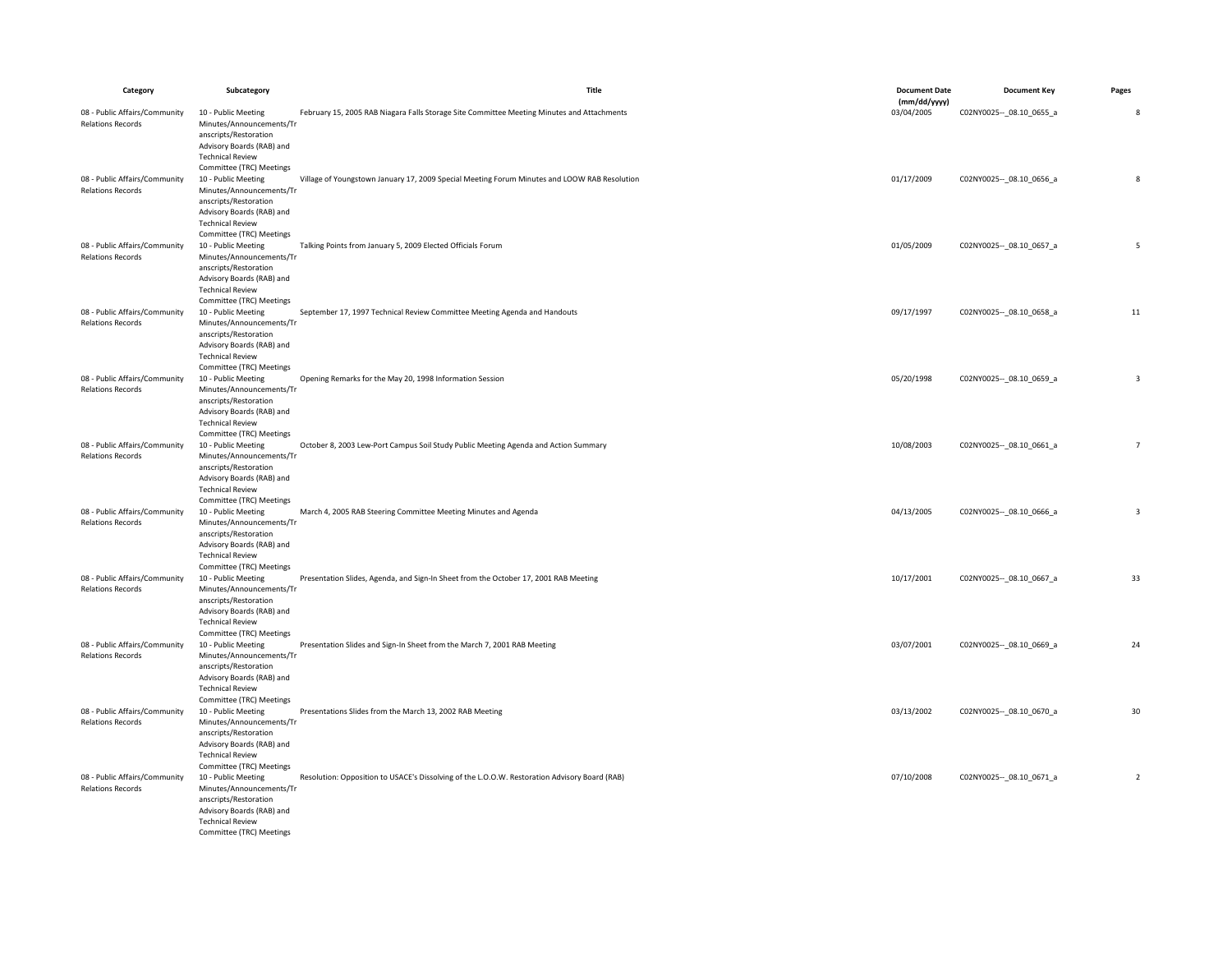| Category                                                  | Subcategory                                                                                                                                                                              | Title                                                                                         | <b>Document Date</b>       | <b>Document Key</b>         | Pages                    |
|-----------------------------------------------------------|------------------------------------------------------------------------------------------------------------------------------------------------------------------------------------------|-----------------------------------------------------------------------------------------------|----------------------------|-----------------------------|--------------------------|
| 08 - Public Affairs/Community                             | 10 - Public Meeting                                                                                                                                                                      | February 15, 2005 RAB Niagara Falls Storage Site Committee Meeting Minutes and Attachments    | (mm/dd/yyyy)<br>03/04/2005 | C02NY0025 -- _ 08.10_0655_a | 8                        |
| <b>Relations Records</b>                                  | Minutes/Announcements/Tr<br>anscripts/Restoration<br>Advisory Boards (RAB) and<br><b>Technical Review</b><br>Committee (TRC) Meetings                                                    |                                                                                               |                            |                             |                          |
| 08 - Public Affairs/Community<br><b>Relations Records</b> | 10 - Public Meeting<br>Minutes/Announcements/Tr<br>anscripts/Restoration<br>Advisory Boards (RAB) and<br><b>Technical Review</b>                                                         | Village of Youngstown January 17, 2009 Special Meeting Forum Minutes and LOOW RAB Resolution  | 01/17/2009                 | C02NY0025 -- 08.10 0656 a   | 8                        |
| 08 - Public Affairs/Community<br><b>Relations Records</b> | Committee (TRC) Meetings<br>10 - Public Meeting<br>Minutes/Announcements/Tr<br>anscripts/Restoration<br>Advisory Boards (RAB) and<br><b>Technical Review</b><br>Committee (TRC) Meetings | Talking Points from January 5, 2009 Elected Officials Forum                                   | 01/05/2009                 | C02NY0025 -- _ 08.10_0657_a | 5                        |
| 08 - Public Affairs/Community<br><b>Relations Records</b> | 10 - Public Meeting<br>Minutes/Announcements/Tr<br>anscripts/Restoration<br>Advisory Boards (RAB) and<br><b>Technical Review</b><br>Committee (TRC) Meetings                             | September 17, 1997 Technical Review Committee Meeting Agenda and Handouts                     | 09/17/1997                 | C02NY0025 -- 08.10 0658 a   | 11                       |
| 08 - Public Affairs/Community<br><b>Relations Records</b> | 10 - Public Meeting<br>Minutes/Announcements/Tr<br>anscripts/Restoration<br>Advisory Boards (RAB) and<br><b>Technical Review</b><br>Committee (TRC) Meetings                             | Opening Remarks for the May 20, 1998 Information Session                                      | 05/20/1998                 | C02NY0025 -- _ 08.10_0659_a | $\overline{\mathbf{3}}$  |
| 08 - Public Affairs/Community<br><b>Relations Records</b> | 10 - Public Meeting<br>Minutes/Announcements/Tr<br>anscripts/Restoration<br>Advisory Boards (RAB) and<br><b>Technical Review</b><br>Committee (TRC) Meetings                             | October 8, 2003 Lew-Port Campus Soil Study Public Meeting Agenda and Action Summary           | 10/08/2003                 | C02NY0025 -- 08.10 0661 a   | $\overline{7}$           |
| 08 - Public Affairs/Community<br><b>Relations Records</b> | 10 - Public Meeting<br>Minutes/Announcements/Tr<br>anscripts/Restoration<br>Advisory Boards (RAB) and<br><b>Technical Review</b><br>Committee (TRC) Meetings                             | March 4, 2005 RAB Steering Committee Meeting Minutes and Agenda                               | 04/13/2005                 | C02NY0025 -- 08.10 0666_a   | $\overline{3}$           |
| 08 - Public Affairs/Community<br><b>Relations Records</b> | 10 - Public Meeting<br>Minutes/Announcements/Tr<br>anscripts/Restoration<br>Advisory Boards (RAB) and<br><b>Technical Review</b><br>Committee (TRC) Meetings                             | Presentation Slides, Agenda, and Sign-In Sheet from the October 17, 2001 RAB Meeting          | 10/17/2001                 | C02NY0025 -- 08.10 0667 a   | 33                       |
| 08 - Public Affairs/Community<br><b>Relations Records</b> | 10 - Public Meeting<br>Minutes/Announcements/Tr<br>anscripts/Restoration<br>Advisory Boards (RAB) and<br><b>Technical Review</b><br>Committee (TRC) Meetings                             | Presentation Slides and Sign-In Sheet from the March 7, 2001 RAB Meeting                      | 03/07/2001                 | C02NY0025 -- _ 08.10_0669_a | 24                       |
| 08 - Public Affairs/Community<br><b>Relations Records</b> | 10 - Public Meeting<br>Minutes/Announcements/Tr<br>anscripts/Restoration<br>Advisory Boards (RAB) and<br><b>Technical Review</b><br>Committee (TRC) Meetings                             | Presentations Slides from the March 13, 2002 RAB Meeting                                      | 03/13/2002                 | C02NY0025 -- _ 08.10_0670_a | 30                       |
| 08 - Public Affairs/Community<br><b>Relations Records</b> | 10 - Public Meeting<br>Minutes/Announcements/Tr<br>anscripts/Restoration<br>Advisory Boards (RAB) and<br><b>Technical Review</b><br>Committee (TRC) Meetings                             | Resolution: Opposition to USACE's Dissolving of the L.O.O.W. Restoration Advisory Board (RAB) | 07/10/2008                 | C02NY0025 -- 08.10 0671 a   | $\overline{\phantom{a}}$ |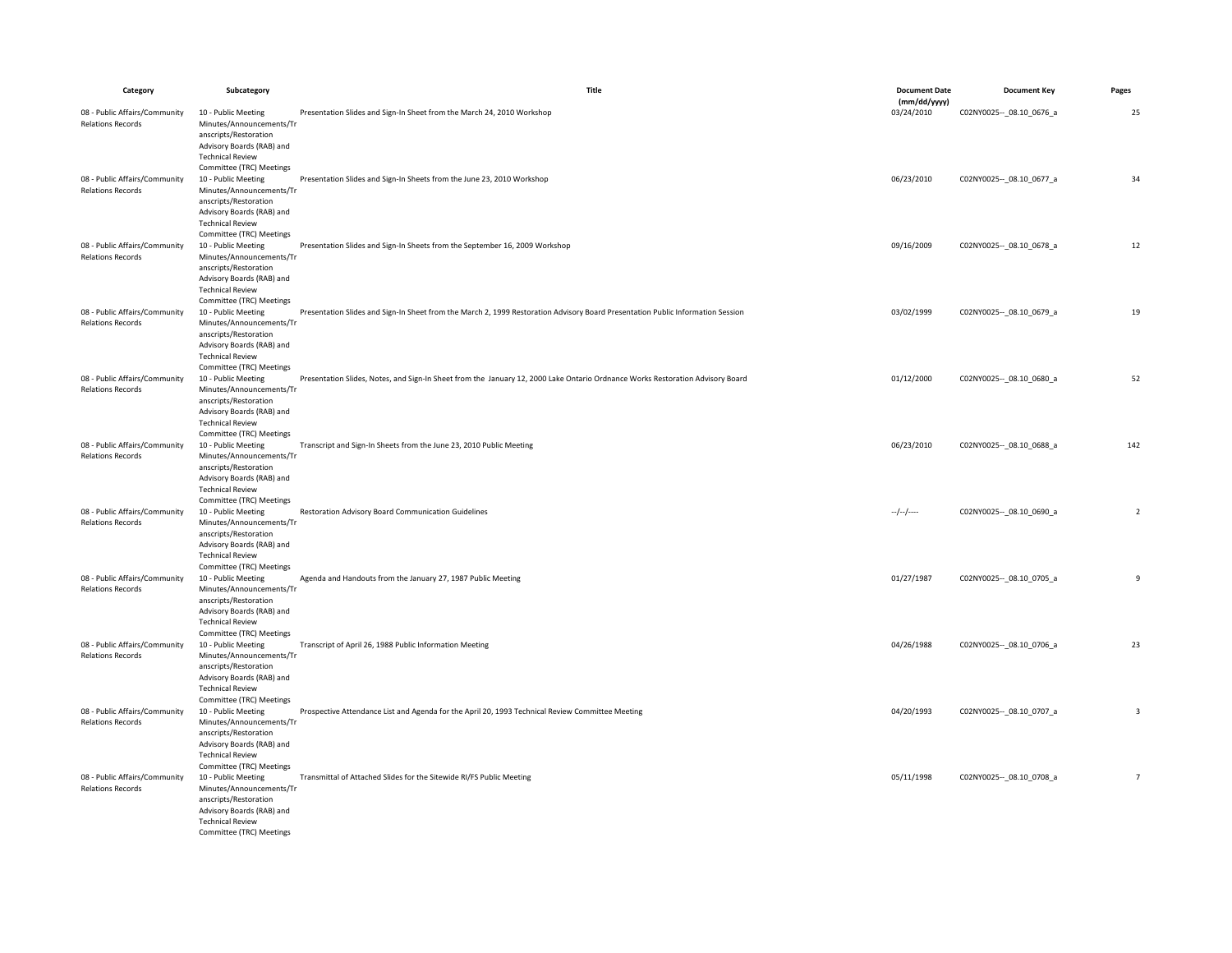| Category                                                  | Subcategory                                                                                                                                                  | Title                                                                                                                           | <b>Document Date</b>       | <b>Document Key</b>         | Pages                   |
|-----------------------------------------------------------|--------------------------------------------------------------------------------------------------------------------------------------------------------------|---------------------------------------------------------------------------------------------------------------------------------|----------------------------|-----------------------------|-------------------------|
| 08 - Public Affairs/Community                             | 10 - Public Meeting                                                                                                                                          | Presentation Slides and Sign-In Sheet from the March 24, 2010 Workshop                                                          | (mm/dd/yyyy)<br>03/24/2010 | C02NY0025 -- 08.10 0676 a   | 25                      |
| <b>Relations Records</b>                                  | Minutes/Announcements/Tr<br>anscripts/Restoration<br>Advisory Boards (RAB) and<br><b>Technical Review</b><br>Committee (TRC) Meetings                        |                                                                                                                                 |                            |                             |                         |
| 08 - Public Affairs/Community<br><b>Relations Records</b> | 10 - Public Meeting<br>Minutes/Announcements/Tr<br>anscripts/Restoration<br>Advisory Boards (RAB) and<br><b>Technical Review</b><br>Committee (TRC) Meetings | Presentation Slides and Sign-In Sheets from the June 23, 2010 Workshop                                                          | 06/23/2010                 | C02NY0025 -- _ 08.10_0677_a | 34                      |
| 08 - Public Affairs/Community<br><b>Relations Records</b> | 10 - Public Meeting<br>Minutes/Announcements/Tr<br>anscripts/Restoration<br>Advisory Boards (RAB) and<br><b>Technical Review</b><br>Committee (TRC) Meetings | Presentation Slides and Sign-In Sheets from the September 16, 2009 Workshop                                                     | 09/16/2009                 | C02NY0025 -- _ 08.10_0678_a | 12                      |
| 08 - Public Affairs/Community<br><b>Relations Records</b> | 10 - Public Meeting<br>Minutes/Announcements/Tr<br>anscripts/Restoration<br>Advisory Boards (RAB) and<br><b>Technical Review</b><br>Committee (TRC) Meetings | Presentation Slides and Sign-In Sheet from the March 2, 1999 Restoration Advisory Board Presentation Public Information Session | 03/02/1999                 | C02NY0025 -- _ 08.10_0679_a | 19                      |
| 08 - Public Affairs/Community<br><b>Relations Records</b> | 10 - Public Meeting<br>Minutes/Announcements/Tr<br>anscripts/Restoration<br>Advisory Boards (RAB) and<br><b>Technical Review</b><br>Committee (TRC) Meetings | Presentation Slides, Notes, and Sign-In Sheet from the January 12, 2000 Lake Ontario Ordnance Works Restoration Advisory Board  | 01/12/2000                 | C02NY0025 -- 08.10 0680_a   | 52                      |
| 08 - Public Affairs/Community<br><b>Relations Records</b> | 10 - Public Meeting<br>Minutes/Announcements/Tr<br>anscripts/Restoration<br>Advisory Boards (RAB) and<br><b>Technical Review</b><br>Committee (TRC) Meetings | Transcript and Sign-In Sheets from the June 23, 2010 Public Meeting                                                             | 06/23/2010                 | C02NY0025 -- _ 08.10_0688_a | 142                     |
| 08 - Public Affairs/Community<br><b>Relations Records</b> | 10 - Public Meeting<br>Minutes/Announcements/Tr<br>anscripts/Restoration<br>Advisory Boards (RAB) and<br><b>Technical Review</b><br>Committee (TRC) Meetings | Restoration Advisory Board Communication Guidelines                                                                             | $-/-/-$                    | C02NY0025 -- 08.10 0690_a   | $\overline{2}$          |
| 08 - Public Affairs/Community<br><b>Relations Records</b> | 10 - Public Meeting<br>Minutes/Announcements/Tr<br>anscripts/Restoration<br>Advisory Boards (RAB) and<br><b>Technical Review</b><br>Committee (TRC) Meetings | Agenda and Handouts from the January 27, 1987 Public Meeting                                                                    | 01/27/1987                 | C02NY0025 -- 08.10 0705_a   | 9                       |
| 08 - Public Affairs/Community<br><b>Relations Records</b> | 10 - Public Meeting<br>Minutes/Announcements/Tr<br>anscripts/Restoration<br>Advisory Boards (RAB) and<br><b>Technical Review</b><br>Committee (TRC) Meetings | Transcript of April 26, 1988 Public Information Meeting                                                                         | 04/26/1988                 | C02NY0025 -- 08.10 0706 a   | 23                      |
| 08 - Public Affairs/Community<br><b>Relations Records</b> | 10 - Public Meeting<br>Minutes/Announcements/Tr<br>anscripts/Restoration<br>Advisory Boards (RAB) and<br><b>Technical Review</b><br>Committee (TRC) Meetings | Prospective Attendance List and Agenda for the April 20, 1993 Technical Review Committee Meeting                                | 04/20/1993                 | C02NY0025 -- _ 08.10_0707_a | $\overline{\mathbf{3}}$ |
| 08 - Public Affairs/Community<br><b>Relations Records</b> | 10 - Public Meeting<br>Minutes/Announcements/Tr<br>anscripts/Restoration<br>Advisory Boards (RAB) and<br><b>Technical Review</b><br>Committee (TRC) Meetings | Transmittal of Attached Slides for the Sitewide RI/FS Public Meeting                                                            | 05/11/1998                 | C02NY0025 -- _ 08.10_0708_a | $\overline{7}$          |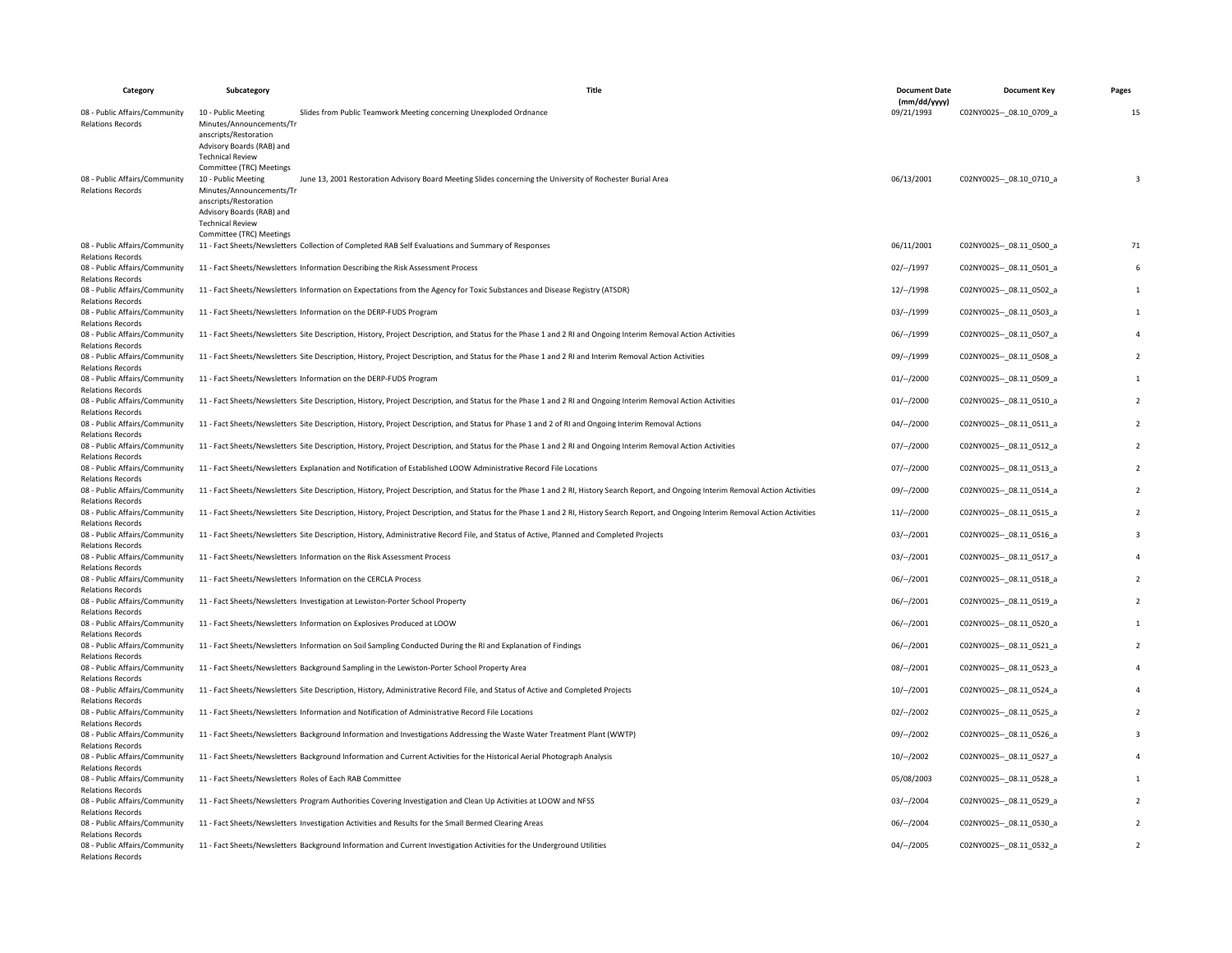| Category                                                  | Subcategory                                                                                               | Title                                                                                                                                                                                  | <b>Document Date</b>       | <b>Document Key</b>         | Pages          |
|-----------------------------------------------------------|-----------------------------------------------------------------------------------------------------------|----------------------------------------------------------------------------------------------------------------------------------------------------------------------------------------|----------------------------|-----------------------------|----------------|
| 08 - Public Affairs/Community                             | 10 - Public Meeting                                                                                       | Slides from Public Teamwork Meeting concerning Unexploded Ordnance                                                                                                                     | (mm/dd/yyyy)<br>09/21/1993 | C02NY0025 -- 08.10 0709 a   | 15             |
| <b>Relations Records</b>                                  | Minutes/Announcements/Tr<br>anscripts/Restoration<br>Advisory Boards (RAB) and<br><b>Technical Review</b> |                                                                                                                                                                                        |                            |                             |                |
| 08 - Public Affairs/Community<br><b>Relations Records</b> | Committee (TRC) Meetings<br>10 - Public Meeting<br>Minutes/Announcements/Tr<br>anscripts/Restoration      | June 13, 2001 Restoration Advisory Board Meeting Slides concerning the University of Rochester Burial Area                                                                             | 06/13/2001                 | C02NY0025 -- 08.10 0710 a   | 3              |
|                                                           | Advisory Boards (RAB) and<br><b>Technical Review</b><br>Committee (TRC) Meetings                          |                                                                                                                                                                                        |                            |                             |                |
| 08 - Public Affairs/Community<br><b>Relations Records</b> |                                                                                                           | 11 - Fact Sheets/Newsletters Collection of Completed RAB Self Evaluations and Summary of Responses                                                                                     | 06/11/2001                 | C02NY0025 -- 08.11 0500_a   | 71             |
| 08 - Public Affairs/Community<br><b>Relations Records</b> |                                                                                                           | 11 - Fact Sheets/Newsletters Information Describing the Risk Assessment Process                                                                                                        | 02/--/1997                 | C02NY0025 -- _ 08.11_0501_a | 6              |
| 08 - Public Affairs/Community<br><b>Relations Records</b> |                                                                                                           | 11 - Fact Sheets/Newsletters Information on Expectations from the Agency for Toxic Substances and Disease Registry (ATSDR)                                                             | $12/-/1998$                | C02NY0025 -- 08.11 0502 a   | $\mathbf{1}$   |
| 08 - Public Affairs/Community<br><b>Relations Records</b> |                                                                                                           | 11 - Fact Sheets/Newsletters Information on the DERP-FUDS Program                                                                                                                      | 03/–/1999                  | C02NY0025 -- 08.11 0503 a   | $\mathbf{1}$   |
| 08 - Public Affairs/Community<br><b>Relations Records</b> |                                                                                                           | 11 - Fact Sheets/Newsletters Site Description, History, Project Description, and Status for the Phase 1 and 2 RI and Ongoing Interim Removal Action Activities                         | 06/--/1999                 | C02NY0025 -- 08.11 0507 a   | 4              |
| 08 - Public Affairs/Community<br><b>Relations Records</b> |                                                                                                           | 11 - Fact Sheets/Newsletters Site Description, History, Project Description, and Status for the Phase 1 and 2 RI and Interim Removal Action Activities                                 | 09/--/1999                 | C02NY0025 -- 08.11 0508 a   | $\overline{2}$ |
| 08 - Public Affairs/Community<br><b>Relations Records</b> |                                                                                                           | 11 - Fact Sheets/Newsletters Information on the DERP-FUDS Program                                                                                                                      | $01/--/2000$               | C02NY0025 -- _ 08.11_0509_a | $\mathbf{1}$   |
| 08 - Public Affairs/Community<br><b>Relations Records</b> |                                                                                                           | 11 - Fact Sheets/Newsletters Site Description, History, Project Description, and Status for the Phase 1 and 2 RI and Ongoing Interim Removal Action Activities                         | $01/--/2000$               | C02NY0025 -- _ 08.11_0510_a | $\overline{2}$ |
| 08 - Public Affairs/Community<br><b>Relations Records</b> |                                                                                                           | 11 - Fact Sheets/Newsletters Site Description, History, Project Description, and Status for Phase 1 and 2 of RI and Ongoing Interim Removal Actions                                    | $04/-/2000$                | C02NY0025 -- 08.11 0511 a   | $\overline{2}$ |
| 08 - Public Affairs/Community<br><b>Relations Records</b> |                                                                                                           | 11 - Fact Sheets/Newsletters Site Description, History, Project Description, and Status for the Phase 1 and 2 RI and Ongoing Interim Removal Action Activities                         | 07/–/2000                  | C02NY0025 -- _ 08.11_0512_a | $\overline{2}$ |
| 08 - Public Affairs/Community<br><b>Relations Records</b> |                                                                                                           | 11 - Fact Sheets/Newsletters Explanation and Notification of Established LOOW Administrative Record File Locations                                                                     | $07/--/2000$               | C02NY0025 -- 08.11 0513 a   | $\overline{2}$ |
| 08 - Public Affairs/Community<br><b>Relations Records</b> |                                                                                                           | 11 - Fact Sheets/Newsletters Site Description, History, Project Description, and Status for the Phase 1 and 2 RI, History Search Report, and Ongoing Interim Removal Action Activities | 09/--/2000                 | C02NY0025 -- _ 08.11_0514_a | $\overline{2}$ |
| 08 - Public Affairs/Community<br><b>Relations Records</b> |                                                                                                           | 11 - Fact Sheets/Newsletters Site Description, History, Project Description, and Status for the Phase 1 and 2 RI, History Search Report, and Ongoing Interim Removal Action Activities | 11/–/2000                  | C02NY0025 -- 08.11 0515 a   | $\overline{2}$ |
| 08 - Public Affairs/Community<br><b>Relations Records</b> |                                                                                                           | 11 - Fact Sheets/Newsletters Site Description, History, Administrative Record File, and Status of Active, Planned and Completed Projects                                               | $03/-/2001$                | C02NY0025 -- 08.11 0516 a   | 3              |
| 08 - Public Affairs/Community<br><b>Relations Records</b> |                                                                                                           | 11 - Fact Sheets/Newsletters Information on the Risk Assessment Process                                                                                                                | $03/-/2001$                | C02NY0025 -- 08.11 0517 a   | $\overline{4}$ |
| 08 - Public Affairs/Community<br><b>Relations Records</b> |                                                                                                           | 11 - Fact Sheets/Newsletters Information on the CERCLA Process                                                                                                                         | 06/--/2001                 | C02NY0025 -- 08.11 0518 a   | $\overline{2}$ |
| 08 - Public Affairs/Community<br><b>Relations Records</b> |                                                                                                           | 11 - Fact Sheets/Newsletters Investigation at Lewiston-Porter School Property                                                                                                          | 06/--/2001                 | C02NY0025 -- _ 08.11_0519_a | $\overline{2}$ |
| 08 - Public Affairs/Community<br><b>Relations Records</b> |                                                                                                           | 11 - Fact Sheets/Newsletters Information on Explosives Produced at LOOW                                                                                                                | $06/-/2001$                | C02NY0025 -- 08.11 0520 a   | $\mathbf{1}$   |
| 08 - Public Affairs/Community<br><b>Relations Records</b> |                                                                                                           | 11 - Fact Sheets/Newsletters Information on Soil Sampling Conducted During the RI and Explanation of Findings                                                                          | $06/-/2001$                | C02NY0025 -- 08.11 0521 a   | $\overline{2}$ |
| 08 - Public Affairs/Community<br><b>Relations Records</b> |                                                                                                           | 11 - Fact Sheets/Newsletters Background Sampling in the Lewiston-Porter School Property Area                                                                                           | $08/-/2001$                | C02NY0025 -- 08.11 0523 a   | 4              |
| 08 - Public Affairs/Community<br><b>Relations Records</b> |                                                                                                           | 11 - Fact Sheets/Newsletters Site Description, History, Administrative Record File, and Status of Active and Completed Projects                                                        | $10/-/2001$                | C02NY0025 -- _ 08.11_0524_a | $\overline{4}$ |
| 08 - Public Affairs/Community<br><b>Relations Records</b> |                                                                                                           | 11 - Fact Sheets/Newsletters Information and Notification of Administrative Record File Locations                                                                                      | 02/--/2002                 | C02NY0025 -- _ 08.11_0525_a | $\overline{2}$ |
| 08 - Public Affairs/Community<br><b>Relations Records</b> |                                                                                                           | 11 - Fact Sheets/Newsletters Background Information and Investigations Addressing the Waste Water Treatment Plant (WWTP)                                                               | 09/–/2002                  | C02NY0025 -- 08.11 0526 a   | $\overline{3}$ |
| 08 - Public Affairs/Community<br><b>Relations Records</b> |                                                                                                           | 11 - Fact Sheets/Newsletters Background Information and Current Activities for the Historical Aerial Photograph Analysis                                                               | $10/-/2002$                | C02NY0025 -- 08.11 0527 a   | 4              |
| 08 - Public Affairs/Community<br><b>Relations Records</b> |                                                                                                           | 11 - Fact Sheets/Newsletters Roles of Each RAB Committee                                                                                                                               | 05/08/2003                 | C02NY0025 -- 08.11 0528 a   | 1              |
| 08 - Public Affairs/Community<br><b>Relations Records</b> |                                                                                                           | 11 - Fact Sheets/Newsletters Program Authorities Covering Investigation and Clean Up Activities at LOOW and NFSS                                                                       | 03/--/2004                 | C02NY0025 -- _ 08.11_0529_a | $\overline{2}$ |
| 08 - Public Affairs/Community<br><b>Relations Records</b> |                                                                                                           | 11 - Fact Sheets/Newsletters Investigation Activities and Results for the Small Bermed Clearing Areas                                                                                  | $06/-/2004$                | C02NY0025 -- 08.11 0530 a   | $\overline{2}$ |
| 08 - Public Affairs/Community<br><b>Relations Records</b> |                                                                                                           | 11 - Fact Sheets/Newsletters Background Information and Current Investigation Activities for the Underground Utilities                                                                 | $04/-/2005$                | C02NY0025 -- 08.11 0532 a   | $\overline{2}$ |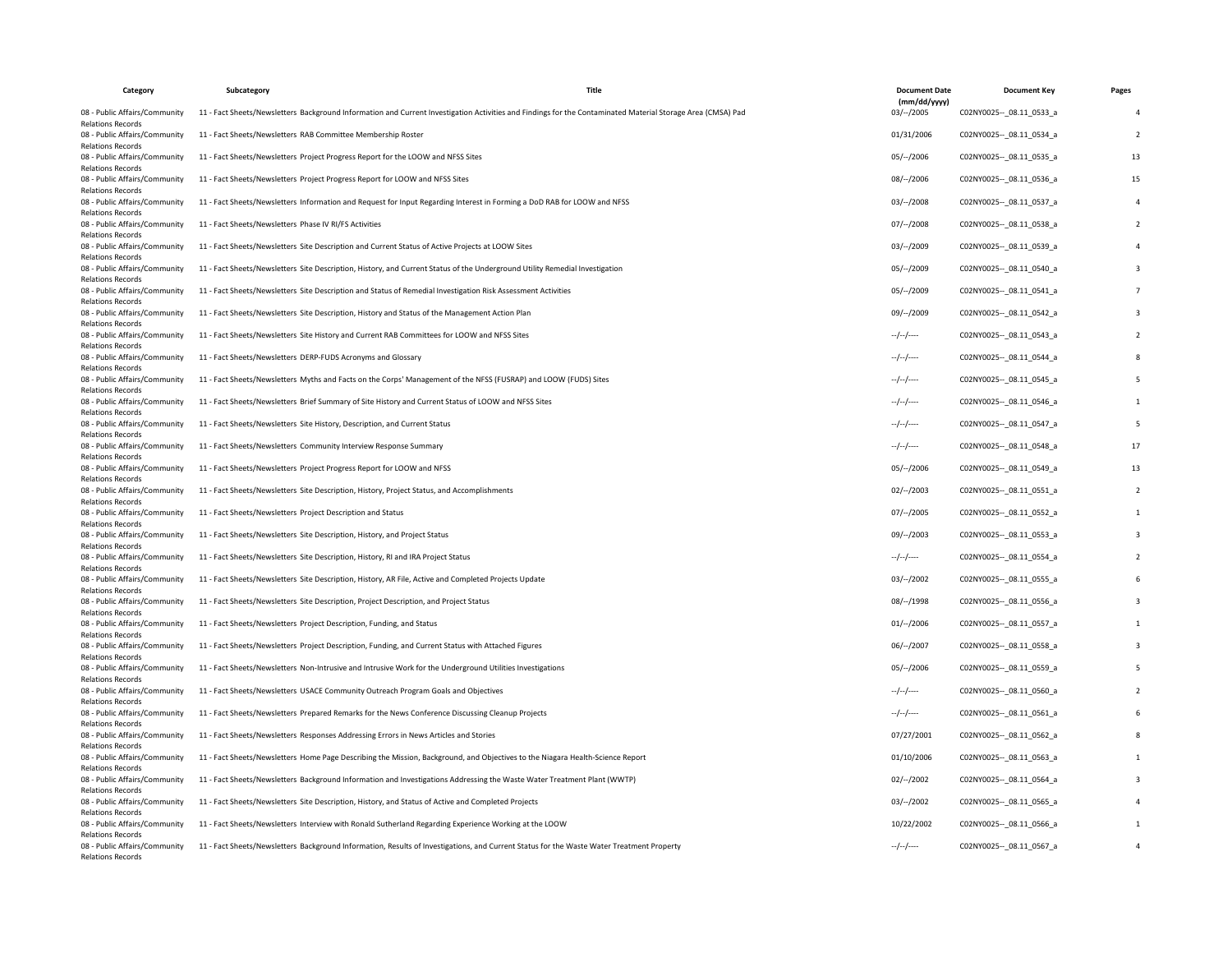| Category                                                                              | Subcategory                                                                       | <b>Title</b>                                                                                                                                                | <b>Document Date</b><br>(mm/dd/yyyy) | <b>Document Key</b>         | Pages                    |
|---------------------------------------------------------------------------------------|-----------------------------------------------------------------------------------|-------------------------------------------------------------------------------------------------------------------------------------------------------------|--------------------------------------|-----------------------------|--------------------------|
| 08 - Public Affairs/Community<br><b>Relations Records</b>                             |                                                                                   | 11 - Fact Sheets/Newsletters Background Information and Current Investigation Activities and Findings for the Contaminated Material Storage Area (CMSA) Pad | 03/–/2005                            | C02NY0025 -- 08.11 0533 a   | $\overline{a}$           |
| 08 - Public Affairs/Community<br><b>Relations Records</b>                             | 11 - Fact Sheets/Newsletters RAB Committee Membership Roster                      |                                                                                                                                                             | 01/31/2006                           | C02NY0025 -- 08.11 0534 a   | $\overline{2}$           |
| 08 - Public Affairs/Community<br><b>Relations Records</b>                             |                                                                                   | 11 - Fact Sheets/Newsletters Project Progress Report for the LOOW and NFSS Sites                                                                            | 05/--/2006                           | C02NY0025 -- _ 08.11_0535_a | 13                       |
| 08 - Public Affairs/Community<br><b>Relations Records</b>                             | 11 - Fact Sheets/Newsletters Project Progress Report for LOOW and NFSS Sites      |                                                                                                                                                             | 08/--/2006                           | C02NY0025 -- 08.11 0536 a   | 15                       |
| 08 - Public Affairs/Community<br><b>Relations Records</b>                             |                                                                                   | 11 - Fact Sheets/Newsletters Information and Request for Input Regarding Interest in Forming a DoD RAB for LOOW and NFSS                                    | 03/–/2008                            | C02NY0025 -- 08.11 0537 a   | 4                        |
| 08 - Public Affairs/Community<br><b>Relations Records</b>                             | 11 - Fact Sheets/Newsletters Phase IV RI/FS Activities                            |                                                                                                                                                             | 07/–/2008                            | C02NY0025 -- 08.11 0538 a   | $\overline{2}$           |
| 08 - Public Affairs/Community<br><b>Relations Records</b>                             |                                                                                   | 11 - Fact Sheets/Newsletters Site Description and Current Status of Active Projects at LOOW Sites                                                           | 03/–/2009                            | C02NY0025 -- 08.11 0539 a   | 4                        |
| 08 - Public Affairs/Community<br><b>Relations Records</b>                             |                                                                                   | 11 - Fact Sheets/Newsletters Site Description, History, and Current Status of the Underground Utility Remedial Investigation                                | 05/--/2009                           | C02NY0025 -- 08.11 0540 a   | 3                        |
| 08 - Public Affairs/Community<br><b>Relations Records</b>                             |                                                                                   | 11 - Fact Sheets/Newsletters Site Description and Status of Remedial Investigation Risk Assessment Activities                                               | 05/--/2009                           | C02NY0025 -- _ 08.11_0541_a | $\overline{\phantom{a}}$ |
| 08 - Public Affairs/Community<br><b>Relations Records</b>                             |                                                                                   | 11 - Fact Sheets/Newsletters Site Description, History and Status of the Management Action Plan                                                             | 09/--/2009                           | C02NY0025 -- 08.11 0542 a   | 3                        |
| 08 - Public Affairs/Community<br><b>Relations Records</b>                             |                                                                                   | 11 - Fact Sheets/Newsletters Site History and Current RAB Committees for LOOW and NFSS Sites                                                                | $-/-/-$                              | C02NY0025 -- 08.11 0543 a   | $\overline{2}$           |
| 08 - Public Affairs/Community<br><b>Relations Records</b>                             | 11 - Fact Sheets/Newsletters DERP-FUDS Acronyms and Glossary                      |                                                                                                                                                             | $-/-/-$                              | C02NY0025 -- _ 08.11_0544_a | 8                        |
| 08 - Public Affairs/Community<br><b>Relations Records</b>                             |                                                                                   | 11 - Fact Sheets/Newsletters Myths and Facts on the Corps' Management of the NFSS (FUSRAP) and LOOW (FUDS) Sites                                            | $-/-/-$                              | C02NY0025 -- 08.11 0545 a   | 5                        |
| 08 - Public Affairs/Community<br><b>Relations Records</b>                             |                                                                                   | 11 - Fact Sheets/Newsletters Brief Summary of Site History and Current Status of LOOW and NFSS Sites                                                        | $-/-/-$                              | C02NY0025 -- _ 08.11_0546_a | $\mathbf{1}$             |
| 08 - Public Affairs/Community<br><b>Relations Records</b>                             | 11 - Fact Sheets/Newsletters Site History, Description, and Current Status        |                                                                                                                                                             | $-/-/-$                              | C02NY0025 -- 08.11 0547 a   | 5                        |
| 08 - Public Affairs/Community<br><b>Relations Records</b>                             | 11 - Fact Sheets/Newsletters Community Interview Response Summary                 |                                                                                                                                                             | $-/-/-$                              | C02NY0025 -- 08.11 0548 a   | 17                       |
| 08 - Public Affairs/Community<br><b>Relations Records</b>                             | 11 - Fact Sheets/Newsletters Project Progress Report for LOOW and NFSS            |                                                                                                                                                             | 05/--/2006                           | C02NY0025 -- _ 08.11_0549_a | 13                       |
| 08 - Public Affairs/Community<br><b>Relations Records</b>                             |                                                                                   | 11 - Fact Sheets/Newsletters Site Description, History, Project Status, and Accomplishments                                                                 | $02/-/2003$                          | C02NY0025 -- 08.11 0551 a   | $\overline{2}$           |
| 08 - Public Affairs/Community<br><b>Relations Records</b>                             | 11 - Fact Sheets/Newsletters Project Description and Status                       |                                                                                                                                                             | 07/--/2005                           | C02NY0025 -- _ 08.11_0552_a | $\mathbf 1$              |
| 08 - Public Affairs/Community<br><b>Relations Records</b>                             | 11 - Fact Sheets/Newsletters Site Description, History, and Project Status        |                                                                                                                                                             | $09/-/2003$                          | C02NY0025 -- 08.11 0553 a   | 3                        |
| 08 - Public Affairs/Community<br><b>Relations Records</b>                             | 11 - Fact Sheets/Newsletters Site Description, History, RI and IRA Project Status |                                                                                                                                                             | $-/-/-$                              | C02NY0025 -- 08.11 0554 a   | $\overline{2}$           |
| 08 - Public Affairs/Community<br><b>Relations Records</b>                             |                                                                                   | 11 - Fact Sheets/Newsletters Site Description, History, AR File, Active and Completed Projects Update                                                       | 03/–/2002                            | C02NY0025 -- 08.11 0555 a   | 6                        |
| 08 - Public Affairs/Community<br><b>Relations Records</b>                             |                                                                                   | 11 - Fact Sheets/Newsletters Site Description, Project Description, and Project Status                                                                      | $08/-/1998$                          | C02NY0025 -- _ 08.11_0556_a | 3                        |
| 08 - Public Affairs/Community<br><b>Relations Records</b>                             | 11 - Fact Sheets/Newsletters Project Description, Funding, and Status             |                                                                                                                                                             | 01/--/2006                           | C02NY0025 -- _ 08.11_0557_a | $\mathbf{1}$             |
| 08 - Public Affairs/Community<br><b>Relations Records</b>                             |                                                                                   | 11 - Fact Sheets/Newsletters Project Description, Funding, and Current Status with Attached Figures                                                         | $06/--/2007$                         | C02NY0025 -- 08.11 0558 a   | 3                        |
| 08 - Public Affairs/Community<br><b>Relations Records</b>                             |                                                                                   | 11 - Fact Sheets/Newsletters Non-Intrusive and Intrusive Work for the Underground Utilities Investigations                                                  | $05/-/2006$                          | C02NY0025 -- 08.11 0559 a   | 5                        |
| 08 - Public Affairs/Community<br><b>Relations Records</b>                             |                                                                                   | 11 - Fact Sheets/Newsletters USACE Community Outreach Program Goals and Objectives                                                                          | $-/-/-$                              | C02NY0025 -- 08.11 0560_a   | 2                        |
| 08 - Public Affairs/Community<br><b>Relations Records</b>                             |                                                                                   | 11 - Fact Sheets/Newsletters Prepared Remarks for the News Conference Discussing Cleanup Projects                                                           | $-/-/-/$                             | C02NY0025 -- _ 08.11_0561_a | 6                        |
| 08 - Public Affairs/Community<br><b>Relations Records</b>                             |                                                                                   | 11 - Fact Sheets/Newsletters Responses Addressing Errors in News Articles and Stories                                                                       | 07/27/2001                           | C02NY0025 -- _ 08.11_0562_a | 8                        |
| 08 - Public Affairs/Community<br><b>Relations Records</b>                             |                                                                                   | 11 - Fact Sheets/Newsletters Home Page Describing the Mission, Background, and Objectives to the Niagara Health-Science Report                              | 01/10/2006                           | C02NY0025 -- 08.11 0563 a   | $\mathbf{1}$             |
| 08 - Public Affairs/Community                                                         |                                                                                   | 11 - Fact Sheets/Newsletters Background Information and Investigations Addressing the Waste Water Treatment Plant (WWTP)                                    | 02/–/2002                            | C02NY0025 -- _ 08.11_0564_a | 3                        |
| <b>Relations Records</b><br>08 - Public Affairs/Community<br><b>Relations Records</b> |                                                                                   | 11 - Fact Sheets/Newsletters Site Description, History, and Status of Active and Completed Projects                                                         | 03/–/2002                            | C02NY0025 -- 08.11 0565_a   |                          |
| 08 - Public Affairs/Community<br><b>Relations Records</b>                             |                                                                                   | 11 - Fact Sheets/Newsletters Interview with Ronald Sutherland Regarding Experience Working at the LOOW                                                      | 10/22/2002                           | C02NY0025 -- _ 08.11_0566_a | $\mathbf{1}$             |
| 08 - Public Affairs/Community<br><b>Relations Records</b>                             |                                                                                   | 11 - Fact Sheets/Newsletters Background Information, Results of Investigations, and Current Status for the Waste Water Treatment Property                   | $-/-/-$                              | C02NY0025 -- 08.11 0567 a   | $\overline{a}$           |
|                                                                                       |                                                                                   |                                                                                                                                                             |                                      |                             |                          |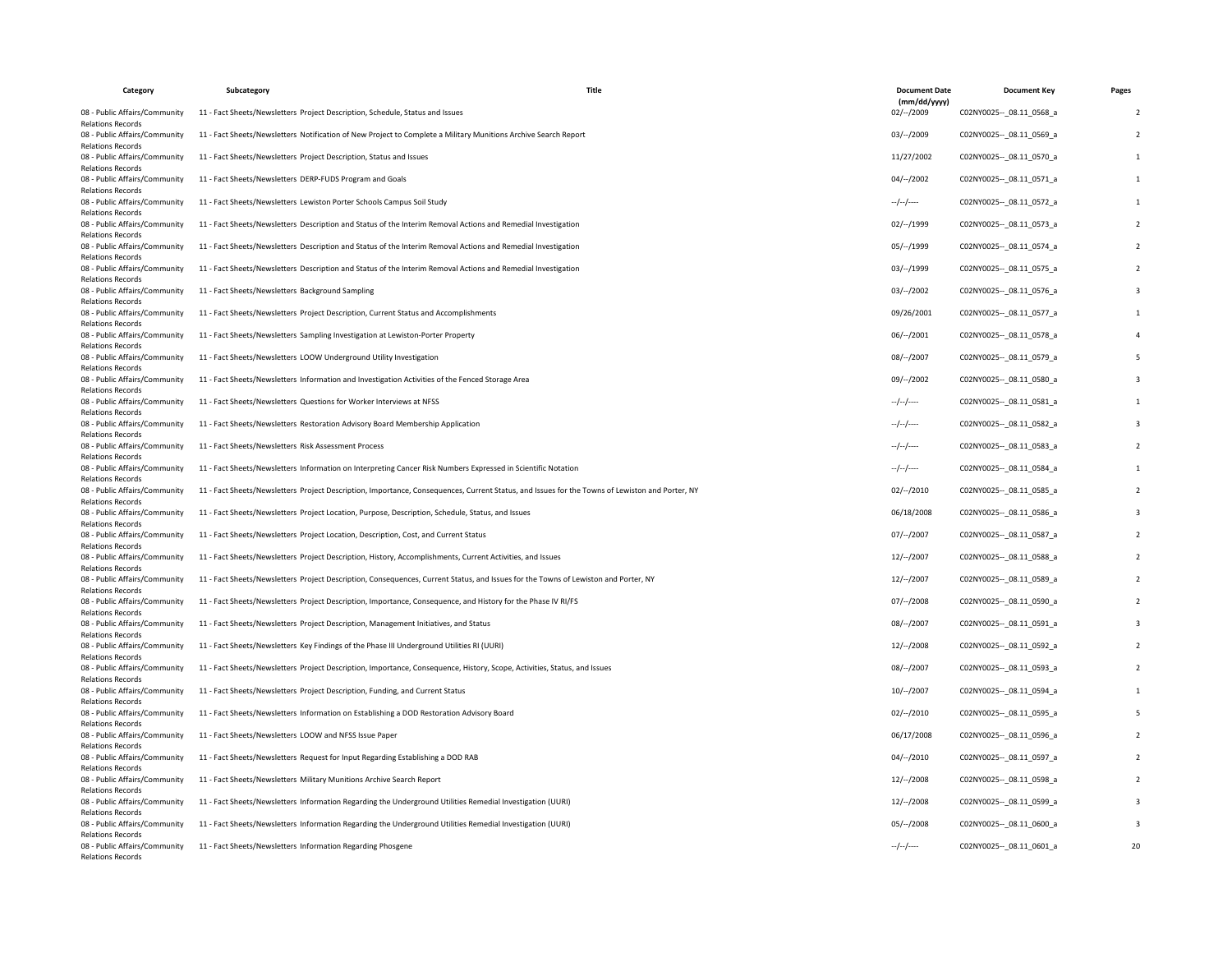| Category                                                  | Subcategory                                                                                | Title                                                                                                                                           | <b>Document Date</b><br>(mm/dd/yyyy) | <b>Document Key</b>         | Pages                   |
|-----------------------------------------------------------|--------------------------------------------------------------------------------------------|-------------------------------------------------------------------------------------------------------------------------------------------------|--------------------------------------|-----------------------------|-------------------------|
| 08 - Public Affairs/Community<br><b>Relations Records</b> | 11 - Fact Sheets/Newsletters Project Description, Schedule, Status and Issues              |                                                                                                                                                 | 02/--/2009                           | C02NY0025 -- 08.11 0568 a   | $\overline{2}$          |
| 08 - Public Affairs/Community<br><b>Relations Records</b> |                                                                                            | 11 - Fact Sheets/Newsletters Notification of New Project to Complete a Military Munitions Archive Search Report                                 | 03/--/2009                           | C02NY0025 -- 08.11 0569_a   | $\overline{2}$          |
| 08 - Public Affairs/Community<br><b>Relations Records</b> | 11 - Fact Sheets/Newsletters Project Description, Status and Issues                        |                                                                                                                                                 | 11/27/2002                           | C02NY0025 -- 08.11 0570 a   | $\mathbf{1}$            |
| 08 - Public Affairs/Community<br><b>Relations Records</b> | 11 - Fact Sheets/Newsletters DERP-FUDS Program and Goals                                   |                                                                                                                                                 | $04/-/2002$                          | C02NY0025 -- 08.11 0571 a   | $\mathbf{1}$            |
| 08 - Public Affairs/Community<br><b>Relations Records</b> | 11 - Fact Sheets/Newsletters Lewiston Porter Schools Campus Soil Study                     |                                                                                                                                                 | $-/-/-$                              | C02NY0025 -- 08.11 0572 a   | $\mathbf{1}$            |
| 08 - Public Affairs/Community<br><b>Relations Records</b> |                                                                                            | 11 - Fact Sheets/Newsletters Description and Status of the Interim Removal Actions and Remedial Investigation                                   | 02/--/1999                           | C02NY0025 -- _ 08.11_0573_a | $\overline{2}$          |
| 08 - Public Affairs/Community<br><b>Relations Records</b> |                                                                                            | 11 - Fact Sheets/Newsletters Description and Status of the Interim Removal Actions and Remedial Investigation                                   | 05/--/1999                           | C02NY0025 -- _ 08.11_0574_a | $\overline{z}$          |
| 08 - Public Affairs/Community<br><b>Relations Records</b> |                                                                                            | 11 - Fact Sheets/Newsletters Description and Status of the Interim Removal Actions and Remedial Investigation                                   | 03/--/1999                           | C02NY0025 -- 08.11 0575_a   | $\overline{2}$          |
| 08 - Public Affairs/Community<br><b>Relations Records</b> | 11 - Fact Sheets/Newsletters Background Sampling                                           |                                                                                                                                                 | 03/--/2002                           | C02NY0025 -- _ 08.11_0576_a | $\overline{\mathbf{3}}$ |
| 08 - Public Affairs/Community<br><b>Relations Records</b> | 11 - Fact Sheets/Newsletters Project Description, Current Status and Accomplishments       |                                                                                                                                                 | 09/26/2001                           | C02NY0025 -- 08.11 0577 a   | $\mathbf{1}$            |
| 08 - Public Affairs/Community<br><b>Relations Records</b> | 11 - Fact Sheets/Newsletters Sampling Investigation at Lewiston-Porter Property            |                                                                                                                                                 | 06/--/2001                           | C02NY0025 -- _ 08.11_0578_a | $\overline{4}$          |
| 08 - Public Affairs/Community<br><b>Relations Records</b> | 11 - Fact Sheets/Newsletters LOOW Underground Utility Investigation                        |                                                                                                                                                 | $08/-/2007$                          | C02NY0025 -- 08.11 0579 a   | 5                       |
| 08 - Public Affairs/Community<br><b>Relations Records</b> |                                                                                            | 11 - Fact Sheets/Newsletters Information and Investigation Activities of the Fenced Storage Area                                                | 09/–/2002                            | C02NY0025 -- 08.11 0580 a   | $\overline{\mathbf{3}}$ |
| 08 - Public Affairs/Community<br><b>Relations Records</b> | 11 - Fact Sheets/Newsletters Questions for Worker Interviews at NFSS                       |                                                                                                                                                 | $-/-/-$                              | C02NY0025 -- 08.11 0581 a   | $\mathbf{1}$            |
| 08 - Public Affairs/Community<br><b>Relations Records</b> | 11 - Fact Sheets/Newsletters Restoration Advisory Board Membership Application             |                                                                                                                                                 | $-/-/-$                              | C02NY0025 -- 08.11 0582 a   | 3                       |
| 08 - Public Affairs/Community<br><b>Relations Records</b> | 11 - Fact Sheets/Newsletters, Risk Assessment Process                                      |                                                                                                                                                 | $-/-/-$                              | C02NY0025 -- _ 08.11_0583_a | $\overline{2}$          |
| 08 - Public Affairs/Community<br><b>Relations Records</b> |                                                                                            | 11 - Fact Sheets/Newsletters Information on Interpreting Cancer Risk Numbers Expressed in Scientific Notation                                   | $-/-/-$                              | C02NY0025 -- 08.11 0584 a   | $\mathbf{1}$            |
| 08 - Public Affairs/Community<br><b>Relations Records</b> |                                                                                            | 11 - Fact Sheets/Newsletters Project Description, Importance, Consequences, Current Status, and Issues for the Towns of Lewiston and Porter, NY | $02/-/2010$                          | C02NY0025 -- 08.11 0585 a   | $\overline{2}$          |
| 08 - Public Affairs/Community<br><b>Relations Records</b> |                                                                                            | 11 - Fact Sheets/Newsletters Project Location, Purpose, Description, Schedule, Status, and Issues                                               | 06/18/2008                           | C02NY0025 -- 08.11 0586_a   | $\overline{3}$          |
| 08 - Public Affairs/Community<br><b>Relations Records</b> | 11 - Fact Sheets/Newsletters Project Location, Description, Cost, and Current Status       |                                                                                                                                                 | 07/--/2007                           | C02NY0025 -- _ 08.11_0587_a | $\overline{z}$          |
| 08 - Public Affairs/Community<br><b>Relations Records</b> |                                                                                            | 11 - Fact Sheets/Newsletters Project Description, History, Accomplishments, Current Activities, and Issues                                      | $12/-/2007$                          | C02NY0025 -- 08.11 0588 a   | $\overline{z}$          |
| 08 - Public Affairs/Community<br><b>Relations Records</b> |                                                                                            | 11 - Fact Sheets/Newsletters Project Description, Consequences, Current Status, and Issues for the Towns of Lewiston and Porter, NY             | $12/-/2007$                          | C02NY0025 -- 08.11 0589_a   | $\overline{2}$          |
| 08 - Public Affairs/Community<br><b>Relations Records</b> |                                                                                            | 11 - Fact Sheets/Newsletters Project Description, Importance, Consequence, and History for the Phase IV RI/FS                                   | 07/--/2008                           | C02NY0025 -- _ 08.11_0590_a | $\overline{2}$          |
| 08 - Public Affairs/Community<br><b>Relations Records</b> | 11 - Fact Sheets/Newsletters Project Description, Management Initiatives, and Status       |                                                                                                                                                 | 08/--/2007                           | C02NY0025 -- 08.11 0591 a   | $\overline{3}$          |
| 08 - Public Affairs/Community<br><b>Relations Records</b> | 11 - Fact Sheets/Newsletters Key Findings of the Phase III Underground Utilities RI (UURI) |                                                                                                                                                 | 12/--/2008                           | C02NY0025 -- _ 08.11_0592_a | $\overline{2}$          |
| 08 - Public Affairs/Community<br><b>Relations Records</b> |                                                                                            | 11 - Fact Sheets/Newsletters Project Description, Importance, Consequence, History, Scope, Activities, Status, and Issues                       | $08/-/2007$                          | C02NY0025 -- 08.11 0593_a   | $\overline{2}$          |
| 08 - Public Affairs/Community<br><b>Relations Records</b> | 11 - Fact Sheets/Newsletters Project Description, Funding, and Current Status              |                                                                                                                                                 | $10/-/2007$                          | C02NY0025 -- 08.11 0594 a   | 1                       |
| 08 - Public Affairs/Community<br><b>Relations Records</b> | 11 - Fact Sheets/Newsletters Information on Establishing a DOD Restoration Advisory Board  |                                                                                                                                                 | 02/--/2010                           | C02NY0025 -- 08.11 0595 a   | 5                       |
| 08 - Public Affairs/Community<br><b>Relations Records</b> | 11 - Fact Sheets/Newsletters LOOW and NFSS Issue Paper                                     |                                                                                                                                                 | 06/17/2008                           | C02NY0025 -- 08.11 0596 a   | $\overline{z}$          |
| 08 - Public Affairs/Community<br><b>Relations Records</b> | 11 - Fact Sheets/Newsletters Request for Input Regarding Establishing a DOD RAB            |                                                                                                                                                 | $04/-/2010$                          | C02NY0025 -- 08.11 0597 a   | $\overline{2}$          |
| 08 - Public Affairs/Community<br><b>Relations Records</b> | 11 - Fact Sheets/Newsletters Military Munitions Archive Search Report                      |                                                                                                                                                 | $12/-/2008$                          | C02NY0025 -- 08.11 0598 a   | $\overline{2}$          |
| 08 - Public Affairs/Community<br><b>Relations Records</b> |                                                                                            | 11 - Fact Sheets/Newsletters Information Regarding the Underground Utilities Remedial Investigation (UURI)                                      | $12/-/2008$                          | C02NY0025 -- 08.11 0599 a   | 3                       |
| 08 - Public Affairs/Community<br><b>Relations Records</b> |                                                                                            | 11 - Fact Sheets/Newsletters Information Regarding the Underground Utilities Remedial Investigation (UURI)                                      | $05/-/2008$                          | C02NY0025 -- 08.11 0600_a   | $\overline{3}$          |
| 08 - Public Affairs/Community<br><b>Relations Records</b> | 11 - Fact Sheets/Newsletters Information Regarding Phosgene                                |                                                                                                                                                 | $-/-/-$                              | C02NY0025 -- _ 08.11_0601_a | 20                      |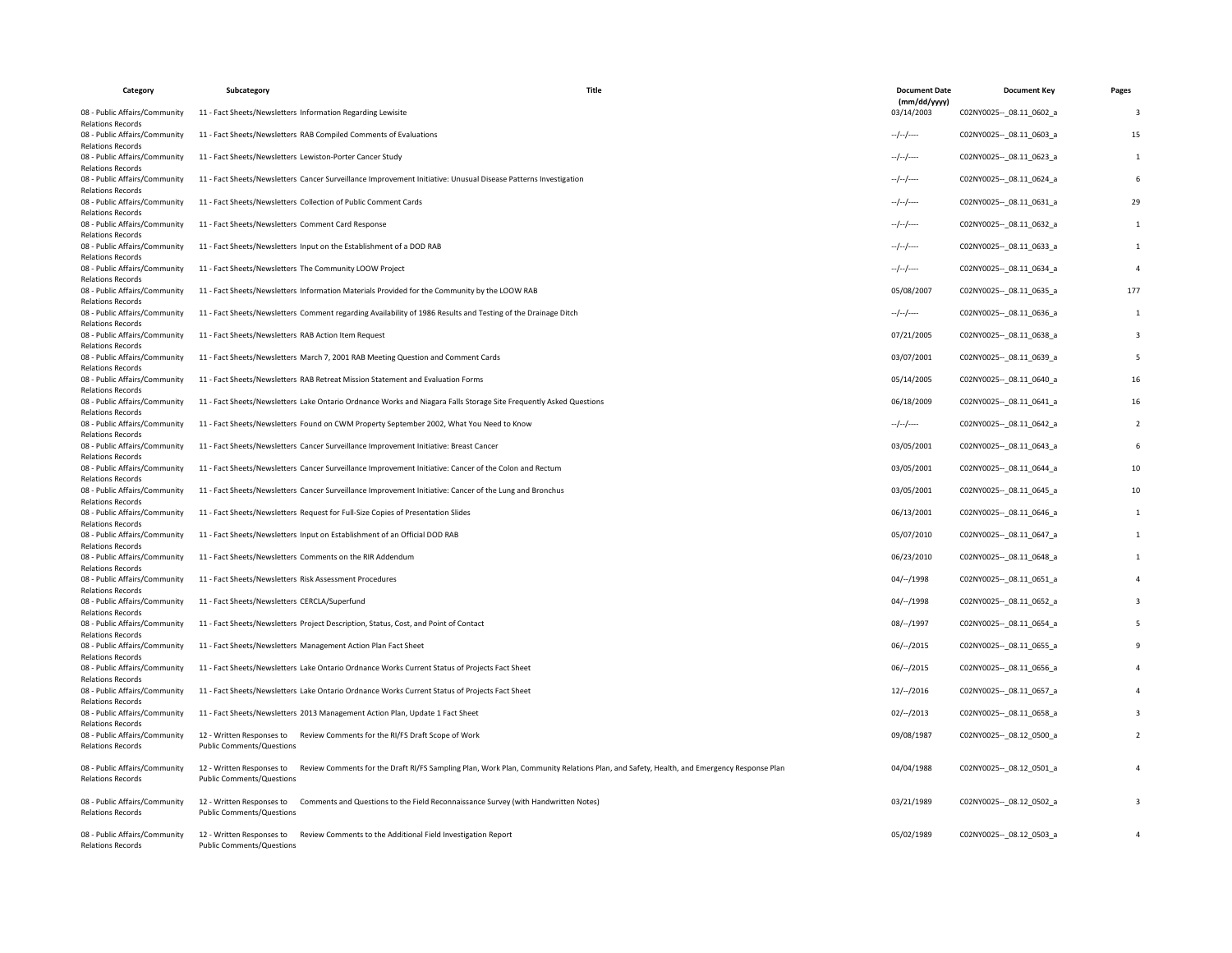| Category                                                  | Subcategory                                                                                    | Title                                                                                                                                   | <b>Document Date</b><br>(mm/dd/yyyy) | <b>Document Key</b>         | Pages                   |
|-----------------------------------------------------------|------------------------------------------------------------------------------------------------|-----------------------------------------------------------------------------------------------------------------------------------------|--------------------------------------|-----------------------------|-------------------------|
| 08 - Public Affairs/Community<br><b>Relations Records</b> | 11 - Fact Sheets/Newsletters Information Regarding Lewisite                                    |                                                                                                                                         | 03/14/2003                           | C02NY0025 -- 08.11 0602 a   | $\overline{3}$          |
| 08 - Public Affairs/Community<br><b>Relations Records</b> | 11 - Fact Sheets/Newsletters RAB Compiled Comments of Evaluations                              |                                                                                                                                         | $-/-/-$                              | C02NY0025 -- 08.11 0603 a   | 15                      |
| 08 - Public Affairs/Community<br><b>Relations Records</b> | 11 - Fact Sheets/Newsletters Lewiston-Porter Cancer Study                                      |                                                                                                                                         | $-/-/-$                              | C02NY0025 -- 08.11 0623_a   | 1                       |
| 08 - Public Affairs/Community<br><b>Relations Records</b> |                                                                                                | 11 - Fact Sheets/Newsletters Cancer Surveillance Improvement Initiative: Unusual Disease Patterns Investigation                         | $-/-/-$                              | C02NY0025 -- 08.11 0624 a   | 6                       |
| 08 - Public Affairs/Community<br><b>Relations Records</b> | 11 - Fact Sheets/Newsletters Collection of Public Comment Cards                                |                                                                                                                                         | $-/-/-$                              | C02NY0025 -- 08.11 0631 a   | 29                      |
| 08 - Public Affairs/Community<br><b>Relations Records</b> | 11 - Fact Sheets/Newsletters Comment Card Response                                             |                                                                                                                                         | $-/-/-$                              | C02NY0025 -- 08.11 0632 a   | 1                       |
| 08 - Public Affairs/Community<br><b>Relations Records</b> | 11 - Fact Sheets/Newsletters Input on the Establishment of a DOD RAB                           |                                                                                                                                         | $-/-/-$                              | C02NY0025 -- 08.11 0633 a   | 1                       |
| 08 - Public Affairs/Community<br><b>Relations Records</b> | 11 - Fact Sheets/Newsletters The Community LOOW Project                                        |                                                                                                                                         | $-/-/-$                              | C02NY0025 -- 08.11 0634 a   | $\overline{4}$          |
| 08 - Public Affairs/Community<br><b>Relations Records</b> | 11 - Fact Sheets/Newsletters Information Materials Provided for the Community by the LOOW RAB  |                                                                                                                                         | 05/08/2007                           | C02NY0025 -- 08.11 0635 a   | 177                     |
| 08 - Public Affairs/Community<br><b>Relations Records</b> |                                                                                                | 11 - Fact Sheets/Newsletters Comment regarding Availability of 1986 Results and Testing of the Drainage Ditch                           | $-/-/-$                              | C02NY0025 -- 08.11 0636 a   | 1                       |
| 08 - Public Affairs/Community<br><b>Relations Records</b> | 11 - Fact Sheets/Newsletters RAB Action Item Request                                           |                                                                                                                                         | 07/21/2005                           | C02NY0025 -- 08.11 0638 a   | $\overline{\mathbf{3}}$ |
| 08 - Public Affairs/Community<br><b>Relations Records</b> | 11 - Fact Sheets/Newsletters March 7, 2001 RAB Meeting Question and Comment Cards              |                                                                                                                                         | 03/07/2001                           | C02NY0025 -- 08.11 0639 a   | -5                      |
| 08 - Public Affairs/Community<br><b>Relations Records</b> | 11 - Fact Sheets/Newsletters RAB Retreat Mission Statement and Evaluation Forms                |                                                                                                                                         | 05/14/2005                           | C02NY0025 -- 08.11 0640 a   | 16                      |
| 08 - Public Affairs/Community<br><b>Relations Records</b> |                                                                                                | 11 - Fact Sheets/Newsletters Lake Ontario Ordnance Works and Niagara Falls Storage Site Frequently Asked Questions                      | 06/18/2009                           | C02NY0025 -- 08.11 0641 a   | 16                      |
| 08 - Public Affairs/Community<br><b>Relations Records</b> | 11 - Fact Sheets/Newsletters Found on CWM Property September 2002, What You Need to Know       |                                                                                                                                         | --/--/----                           | C02NY0025 -- _ 08.11_0642_a | $\overline{2}$          |
| 08 - Public Affairs/Community<br><b>Relations Records</b> | 11 - Fact Sheets/Newsletters Cancer Surveillance Improvement Initiative: Breast Cancer         |                                                                                                                                         | 03/05/2001                           | C02NY0025 -- _ 08.11_0643_a | 6                       |
| 08 - Public Affairs/Community<br><b>Relations Records</b> |                                                                                                | 11 - Fact Sheets/Newsletters Cancer Surveillance Improvement Initiative: Cancer of the Colon and Rectum                                 | 03/05/2001                           | C02NY0025 -- 08.11 0644 a   | 10                      |
| 08 - Public Affairs/Community<br><b>Relations Records</b> |                                                                                                | 11 - Fact Sheets/Newsletters Cancer Surveillance Improvement Initiative: Cancer of the Lung and Bronchus                                | 03/05/2001                           | C02NY0025 -- 08.11 0645 a   | 10                      |
| 08 - Public Affairs/Community<br><b>Relations Records</b> | 11 - Fact Sheets/Newsletters Request for Full-Size Copies of Presentation Slides               |                                                                                                                                         | 06/13/2001                           | C02NY0025 -- 08.11 0646 a   | $\mathbf{1}$            |
| 08 - Public Affairs/Community<br><b>Relations Records</b> | 11 - Fact Sheets/Newsletters Input on Establishment of an Official DOD RAB                     |                                                                                                                                         | 05/07/2010                           | C02NY0025 -- 08.11 0647 a   | 1                       |
| 08 - Public Affairs/Community<br><b>Relations Records</b> | 11 - Fact Sheets/Newsletters Comments on the RIR Addendum                                      |                                                                                                                                         | 06/23/2010                           | C02NY0025 -- 08.11 0648 a   | 1                       |
| 08 - Public Affairs/Community<br><b>Relations Records</b> | 11 - Fact Sheets/Newsletters Risk Assessment Procedures                                        |                                                                                                                                         | $04/-/1998$                          | C02NY0025 -- 08.11 0651 a   | $\overline{4}$          |
| 08 - Public Affairs/Community<br><b>Relations Records</b> | 11 - Fact Sheets/Newsletters CERCLA/Superfund                                                  |                                                                                                                                         | 04/--/1998                           | C02NY0025 -- 08.11 0652 a   | 3                       |
| 08 - Public Affairs/Community<br><b>Relations Records</b> | 11 - Fact Sheets/Newsletters Project Description, Status, Cost, and Point of Contact           |                                                                                                                                         | 08/--/1997                           | C02NY0025 -- 08.11 0654 a   | 5                       |
| 08 - Public Affairs/Community<br><b>Relations Records</b> | 11 - Fact Sheets/Newsletters Management Action Plan Fact Sheet                                 |                                                                                                                                         | $06/-/2015$                          | C02NY0025 -- 08.11 0655 a   | 9                       |
| 08 - Public Affairs/Community<br><b>Relations Records</b> | 11 - Fact Sheets/Newsletters Lake Ontario Ordnance Works Current Status of Projects Fact Sheet |                                                                                                                                         | $06/-/2015$                          | C02NY0025 -- 08.11 0656 a   | $\Delta$                |
| 08 - Public Affairs/Community<br><b>Relations Records</b> | 11 - Fact Sheets/Newsletters Lake Ontario Ordnance Works Current Status of Projects Fact Sheet |                                                                                                                                         | 12/--/2016                           | C02NY0025 -- 08.11 0657 a   |                         |
| 08 - Public Affairs/Community<br><b>Relations Records</b> | 11 - Fact Sheets/Newsletters 2013 Management Action Plan, Update 1 Fact Sheet                  |                                                                                                                                         | $02/-/2013$                          | C02NY0025 -- 08.11 0658 a   | 3                       |
| 08 - Public Affairs/Community<br><b>Relations Records</b> | 12 - Written Responses to<br>Public Comments/Questions                                         | Review Comments for the RI/FS Draft Scope of Work                                                                                       | 09/08/1987                           | C02NY0025 -- 08.12 0500 a   | $\overline{2}$          |
| 08 - Public Affairs/Community<br><b>Relations Records</b> | 12 - Written Responses to<br>Public Comments/Questions                                         | Review Comments for the Draft RI/FS Sampling Plan, Work Plan, Community Relations Plan, and Safety, Health, and Emergency Response Plan | 04/04/1988                           | C02NY0025 -- 08.12 0501 a   | $\overline{4}$          |
| 08 - Public Affairs/Community<br><b>Relations Records</b> | 12 - Written Responses to<br>Public Comments/Questions                                         | Comments and Questions to the Field Reconnaissance Survey (with Handwritten Notes)                                                      | 03/21/1989                           | C02NY0025 -- 08.12 0502 a   | 3                       |
| 08 - Public Affairs/Community<br><b>Relations Records</b> | 12 - Written Responses to<br>Public Comments/Questions                                         | Review Comments to the Additional Field Investigation Report                                                                            | 05/02/1989                           | C02NY0025 -- 08.12 0503 a   | $\overline{4}$          |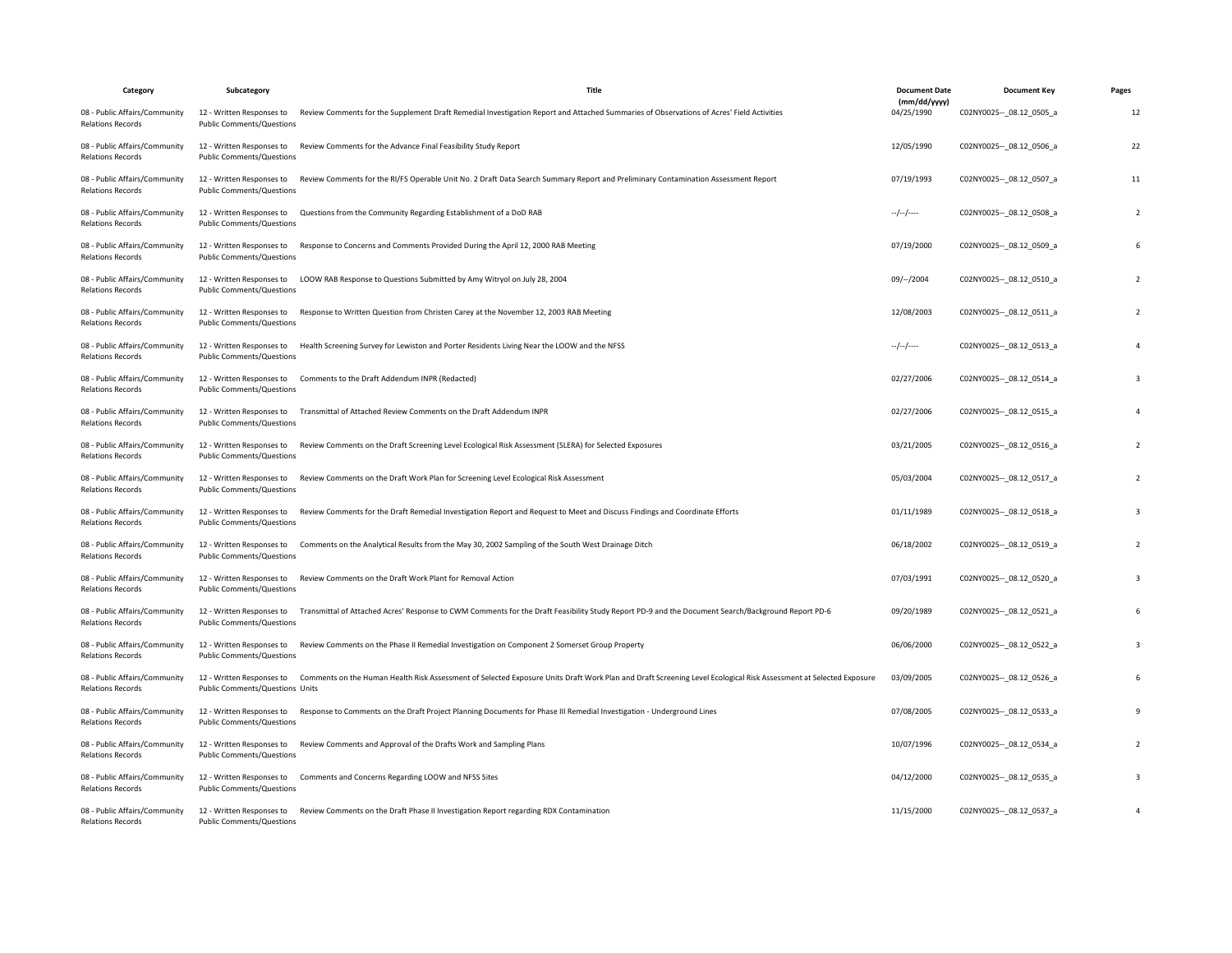| Category                                                  | Subcategory                                                   | Title                                                                                                                                                                        | <b>Document Date</b>       | <b>Document Key</b>         | Pages                    |
|-----------------------------------------------------------|---------------------------------------------------------------|------------------------------------------------------------------------------------------------------------------------------------------------------------------------------|----------------------------|-----------------------------|--------------------------|
| 08 - Public Affairs/Community<br><b>Relations Records</b> | 12 - Written Responses to<br>Public Comments/Questions        | Review Comments for the Supplement Draft Remedial Investigation Report and Attached Summaries of Observations of Acres' Field Activities                                     | (mm/dd/yyyy)<br>04/25/1990 | C02NY0025 -- _ 08.12_0505_a | 12                       |
| 08 - Public Affairs/Community<br><b>Relations Records</b> | 12 - Written Responses to<br><b>Public Comments/Questions</b> | Review Comments for the Advance Final Feasibility Study Report                                                                                                               | 12/05/1990                 | C02NY0025 -- 08.12 0506 a   | 22                       |
| 08 - Public Affairs/Community<br><b>Relations Records</b> | 12 - Written Responses to<br>Public Comments/Questions        | Review Comments for the RI/FS Operable Unit No. 2 Draft Data Search Summary Report and Preliminary Contamination Assessment Report                                           | 07/19/1993                 | C02NY0025 -- 08.12 0507_a   | 11                       |
| 08 - Public Affairs/Community<br><b>Relations Records</b> | 12 - Written Responses to<br><b>Public Comments/Questions</b> | Questions from the Community Regarding Establishment of a DoD RAB                                                                                                            | $-/-/-/$                   | C02NY0025 -- _ 08.12_0508_a | $\overline{\phantom{a}}$ |
| 08 - Public Affairs/Community<br><b>Relations Records</b> | 12 - Written Responses to<br>Public Comments/Questions        | Response to Concerns and Comments Provided During the April 12, 2000 RAB Meeting                                                                                             | 07/19/2000                 | C02NY0025 -- 08.12 0509 a   | 6                        |
| 08 - Public Affairs/Community<br><b>Relations Records</b> | 12 - Written Responses to<br>Public Comments/Questions        | LOOW RAB Response to Questions Submitted by Amy Witryol on July 28, 2004                                                                                                     | 09/--/2004                 | C02NY0025 -- 08.12 0510 a   | $\overline{2}$           |
| 08 - Public Affairs/Community<br><b>Relations Records</b> | 12 - Written Responses to<br><b>Public Comments/Questions</b> | Response to Written Question from Christen Carey at the November 12, 2003 RAB Meeting                                                                                        | 12/08/2003                 | C02NY0025 -- 08.12 0511 a   |                          |
| 08 - Public Affairs/Community<br><b>Relations Records</b> | 12 - Written Responses to<br>Public Comments/Questions        | Health Screening Survey for Lewiston and Porter Residents Living Near the LOOW and the NFSS                                                                                  | $-/-/-/$                   | C02NY0025 -- _ 08.12_0513_a |                          |
| 08 - Public Affairs/Community<br><b>Relations Records</b> | 12 - Written Responses to<br>Public Comments/Questions        | Comments to the Draft Addendum INPR (Redacted)                                                                                                                               | 02/27/2006                 | C02NY0025 -- 08.12 0514 a   | 3                        |
| 08 - Public Affairs/Community<br><b>Relations Records</b> | 12 - Written Responses to<br>Public Comments/Questions        | Transmittal of Attached Review Comments on the Draft Addendum INPR                                                                                                           | 02/27/2006                 | C02NY0025 -- 08.12 0515 a   |                          |
| 08 - Public Affairs/Community<br><b>Relations Records</b> | 12 - Written Responses to<br>Public Comments/Questions        | Review Comments on the Draft Screening Level Ecological Risk Assessment (SLERA) for Selected Exposures                                                                       | 03/21/2005                 | C02NY0025 -- 08.12 0516 a   | $\overline{2}$           |
| 08 - Public Affairs/Community<br><b>Relations Records</b> | 12 - Written Responses to<br>Public Comments/Questions        | Review Comments on the Draft Work Plan for Screening Level Ecological Risk Assessment                                                                                        | 05/03/2004                 | C02NY0025 -- 08.12 0517 a   | $\overline{\phantom{a}}$ |
| 08 - Public Affairs/Community<br><b>Relations Records</b> | 12 - Written Responses to<br><b>Public Comments/Questions</b> | Review Comments for the Draft Remedial Investigation Report and Request to Meet and Discuss Findings and Coordinate Efforts                                                  | 01/11/1989                 | C02NY0025 -- _ 08.12_0518_a | 3                        |
| 08 - Public Affairs/Community<br><b>Relations Records</b> | 12 - Written Responses to<br>Public Comments/Questions        | Comments on the Analytical Results from the May 30, 2002 Sampling of the South West Drainage Ditch                                                                           | 06/18/2002                 | C02NY0025 -- 08.12 0519 a   | $\overline{2}$           |
| 08 - Public Affairs/Community<br><b>Relations Records</b> | 12 - Written Responses to<br>Public Comments/Questions        | Review Comments on the Draft Work Plant for Removal Action                                                                                                                   | 07/03/1991                 | C02NY0025 -- 08.12 0520 a   | 3                        |
| 08 - Public Affairs/Community<br><b>Relations Records</b> | Public Comments/Questions                                     | 12 - Written Responses to Transmittal of Attached Acres' Response to CWM Comments for the Draft Feasibility Study Report PD-9 and the Document Search/Background Report PD-6 | 09/20/1989                 | C02NY0025 -- 08.12 0521 a   |                          |
| 08 - Public Affairs/Community<br><b>Relations Records</b> | 12 - Written Responses to<br>Public Comments/Questions        | Review Comments on the Phase II Remedial Investigation on Component 2 Somerset Group Property                                                                                | 06/06/2000                 | C02NY0025 -- _ 08.12_0522_a | 3                        |
| 08 - Public Affairs/Community<br><b>Relations Records</b> | 12 - Written Responses to<br>Public Comments/Questions Units  | Comments on the Human Health Risk Assessment of Selected Exposure Units Draft Work Plan and Draft Screening Level Ecological Risk Assessment at Selected Exposure            | 03/09/2005                 | C02NY0025 -- 08.12 0526 a   |                          |
| 08 - Public Affairs/Community<br><b>Relations Records</b> | 12 - Written Responses to<br>Public Comments/Questions        | Response to Comments on the Draft Project Planning Documents for Phase III Remedial Investigation - Underground Lines                                                        | 07/08/2005                 | C02NY0025 -- _ 08.12_0533_a |                          |
| 08 - Public Affairs/Community<br><b>Relations Records</b> | Public Comments/Questions                                     | 12 - Written Responses to Review Comments and Approval of the Drafts Work and Sampling Plans                                                                                 | 10/07/1996                 | C02NY0025 -- 08.12 0534 a   | $\overline{2}$           |
| 08 - Public Affairs/Community<br><b>Relations Records</b> | 12 - Written Responses to<br><b>Public Comments/Questions</b> | Comments and Concerns Regarding LOOW and NFSS Sites                                                                                                                          | 04/12/2000                 | C02NY0025 -- 08.12 0535 a   | 3                        |
| 08 - Public Affairs/Community<br><b>Relations Records</b> | 12 - Written Responses to<br><b>Public Comments/Questions</b> | Review Comments on the Draft Phase II Investigation Report regarding RDX Contamination                                                                                       | 11/15/2000                 | C02NY0025 -- 08.12 0537_a   | $\overline{4}$           |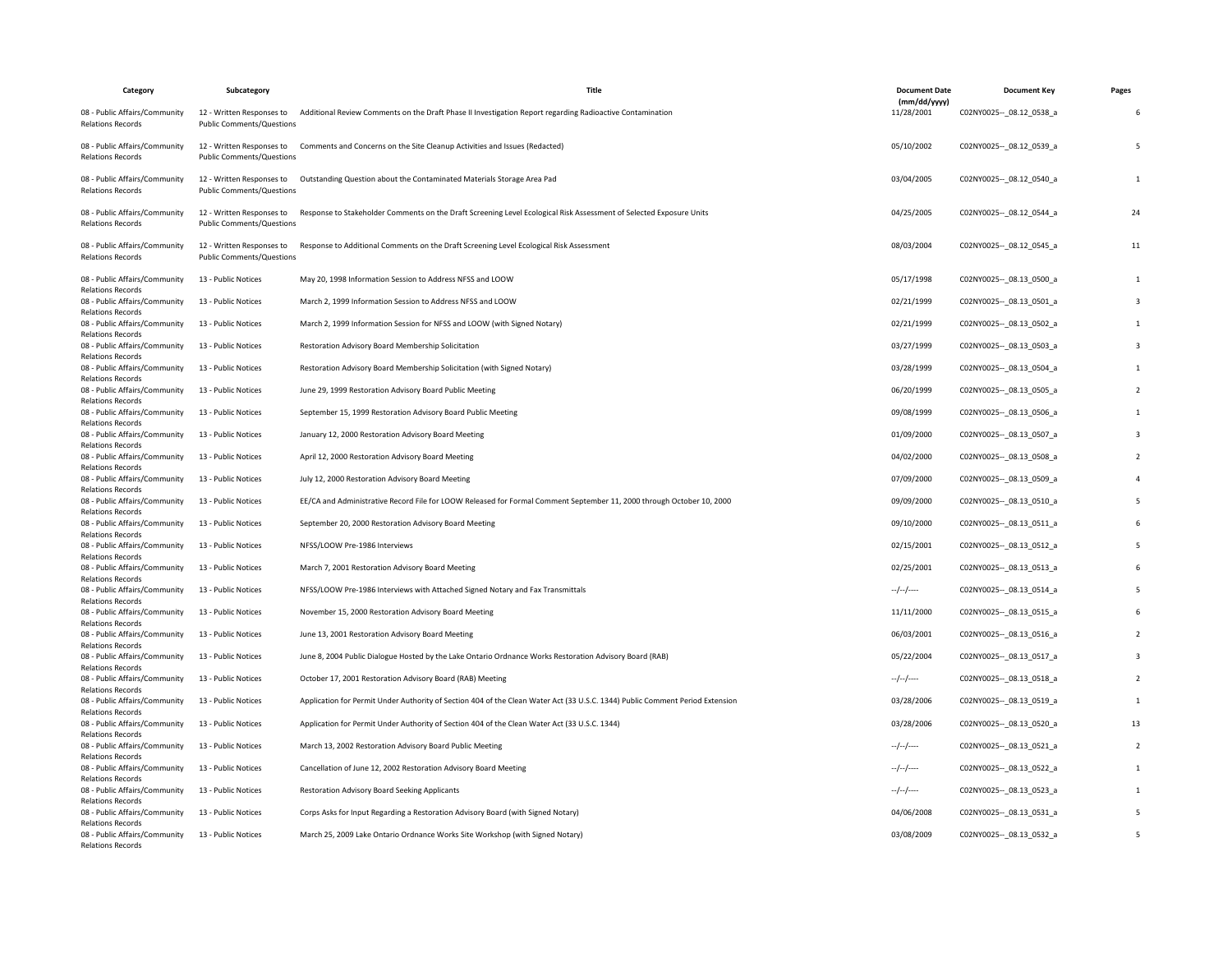| Category                                                                              | Subcategory                                                   | Title                                                                                                                         | <b>Document Date</b>       | <b>Document Key</b>         | Pages                   |
|---------------------------------------------------------------------------------------|---------------------------------------------------------------|-------------------------------------------------------------------------------------------------------------------------------|----------------------------|-----------------------------|-------------------------|
| 08 - Public Affairs/Community<br><b>Relations Records</b>                             | 12 - Written Responses to<br><b>Public Comments/Questions</b> | Additional Review Comments on the Draft Phase II Investigation Report regarding Radioactive Contamination                     | (mm/dd/yyyy)<br>11/28/2001 | C02NY0025 -- 08.12 0538 a   | 6                       |
| 08 - Public Affairs/Community<br><b>Relations Records</b>                             | 12 - Written Responses to<br><b>Public Comments/Questions</b> | Comments and Concerns on the Site Cleanup Activities and Issues (Redacted)                                                    | 05/10/2002                 | C02NY0025 -- 08.12 0539 a   | 5                       |
| 08 - Public Affairs/Community<br><b>Relations Records</b>                             | <b>Public Comments/Questions</b>                              | 12 - Written Responses to Outstanding Question about the Contaminated Materials Storage Area Pad                              | 03/04/2005                 | C02NY0025 -- 08.12 0540 a   | $\overline{1}$          |
| 08 - Public Affairs/Community<br><b>Relations Records</b>                             | 12 - Written Responses to<br><b>Public Comments/Questions</b> | Response to Stakeholder Comments on the Draft Screening Level Ecological Risk Assessment of Selected Exposure Units           | 04/25/2005                 | C02NY0025 -- 08.12 0544 a   | 24                      |
| 08 - Public Affairs/Community<br><b>Relations Records</b>                             | 12 - Written Responses to<br>Public Comments/Questions        | Response to Additional Comments on the Draft Screening Level Ecological Risk Assessment                                       | 08/03/2004                 | C02NY0025 -- 08.12 0545 a   | 11                      |
| 08 - Public Affairs/Community<br><b>Relations Records</b>                             | 13 - Public Notices                                           | May 20, 1998 Information Session to Address NFSS and LOOW                                                                     | 05/17/1998                 | C02NY0025 -- 08.13 0500 a   | $\mathbf{1}$            |
| 08 - Public Affairs/Community<br><b>Relations Records</b>                             | 13 - Public Notices                                           | March 2, 1999 Information Session to Address NFSS and LOOW                                                                    | 02/21/1999                 | C02NY0025 -- 08.13 0501 a   | $\overline{\mathbf{3}}$ |
| 08 - Public Affairs/Community<br><b>Relations Records</b>                             | 13 - Public Notices                                           | March 2, 1999 Information Session for NFSS and LOOW (with Signed Notary)                                                      | 02/21/1999                 | C02NY0025 -- 08.13 0502 a   | $\mathbf{1}$            |
| 08 - Public Affairs/Community<br><b>Relations Records</b>                             | 13 - Public Notices                                           | Restoration Advisory Board Membership Solicitation                                                                            | 03/27/1999                 | C02NY0025 -- _ 08.13_0503_a | $\overline{3}$          |
| 08 - Public Affairs/Community<br><b>Relations Records</b>                             | 13 - Public Notices                                           | Restoration Advisory Board Membership Solicitation (with Signed Notary)                                                       | 03/28/1999                 | C02NY0025 -- 08.13 0504 a   | 1                       |
| 08 - Public Affairs/Community<br><b>Relations Records</b>                             | 13 - Public Notices                                           | June 29, 1999 Restoration Advisory Board Public Meeting                                                                       | 06/20/1999                 | C02NY0025 -- _ 08.13_0505_a | $\overline{2}$          |
| 08 - Public Affairs/Community<br><b>Relations Records</b>                             | 13 - Public Notices                                           | September 15, 1999 Restoration Advisory Board Public Meeting                                                                  | 09/08/1999                 | C02NY0025 -- 08.13 0506 a   | 1                       |
| 08 - Public Affairs/Community                                                         | 13 - Public Notices                                           | January 12, 2000 Restoration Advisory Board Meeting                                                                           | 01/09/2000                 | C02NY0025 -- 08.13 0507 a   | $\overline{\mathbf{3}}$ |
| <b>Relations Records</b><br>08 - Public Affairs/Community                             | 13 - Public Notices                                           | April 12, 2000 Restoration Advisory Board Meeting                                                                             | 04/02/2000                 | C02NY0025 -- 08.13 0508 a   | $\overline{z}$          |
| <b>Relations Records</b><br>08 - Public Affairs/Community                             | 13 - Public Notices                                           | July 12, 2000 Restoration Advisory Board Meeting                                                                              | 07/09/2000                 | C02NY0025 -- 08.13 0509 a   | $\overline{4}$          |
| <b>Relations Records</b><br>08 - Public Affairs/Community                             | 13 - Public Notices                                           | EE/CA and Administrative Record File for LOOW Released for Formal Comment September 11, 2000 through October 10, 2000         | 09/09/2000                 | C02NY0025 -- _ 08.13_0510_a | 5                       |
| <b>Relations Records</b><br>08 - Public Affairs/Community                             | 13 - Public Notices                                           | September 20, 2000 Restoration Advisory Board Meeting                                                                         | 09/10/2000                 | C02NY0025 -- 08.13 0511 a   | 6                       |
| <b>Relations Records</b><br>08 - Public Affairs/Community                             | 13 - Public Notices                                           | NFSS/LOOW Pre-1986 Interviews                                                                                                 | 02/15/2001                 | C02NY0025 -- 08.13 0512 a   | 5                       |
| <b>Relations Records</b><br>08 - Public Affairs/Community                             | 13 - Public Notices                                           | March 7, 2001 Restoration Advisory Board Meeting                                                                              | 02/25/2001                 | C02NY0025 -- 08.13_0513_a   | 6                       |
| <b>Relations Records</b><br>08 - Public Affairs/Community                             | 13 - Public Notices                                           | NFSS/LOOW Pre-1986 Interviews with Attached Signed Notary and Fax Transmittals                                                | --/--/----                 | C02NY0025 -- _ 08.13_0514_a |                         |
| <b>Relations Records</b><br>08 - Public Affairs/Community                             | 13 - Public Notices                                           | November 15, 2000 Restoration Advisory Board Meeting                                                                          | 11/11/2000                 | C02NY0025 -- 08.13 0515 a   |                         |
| <b>Relations Records</b><br>08 - Public Affairs/Community                             | 13 - Public Notices                                           | June 13, 2001 Restoration Advisory Board Meeting                                                                              | 06/03/2001                 | C02NY0025 -- 08.13 0516 a   | $\overline{2}$          |
| <b>Relations Records</b><br>08 - Public Affairs/Community                             | 13 - Public Notices                                           | June 8, 2004 Public Dialogue Hosted by the Lake Ontario Ordnance Works Restoration Advisory Board (RAB)                       | 05/22/2004                 | C02NY0025 -- 08.13 0517 a   | $\overline{\mathbf{3}}$ |
| <b>Relations Records</b><br>08 - Public Affairs/Community                             | 13 - Public Notices                                           | October 17, 2001 Restoration Advisory Board (RAB) Meeting                                                                     | $-/-/-/$                   | C02NY0025 -- _ 08.13_0518_a | $\overline{2}$          |
| <b>Relations Records</b><br>08 - Public Affairs/Community                             | 13 - Public Notices                                           | Application for Permit Under Authority of Section 404 of the Clean Water Act (33 U.S.C. 1344) Public Comment Period Extension | 03/28/2006                 | C02NY0025 -- 08.13 0519 a   | $\mathbf{1}$            |
| <b>Relations Records</b><br>08 - Public Affairs/Community                             | 13 - Public Notices                                           | Application for Permit Under Authority of Section 404 of the Clean Water Act (33 U.S.C. 1344)                                 | 03/28/2006                 | C02NY0025 -- 08.13 0520 a   | 13                      |
| <b>Relations Records</b><br>08 - Public Affairs/Community                             | 13 - Public Notices                                           | March 13, 2002 Restoration Advisory Board Public Meeting                                                                      | $-/-/-$                    | C02NY0025 -- _ 08.13_0521_a | $\overline{2}$          |
| <b>Relations Records</b><br>08 - Public Affairs/Community                             | 13 - Public Notices                                           | Cancellation of June 12, 2002 Restoration Advisory Board Meeting                                                              | $-/-/-/$                   | C02NY0025 -- 08.13 0522 a   | $\mathbf{1}$            |
| <b>Relations Records</b><br>08 - Public Affairs/Community                             | 13 - Public Notices                                           | Restoration Advisory Board Seeking Applicants                                                                                 | --/--/----                 | C02NY0025 -- _ 08.13_0523_a | 1                       |
| <b>Relations Records</b><br>08 - Public Affairs/Community                             | 13 - Public Notices                                           | Corps Asks for Input Regarding a Restoration Advisory Board (with Signed Notary)                                              | 04/06/2008                 | C02NY0025 -- _ 08.13_0531_a | -5                      |
| <b>Relations Records</b><br>08 - Public Affairs/Community<br><b>Relations Records</b> | 13 - Public Notices                                           | March 25, 2009 Lake Ontario Ordnance Works Site Workshop (with Signed Notary)                                                 | 03/08/2009                 | C02NY0025 -- 08.13 0532 a   | 5                       |
|                                                                                       |                                                               |                                                                                                                               |                            |                             |                         |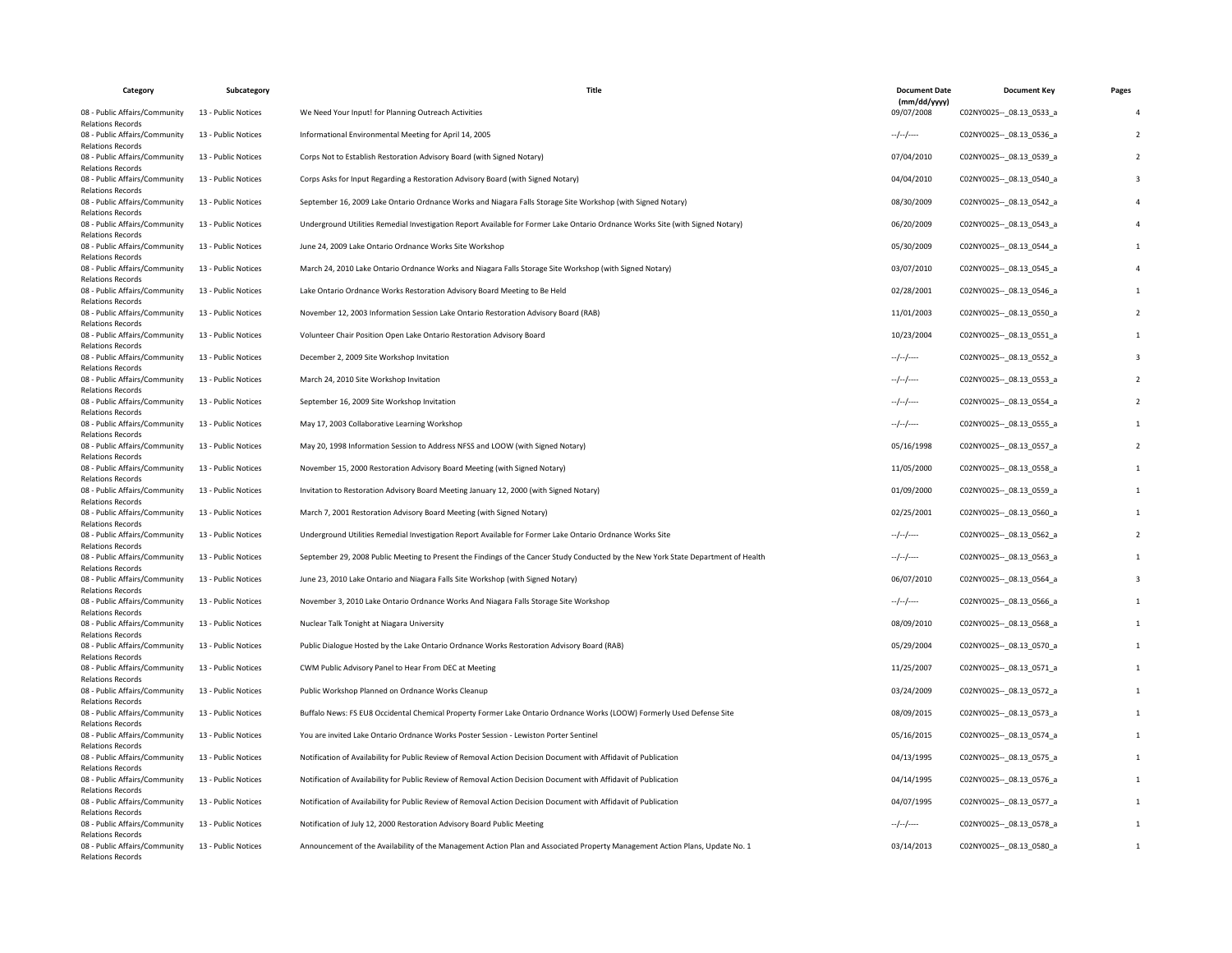| Category                                                                              | Subcategory         | Title                                                                                                                              | <b>Document Date</b>       | <b>Document Key</b>         | Pages |
|---------------------------------------------------------------------------------------|---------------------|------------------------------------------------------------------------------------------------------------------------------------|----------------------------|-----------------------------|-------|
| 08 - Public Affairs/Community                                                         | 13 - Public Notices | We Need Your Input! for Planning Outreach Activities                                                                               | (mm/dd/yyyy)<br>09/07/2008 | C02NY0025 -- _ 08.13_0533_a |       |
| <b>Relations Records</b><br>08 - Public Affairs/Community<br><b>Relations Records</b> | 13 - Public Notices | Informational Environmental Meeting for April 14, 2005                                                                             | $-/-/-$                    | C02NY0025 -- 08.13 0536 a   |       |
| 08 - Public Affairs/Community<br><b>Relations Records</b>                             | 13 - Public Notices | Corps Not to Establish Restoration Advisory Board (with Signed Notary)                                                             | 07/04/2010                 | C02NY0025-- 08.13 0539 a    |       |
| 08 - Public Affairs/Community<br><b>Relations Records</b>                             | 13 - Public Notices | Corps Asks for Input Regarding a Restoration Advisory Board (with Signed Notary)                                                   | 04/04/2010                 | C02NY0025 -- _ 08.13_0540_a |       |
| 08 - Public Affairs/Community<br><b>Relations Records</b>                             | 13 - Public Notices | September 16, 2009 Lake Ontario Ordnance Works and Niagara Falls Storage Site Workshop (with Signed Notary)                        | 08/30/2009                 | C02NY0025 -- 08.13 0542 a   |       |
| 08 - Public Affairs/Community<br><b>Relations Records</b>                             | 13 - Public Notices | Underground Utilities Remedial Investigation Report Available for Former Lake Ontario Ordnance Works Site (with Signed Notary)     | 06/20/2009                 | C02NY0025 -- 08.13 0543 a   |       |
| 08 - Public Affairs/Community<br><b>Relations Records</b>                             | 13 - Public Notices | June 24, 2009 Lake Ontario Ordnance Works Site Workshop                                                                            | 05/30/2009                 | C02NY0025 -- 08.13 0544_a   |       |
| 08 - Public Affairs/Community<br><b>Relations Records</b>                             | 13 - Public Notices | March 24, 2010 Lake Ontario Ordnance Works and Niagara Falls Storage Site Workshop (with Signed Notary)                            | 03/07/2010                 | C02NY0025 -- _ 08.13_0545_a |       |
| 08 - Public Affairs/Community<br><b>Relations Records</b>                             | 13 - Public Notices | Lake Ontario Ordnance Works Restoration Advisory Board Meeting to Be Held                                                          | 02/28/2001                 | C02NY0025 -- 08.13 0546_a   |       |
| 08 - Public Affairs/Community<br><b>Relations Records</b>                             | 13 - Public Notices | November 12, 2003 Information Session Lake Ontario Restoration Advisory Board (RAB)                                                | 11/01/2003                 | C02NY0025 -- 08.13 0550 a   |       |
| 08 - Public Affairs/Community<br><b>Relations Records</b>                             | 13 - Public Notices | Volunteer Chair Position Open Lake Ontario Restoration Advisory Board                                                              | 10/23/2004                 | C02NY0025 -- _ 08.13_0551_a |       |
| 08 - Public Affairs/Community<br><b>Relations Records</b>                             | 13 - Public Notices | December 2, 2009 Site Workshop Invitation                                                                                          | $-/-/-$                    | C02NY0025 -- 08.13 0552 a   |       |
| 08 - Public Affairs/Community<br><b>Relations Records</b>                             | 13 - Public Notices | March 24, 2010 Site Workshop Invitation                                                                                            | $-$ / $-$ /----            | C02NY0025 -- 08.13 0553 a   |       |
| 08 - Public Affairs/Community<br><b>Relations Records</b>                             | 13 - Public Notices | September 16, 2009 Site Workshop Invitation                                                                                        | $-/-/-$                    | C02NY0025 -- 08.13 0554_a   |       |
| 08 - Public Affairs/Community<br><b>Relations Records</b>                             | 13 - Public Notices | May 17, 2003 Collaborative Learning Workshop                                                                                       | $-$ / $-$ /----            | C02NY0025 -- 08.13 0555_a   |       |
| 08 - Public Affairs/Community<br><b>Relations Records</b>                             | 13 - Public Notices | May 20, 1998 Information Session to Address NFSS and LOOW (with Signed Notary)                                                     | 05/16/1998                 | C02NY0025 -- _ 08.13_0557_a |       |
| 08 - Public Affairs/Community<br><b>Relations Records</b>                             | 13 - Public Notices | November 15, 2000 Restoration Advisory Board Meeting (with Signed Notary)                                                          | 11/05/2000                 | C02NY0025 -- 08.13 0558 a   |       |
| 08 - Public Affairs/Community<br><b>Relations Records</b>                             | 13 - Public Notices | Invitation to Restoration Advisory Board Meeting January 12, 2000 (with Signed Notary)                                             | 01/09/2000                 | C02NY0025 -- _ 08.13_0559_a |       |
| 08 - Public Affairs/Community                                                         | 13 - Public Notices | March 7, 2001 Restoration Advisory Board Meeting (with Signed Notary)                                                              | 02/25/2001                 | C02NY0025 -- 08.13 0560 a   |       |
| <b>Relations Records</b><br>08 - Public Affairs/Community                             | 13 - Public Notices | Underground Utilities Remedial Investigation Report Available for Former Lake Ontario Ordnance Works Site                          | $-/-/-$                    | C02NY0025 -- 08.13 0562_a   |       |
| <b>Relations Records</b><br>08 - Public Affairs/Community                             | 13 - Public Notices | September 29, 2008 Public Meeting to Present the Findings of the Cancer Study Conducted by the New York State Department of Health | $-/-/-$                    | C02NY0025 -- _ 08.13_0563_a |       |
| <b>Relations Records</b><br>08 - Public Affairs/Community                             | 13 - Public Notices | June 23, 2010 Lake Ontario and Niagara Falls Site Workshop (with Signed Notary)                                                    | 06/07/2010                 | C02NY0025 -- 08.13 0564 a   |       |
| <b>Relations Records</b><br>08 - Public Affairs/Community                             | 13 - Public Notices | November 3, 2010 Lake Ontario Ordnance Works And Niagara Falls Storage Site Workshop                                               | $-/-/-$                    | C02NY0025 -- 08.13 0566_a   |       |
| <b>Relations Records</b><br>08 - Public Affairs/Community                             | 13 - Public Notices | Nuclear Talk Tonight at Niagara University                                                                                         | 08/09/2010                 | C02NY0025 -- _ 08.13_0568_a |       |
| <b>Relations Records</b><br>08 - Public Affairs/Community                             | 13 - Public Notices | Public Dialogue Hosted by the Lake Ontario Ordnance Works Restoration Advisory Board (RAB)                                         | 05/29/2004                 | C02NY0025 -- 08.13 0570 a   |       |
| <b>Relations Records</b><br>08 - Public Affairs/Community                             | 13 - Public Notices | CWM Public Advisory Panel to Hear From DEC at Meeting                                                                              | 11/25/2007                 | C02NY0025 -- _ 08.13_0571_a |       |
| <b>Relations Records</b><br>08 - Public Affairs/Community                             | 13 - Public Notices | Public Workshop Planned on Ordnance Works Cleanup                                                                                  | 03/24/2009                 | C02NY0025 -- 08.13 0572 a   |       |
| <b>Relations Records</b><br>08 - Public Affairs/Community                             | 13 - Public Notices | Buffalo News: FS EU8 Occidental Chemical Property Former Lake Ontario Ordnance Works (LOOW) Formerly Used Defense Site             | 08/09/2015                 | C02NY0025 -- _ 08.13_0573_a |       |
| <b>Relations Records</b><br>08 - Public Affairs/Community                             | 13 - Public Notices | You are invited Lake Ontario Ordnance Works Poster Session - Lewiston Porter Sentinel                                              | 05/16/2015                 | C02NY0025 -- 08.13 0574 a   |       |
| <b>Relations Records</b><br>08 - Public Affairs/Community                             | 13 - Public Notices | Notification of Availability for Public Review of Removal Action Decision Document with Affidavit of Publication                   | 04/13/1995                 | C02NY0025 -- 08.13 0575_a   |       |
| <b>Relations Records</b><br>08 - Public Affairs/Community                             | 13 - Public Notices | Notification of Availability for Public Review of Removal Action Decision Document with Affidavit of Publication                   | 04/14/1995                 | C02NY0025 -- _ 08.13_0576_a |       |
| <b>Relations Records</b><br>08 - Public Affairs/Community                             | 13 - Public Notices | Notification of Availability for Public Review of Removal Action Decision Document with Affidavit of Publication                   | 04/07/1995                 | C02NY0025 -- 08.13 0577_a   |       |
| <b>Relations Records</b><br>08 - Public Affairs/Community                             | 13 - Public Notices | Notification of July 12, 2000 Restoration Advisory Board Public Meeting                                                            | $-/-/-$                    | C02NY0025 -- 08.13 0578 a   |       |
| <b>Relations Records</b><br>08 - Public Affairs/Community                             | 13 - Public Notices | Announcement of the Availability of the Management Action Plan and Associated Property Management Action Plans, Update No. 1       | 03/14/2013                 | C02NY0025 -- 08.13 0580 a   |       |
| <b>Relations Records</b>                                                              |                     |                                                                                                                                    |                            |                             |       |